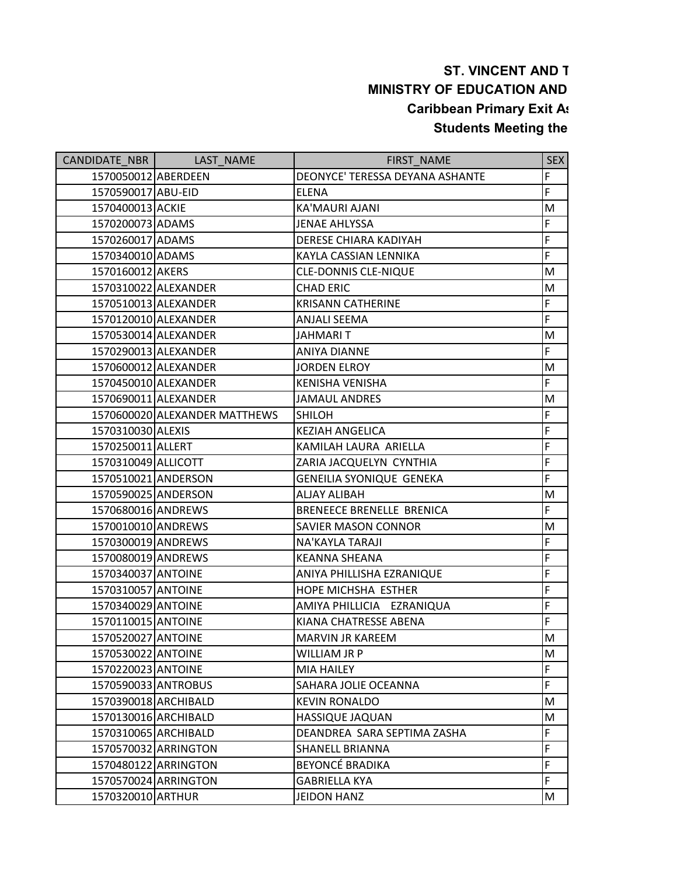## **ST. VINCENT AND T MINISTRY OF EDUCATION AND Caribbean Primary Exit As Students Meeting the**

| CANDIDATE NBR        | LAST NAME                     | FIRST NAME                      | <b>SEX</b> |
|----------------------|-------------------------------|---------------------------------|------------|
| 1570050012 ABERDEEN  |                               | DEONYCE' TERESSA DEYANA ASHANTE | F          |
| 1570590017 ABU-EID   |                               | <b>ELENA</b>                    | F          |
| 1570400013 ACKIE     |                               | KA'MAURI AJANI                  | M          |
| 1570200073 ADAMS     |                               | <b>JENAE AHLYSSA</b>            | F          |
| 1570260017 ADAMS     |                               | DERESE CHIARA KADIYAH           | F          |
| 1570340010 ADAMS     |                               | KAYLA CASSIAN LENNIKA           | F          |
| 1570160012 AKERS     |                               | <b>CLE-DONNIS CLE-NIQUE</b>     | M          |
|                      | 1570310022 ALEXANDER          | <b>CHAD ERIC</b>                | M          |
|                      | 1570510013 ALEXANDER          | <b>KRISANN CATHERINE</b>        | F          |
|                      | 1570120010 ALEXANDER          | <b>ANJALI SEEMA</b>             | F          |
|                      | 1570530014 ALEXANDER          | <b>JAHMARIT</b>                 | M          |
|                      | 1570290013 ALEXANDER          | <b>ANIYA DIANNE</b>             | F          |
|                      | 1570600012 ALEXANDER          | <b>JORDEN ELROY</b>             | M          |
|                      | 1570450010 ALEXANDER          | <b>KENISHA VENISHA</b>          | F          |
|                      | 1570690011 ALEXANDER          | <b>JAMAUL ANDRES</b>            | M          |
|                      | 1570600020 ALEXANDER MATTHEWS | <b>SHILOH</b>                   | F          |
| 1570310030 ALEXIS    |                               | <b>KEZIAH ANGELICA</b>          | F          |
| 1570250011 ALLERT    |                               | KAMILAH LAURA ARIELLA           | F          |
| 1570310049 ALLICOTT  |                               | ZARIA JACQUELYN CYNTHIA         | F          |
| 1570510021 ANDERSON  |                               | GENEILIA SYONIQUE GENEKA        | F          |
| 1570590025 ANDERSON  |                               | <b>ALJAY ALIBAH</b>             | M          |
| 1570680016 ANDREWS   |                               | BRENEECE BRENELLE BRENICA       | F          |
| 1570010010 ANDREWS   |                               | <b>SAVIER MASON CONNOR</b>      | M          |
| 1570300019 ANDREWS   |                               | NA'KAYLA TARAJI                 | F          |
| 1570080019 ANDREWS   |                               | <b>KEANNA SHEANA</b>            | F          |
| 1570340037 ANTOINE   |                               | ANIYA PHILLISHA EZRANIQUE       | F          |
| 1570310057 ANTOINE   |                               | HOPE MICHSHA ESTHER             | F          |
| 1570340029 ANTOINE   |                               | AMIYA PHILLICIA EZRANIQUA       | F          |
| 1570110015 ANTOINE   |                               | KIANA CHATRESSE ABENA           | F          |
| 1570520027 ANTOINE   |                               | <b>MARVIN JR KAREEM</b>         | M          |
| 1570530022 ANTOINE   |                               | WILLIAM JR P                    | M          |
| 1570220023 ANTOINE   |                               | <b>MIA HAILEY</b>               | F          |
| 1570590033 ANTROBUS  |                               | SAHARA JOLIE OCEANNA            | F.         |
| 1570390018 ARCHIBALD |                               | <b>KEVIN RONALDO</b>            | М          |
| 1570130016 ARCHIBALD |                               | HASSIQUE JAQUAN                 | M          |
| 1570310065 ARCHIBALD |                               | DEANDREA SARA SEPTIMA ZASHA     | F          |
|                      | 1570570032 ARRINGTON          | <b>SHANELL BRIANNA</b>          | F          |
|                      | 1570480122 ARRINGTON          | <b>BEYONCÉ BRADIKA</b>          | F          |
|                      | 1570570024 ARRINGTON          | <b>GABRIELLA KYA</b>            | F          |
| 1570320010 ARTHUR    |                               | <b>JEIDON HANZ</b>              | M          |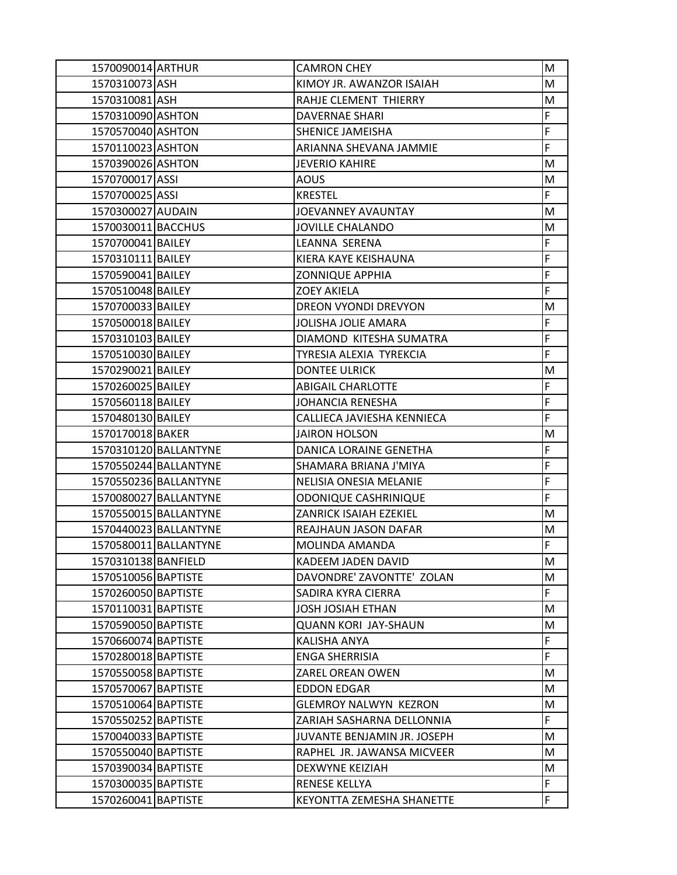| 1570090014 ARTHUR   |                       | <b>CAMRON CHEY</b>           | M  |
|---------------------|-----------------------|------------------------------|----|
| 1570310073 ASH      |                       | KIMOY JR. AWANZOR ISAIAH     | M  |
| 1570310081 ASH      |                       | RAHJE CLEMENT THIERRY        | M  |
| 1570310090 ASHTON   |                       | <b>DAVERNAE SHARI</b>        | F  |
| 1570570040 ASHTON   |                       | SHENICE JAMEISHA             | F  |
| 1570110023 ASHTON   |                       | ARIANNA SHEVANA JAMMIE       | F  |
| 1570390026 ASHTON   |                       | <b>JEVERIO KAHIRE</b>        | M  |
| 1570700017 ASSI     |                       | <b>AOUS</b>                  | M  |
| 1570700025 ASSI     |                       | <b>KRESTEL</b>               | F  |
| 1570300027 AUDAIN   |                       | JOEVANNEY AVAUNTAY           | M  |
| 1570030011 BACCHUS  |                       | JOVILLE CHALANDO             | M  |
| 1570700041 BAILEY   |                       | LEANNA SERENA                | F  |
| 1570310111 BAILEY   |                       | KIERA KAYE KEISHAUNA         | F  |
| 1570590041 BAILEY   |                       | ZONNIQUE APPHIA              | F  |
| 1570510048 BAILEY   |                       | <b>ZOEY AKIELA</b>           | F  |
| 1570700033 BAILEY   |                       | DREON VYONDI DREVYON         | M  |
| 1570500018 BAILEY   |                       | <b>JOLISHA JOLIE AMARA</b>   | F  |
| 1570310103 BAILEY   |                       | DIAMOND KITESHA SUMATRA      | F  |
| 1570510030 BAILEY   |                       | TYRESIA ALEXIA TYREKCIA      | F  |
| 1570290021 BAILEY   |                       | <b>DONTEE ULRICK</b>         | M  |
| 1570260025 BAILEY   |                       | <b>ABIGAIL CHARLOTTE</b>     | F  |
| 1570560118 BAILEY   |                       | <b>JOHANCIA RENESHA</b>      | F  |
| 1570480130 BAILEY   |                       | CALLIECA JAVIESHA KENNIECA   | F  |
| 1570170018 BAKER    |                       | <b>JAIRON HOLSON</b>         | M  |
|                     | 1570310120 BALLANTYNE | DANICA LORAINE GENETHA       | F  |
|                     | 1570550244 BALLANTYNE | SHAMARA BRIANA J'MIYA        | F  |
|                     | 1570550236 BALLANTYNE | NELISIA ONESIA MELANIE       | F  |
|                     | 1570080027 BALLANTYNE | <b>ODONIQUE CASHRINIQUE</b>  | F  |
|                     | 1570550015 BALLANTYNE | ZANRICK ISAIAH EZEKIEL       | М  |
|                     | 1570440023 BALLANTYNE | REAJHAUN JASON DAFAR         | M  |
|                     | 1570580011 BALLANTYNE | MOLINDA AMANDA               | F  |
| 1570310138 BANFIELD |                       | KADEEM JADEN DAVID           | M  |
| 1570510056 BAPTISTE |                       | DAVONDRE' ZAVONTTE' ZOLAN    | M  |
| 1570260050 BAPTISTE |                       | SADIRA KYRA CIERRA           | F. |
| 1570110031 BAPTISTE |                       | <b>JOSH JOSIAH ETHAN</b>     | M  |
| 1570590050 BAPTISTE |                       | <b>QUANN KORI JAY-SHAUN</b>  | М  |
| 1570660074 BAPTISTE |                       | KALISHA ANYA                 | F  |
| 1570280018 BAPTISTE |                       | <b>ENGA SHERRISIA</b>        | F. |
| 1570550058 BAPTISTE |                       | ZAREL OREAN OWEN             | М  |
| 1570570067 BAPTISTE |                       | <b>EDDON EDGAR</b>           | M  |
| 1570510064 BAPTISTE |                       | <b>GLEMROY NALWYN KEZRON</b> | M  |
| 1570550252 BAPTISTE |                       | ZARIAH SASHARNA DELLONNIA    | F. |
| 1570040033 BAPTISTE |                       | JUVANTE BENJAMIN JR. JOSEPH  | M  |
| 1570550040 BAPTISTE |                       | RAPHEL JR. JAWANSA MICVEER   | М  |
| 1570390034 BAPTISTE |                       | DEXWYNE KEIZIAH              | M  |
| 1570300035 BAPTISTE |                       | <b>RENESE KELLYA</b>         | F  |
| 1570260041 BAPTISTE |                       | KEYONTTA ZEMESHA SHANETTE    | F  |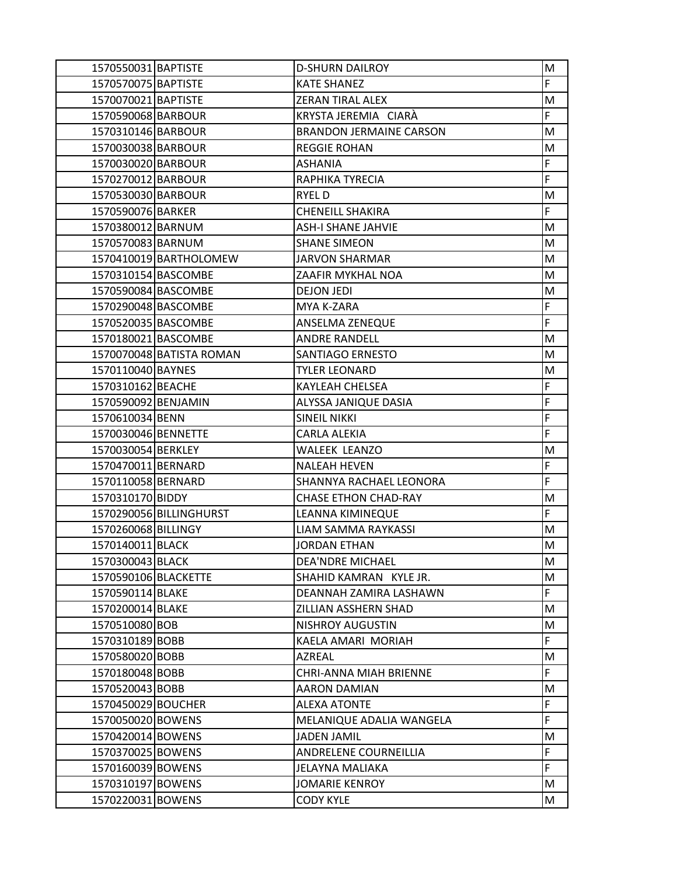| 1570550031 BAPTISTE  |                          | <b>D-SHURN DAILROY</b>         | M           |
|----------------------|--------------------------|--------------------------------|-------------|
| 1570570075 BAPTISTE  |                          | <b>KATE SHANEZ</b>             | F           |
| 1570070021 BAPTISTE  |                          | <b>ZERAN TIRAL ALEX</b>        | M           |
| 1570590068 BARBOUR   |                          | KRYSTA JEREMIA CIARÀ           | $\mathsf F$ |
| 1570310146 BARBOUR   |                          | <b>BRANDON JERMAINE CARSON</b> | M           |
| 1570030038 BARBOUR   |                          | <b>REGGIE ROHAN</b>            | M           |
| 1570030020 BARBOUR   |                          | <b>ASHANIA</b>                 | $\mathsf F$ |
| 1570270012 BARBOUR   |                          | RAPHIKA TYRECIA                | F           |
| 1570530030 BARBOUR   |                          | RYEL D                         | M           |
| 1570590076 BARKER    |                          | <b>CHENEILL SHAKIRA</b>        | $\mathsf F$ |
| 1570380012 BARNUM    |                          | <b>ASH-I SHANE JAHVIE</b>      | M           |
| 1570570083 BARNUM    |                          | <b>SHANE SIMEON</b>            | M           |
|                      | 1570410019 BARTHOLOMEW   | <b>JARVON SHARMAR</b>          | M           |
| 1570310154 BASCOMBE  |                          | ZAAFIR MYKHAL NOA              | M           |
| 1570590084 BASCOMBE  |                          | <b>DEJON JEDI</b>              | M           |
| 1570290048 BASCOMBE  |                          | MYA K-ZARA                     | $\mathsf F$ |
| 1570520035 BASCOMBE  |                          | ANSELMA ZENEQUE                | $\mathsf F$ |
| 1570180021 BASCOMBE  |                          | <b>ANDRE RANDELL</b>           | M           |
|                      | 1570070048 BATISTA ROMAN | SANTIAGO ERNESTO               | M           |
| 1570110040 BAYNES    |                          | <b>TYLER LEONARD</b>           | M           |
| 1570310162 BEACHE    |                          | KAYLEAH CHELSEA                | $\mathsf F$ |
| 1570590092 BENJAMIN  |                          | ALYSSA JANIQUE DASIA           | $\mathsf F$ |
| 1570610034 BENN      |                          | <b>SINEIL NIKKI</b>            | $\mathsf F$ |
| 1570030046 BENNETTE  |                          | CARLA ALEKIA                   | $\mathsf F$ |
| 1570030054 BERKLEY   |                          | <b>WALEEK LEANZO</b>           | M           |
| 1570470011 BERNARD   |                          | <b>NALEAH HEVEN</b>            | F           |
| 1570110058 BERNARD   |                          | SHANNYA RACHAEL LEONORA        | $\mathsf F$ |
| 1570310170 BIDDY     |                          | <b>CHASE ETHON CHAD-RAY</b>    | M           |
|                      | 1570290056 BILLINGHURST  | LEANNA KIMINEQUE               | F           |
| 1570260068 BILLINGY  |                          | <b>LIAM SAMMA RAYKASSI</b>     | M           |
| 1570140011 BLACK     |                          | <b>JORDAN ETHAN</b>            | M           |
| 1570300043 BLACK     |                          | <b>DEA'NDRE MICHAEL</b>        | M           |
| 1570590106 BLACKETTE |                          | SHAHID KAMRAN KYLE JR.         | M           |
| 1570590114 BLAKE     |                          | DEANNAH ZAMIRA LASHAWN         | F           |
| 1570200014 BLAKE     |                          | ZILLIAN ASSHERN SHAD           | M           |
| 1570510080 BOB       |                          | <b>NISHROY AUGUSTIN</b>        | M           |
| 1570310189 BOBB      |                          | KAELA AMARI MORIAH             | F           |
| 1570580020 BOBB      |                          | AZREAL                         | M           |
| 1570180048 BOBB      |                          | CHRI-ANNA MIAH BRIENNE         | F           |
| 1570520043 BOBB      |                          | <b>AARON DAMIAN</b>            | M           |
| 1570450029 BOUCHER   |                          | <b>ALEXA ATONTE</b>            | F           |
| 1570050020 BOWENS    |                          | MELANIQUE ADALIA WANGELA       | $\mathsf F$ |
| 1570420014 BOWENS    |                          | <b>JADEN JAMIL</b>             | M           |
| 1570370025 BOWENS    |                          | ANDRELENE COURNEILLIA          | $\mathsf F$ |
| 1570160039 BOWENS    |                          | JELAYNA MALIAKA                | F           |
| 1570310197 BOWENS    |                          | <b>JOMARIE KENROY</b>          | M           |
| 1570220031 BOWENS    |                          | <b>CODY KYLE</b>               | M           |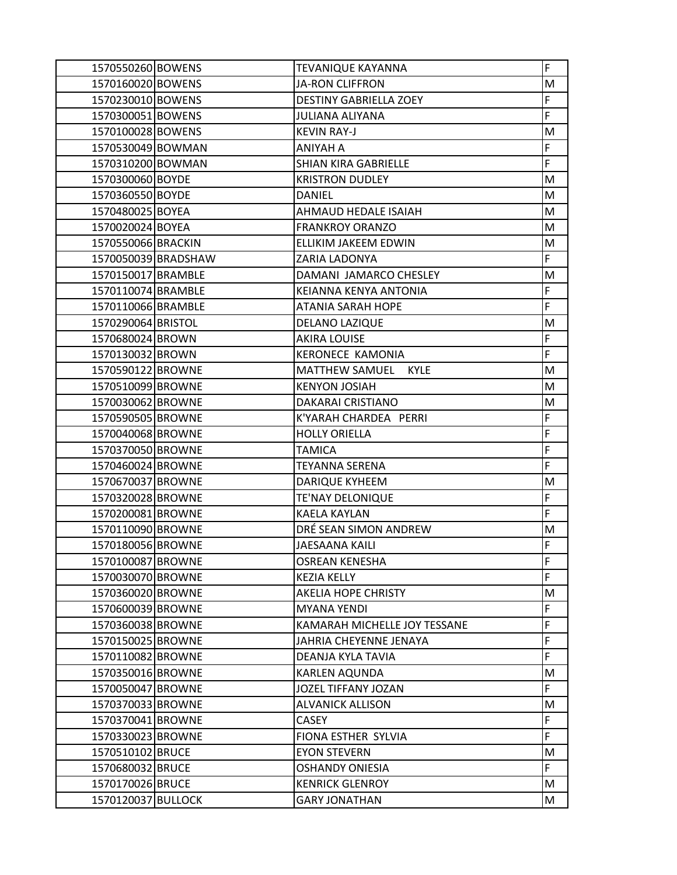| 1570550260 BOWENS  |                     | TEVANIQUE KAYANNA                    | F  |
|--------------------|---------------------|--------------------------------------|----|
| 1570160020 BOWENS  |                     | <b>JA-RON CLIFFRON</b>               | M  |
| 1570230010 BOWENS  |                     | <b>DESTINY GABRIELLA ZOEY</b>        | F  |
| 1570300051 BOWENS  |                     | JULIANA ALIYANA                      | F  |
| 1570100028 BOWENS  |                     | <b>KEVIN RAY-J</b>                   | M  |
| 1570530049 BOWMAN  |                     | ANIYAH A                             | F  |
| 1570310200 BOWMAN  |                     | SHIAN KIRA GABRIELLE                 | F  |
| 1570300060 BOYDE   |                     | <b>KRISTRON DUDLEY</b>               | M  |
| 1570360550 BOYDE   |                     | DANIEL                               | М  |
| 1570480025 BOYEA   |                     | AHMAUD HEDALE ISAIAH                 | M  |
| 1570020024 BOYEA   |                     | <b>FRANKROY ORANZO</b>               | M  |
| 1570550066 BRACKIN |                     | ELLIKIM JAKEEM EDWIN                 | M  |
|                    | 1570050039 BRADSHAW | ZARIA LADONYA                        | F  |
| 1570150017 BRAMBLE |                     | DAMANI JAMARCO CHESLEY               | M  |
| 1570110074 BRAMBLE |                     | KEIANNA KENYA ANTONIA                | F  |
| 1570110066 BRAMBLE |                     | ATANIA SARAH HOPE                    | F  |
| 1570290064 BRISTOL |                     | DELANO LAZIQUE                       | M  |
| 1570680024 BROWN   |                     | <b>AKIRA LOUISE</b>                  | F  |
| 1570130032 BROWN   |                     | <b>KERONECE KAMONIA</b>              | F  |
| 1570590122 BROWNE  |                     | <b>MATTHEW SAMUEL</b><br><b>KYLE</b> | M  |
| 1570510099 BROWNE  |                     | <b>KENYON JOSIAH</b>                 | M  |
| 1570030062 BROWNE  |                     | DAKARAI CRISTIANO                    | M  |
| 1570590505 BROWNE  |                     | K'YARAH CHARDEA PERRI                | F  |
| 1570040068 BROWNE  |                     | <b>HOLLY ORIELLA</b>                 | F  |
| 1570370050 BROWNE  |                     | <b>TAMICA</b>                        | F  |
| 1570460024 BROWNE  |                     | TEYANNA SERENA                       | F  |
| 1570670037 BROWNE  |                     | DARIQUE KYHEEM                       | M  |
| 1570320028 BROWNE  |                     | <b>TE'NAY DELONIQUE</b>              | F  |
| 1570200081 BROWNE  |                     | <b>KAELA KAYLAN</b>                  | F  |
| 1570110090 BROWNE  |                     | DRÉ SEAN SIMON ANDREW                | M  |
| 1570180056 BROWNE  |                     | JAESAANA KAILI                       | F  |
| 1570100087 BROWNE  |                     | <b>OSREAN KENESHA</b>                | F  |
| 1570030070 BROWNE  |                     | <b>KEZIA KELLY</b>                   | F  |
| 1570360020 BROWNE  |                     | <b>AKELIA HOPE CHRISTY</b>           | M  |
| 1570600039 BROWNE  |                     | <b>MYANA YENDI</b>                   | F  |
| 1570360038 BROWNE  |                     | KAMARAH MICHELLE JOY TESSANE         | F  |
| 1570150025 BROWNE  |                     | JAHRIA CHEYENNE JENAYA               | F  |
| 1570110082 BROWNE  |                     | DEANJA KYLA TAVIA                    | F  |
| 1570350016 BROWNE  |                     | KARLEN AQUNDA                        | М  |
| 1570050047 BROWNE  |                     | JOZEL TIFFANY JOZAN                  | F. |
| 1570370033 BROWNE  |                     | <b>ALVANICK ALLISON</b>              | M  |
| 1570370041 BROWNE  |                     | CASEY                                | F  |
| 1570330023 BROWNE  |                     | FIONA ESTHER SYLVIA                  | F  |
| 1570510102 BRUCE   |                     | <b>EYON STEVERN</b>                  | М  |
| 1570680032 BRUCE   |                     | <b>OSHANDY ONIESIA</b>               | F. |
| 1570170026 BRUCE   |                     | <b>KENRICK GLENROY</b>               | M  |
| 1570120037 BULLOCK |                     | <b>GARY JONATHAN</b>                 | M  |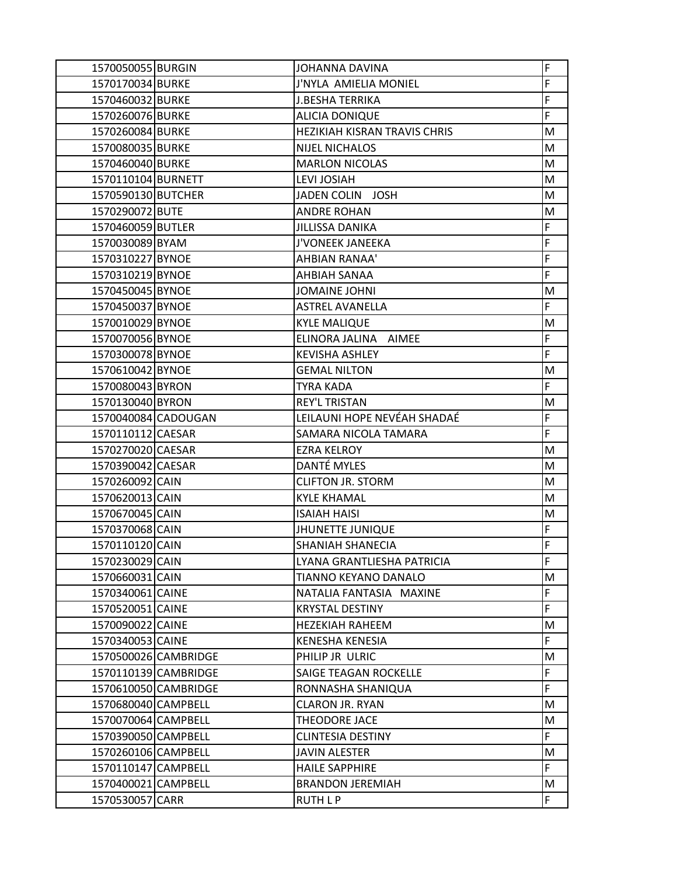| 1570050055 BURGIN   |                      | JOHANNA DAVINA                    | F  |
|---------------------|----------------------|-----------------------------------|----|
| 1570170034 BURKE    |                      | J'NYLA AMIELIA MONIEL             | F  |
| 1570460032 BURKE    |                      | <b>J.BESHA TERRIKA</b>            | F  |
| 1570260076 BURKE    |                      | <b>ALICIA DONIQUE</b>             | F  |
| 1570260084 BURKE    |                      | HEZIKIAH KISRAN TRAVIS CHRIS      | M  |
| 1570080035 BURKE    |                      | <b>NIJEL NICHALOS</b>             | M  |
| 1570460040 BURKE    |                      | <b>MARLON NICOLAS</b>             | M  |
| 1570110104 BURNETT  |                      | LEVI JOSIAH                       | M  |
| 1570590130 BUTCHER  |                      | <b>JADEN COLIN</b><br><b>JOSH</b> | M  |
| 1570290072 BUTE     |                      | <b>ANDRE ROHAN</b>                | M  |
| 1570460059 BUTLER   |                      | JILLISSA DANIKA                   | F  |
| 1570030089 BYAM     |                      | J'VONEEK JANEEKA                  | F  |
| 1570310227 BYNOE    |                      | AHBIAN RANAA'                     | F  |
| 1570310219 BYNOE    |                      | AHBIAH SANAA                      | F  |
| 1570450045 BYNOE    |                      | JOMAINE JOHNI                     | M  |
| 1570450037 BYNOE    |                      | <b>ASTREL AVANELLA</b>            | F  |
| 1570010029 BYNOE    |                      | <b>KYLE MALIQUE</b>               | M  |
| 1570070056 BYNOE    |                      | ELINORA JALINA<br>AIMEE           | F  |
| 1570300078 BYNOE    |                      | <b>KEVISHA ASHLEY</b>             | F  |
| 1570610042 BYNOE    |                      | <b>GEMAL NILTON</b>               | M  |
| 1570080043 BYRON    |                      | <b>TYRA KADA</b>                  | F  |
| 1570130040 BYRON    |                      | <b>REY'L TRISTAN</b>              | M  |
| 1570040084 CADOUGAN |                      | LEILAUNI HOPE NEVÉAH SHADAÉ       | F  |
| 1570110112 CAESAR   |                      | SAMARA NICOLA TAMARA              | F  |
| 1570270020 CAESAR   |                      | <b>EZRA KELROY</b>                | M  |
| 1570390042 CAESAR   |                      | DANTÉ MYLES                       | M  |
| 1570260092 CAIN     |                      | <b>CLIFTON JR. STORM</b>          | M  |
| 1570620013 CAIN     |                      | <b>KYLE KHAMAL</b>                | M  |
| 1570670045 CAIN     |                      | <b>ISAIAH HAISI</b>               | M  |
| 1570370068 CAIN     |                      | <b>JHUNETTE JUNIQUE</b>           | F  |
| 1570110120 CAIN     |                      | <b>SHANIAH SHANECIA</b>           | F  |
| 1570230029 CAIN     |                      | LYANA GRANTLIESHA PATRICIA        | F  |
| 1570660031 CAIN     |                      | <b>TIANNO KEYANO DANALO</b>       | M  |
| 1570340061 CAINE    |                      | NATALIA FANTASIA MAXINE           | F  |
| 1570520051 CAINE    |                      | <b>KRYSTAL DESTINY</b>            | F  |
| 1570090022 CAINE    |                      | <b>HEZEKIAH RAHEEM</b>            | M  |
| 1570340053 CAINE    |                      | <b>KENESHA KENESIA</b>            | F  |
|                     | 1570500026 CAMBRIDGE | PHILIP JR ULRIC                   | M  |
|                     | 1570110139 CAMBRIDGE | SAIGE TEAGAN ROCKELLE             | F  |
|                     | 1570610050 CAMBRIDGE | RONNASHA SHANIQUA                 | F  |
| 1570680040 CAMPBELL |                      | <b>CLARON JR. RYAN</b>            | M  |
| 1570070064 CAMPBELL |                      | THEODORE JACE                     | M  |
| 1570390050 CAMPBELL |                      | <b>CLINTESIA DESTINY</b>          | F  |
| 1570260106 CAMPBELL |                      | JAVIN ALESTER                     | M  |
| 1570110147 CAMPBELL |                      | <b>HAILE SAPPHIRE</b>             | F  |
| 1570400021 CAMPBELL |                      | <b>BRANDON JEREMIAH</b>           | M  |
| 1570530057 CARR     |                      | RUTH L P                          | F. |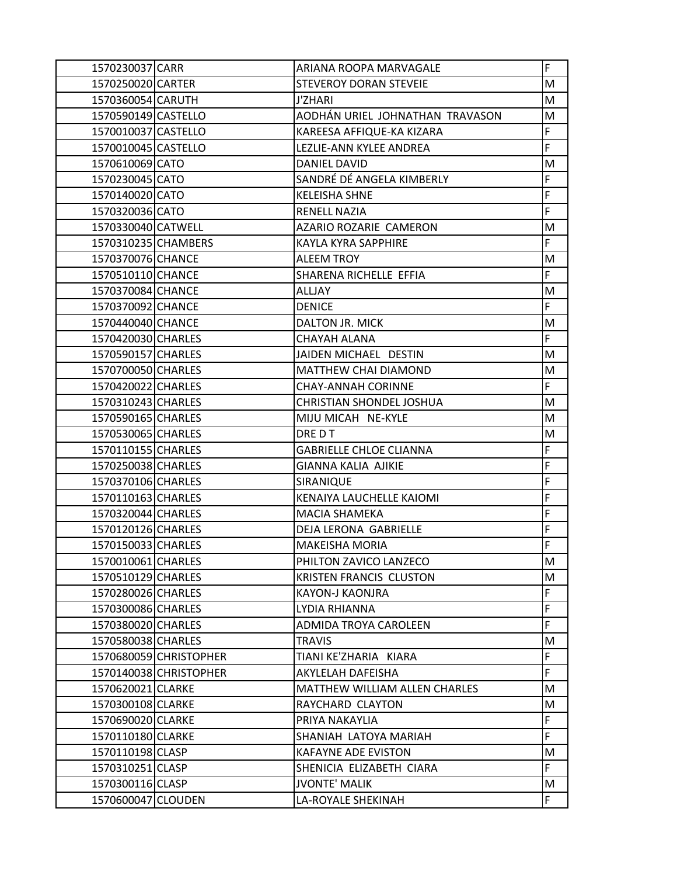| 1570230037 CARR     |                        | ARIANA ROOPA MARVAGALE          | F  |
|---------------------|------------------------|---------------------------------|----|
| 1570250020 CARTER   |                        | <b>STEVEROY DORAN STEVEIE</b>   | M  |
| 1570360054 CARUTH   |                        | J'ZHARI                         | M  |
| 1570590149 CASTELLO |                        | AODHÁN URIEL JOHNATHAN TRAVASON | М  |
| 1570010037 CASTELLO |                        | KAREESA AFFIQUE-KA KIZARA       | F  |
| 1570010045 CASTELLO |                        | LEZLIE-ANN KYLEE ANDREA         | F  |
| 1570610069 CATO     |                        | DANIEL DAVID                    | M  |
| 1570230045 CATO     |                        | SANDRÉ DÉ ANGELA KIMBERLY       | F  |
| 1570140020 CATO     |                        | <b>KELEISHA SHNE</b>            | F  |
| 1570320036 CATO     |                        | <b>RENELL NAZIA</b>             | F  |
| 1570330040 CATWELL  |                        | AZARIO ROZARIE CAMERON          | M  |
| 1570310235 CHAMBERS |                        | KAYLA KYRA SAPPHIRE             | F  |
| 1570370076 CHANCE   |                        | <b>ALEEM TROY</b>               | M  |
| 1570510110 CHANCE   |                        | SHARENA RICHELLE EFFIA          | F  |
| 1570370084 CHANCE   |                        | <b>ALLJAY</b>                   | M  |
| 1570370092 CHANCE   |                        | <b>DENICE</b>                   | F. |
| 1570440040 CHANCE   |                        | DALTON JR. MICK                 | M  |
| 1570420030 CHARLES  |                        | CHAYAH ALANA                    | F  |
| 1570590157 CHARLES  |                        | JAIDEN MICHAEL DESTIN           | м  |
| 1570700050 CHARLES  |                        | <b>MATTHEW CHAI DIAMOND</b>     | M  |
| 1570420022 CHARLES  |                        | <b>CHAY-ANNAH CORINNE</b>       | F  |
| 1570310243 CHARLES  |                        | CHRISTIAN SHONDEL JOSHUA        | M  |
| 1570590165 CHARLES  |                        | MIJU MICAH NE-KYLE              | M  |
| 1570530065 CHARLES  |                        | DRE D T                         | M  |
| 1570110155 CHARLES  |                        | <b>GABRIELLE CHLOE CLIANNA</b>  | F  |
| 1570250038 CHARLES  |                        | <b>GIANNA KALIA AJIKIE</b>      | F  |
| 1570370106 CHARLES  |                        | SIRANIQUE                       | F  |
| 1570110163 CHARLES  |                        | KENAIYA LAUCHELLE KAIOMI        | F  |
| 1570320044 CHARLES  |                        | <b>MACIA SHAMEKA</b>            | F  |
| 1570120126 CHARLES  |                        | DEJA LERONA GABRIELLE           | F  |
| 1570150033 CHARLES  |                        | <b>MAKEISHA MORIA</b>           | F  |
| 1570010061 CHARLES  |                        | PHILTON ZAVICO LANZECO          | M  |
| 1570510129 CHARLES  |                        | <b>KRISTEN FRANCIS CLUSTON</b>  | M  |
| 1570280026 CHARLES  |                        | KAYON-J KAONJRA                 | F  |
| 1570300086 CHARLES  |                        | LYDIA RHIANNA                   | F  |
| 1570380020 CHARLES  |                        | <b>ADMIDA TROYA CAROLEEN</b>    | F. |
| 1570580038 CHARLES  |                        | <b>TRAVIS</b>                   | M  |
|                     | 1570680059 CHRISTOPHER | TIANI KE'ZHARIA KIARA           | F  |
|                     | 1570140038 CHRISTOPHER | AKYLELAH DAFEISHA               | F  |
| 1570620021 CLARKE   |                        | MATTHEW WILLIAM ALLEN CHARLES   | M  |
| 1570300108 CLARKE   |                        | RAYCHARD CLAYTON                | М  |
| 1570690020 CLARKE   |                        | PRIYA NAKAYLIA                  | F. |
| 1570110180 CLARKE   |                        | SHANIAH LATOYA MARIAH           | F  |
| 1570110198 CLASP    |                        | <b>KAFAYNE ADE EVISTON</b>      | M  |
| 1570310251 CLASP    |                        | SHENICIA ELIZABETH CIARA        | F. |
| 1570300116 CLASP    |                        | <b>JVONTE' MALIK</b>            | M  |
| 1570600047 CLOUDEN  |                        | LA-ROYALE SHEKINAH              | F. |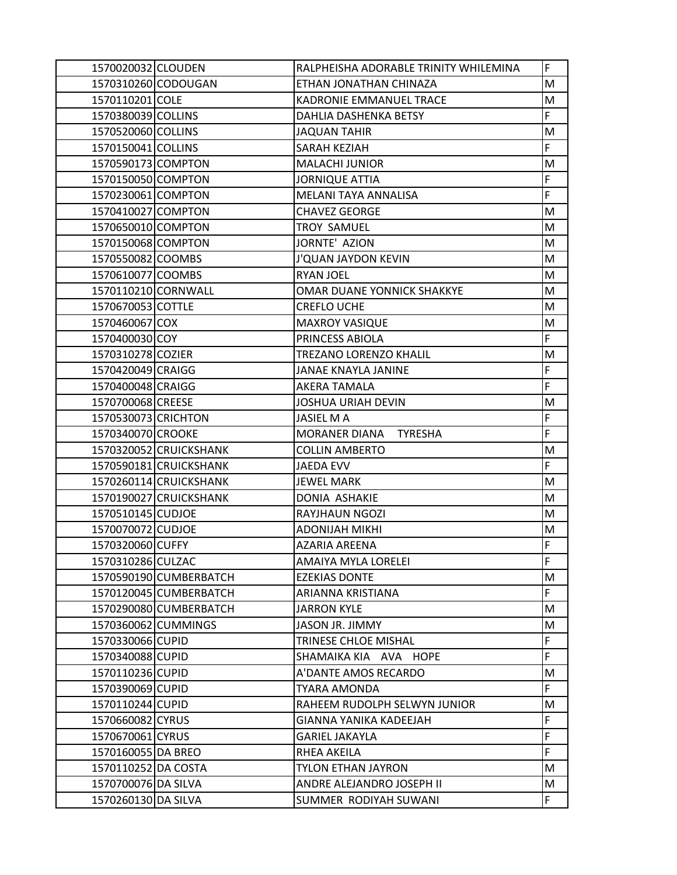| 1570020032 CLOUDEN  |                        | RALPHEISHA ADORABLE TRINITY WHILEMINA  | F  |
|---------------------|------------------------|----------------------------------------|----|
|                     | 1570310260 CODOUGAN    | ETHAN JONATHAN CHINAZA                 | M  |
| 1570110201 COLE     |                        | KADRONIE EMMANUEL TRACE                | M  |
| 1570380039 COLLINS  |                        | DAHLIA DASHENKA BETSY                  | F  |
| 1570520060 COLLINS  |                        | <b>JAQUAN TAHIR</b>                    | M  |
| 1570150041 COLLINS  |                        | SARAH KEZIAH                           | F  |
| 1570590173 COMPTON  |                        | <b>MALACHI JUNIOR</b>                  | M  |
| 1570150050 COMPTON  |                        | <b>JORNIQUE ATTIA</b>                  | F  |
| 1570230061 COMPTON  |                        | MELANI TAYA ANNALISA                   | F  |
| 1570410027 COMPTON  |                        | <b>CHAVEZ GEORGE</b>                   | M  |
| 1570650010 COMPTON  |                        | <b>TROY SAMUEL</b>                     | M  |
| 1570150068 COMPTON  |                        | JORNTE' AZION                          | M  |
| 1570550082 COOMBS   |                        | <b>J'QUAN JAYDON KEVIN</b>             | M  |
| 1570610077 COOMBS   |                        | <b>RYAN JOEL</b>                       | M  |
| 1570110210 CORNWALL |                        | <b>OMAR DUANE YONNICK SHAKKYE</b>      | M  |
| 1570670053 COTTLE   |                        | <b>CREFLO UCHE</b>                     | M  |
| 1570460067 COX      |                        | <b>MAXROY VASIQUE</b>                  | M  |
| 1570400030 COY      |                        | PRINCESS ABIOLA                        | F  |
| 1570310278 COZIER   |                        | TREZANO LORENZO KHALIL                 | M  |
| 1570420049 CRAIGG   |                        | JANAE KNAYLA JANINE                    | F  |
| 1570400048 CRAIGG   |                        | AKERA TAMALA                           | F  |
| 1570700068 CREESE   |                        | <b>JOSHUA URIAH DEVIN</b>              | M  |
| 1570530073 CRICHTON |                        | <b>JASIEL MA</b>                       | F  |
| 1570340070 CROOKE   |                        | <b>MORANER DIANA</b><br><b>TYRESHA</b> | F  |
|                     | 1570320052 CRUICKSHANK | <b>COLLIN AMBERTO</b>                  | M  |
|                     | 1570590181 CRUICKSHANK | <b>JAEDA EVV</b>                       | F  |
|                     | 1570260114 CRUICKSHANK | <b>JEWEL MARK</b>                      | M  |
|                     | 1570190027 CRUICKSHANK | DONIA ASHAKIE                          | M  |
| 1570510145 CUDJOE   |                        | <b>RAYJHAUN NGOZI</b>                  | M  |
| 1570070072 CUDJOE   |                        | <b>ADONIJAH MIKHI</b>                  | M  |
| 1570320060 CUFFY    |                        | AZARIA AREENA                          | F  |
| 1570310286 CULZAC   |                        | AMAIYA MYLA LORELEI                    | F  |
|                     | 1570590190 CUMBERBATCH | <b>EZEKIAS DONTE</b>                   | M  |
|                     | 1570120045 CUMBERBATCH | ARIANNA KRISTIANA                      | F  |
|                     | 1570290080 CUMBERBATCH | <b>JARRON KYLE</b>                     | М  |
|                     | 1570360062 CUMMINGS    | <b>JASON JR. JIMMY</b>                 | М  |
| 1570330066 CUPID    |                        | TRINESE CHLOE MISHAL                   | F  |
| 1570340088 CUPID    |                        | SHAMAIKA KIA AVA HOPE                  | F  |
| 1570110236 CUPID    |                        | A'DANTE AMOS RECARDO                   | M  |
| 1570390069 CUPID    |                        | <b>TYARA AMONDA</b>                    | F  |
| 1570110244 CUPID    |                        | RAHEEM RUDOLPH SELWYN JUNIOR           | M  |
| 1570660082 CYRUS    |                        | GIANNA YANIKA KADEEJAH                 | F  |
| 1570670061 CYRUS    |                        | <b>GARIEL JAKAYLA</b>                  | F  |
| 1570160055 DA BREO  |                        | RHEA AKEILA                            | F  |
| 1570110252 DA COSTA |                        | <b>TYLON ETHAN JAYRON</b>              | M  |
| 1570700076 DA SILVA |                        | ANDRE ALEJANDRO JOSEPH II              | М  |
| 1570260130 DA SILVA |                        | SUMMER RODIYAH SUWANI                  | F. |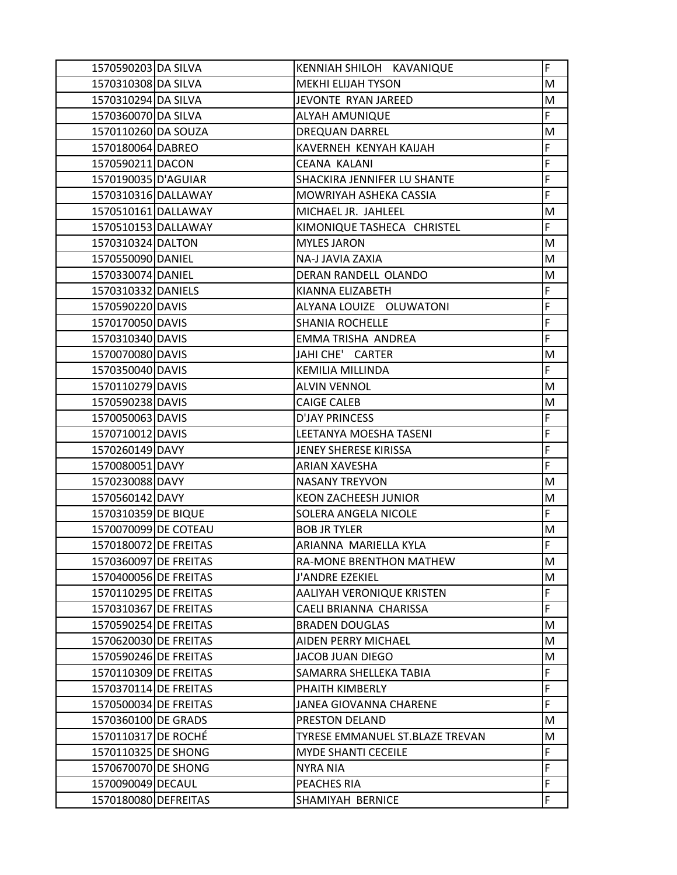| 1570590203 DA SILVA   | KENNIAH SHILOH KAVANIQUE        | F |
|-----------------------|---------------------------------|---|
| 1570310308 DA SILVA   | <b>MEKHI ELIJAH TYSON</b>       | M |
| 1570310294 DA SILVA   | JEVONTE RYAN JAREED             | M |
| 1570360070 DA SILVA   | <b>ALYAH AMUNIQUE</b>           | F |
| 1570110260 DA SOUZA   | <b>DREQUAN DARREL</b>           | M |
| 1570180064 DABREO     | KAVERNEH KENYAH KAIJAH          | F |
| 1570590211 DACON      | <b>CEANA KALANI</b>             | F |
| 1570190035 D'AGUIAR   | SHACKIRA JENNIFER LU SHANTE     | F |
| 1570310316 DALLAWAY   | MOWRIYAH ASHEKA CASSIA          | F |
| 1570510161 DALLAWAY   | MICHAEL JR. JAHLEEL             | M |
| 1570510153 DALLAWAY   | KIMONIQUE TASHECA CHRISTEL      | F |
| 1570310324 DALTON     | <b>MYLES JARON</b>              | M |
| 1570550090 DANIEL     | NA-J JAVIA ZAXIA                | M |
| 1570330074 DANIEL     | DERAN RANDELL OLANDO            | M |
| 1570310332 DANIELS    | KIANNA ELIZABETH                | F |
| 1570590220 DAVIS      | ALYANA LOUIZE OLUWATONI         | F |
| 1570170050 DAVIS      | <b>SHANIA ROCHELLE</b>          | F |
| 1570310340 DAVIS      | EMMA TRISHA ANDREA              | F |
| 1570070080 DAVIS      | JAHI CHE' CARTER                | M |
| 1570350040 DAVIS      | <b>KEMILIA MILLINDA</b>         | F |
| 1570110279 DAVIS      | <b>ALVIN VENNOL</b>             | M |
| 1570590238 DAVIS      | <b>CAIGE CALEB</b>              | M |
| 1570050063 DAVIS      | <b>D'JAY PRINCESS</b>           | F |
| 1570710012 DAVIS      | LEETANYA MOESHA TASENI          | F |
| 1570260149 DAVY       | JENEY SHERESE KIRISSA           | F |
| 1570080051 DAVY       | ARIAN XAVESHA                   | F |
| 1570230088 DAVY       | <b>NASANY TREYVON</b>           | M |
| 1570560142 DAVY       | <b>KEON ZACHEESH JUNIOR</b>     | M |
| 1570310359 DE BIQUE   | SOLERA ANGELA NICOLE            | F |
| 1570070099 DE COTEAU  | <b>BOB JR TYLER</b>             | M |
| 1570180072 DE FREITAS | ARIANNA MARIELLA KYLA           | F |
| 1570360097 DE FREITAS | RA-MONE BRENTHON MATHEW         | М |
| 1570400056 DE FREITAS | J'ANDRE EZEKIEL                 | M |
| 1570110295 DE FREITAS | AALIYAH VERONIQUE KRISTEN       | F |
| 1570310367 DE FREITAS | CAELI BRIANNA CHARISSA          | F |
| 1570590254 DE FREITAS | <b>BRADEN DOUGLAS</b>           | M |
| 1570620030 DE FREITAS | AIDEN PERRY MICHAEL             | M |
| 1570590246 DE FREITAS | <b>JACOB JUAN DIEGO</b>         | M |
| 1570110309 DE FREITAS | SAMARRA SHELLEKA TABIA          | F |
| 1570370114 DE FREITAS | PHAITH KIMBERLY                 | F |
| 1570500034 DE FREITAS | <b>JANEA GIOVANNA CHARENE</b>   | F |
| 1570360100 DE GRADS   | PRESTON DELAND                  | M |
| 1570110317 DE ROCHÉ   | TYRESE EMMANUEL ST.BLAZE TREVAN | M |
| 1570110325 DE SHONG   | <b>MYDE SHANTI CECEILE</b>      | F |
| 1570670070 DE SHONG   | <b>NYRA NIA</b>                 | F |
| 1570090049 DECAUL     | PEACHES RIA                     | F |
| 1570180080 DEFREITAS  | SHAMIYAH BERNICE                | F |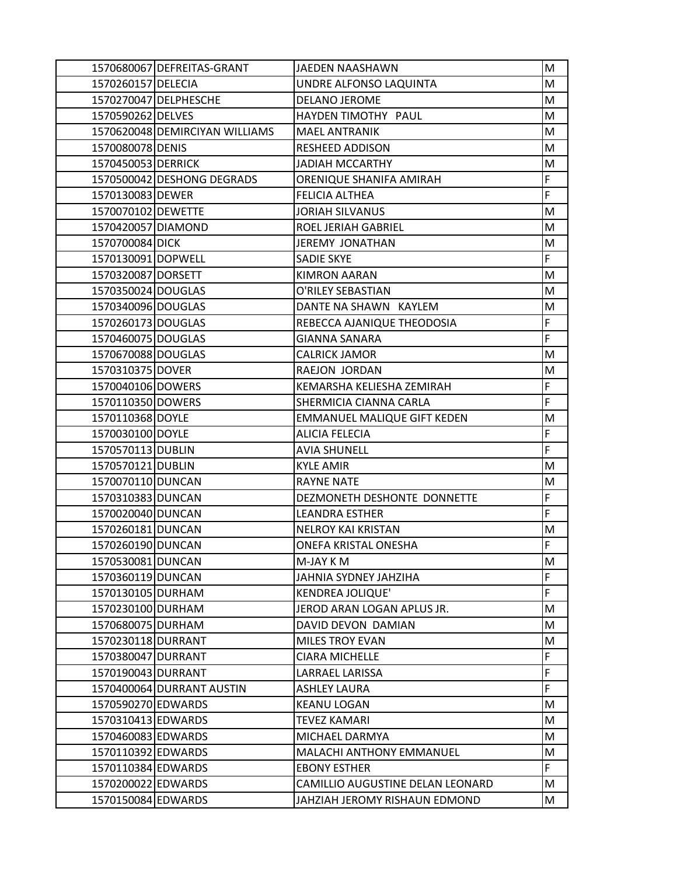|                    | 1570680067 DEFREITAS-GRANT     | JAEDEN NAASHAWN                    | M  |
|--------------------|--------------------------------|------------------------------------|----|
| 1570260157 DELECIA |                                | UNDRE ALFONSO LAQUINTA             | M  |
|                    | 1570270047 DELPHESCHE          | DELANO JEROME                      | M  |
| 1570590262 DELVES  |                                | HAYDEN TIMOTHY PAUL                | M  |
|                    | 1570620048 DEMIRCIYAN WILLIAMS | <b>MAEL ANTRANIK</b>               | M  |
| 1570080078 DENIS   |                                | <b>RESHEED ADDISON</b>             | M  |
| 1570450053 DERRICK |                                | <b>JADIAH MCCARTHY</b>             | M  |
|                    | 1570500042 DESHONG DEGRADS     | ORENIQUE SHANIFA AMIRAH            | F  |
| 1570130083 DEWER   |                                | <b>FELICIA ALTHEA</b>              | F  |
| 1570070102 DEWETTE |                                | <b>JORIAH SILVANUS</b>             | M  |
| 1570420057 DIAMOND |                                | ROEL JERIAH GABRIEL                | M  |
| 1570700084 DICK    |                                | JEREMY JONATHAN                    | M  |
| 1570130091 DOPWELL |                                | <b>SADIE SKYE</b>                  | F  |
| 1570320087 DORSETT |                                | <b>KIMRON AARAN</b>                | M  |
| 1570350024 DOUGLAS |                                | O'RILEY SEBASTIAN                  | M  |
| 1570340096 DOUGLAS |                                | DANTE NA SHAWN KAYLEM              | M  |
| 1570260173 DOUGLAS |                                | REBECCA AJANIQUE THEODOSIA         | F  |
| 1570460075 DOUGLAS |                                | <b>GIANNA SANARA</b>               | F  |
| 1570670088 DOUGLAS |                                | <b>CALRICK JAMOR</b>               | M  |
| 1570310375 DOVER   |                                | RAEJON JORDAN                      | M  |
| 1570040106 DOWERS  |                                | KEMARSHA KELIESHA ZEMIRAH          | F  |
| 1570110350 DOWERS  |                                | SHERMICIA CIANNA CARLA             | F  |
| 1570110368 DOYLE   |                                | <b>EMMANUEL MALIQUE GIFT KEDEN</b> | M  |
| 1570030100 DOYLE   |                                | <b>ALICIA FELECIA</b>              | F  |
| 1570570113 DUBLIN  |                                | <b>AVIA SHUNELL</b>                | F  |
| 1570570121 DUBLIN  |                                | <b>KYLE AMIR</b>                   | M  |
| 1570070110 DUNCAN  |                                | <b>RAYNE NATE</b>                  | M  |
| 1570310383 DUNCAN  |                                | DEZMONETH DESHONTE DONNETTE        | F  |
| 1570020040 DUNCAN  |                                | <b>LEANDRA ESTHER</b>              | F  |
| 1570260181 DUNCAN  |                                | <b>NELROY KAI KRISTAN</b>          | M  |
| 1570260190 DUNCAN  |                                | ONEFA KRISTAL ONESHA               | F  |
| 1570530081 DUNCAN  |                                | M-JAY KM                           | М  |
| 1570360119 DUNCAN  |                                | JAHNIA SYDNEY JAHZIHA              | F  |
| 1570130105 DURHAM  |                                | <b>KENDREA JOLIQUE'</b>            | F  |
| 1570230100 DURHAM  |                                | JEROD ARAN LOGAN APLUS JR.         | м  |
| 1570680075 DURHAM  |                                | DAVID DEVON DAMIAN                 | M  |
| 1570230118 DURRANT |                                | <b>MILES TROY EVAN</b>             | M  |
| 1570380047 DURRANT |                                | <b>CIARA MICHELLE</b>              | F  |
| 1570190043 DURRANT |                                | LARRAEL LARISSA                    | F  |
|                    | 1570400064 DURRANT AUSTIN      | <b>ASHLEY LAURA</b>                | F  |
| 1570590270 EDWARDS |                                | <b>KEANU LOGAN</b>                 | M  |
| 1570310413 EDWARDS |                                | <b>TEVEZ KAMARI</b>                | M  |
| 1570460083 EDWARDS |                                | MICHAEL DARMYA                     | м  |
| 1570110392 EDWARDS |                                | MALACHI ANTHONY EMMANUEL           | M  |
| 1570110384 EDWARDS |                                | <b>EBONY ESTHER</b>                | F. |
| 1570200022 EDWARDS |                                | CAMILLIO AUGUSTINE DELAN LEONARD   | M  |
| 1570150084 EDWARDS |                                | JAHZIAH JEROMY RISHAUN EDMOND      | M  |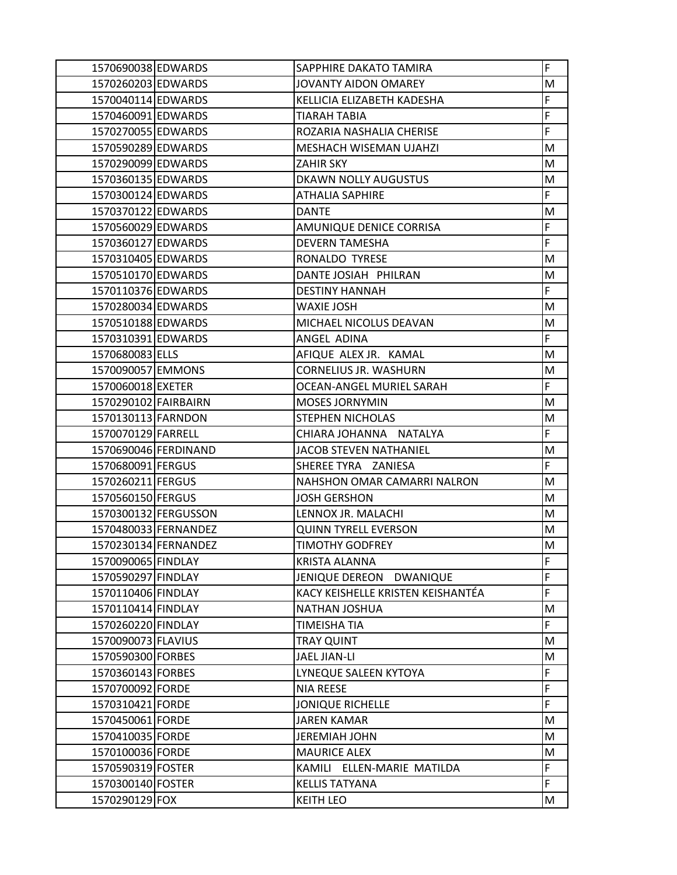| 1570690038 EDWARDS   |                      | SAPPHIRE DAKATO TAMIRA            | F  |
|----------------------|----------------------|-----------------------------------|----|
| 1570260203 EDWARDS   |                      | JOVANTY AIDON OMAREY              | M  |
| 1570040114 EDWARDS   |                      | KELLICIA ELIZABETH KADESHA        | F  |
| 1570460091 EDWARDS   |                      | TIARAH TABIA                      | F  |
| 1570270055 EDWARDS   |                      | ROZARIA NASHALIA CHERISE          | F  |
| 1570590289 EDWARDS   |                      | MESHACH WISEMAN UJAHZI            | M  |
| 1570290099 EDWARDS   |                      | <b>ZAHIR SKY</b>                  | M  |
| 1570360135 EDWARDS   |                      | DKAWN NOLLY AUGUSTUS              | M  |
| 1570300124 EDWARDS   |                      | ATHALIA SAPHIRE                   | F  |
| 1570370122 EDWARDS   |                      | <b>DANTE</b>                      | M  |
| 1570560029 EDWARDS   |                      | <b>AMUNIQUE DENICE CORRISA</b>    | F  |
| 1570360127 EDWARDS   |                      | <b>DEVERN TAMESHA</b>             | F  |
| 1570310405 EDWARDS   |                      | RONALDO TYRESE                    | M  |
| 1570510170 EDWARDS   |                      | DANTE JOSIAH PHILRAN              | М  |
| 1570110376 EDWARDS   |                      | <b>DESTINY HANNAH</b>             | F  |
| 1570280034 EDWARDS   |                      | WAXIE JOSH                        | M  |
| 1570510188 EDWARDS   |                      | MICHAEL NICOLUS DEAVAN            | M  |
| 1570310391 EDWARDS   |                      | ANGEL ADINA                       | F  |
| 1570680083 ELLS      |                      | AFIQUE ALEX JR. KAMAL             | м  |
| 1570090057 EMMONS    |                      | <b>CORNELIUS JR. WASHURN</b>      | M  |
| 1570060018 EXETER    |                      | OCEAN-ANGEL MURIEL SARAH          | F  |
| 1570290102 FAIRBAIRN |                      | <b>MOSES JORNYMIN</b>             | M  |
| 1570130113 FARNDON   |                      | STEPHEN NICHOLAS                  | M  |
| 1570070129 FARRELL   |                      | CHIARA JOHANNA NATALYA            | F  |
|                      | 1570690046 FERDINAND | JACOB STEVEN NATHANIEL            | M  |
| 1570680091 FERGUS    |                      | SHEREE TYRA ZANIESA               | F. |
| 1570260211 FERGUS    |                      | NAHSHON OMAR CAMARRI NALRON       | M  |
| 1570560150 FERGUS    |                      | <b>JOSH GERSHON</b>               | M  |
|                      | 1570300132 FERGUSSON | LENNOX JR. MALACHI                | М  |
|                      | 1570480033 FERNANDEZ | <b>QUINN TYRELL EVERSON</b>       | M  |
|                      | 1570230134 FERNANDEZ | TIMOTHY GODFREY                   | M  |
| 1570090065 FINDLAY   |                      | <b>KRISTA ALANNA</b>              | F  |
| 1570590297 FINDLAY   |                      | JENIQUE DEREON DWANIQUE           | F  |
| 1570110406 FINDLAY   |                      | KACY KEISHELLE KRISTEN KEISHANTÉA | F  |
| 1570110414 FINDLAY   |                      | <b>NATHAN JOSHUA</b>              | M  |
| 1570260220 FINDLAY   |                      | TIMEISHA TIA                      | F  |
| 1570090073 FLAVIUS   |                      | <b>TRAY QUINT</b>                 | M  |
| 1570590300 FORBES    |                      | <b>JAEL JIAN-LI</b>               | M  |
| 1570360143 FORBES    |                      | LYNEQUE SALEEN KYTOYA             | F  |
| 1570700092 FORDE     |                      | <b>NIA REESE</b>                  | F  |
| 1570310421 FORDE     |                      | <b>JONIQUE RICHELLE</b>           | F  |
| 1570450061 FORDE     |                      | <b>JAREN KAMAR</b>                | M  |
| 1570410035 FORDE     |                      | <b>JEREMIAH JOHN</b>              | M  |
| 1570100036 FORDE     |                      | <b>MAURICE ALEX</b>               | M  |
| 1570590319 FOSTER    |                      | KAMILI ELLEN-MARIE MATILDA        | F  |
| 1570300140 FOSTER    |                      | <b>KELLIS TATYANA</b>             | F  |
| 1570290129 FOX       |                      | <b>KEITH LEO</b>                  | M  |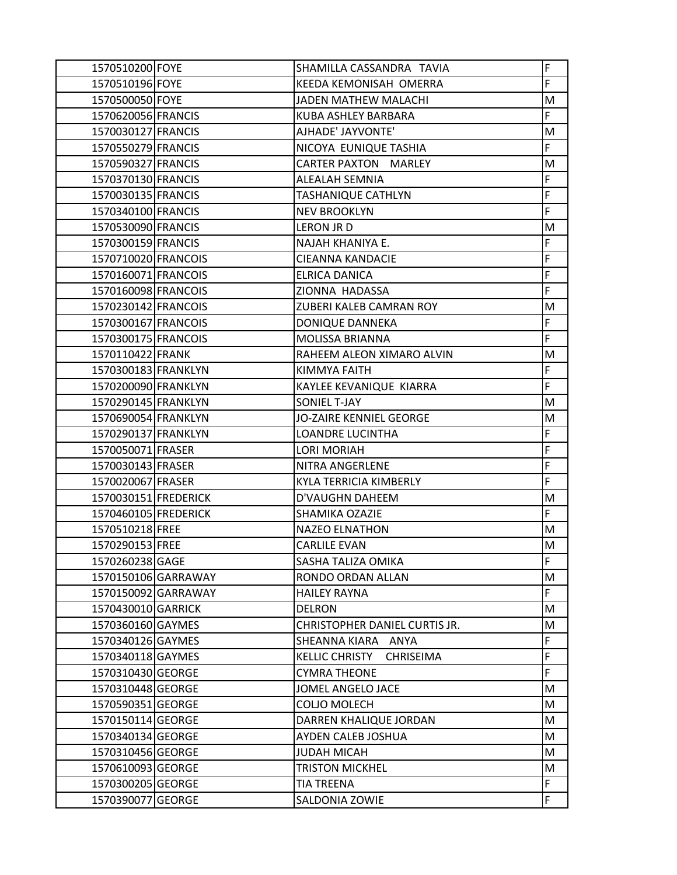| 1570510200 FOYE      |                     | SHAMILLA CASSANDRA TAVIA                  | F |
|----------------------|---------------------|-------------------------------------------|---|
| 1570510196 FOYE      |                     | KEEDA KEMONISAH OMERRA                    | F |
| 1570500050 FOYE      |                     | <b>JADEN MATHEW MALACHI</b>               | М |
| 1570620056 FRANCIS   |                     | KUBA ASHLEY BARBARA                       | F |
| 1570030127 FRANCIS   |                     | AJHADE' JAYVONTE'                         | M |
| 1570550279 FRANCIS   |                     | NICOYA EUNIQUE TASHIA                     | F |
| 1570590327 FRANCIS   |                     | <b>CARTER PAXTON MARLEY</b>               | M |
| 1570370130 FRANCIS   |                     | ALEALAH SEMNIA                            | F |
| 1570030135 FRANCIS   |                     | TASHANIQUE CATHLYN                        | F |
| 1570340100 FRANCIS   |                     | <b>NEV BROOKLYN</b>                       | F |
| 1570530090 FRANCIS   |                     | LERON JR D                                | M |
| 1570300159 FRANCIS   |                     | NAJAH KHANIYA E.                          | F |
| 1570710020 FRANCOIS  |                     | CIEANNA KANDACIE                          | F |
| 1570160071 FRANCOIS  |                     | ELRICA DANICA                             | F |
| 1570160098 FRANCOIS  |                     | ZIONNA HADASSA                            | F |
| 1570230142 FRANCOIS  |                     | ZUBERI KALEB CAMRAN ROY                   | M |
| 1570300167 FRANCOIS  |                     | DONIQUE DANNEKA                           | F |
| 1570300175 FRANCOIS  |                     | MOLISSA BRIANNA                           | F |
| 1570110422 FRANK     |                     | RAHEEM ALEON XIMARO ALVIN                 | М |
| 1570300183 FRANKLYN  |                     | KIMMYA FAITH                              | F |
| 1570200090 FRANKLYN  |                     | KAYLEE KEVANIQUE KIARRA                   | F |
| 1570290145 FRANKLYN  |                     | SONIEL T-JAY                              | M |
| 1570690054 FRANKLYN  |                     | JO-ZAIRE KENNIEL GEORGE                   | M |
| 1570290137 FRANKLYN  |                     | LOANDRE LUCINTHA                          | F |
| 1570050071 FRASER    |                     | <b>LORI MORIAH</b>                        | F |
| 1570030143 FRASER    |                     | NITRA ANGERLENE                           | F |
| 1570020067 FRASER    |                     | KYLA TERRICIA KIMBERLY                    | F |
| 1570030151 FREDERICK |                     | <b>D'VAUGHN DAHEEM</b>                    | м |
| 1570460105 FREDERICK |                     | SHAMIKA OZAZIE                            | F |
| 1570510218 FREE      |                     | <b>NAZEO ELNATHON</b>                     | M |
| 1570290153 FREE      |                     | <b>CARLILE EVAN</b>                       | M |
| 1570260238 GAGE      |                     | SASHA TALIZA OMIKA                        | F |
|                      | 1570150106 GARRAWAY | RONDO ORDAN ALLAN                         | M |
|                      | 1570150092 GARRAWAY | <b>HAILEY RAYNA</b>                       | F |
| 1570430010 GARRICK   |                     | <b>DELRON</b>                             | M |
| 1570360160 GAYMES    |                     | CHRISTOPHER DANIEL CURTIS JR.             | M |
| 1570340126 GAYMES    |                     | SHEANNA KIARA ANYA                        | F |
| 1570340118 GAYMES    |                     | <b>KELLIC CHRISTY</b><br><b>CHRISEIMA</b> | F |
| 1570310430 GEORGE    |                     | <b>CYMRA THEONE</b>                       | F |
| 1570310448 GEORGE    |                     | <b>JOMEL ANGELO JACE</b>                  | M |
| 1570590351 GEORGE    |                     | <b>COLIO MOLECH</b>                       | М |
| 1570150114 GEORGE    |                     | DARREN KHALIQUE JORDAN                    | М |
| 1570340134 GEORGE    |                     | AYDEN CALEB JOSHUA                        | M |
| 1570310456 GEORGE    |                     | JUDAH MICAH                               | М |
| 1570610093 GEORGE    |                     | <b>TRISTON MICKHEL</b>                    | M |
| 1570300205 GEORGE    |                     | <b>TIA TREENA</b>                         | F |
| 1570390077 GEORGE    |                     | SALDONIA ZOWIE                            | F |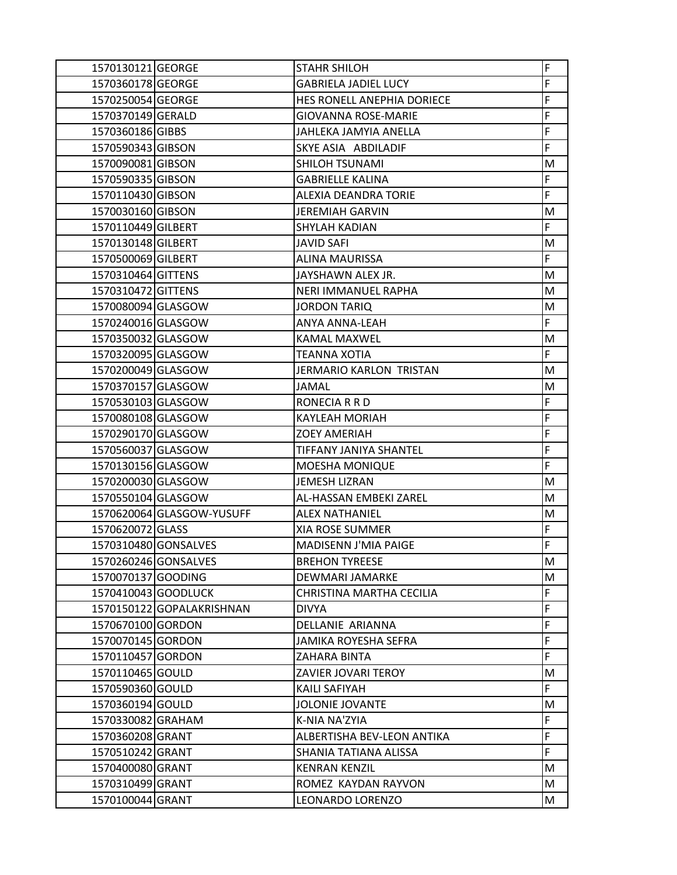| 1570130121 GEORGE   |                           | <b>STAHR SHILOH</b>            | F  |
|---------------------|---------------------------|--------------------------------|----|
| 1570360178 GEORGE   |                           | <b>GABRIELA JADIEL LUCY</b>    | F  |
| 1570250054 GEORGE   |                           | HES RONELL ANEPHIA DORIECE     | F  |
| 1570370149 GERALD   |                           | GIOVANNA ROSE-MARIE            | F  |
| 1570360186 GIBBS    |                           | JAHLEKA JAMYIA ANELLA          | F  |
| 1570590343 GIBSON   |                           | SKYE ASIA ABDILADIF            | F  |
| 1570090081 GIBSON   |                           | <b>SHILOH TSUNAMI</b>          | M  |
| 1570590335 GIBSON   |                           | <b>GABRIELLE KALINA</b>        | F  |
| 1570110430 GIBSON   |                           | ALEXIA DEANDRA TORIE           | F  |
| 1570030160 GIBSON   |                           | <b>JEREMIAH GARVIN</b>         | M  |
| 1570110449 GILBERT  |                           | <b>SHYLAH KADIAN</b>           | F  |
| 1570130148 GILBERT  |                           | <b>JAVID SAFI</b>              | M  |
| 1570500069 GILBERT  |                           | <b>ALINA MAURISSA</b>          | F. |
| 1570310464 GITTENS  |                           | JAYSHAWN ALEX JR.              | М  |
| 1570310472 GITTENS  |                           | <b>NERI IMMANUEL RAPHA</b>     | M  |
| 1570080094 GLASGOW  |                           | <b>JORDON TARIQ</b>            | M  |
| 1570240016 GLASGOW  |                           | <b>ANYA ANNA-LEAH</b>          | F  |
| 1570350032 GLASGOW  |                           | <b>KAMAL MAXWEL</b>            | M  |
| 1570320095 GLASGOW  |                           | <b>TEANNA XOTIA</b>            | F  |
| 1570200049 GLASGOW  |                           | <b>JERMARIO KARLON TRISTAN</b> | M  |
| 1570370157 GLASGOW  |                           | <b>JAMAL</b>                   | M  |
| 1570530103 GLASGOW  |                           | RONECIA R R D                  | F  |
| 1570080108 GLASGOW  |                           | <b>KAYLEAH MORIAH</b>          | F  |
| 1570290170 GLASGOW  |                           | <b>ZOEY AMERIAH</b>            | F  |
| 1570560037 GLASGOW  |                           | TIFFANY JANIYA SHANTEL         | F  |
| 1570130156 GLASGOW  |                           | <b>MOESHA MONIQUE</b>          | F  |
| 1570200030 GLASGOW  |                           | <b>JEMESH LIZRAN</b>           | M  |
| 1570550104 GLASGOW  |                           | AL-HASSAN EMBEKI ZAREL         | M  |
|                     | 1570620064 GLASGOW-YUSUFF | <b>ALEX NATHANIEL</b>          | M  |
| 1570620072 GLASS    |                           | <b>XIA ROSE SUMMER</b>         | F  |
|                     | 1570310480 GONSALVES      | MADISENN J'MIA PAIGE           | F  |
|                     | 1570260246 GONSALVES      | <b>BREHON TYREESE</b>          | М  |
| 1570070137 GOODING  |                           | DEWMARI JAMARKE                | M  |
| 1570410043 GOODLUCK |                           | CHRISTINA MARTHA CECILIA       | F  |
|                     | 1570150122 GOPALAKRISHNAN | <b>DIVYA</b>                   | F  |
| 1570670100 GORDON   |                           | DELLANIE ARIANNA               | F  |
| 1570070145 GORDON   |                           | JAMIKA ROYESHA SEFRA           | F  |
| 1570110457 GORDON   |                           | ZAHARA BINTA                   | F  |
| 1570110465 GOULD    |                           | <b>ZAVIER JOVARI TEROY</b>     | M  |
| 1570590360 GOULD    |                           | KAILI SAFIYAH                  | F  |
| 1570360194 GOULD    |                           | <b>JOLONIE JOVANTE</b>         | M  |
| 1570330082 GRAHAM   |                           | K-NIA NA'ZYIA                  | F  |
| 1570360208 GRANT    |                           | ALBERTISHA BEV-LEON ANTIKA     | F  |
| 1570510242 GRANT    |                           | SHANIA TATIANA ALISSA          | F  |
| 1570400080 GRANT    |                           | <b>KENRAN KENZIL</b>           | M  |
| 1570310499 GRANT    |                           | ROMEZ KAYDAN RAYVON            | M  |
| 1570100044 GRANT    |                           | LEONARDO LORENZO               | M  |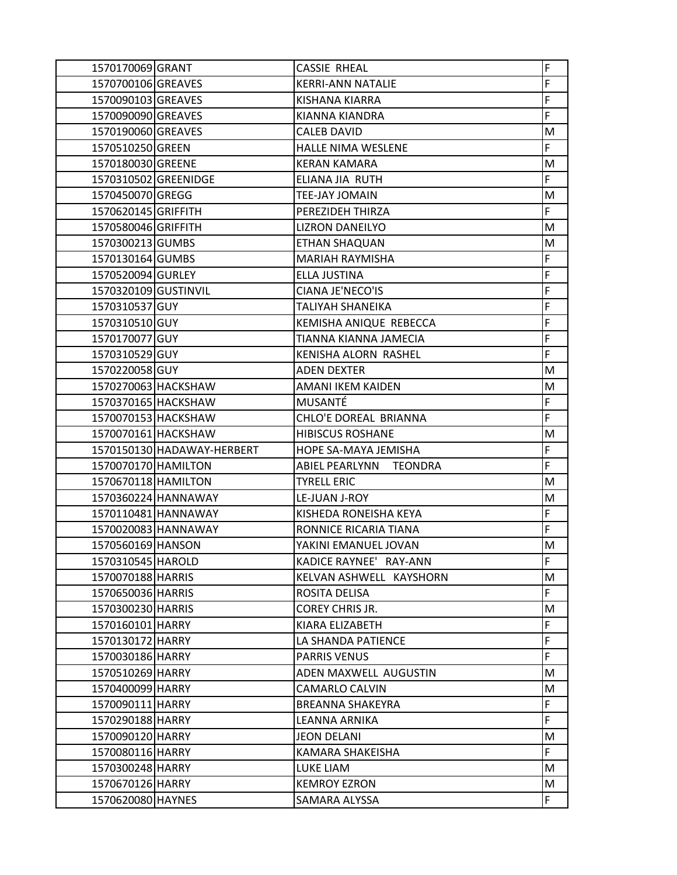| 1570170069 GRANT                      |                            | <b>CASSIE RHEAL</b>                  | F       |
|---------------------------------------|----------------------------|--------------------------------------|---------|
| 1570700106 GREAVES                    |                            | <b>KERRI-ANN NATALIE</b>             | F       |
| 1570090103 GREAVES                    |                            | KISHANA KIARRA                       | F       |
| 1570090090 GREAVES                    |                            | KIANNA KIANDRA                       | F       |
| 1570190060 GREAVES                    |                            | <b>CALEB DAVID</b>                   | M       |
| 1570510250 GREEN                      |                            | HALLE NIMA WESLENE                   | F       |
| 1570180030 GREENE                     |                            | <b>KERAN KAMARA</b>                  | M       |
| 1570310502 GREENIDGE                  |                            | ELIANA JIA RUTH                      | F       |
| 1570450070 GREGG                      |                            | TEE-JAY JOMAIN                       | М       |
| 1570620145 GRIFFITH                   |                            | PEREZIDEH THIRZA                     | F.      |
| 1570580046 GRIFFITH                   |                            | <b>LIZRON DANEILYO</b>               | M       |
| 1570300213 GUMBS                      |                            | ETHAN SHAQUAN                        | M       |
| 1570130164 GUMBS                      |                            | <b>MARIAH RAYMISHA</b>               | F       |
| 1570520094 GURLEY                     |                            | ELLA JUSTINA                         | F       |
| 1570320109 GUSTINVIL                  |                            | CIANA JE'NECO'IS                     | F       |
| 1570310537 GUY                        |                            | TALIYAH SHANEIKA                     | F       |
| 1570310510 GUY                        |                            | KEMISHA ANIQUE REBECCA               | F       |
| 1570170077 GUY                        |                            | TIANNA KIANNA JAMECIA                | F       |
| 1570310529 GUY                        |                            | KENISHA ALORN RASHEL                 | F       |
| 1570220058GUY                         |                            | <b>ADEN DEXTER</b>                   | M       |
|                                       | 1570270063 HACKSHAW        | AMANI IKEM KAIDEN                    | M       |
|                                       | 1570370165 HACKSHAW        | MUSANTÉ                              | F       |
|                                       | 1570070153 HACKSHAW        | CHLO'E DOREAL BRIANNA                | F       |
|                                       | 1570070161 HACKSHAW        | <b>HIBISCUS ROSHANE</b>              | M       |
|                                       |                            |                                      |         |
|                                       | 1570150130 HADAWAY-HERBERT | HOPE SA-MAYA JEMISHA                 | F       |
| 1570070170 HAMILTON                   |                            | ABIEL PEARLYNN TEONDRA               | F       |
| 1570670118 HAMILTON                   |                            | <b>TYRELL ERIC</b>                   | M       |
|                                       | 1570360224 HANNAWAY        | LE-JUAN J-ROY                        | M       |
|                                       | 1570110481 HANNAWAY        | KISHEDA RONEISHA KEYA                | F       |
|                                       | 1570020083 HANNAWAY        | RONNICE RICARIA TIANA                | F       |
| 1570560169 HANSON                     |                            | YAKINI EMANUEL JOVAN                 | M       |
| 1570310545 HAROLD                     |                            | KADICE RAYNEE' RAY-ANN               | F       |
| 1570070188 HARRIS                     |                            | KELVAN ASHWELL KAYSHORN              | M       |
| 1570650036 HARRIS                     |                            | ROSITA DELISA                        | F       |
| 1570300230 HARRIS                     |                            | <b>COREY CHRIS JR.</b>               | M       |
| 1570160101 HARRY                      |                            | KIARA ELIZABETH                      | F       |
| 1570130172 HARRY                      |                            | LA SHANDA PATIENCE                   | F       |
| 1570030186 HARRY                      |                            | <b>PARRIS VENUS</b>                  | F       |
| 1570510269 HARRY                      |                            | ADEN MAXWELL AUGUSTIN                | М       |
| 1570400099 HARRY                      |                            | <b>CAMARLO CALVIN</b>                | M       |
| 1570090111 HARRY                      |                            | <b>BREANNA SHAKEYRA</b>              | F       |
| 1570290188 HARRY                      |                            | LEANNA ARNIKA                        | F.      |
| 1570090120 HARRY                      |                            | JEON DELANI                          | M       |
| 1570080116 HARRY                      |                            | KAMARA SHAKEISHA                     | F.      |
| 1570300248 HARRY                      |                            | LUKE LIAM                            | M       |
| 1570670126 HARRY<br>1570620080 HAYNES |                            | <b>KEMROY EZRON</b><br>SAMARA ALYSSA | M<br>F. |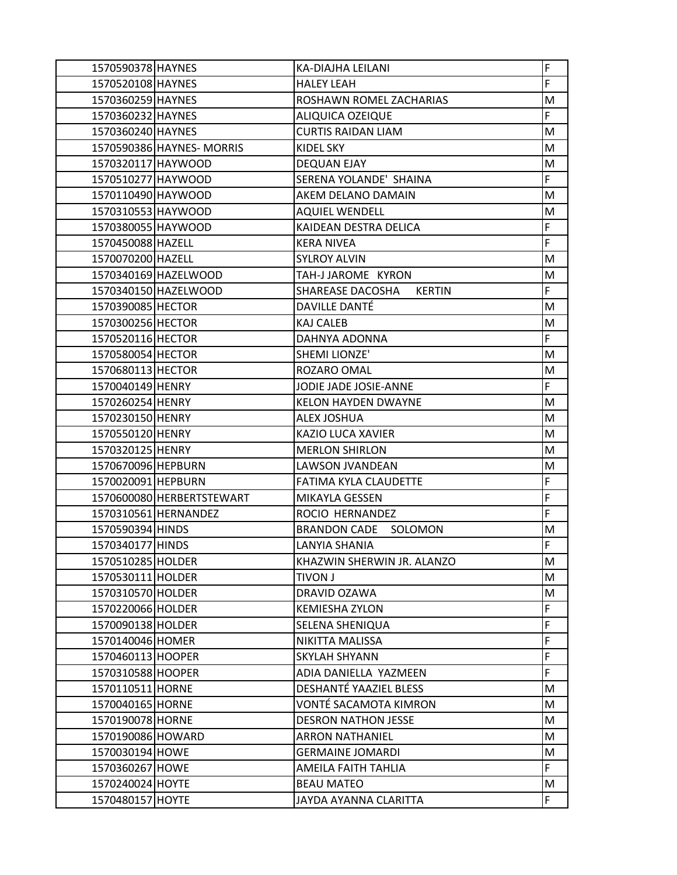| 1570590378 HAYNES  |                           | KA-DIAJHA LEILANI                 | F  |
|--------------------|---------------------------|-----------------------------------|----|
| 1570520108 HAYNES  |                           | <b>HALEY LEAH</b>                 | F  |
| 1570360259 HAYNES  |                           | ROSHAWN ROMEL ZACHARIAS           | M  |
| 1570360232 HAYNES  |                           | ALIQUICA OZEIQUE                  | F  |
| 1570360240 HAYNES  |                           | <b>CURTIS RAIDAN LIAM</b>         | M  |
|                    | 1570590386 HAYNES- MORRIS | <b>KIDEL SKY</b>                  | M  |
| 1570320117 HAYWOOD |                           | DEQUAN EJAY                       | M  |
| 1570510277 HAYWOOD |                           | SERENA YOLANDE' SHAINA            | F  |
| 1570110490 HAYWOOD |                           | AKEM DELANO DAMAIN                | M  |
| 1570310553 HAYWOOD |                           | <b>AQUIEL WENDELL</b>             | M  |
| 1570380055 HAYWOOD |                           | KAIDEAN DESTRA DELICA             | F  |
| 1570450088 HAZELL  |                           | <b>KERA NIVEA</b>                 | F  |
| 1570070200 HAZELL  |                           | <b>SYLROY ALVIN</b>               | M  |
|                    | 1570340169 HAZELWOOD      | TAH-J JAROME KYRON                | M  |
|                    | 1570340150 HAZELWOOD      | SHAREASE DACOSHA<br><b>KERTIN</b> | F  |
| 1570390085 HECTOR  |                           | DAVILLE DANTÉ                     | M  |
| 1570300256 HECTOR  |                           | <b>KAJ CALEB</b>                  | M  |
| 1570520116 HECTOR  |                           | DAHNYA ADONNA                     | F. |
| 1570580054 HECTOR  |                           | <b>SHEMI LIONZE'</b>              | M  |
| 1570680113 HECTOR  |                           | ROZARO OMAL                       | M  |
| 1570040149 HENRY   |                           | JODIE JADE JOSIE-ANNE             | F  |
| 1570260254 HENRY   |                           | <b>KELON HAYDEN DWAYNE</b>        | M  |
| 1570230150 HENRY   |                           | <b>ALEX JOSHUA</b>                | M  |
| 1570550120 HENRY   |                           | KAZIO LUCA XAVIER                 | M  |
| 1570320125 HENRY   |                           | <b>MERLON SHIRLON</b>             | M  |
| 1570670096 HEPBURN |                           | LAWSON JVANDEAN                   | M  |
| 1570020091 HEPBURN |                           | FATIMA KYLA CLAUDETTE             | F  |
|                    | 1570600080 HERBERTSTEWART | MIKAYLA GESSEN                    | F  |
|                    | 1570310561 HERNANDEZ      | ROCIO HERNANDEZ                   | F  |
| 1570590394 HINDS   |                           | <b>BRANDON CADE</b><br>SOLOMON    | М  |
| 1570340177 HINDS   |                           | <b>LANYIA SHANIA</b>              | F  |
| 1570510285 HOLDER  |                           | KHAZWIN SHERWIN JR. ALANZO        | M  |
| 1570530111 HOLDER  |                           | <b>TIVON J</b>                    | M  |
| 1570310570 HOLDER  |                           | DRAVID OZAWA                      | M  |
| 1570220066 HOLDER  |                           | <b>KEMIESHA ZYLON</b>             | F  |
| 1570090138 HOLDER  |                           | SELENA SHENIQUA                   | F  |
| 1570140046 HOMER   |                           | NIKITTA MALISSA                   | F  |
| 1570460113 HOOPER  |                           | <b>SKYLAH SHYANN</b>              | F  |
| 1570310588 HOOPER  |                           | ADIA DANIELLA YAZMEEN             | F  |
| 1570110511 HORNE   |                           | DESHANTÉ YAAZIEL BLESS            | М  |
| 1570040165 HORNE   |                           | VONTÉ SACAMOTA KIMRON             | M  |
| 1570190078 HORNE   |                           | <b>DESRON NATHON JESSE</b>        | M  |
| 1570190086 HOWARD  |                           | <b>ARRON NATHANIEL</b>            | M  |
| 1570030194 HOWE    |                           | <b>GERMAINE JOMARDI</b>           | M  |
| 1570360267 HOWE    |                           | AMEILA FAITH TAHLIA               | F. |
| 1570240024 HOYTE   |                           | <b>BEAU MATEO</b>                 | M  |
| 1570480157 HOYTE   |                           | JAYDA AYANNA CLARITTA             | F. |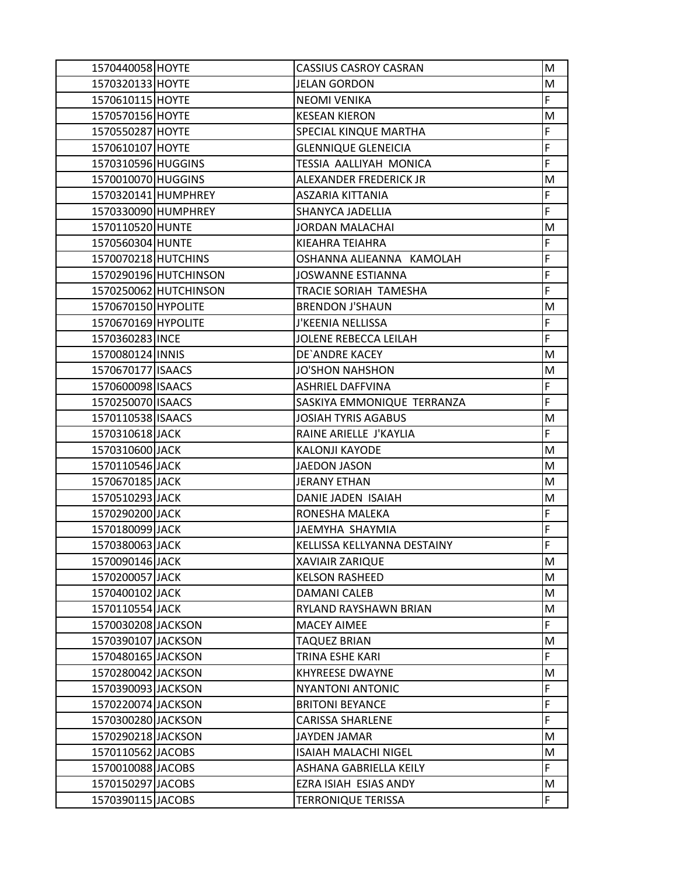| 1570440058 HOYTE    |                       | <b>CASSIUS CASROY CASRAN</b> | M |
|---------------------|-----------------------|------------------------------|---|
| 1570320133 HOYTE    |                       | <b>JELAN GORDON</b>          | M |
| 1570610115 HOYTE    |                       | <b>NEOMI VENIKA</b>          | F |
| 1570570156 HOYTE    |                       | <b>KESEAN KIERON</b>         | M |
| 1570550287 HOYTE    |                       | SPECIAL KINQUE MARTHA        | F |
| 1570610107 HOYTE    |                       | <b>GLENNIQUE GLENEICIA</b>   | F |
| 1570310596 HUGGINS  |                       | TESSIA AALLIYAH MONICA       | F |
| 1570010070 HUGGINS  |                       | ALEXANDER FREDERICK JR       | M |
|                     | 1570320141 HUMPHREY   | ASZARIA KITTANIA             | F |
|                     | 1570330090 HUMPHREY   | <b>SHANYCA JADELLIA</b>      | F |
| 1570110520 HUNTE    |                       | <b>JORDAN MALACHAI</b>       | M |
| 1570560304 HUNTE    |                       | KIEAHRA TEIAHRA              | F |
| 1570070218 HUTCHINS |                       | OSHANNA ALIEANNA KAMOLAH     | F |
|                     | 1570290196 HUTCHINSON | <b>JOSWANNE ESTIANNA</b>     | F |
|                     | 1570250062 HUTCHINSON | <b>TRACIE SORIAH TAMESHA</b> | F |
| 1570670150 HYPOLITE |                       | <b>BRENDON J'SHAUN</b>       | M |
| 1570670169 HYPOLITE |                       | J'KEENIA NELLISSA            | F |
| 1570360283 INCE     |                       | JOLENE REBECCA LEILAH        | F |
| 1570080124 INNIS    |                       | DE'ANDRE KACEY               | M |
| 1570670177 ISAACS   |                       | <b>JO'SHON NAHSHON</b>       | M |
| 1570600098 ISAACS   |                       | <b>ASHRIEL DAFFVINA</b>      | F |
| 1570250070 ISAACS   |                       | SASKIYA EMMONIQUE TERRANZA   | F |
| 1570110538 ISAACS   |                       | <b>JOSIAH TYRIS AGABUS</b>   | M |
| 1570310618 JACK     |                       | RAINE ARIELLE J'KAYLIA       | F |
| 1570310600 JACK     |                       | <b>KALONJI KAYODE</b>        | M |
| 1570110546 JACK     |                       | <b>JAEDON JASON</b>          | M |
| 1570670185 JACK     |                       | <b>JERANY ETHAN</b>          | M |
| 1570510293 JACK     |                       | DANIE JADEN ISAIAH           | M |
| 1570290200 JACK     |                       | RONESHA MALEKA               | F |
| 1570180099 JACK     |                       | JAEMYHA SHAYMIA              | F |
| 1570380063 JACK     |                       | KELLISSA KELLYANNA DESTAINY  | F |
| 1570090146 JACK     |                       | <b>XAVIAIR ZARIQUE</b>       | M |
| 1570200057 JACK     |                       | <b>KELSON RASHEED</b>        | M |
| 1570400102 JACK     |                       | <b>DAMANI CALEB</b>          | M |
| 1570110554 JACK     |                       | RYLAND RAYSHAWN BRIAN        | M |
| 1570030208 JACKSON  |                       | <b>MACEY AIMEE</b>           | F |
| 1570390107 JACKSON  |                       | <b>TAQUEZ BRIAN</b>          | M |
| 1570480165 JACKSON  |                       | <b>TRINA ESHE KARI</b>       | F |
| 1570280042 JACKSON  |                       | <b>KHYREESE DWAYNE</b>       | M |
| 1570390093 JACKSON  |                       | <b>NYANTONI ANTONIC</b>      | F |
| 1570220074 JACKSON  |                       | <b>BRITONI BEYANCE</b>       | F |
| 1570300280 JACKSON  |                       | <b>CARISSA SHARLENE</b>      | F |
| 1570290218 JACKSON  |                       | JAYDEN JAMAR                 | M |
| 1570110562 JACOBS   |                       | <b>ISAIAH MALACHI NIGEL</b>  | M |
| 1570010088 JACOBS   |                       | ASHANA GABRIELLA KEILY       | F |
| 1570150297 JACOBS   |                       | EZRA ISIAH ESIAS ANDY        | M |
| 1570390115 JACOBS   |                       | <b>TERRONIQUE TERISSA</b>    | F |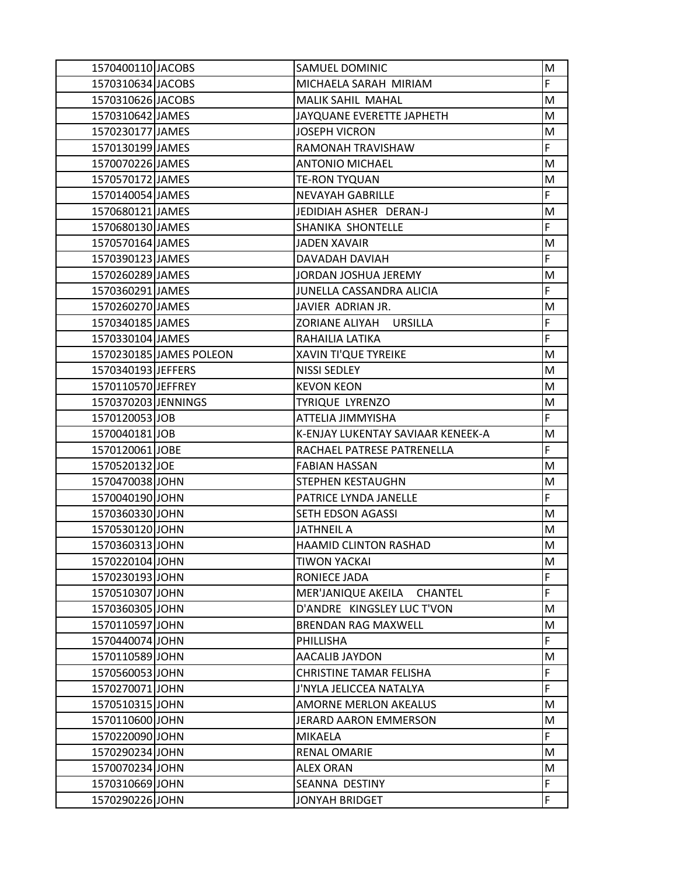| 1570400110 JACOBS   |                         | SAMUEL DOMINIC                       | M  |
|---------------------|-------------------------|--------------------------------------|----|
| 1570310634 JACOBS   |                         | MICHAELA SARAH MIRIAM                | F. |
| 1570310626 JACOBS   |                         | MALIK SAHIL MAHAL                    | M  |
| 1570310642 JAMES    |                         | JAYQUANE EVERETTE JAPHETH            | M  |
| 1570230177 JAMES    |                         | <b>JOSEPH VICRON</b>                 | M  |
| 1570130199 JAMES    |                         | RAMONAH TRAVISHAW                    | F  |
| 1570070226 JAMES    |                         | <b>ANTONIO MICHAEL</b>               | M  |
| 1570570172 JAMES    |                         | <b>TE-RON TYQUAN</b>                 | M  |
| 1570140054 JAMES    |                         | <b>NEVAYAH GABRILLE</b>              | F  |
| 1570680121 JAMES    |                         | JEDIDIAH ASHER DERAN-J               | M  |
| 1570680130 JAMES    |                         | SHANIKA SHONTELLE                    | F  |
| 1570570164 JAMES    |                         | <b>JADEN XAVAIR</b>                  | M  |
| 1570390123 JAMES    |                         | DAVADAH DAVIAH                       | F  |
| 1570260289 JAMES    |                         | JORDAN JOSHUA JEREMY                 | M  |
| 1570360291 JAMES    |                         | JUNELLA CASSANDRA ALICIA             | F  |
| 1570260270 JAMES    |                         | JAVIER ADRIAN JR.                    | M  |
| 1570340185 JAMES    |                         | ZORIANE ALIYAH URSILLA               | F  |
| 1570330104 JAMES    |                         | RAHAILIA LATIKA                      | F  |
|                     | 1570230185 JAMES POLEON | <b>XAVIN TI'QUE TYREIKE</b>          | M  |
| 1570340193 JEFFERS  |                         | NISSI SEDLEY                         | M  |
| 1570110570 JEFFREY  |                         | <b>KEVON KEON</b>                    | M  |
| 1570370203 JENNINGS |                         | TYRIQUE LYRENZO                      | M  |
| 1570120053 JOB      |                         | ATTELIA JIMMYISHA                    | F  |
| 1570040181 JOB      |                         | K-ENJAY LUKENTAY SAVIAAR KENEEK-A    | M  |
| 1570120061 JOBE     |                         | RACHAEL PATRESE PATRENELLA           | F  |
| 1570520132 JOE      |                         | <b>FABIAN HASSAN</b>                 | M  |
| 1570470038 JOHN     |                         | STEPHEN KESTAUGHN                    | M  |
| 1570040190 JOHN     |                         | PATRICE LYNDA JANELLE                | F  |
| 1570360330 JOHN     |                         | SETH EDSON AGASSI                    | M  |
| 1570530120 JOHN     |                         | <b>JATHNEIL A</b>                    | M  |
| 1570360313 JOHN     |                         | <b>HAAMID CLINTON RASHAD</b>         | M  |
| 1570220104 JOHN     |                         | <b>TIWON YACKAI</b>                  | M  |
| 1570230193 JOHN     |                         | RONIECE JADA                         | F  |
| 1570510307 JOHN     |                         | MER'JANIQUE AKEILA<br><b>CHANTEL</b> | F  |
| 1570360305 JOHN     |                         | D'ANDRE KINGSLEY LUC T'VON           | M  |
| 1570110597 JOHN     |                         | <b>BRENDAN RAG MAXWELL</b>           | M  |
| 1570440074 JOHN     |                         | PHILLISHA                            | F. |
| 1570110589 JOHN     |                         | <b>AACALIB JAYDON</b>                | M  |
| 1570560053 JOHN     |                         | <b>CHRISTINE TAMAR FELISHA</b>       | F  |
| 1570270071 JOHN     |                         | J'NYLA JELICCEA NATALYA              | F  |
| 1570510315 JOHN     |                         | <b>AMORNE MERLON AKEALUS</b>         | M  |
| 1570110600 JOHN     |                         | <b>JERARD AARON EMMERSON</b>         | M  |
| 1570220090 JOHN     |                         | MIKAELA                              | F  |
| 1570290234 JOHN     |                         | <b>RENAL OMARIE</b>                  | M  |
| 1570070234 JOHN     |                         | <b>ALEX ORAN</b>                     | M  |
| 1570310669 JOHN     |                         | SEANNA DESTINY                       | F  |
| 1570290226 JOHN     |                         | <b>JONYAH BRIDGET</b>                | F  |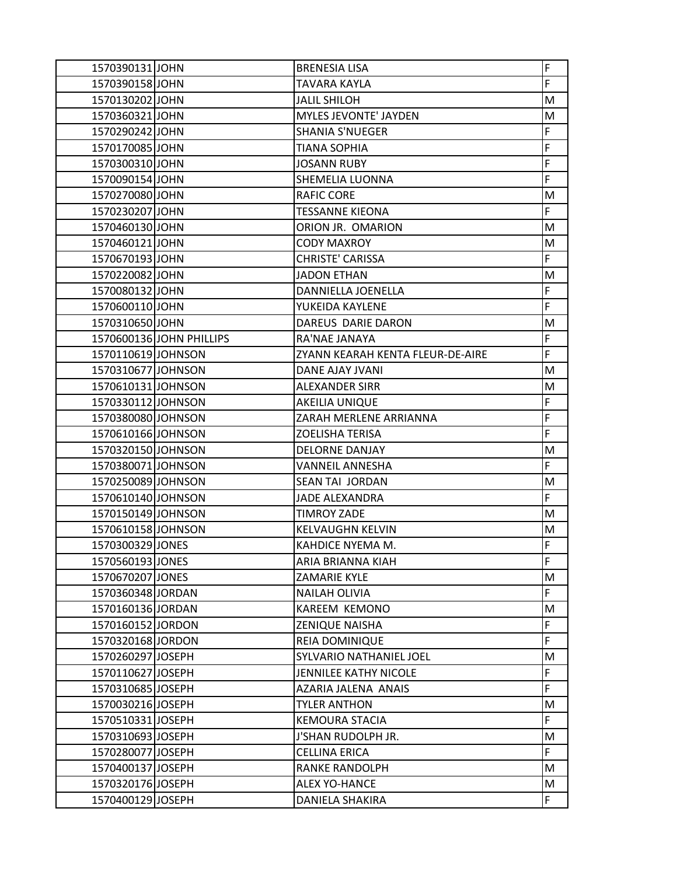| 1570390131 JOHN    |                          | <b>BRENESIA LISA</b>             | F              |
|--------------------|--------------------------|----------------------------------|----------------|
| 1570390158 JOHN    |                          | TAVARA KAYLA                     | F              |
| 1570130202 JOHN    |                          | <b>JALIL SHILOH</b>              | M              |
| 1570360321 JOHN    |                          | MYLES JEVONTE' JAYDEN            | M              |
| 1570290242 JOHN    |                          | <b>SHANIA S'NUEGER</b>           | F              |
| 1570170085 JOHN    |                          | <b>TIANA SOPHIA</b>              | F              |
| 1570300310 JOHN    |                          | <b>JOSANN RUBY</b>               | F              |
| 1570090154 JOHN    |                          | SHEMELIA LUONNA                  | F              |
| 1570270080 JOHN    |                          | <b>RAFIC CORE</b>                | M              |
| 1570230207 JOHN    |                          | <b>TESSANNE KIEONA</b>           | F              |
| 1570460130 JOHN    |                          | ORION JR. OMARION                | M              |
| 1570460121 JOHN    |                          | <b>CODY MAXROY</b>               | M              |
| 1570670193 JOHN    |                          | <b>CHRISTE' CARISSA</b>          | F              |
| 1570220082 JOHN    |                          | <b>JADON ETHAN</b>               | M              |
| 1570080132 JOHN    |                          | DANNIELLA JOENELLA               | F              |
| 1570600110 JOHN    |                          | YUKEIDA KAYLENE                  | F              |
| 1570310650 JOHN    |                          | DAREUS DARIE DARON               | M              |
|                    | 1570600136 JOHN PHILLIPS | RA'NAE JANAYA                    | F              |
| 1570110619 JOHNSON |                          | ZYANN KEARAH KENTA FLEUR-DE-AIRE | $\overline{F}$ |
| 1570310677 JOHNSON |                          | DANE AJAY JVANI                  | M              |
| 1570610131 JOHNSON |                          | <b>ALEXANDER SIRR</b>            | M              |
| 1570330112 JOHNSON |                          | AKEILIA UNIQUE                   | F              |
| 1570380080 JOHNSON |                          | ZARAH MERLENE ARRIANNA           | F              |
| 1570610166 JOHNSON |                          | ZOELISHA TERISA                  | F              |
| 1570320150 JOHNSON |                          | <b>DELORNE DANJAY</b>            | M              |
| 1570380071 JOHNSON |                          | VANNEIL ANNESHA                  | F              |
| 1570250089 JOHNSON |                          | SEAN TAI JORDAN                  | M              |
| 1570610140 JOHNSON |                          | <b>JADE ALEXANDRA</b>            | F              |
| 1570150149 JOHNSON |                          | <b>TIMROY ZADE</b>               | M              |
| 1570610158 JOHNSON |                          | <b>KELVAUGHN KELVIN</b>          | M              |
| 1570300329 JONES   |                          | KAHDICE NYEMA M.                 | F              |
| 1570560193 JONES   |                          | ARIA BRIANNA KIAH                | F              |
| 1570670207 JONES   |                          | ZAMARIE KYLE                     | M              |
| 1570360348 JORDAN  |                          | <b>NAILAH OLIVIA</b>             | F              |
| 1570160136 JORDAN  |                          | KAREEM KEMONO                    | M              |
| 1570160152 JORDON  |                          | <b>ZENIQUE NAISHA</b>            | F              |
| 1570320168 JORDON  |                          | <b>REIA DOMINIQUE</b>            | F              |
| 1570260297 JOSEPH  |                          | SYLVARIO NATHANIEL JOEL          | М              |
| 1570110627 JOSEPH  |                          | <b>JENNILEE KATHY NICOLE</b>     | F              |
| 1570310685 JOSEPH  |                          | AZARIA JALENA ANAIS              | F              |
| 1570030216 JOSEPH  |                          | <b>TYLER ANTHON</b>              | M              |
| 1570510331 JOSEPH  |                          | <b>KEMOURA STACIA</b>            | F.             |
| 1570310693 JOSEPH  |                          | J'SHAN RUDOLPH JR.               | М              |
| 1570280077 JOSEPH  |                          | CELLINA ERICA                    | F              |
| 1570400137 JOSEPH  |                          | <b>RANKE RANDOLPH</b>            | M              |
| 1570320176 JOSEPH  |                          | <b>ALEX YO-HANCE</b>             | M              |
| 1570400129 JOSEPH  |                          | DANIELA SHAKIRA                  | F.             |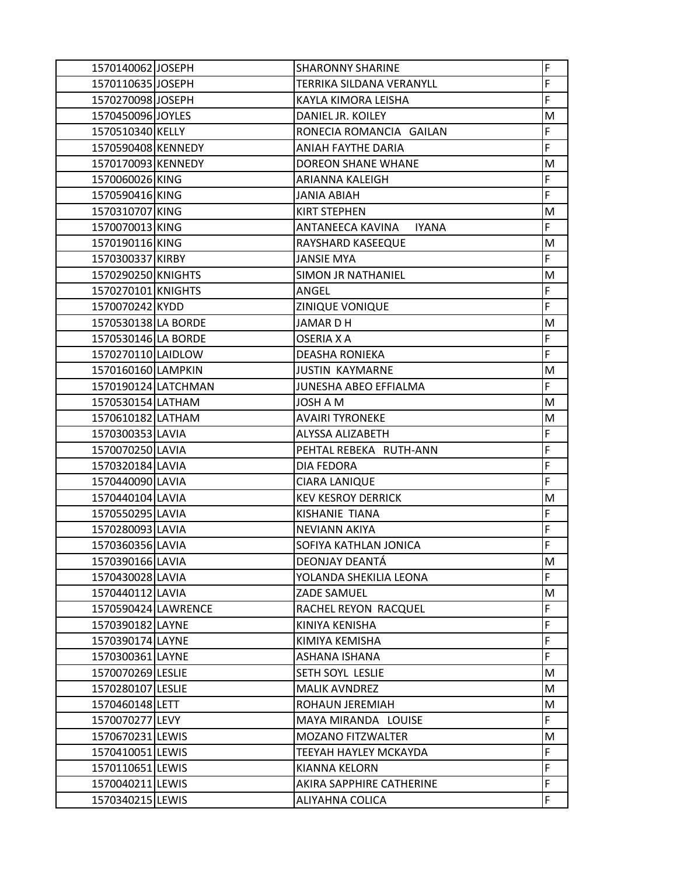| 1570140062 JOSEPH   | <b>SHARONNY SHARINE</b>          | F  |
|---------------------|----------------------------------|----|
| 1570110635 JOSEPH   | TERRIKA SILDANA VERANYLL         | F  |
| 1570270098 JOSEPH   | KAYLA KIMORA LEISHA              | F  |
| 1570450096 JOYLES   | DANIEL JR. KOILEY                | M  |
| 1570510340 KELLY    | RONECIA ROMANCIA GAILAN          | F  |
| 1570590408 KENNEDY  | ANIAH FAYTHE DARIA               | F  |
| 1570170093 KENNEDY  | <b>DOREON SHANE WHANE</b>        | M  |
| 1570060026 KING     | ARIANNA KALEIGH                  | F  |
| 1570590416 KING     | <b>JANIA ABIAH</b>               | F  |
| 1570310707 KING     | <b>KIRT STEPHEN</b>              | M  |
| 1570070013 KING     | ANTANEECA KAVINA<br><b>IYANA</b> | F  |
| 1570190116 KING     | RAYSHARD KASEEQUE                | M  |
| 1570300337 KIRBY    | <b>JANSIE MYA</b>                | F. |
| 1570290250 KNIGHTS  | SIMON JR NATHANIEL               | M  |
| 1570270101 KNIGHTS  | ANGEL                            | F  |
| 1570070242 KYDD     | ZINIQUE VONIQUE                  | F  |
| 1570530138 LA BORDE | <b>JAMARDH</b>                   | M  |
| 1570530146 LA BORDE | OSERIA X A                       | F  |
| 1570270110 LAIDLOW  | <b>DEASHA RONIEKA</b>            | F  |
| 1570160160 LAMPKIN  | <b>JUSTIN KAYMARNE</b>           | M  |
| 1570190124 LATCHMAN | JUNESHA ABEO EFFIALMA            | F  |
| 1570530154 LATHAM   | JOSH A M                         | M  |
| 1570610182 LATHAM   | <b>AVAIRI TYRONEKE</b>           | M  |
| 1570300353 LAVIA    | ALYSSA ALIZABETH                 | F  |
| 1570070250 LAVIA    | PEHTAL REBEKA RUTH-ANN           | F  |
| 1570320184 LAVIA    | <b>DIA FEDORA</b>                | F  |
| 1570440090 LAVIA    | CIARA LANIQUE                    | F  |
| 1570440104 LAVIA    | <b>KEV KESROY DERRICK</b>        | M  |
| 1570550295 LAVIA    | KISHANIE TIANA                   | F  |
| 1570280093 LAVIA    | <b>NEVIANN AKIYA</b>             | F  |
| 1570360356 LAVIA    | SOFIYA KATHLAN JONICA            | F  |
| 1570390166 LAVIA    | DEONJAY DEANTÁ                   | M  |
| 1570430028 LAVIA    | YOLANDA SHEKILIA LEONA           | F. |
| 1570440112 LAVIA    | <b>ZADE SAMUEL</b>               | M  |
| 1570590424 LAWRENCE | RACHEL REYON RACQUEL             | F  |
| 1570390182 LAYNE    | KINIYA KENISHA                   | F  |
| 1570390174 LAYNE    | KIMIYA KEMISHA                   | F  |
| 1570300361 LAYNE    | ASHANA ISHANA                    | F  |
| 1570070269 LESLIE   | SETH SOYL LESLIE                 | M  |
| 1570280107 LESLIE   | <b>MALIK AVNDREZ</b>             | M  |
| 1570460148 LETT     | ROHAUN JEREMIAH                  | M  |
| 1570070277 LEVY     | MAYA MIRANDA LOUISE              | F. |
| 1570670231 LEWIS    | <b>MOZANO FITZWALTER</b>         | M  |
| 1570410051 LEWIS    | TEEYAH HAYLEY MCKAYDA            | F  |
| 1570110651 LEWIS    | KIANNA KELORN                    | F  |
| 1570040211 LEWIS    | AKIRA SAPPHIRE CATHERINE         | F  |
| 1570340215 LEWIS    | ALIYAHNA COLICA                  | F  |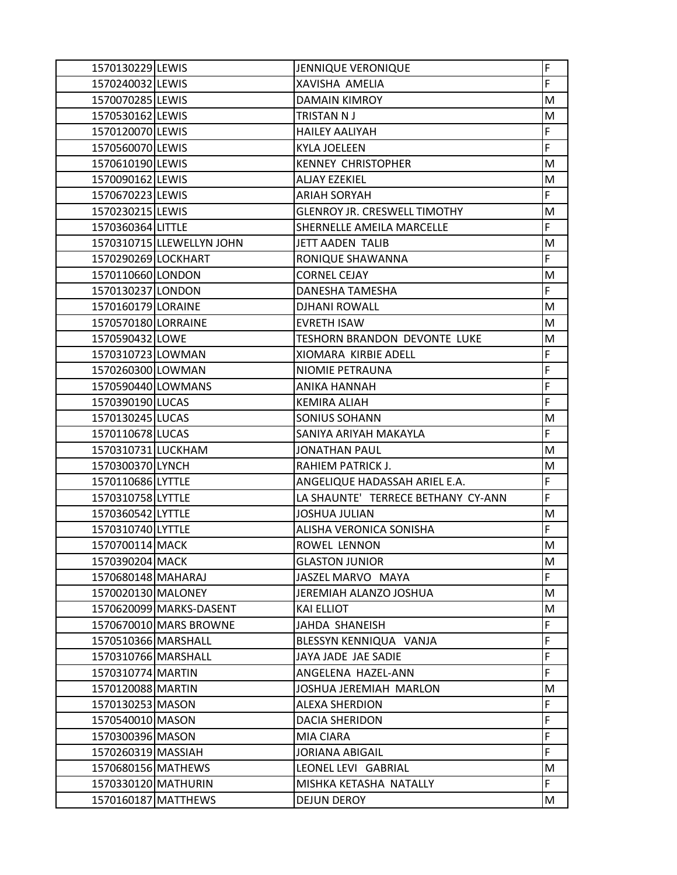| 1570130229 LEWIS    |                           | <b>JENNIQUE VERONIQUE</b>           | F  |
|---------------------|---------------------------|-------------------------------------|----|
| 1570240032 LEWIS    |                           | XAVISHA AMELIA                      | F  |
| 1570070285 LEWIS    |                           | <b>DAMAIN KIMROY</b>                | M  |
| 1570530162 LEWIS    |                           | TRISTAN N J                         | M  |
| 1570120070 LEWIS    |                           | <b>HAILEY AALIYAH</b>               | F  |
| 1570560070 LEWIS    |                           | <b>KYLA JOELEEN</b>                 | F  |
| 1570610190 LEWIS    |                           | <b>KENNEY CHRISTOPHER</b>           | M  |
| 1570090162 LEWIS    |                           | <b>ALJAY EZEKIEL</b>                | M  |
| 1570670223 LEWIS    |                           | <b>ARIAH SORYAH</b>                 | F  |
| 1570230215 LEWIS    |                           | <b>GLENROY JR. CRESWELL TIMOTHY</b> | M  |
| 1570360364 LITTLE   |                           | SHERNELLE AMEILA MARCELLE           | F  |
|                     | 1570310715 LLEWELLYN JOHN | <b>JETT AADEN TALIB</b>             | M  |
| 1570290269 LOCKHART |                           | RONIQUE SHAWANNA                    | F  |
| 1570110660 LONDON   |                           | <b>CORNEL CEJAY</b>                 | М  |
| 1570130237 LONDON   |                           | <b>DANESHA TAMESHA</b>              | F  |
| 1570160179 LORAINE  |                           | <b>DJHANI ROWALL</b>                | M  |
| 1570570180 LORRAINE |                           | <b>EVRETH ISAW</b>                  | M  |
| 1570590432 LOWE     |                           | TESHORN BRANDON DEVONTE LUKE        | M  |
| 1570310723 LOWMAN   |                           | XIOMARA KIRBIE ADELL                | F  |
| 1570260300 LOWMAN   |                           | NIOMIE PETRAUNA                     | F  |
| 1570590440 LOWMANS  |                           | ANIKA HANNAH                        | F  |
| 1570390190 LUCAS    |                           | <b>KEMIRA ALIAH</b>                 | F  |
| 1570130245 LUCAS    |                           | <b>SONIUS SOHANN</b>                | M  |
| 1570110678 LUCAS    |                           | SANIYA ARIYAH MAKAYLA               | F  |
| 1570310731 LUCKHAM  |                           | <b>JONATHAN PAUL</b>                | M  |
| 1570300370 LYNCH    |                           | RAHIEM PATRICK J.                   | M  |
| 1570110686 LYTTLE   |                           | ANGELIQUE HADASSAH ARIEL E.A.       | F  |
| 1570310758 LYTTLE   |                           | LA SHAUNTE' TERRECE BETHANY CY-ANN  | F  |
| 1570360542 LYTTLE   |                           | <b>JOSHUA JULIAN</b>                | M  |
| 1570310740 LYTTLE   |                           | ALISHA VERONICA SONISHA             | F  |
| 1570700114 MACK     |                           | ROWEL LENNON                        | M  |
| 1570390204 MACK     |                           | <b>GLASTON JUNIOR</b>               | M  |
| 1570680148 MAHARAJ  |                           | JASZEL MARVO MAYA                   | F. |
| 1570020130 MALONEY  |                           | JEREMIAH ALANZO JOSHUA              | M  |
|                     | 1570620099 MARKS-DASENT   | <b>KAI ELLIOT</b>                   | M  |
|                     | 1570670010 MARS BROWNE    | JAHDA SHANEISH                      | F  |
| 1570510366 MARSHALL |                           | BLESSYN KENNIQUA VANJA              | F  |
| 1570310766 MARSHALL |                           | JAYA JADE JAE SADIE                 | F  |
| 1570310774 MARTIN   |                           | ANGELENA HAZEL-ANN                  | F  |
| 1570120088 MARTIN   |                           | JOSHUA JEREMIAH MARLON              | M  |
| 1570130253 MASON    |                           | <b>ALEXA SHERDION</b>               | F  |
| 1570540010 MASON    |                           | <b>DACIA SHERIDON</b>               | F  |
| 1570300396 MASON    |                           | MIA CIARA                           | F  |
| 1570260319 MASSIAH  |                           | <b>JORIANA ABIGAIL</b>              | F  |
| 1570680156 MATHEWS  |                           | LEONEL LEVI GABRIAL                 | M  |
| 1570330120 MATHURIN |                           | MISHKA KETASHA NATALLY              | F. |
|                     | 1570160187 MATTHEWS       | DEJUN DEROY                         | M  |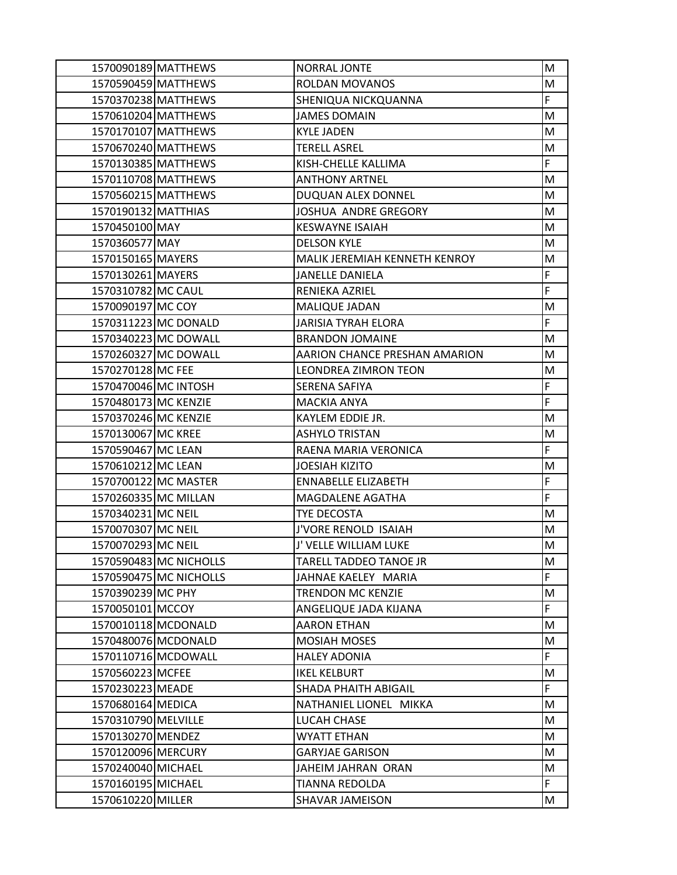|                      | 1570090189 MATTHEWS    | NORRAL JONTE                  | M |
|----------------------|------------------------|-------------------------------|---|
|                      | 1570590459 MATTHEWS    | <b>ROLDAN MOVANOS</b>         | M |
|                      | 1570370238 MATTHEWS    | SHENIQUA NICKQUANNA           | F |
|                      | 1570610204 MATTHEWS    | <b>JAMES DOMAIN</b>           | M |
|                      | 1570170107 MATTHEWS    | <b>KYLE JADEN</b>             | M |
|                      | 1570670240 MATTHEWS    | <b>TERELL ASREL</b>           | M |
|                      | 1570130385 MATTHEWS    | KISH-CHELLE KALLIMA           | F |
|                      | 1570110708 MATTHEWS    | <b>ANTHONY ARTNEL</b>         | M |
|                      | 1570560215 MATTHEWS    | DUQUAN ALEX DONNEL            | M |
| 1570190132 MATTHIAS  |                        | <b>JOSHUA ANDRE GREGORY</b>   | M |
| 1570450100 MAY       |                        | <b>KESWAYNE ISAIAH</b>        | M |
| 1570360577 MAY       |                        | <b>DELSON KYLE</b>            | M |
| 1570150165 MAYERS    |                        | MALIK JEREMIAH KENNETH KENROY | M |
| 1570130261 MAYERS    |                        | <b>JANELLE DANIELA</b>        | F |
| 1570310782 MC CAUL   |                        | RENIEKA AZRIEL                | F |
| 1570090197 MC COY    |                        | MALIQUE JADAN                 | M |
|                      | 1570311223 MC DONALD   | <b>JARISIA TYRAH ELORA</b>    | F |
|                      | 1570340223 MC DOWALL   | <b>BRANDON JOMAINE</b>        | M |
|                      | 1570260327 MC DOWALL   | AARION CHANCE PRESHAN AMARION | M |
| 1570270128 MC FEE    |                        | <b>LEONDREA ZIMRON TEON</b>   | M |
|                      | 1570470046 MC INTOSH   | SERENA SAFIYA                 | F |
| 1570480173 MC KENZIE |                        | <b>MACKIA ANYA</b>            | F |
| 1570370246 MC KENZIE |                        | KAYLEM EDDIE JR.              | M |
| 1570130067 MC KREE   |                        | <b>ASHYLO TRISTAN</b>         | M |
| 1570590467 MC LEAN   |                        | RAENA MARIA VERONICA          | F |
| 1570610212 MC LEAN   |                        | <b>JOESIAH KIZITO</b>         | M |
|                      | 1570700122 MC MASTER   | <b>ENNABELLE ELIZABETH</b>    | F |
|                      | 1570260335 MC MILLAN   | MAGDALENE AGATHA              | F |
| 1570340231 MC NEIL   |                        | <b>TYE DECOSTA</b>            | M |
| 1570070307 MC NEIL   |                        | J'VORE RENOLD ISAIAH          | M |
| 1570070293 MC NEIL   |                        | J' VELLE WILLIAM LUKE         | M |
|                      | 1570590483 MC NICHOLLS | <b>TARELL TADDEO TANOE JR</b> | M |
|                      | 1570590475 MC NICHOLLS | JAHNAE KAELEY MARIA           | F |
| 1570390239 MC PHY    |                        | <b>TRENDON MC KENZIE</b>      | M |
| 1570050101 MCCOY     |                        | ANGELIQUE JADA KIJANA         | F |
|                      | 1570010118 MCDONALD    | <b>AARON ETHAN</b>            | M |
|                      | 1570480076 MCDONALD    | <b>MOSIAH MOSES</b>           | M |
|                      | 1570110716 MCDOWALL    | <b>HALEY ADONIA</b>           | F |
| 1570560223 MCFEE     |                        | <b>IKEL KELBURT</b>           | M |
| 1570230223 MEADE     |                        | SHADA PHAITH ABIGAIL          | F |
| 1570680164 MEDICA    |                        | NATHANIEL LIONEL MIKKA        | M |
| 1570310790 MELVILLE  |                        | LUCAH CHASE                   | M |
| 1570130270 MENDEZ    |                        | <b>WYATT ETHAN</b>            | M |
| 1570120096 MERCURY   |                        | <b>GARYJAE GARISON</b>        | M |
| 1570240040 MICHAEL   |                        | JAHEIM JAHRAN ORAN            | M |
| 1570160195 MICHAEL   |                        | <b>TIANNA REDOLDA</b>         | F |
| 1570610220 MILLER    |                        | SHAVAR JAMEISON               | M |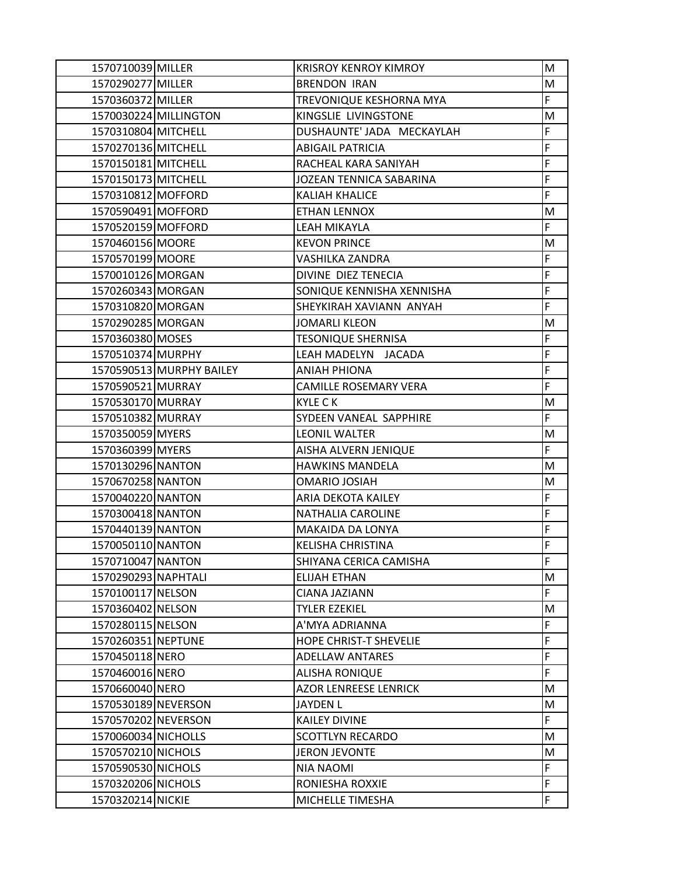| 1570710039 MILLER   |                          | <b>KRISROY KENROY KIMROY</b>  | M  |
|---------------------|--------------------------|-------------------------------|----|
| 1570290277 MILLER   |                          | <b>BRENDON IRAN</b>           | M  |
| 1570360372 MILLER   |                          | TREVONIQUE KESHORNA MYA       | F. |
|                     | 1570030224 MILLINGTON    | KINGSLIE LIVINGSTONE          | M  |
| 1570310804 MITCHELL |                          | DUSHAUNTE' JADA MECKAYLAH     | F  |
| 1570270136 MITCHELL |                          | <b>ABIGAIL PATRICIA</b>       | F  |
| 1570150181 MITCHELL |                          | RACHEAL KARA SANIYAH          | F  |
| 1570150173 MITCHELL |                          | JOZEAN TENNICA SABARINA       | F  |
| 1570310812 MOFFORD  |                          | <b>KALIAH KHALICE</b>         | F  |
| 1570590491 MOFFORD  |                          | <b>ETHAN LENNOX</b>           | M  |
| 1570520159 MOFFORD  |                          | LEAH MIKAYLA                  | F  |
| 1570460156 MOORE    |                          | <b>KEVON PRINCE</b>           | M  |
| 1570570199 MOORE    |                          | VASHILKA ZANDRA               | F  |
| 1570010126 MORGAN   |                          | DIVINE DIEZ TENECIA           | F  |
| 1570260343 MORGAN   |                          | SONIQUE KENNISHA XENNISHA     | F  |
| 1570310820 MORGAN   |                          | SHEYKIRAH XAVIANN ANYAH       | F  |
| 1570290285 MORGAN   |                          | <b>JOMARLI KLEON</b>          | M  |
| 1570360380 MOSES    |                          | <b>TESONIQUE SHERNISA</b>     | F  |
| 1570510374 MURPHY   |                          | LEAH MADELYN JACADA           | F  |
|                     | 1570590513 MURPHY BAILEY | <b>ANIAH PHIONA</b>           | F  |
| 1570590521 MURRAY   |                          | CAMILLE ROSEMARY VERA         | F  |
| 1570530170 MURRAY   |                          | <b>KYLE CK</b>                | M  |
| 1570510382 MURRAY   |                          | SYDEEN VANEAL SAPPHIRE        | F  |
| 1570350059 MYERS    |                          | <b>LEONIL WALTER</b>          | М  |
| 1570360399 MYERS    |                          | AISHA ALVERN JENIQUE          | F  |
| 1570130296 NANTON   |                          | <b>HAWKINS MANDELA</b>        | M  |
| 1570670258 NANTON   |                          | <b>OMARIO JOSIAH</b>          | M  |
| 1570040220 NANTON   |                          | ARIA DEKOTA KAILEY            | F  |
| 1570300418 NANTON   |                          | <b>NATHALIA CAROLINE</b>      | F  |
| 1570440139 NANTON   |                          | <b>MAKAIDA DA LONYA</b>       | F  |
| 1570050110 NANTON   |                          | <b>KELISHA CHRISTINA</b>      | F  |
| 1570710047 NANTON   |                          | SHIYANA CERICA CAMISHA        | F  |
| 1570290293 NAPHTALI |                          | <b>ELIJAH ETHAN</b>           | M  |
| 1570100117 NELSON   |                          | CIANA JAZIANN                 | F. |
| 1570360402 NELSON   |                          | <b>TYLER EZEKIEL</b>          | м  |
| 1570280115 NELSON   |                          | A'MYA ADRIANNA                | F  |
| 1570260351 NEPTUNE  |                          | <b>HOPE CHRIST-T SHEVELIE</b> | F  |
| 1570450118 NERO     |                          | <b>ADELLAW ANTARES</b>        | F  |
| 1570460016 NERO     |                          | <b>ALISHA RONIQUE</b>         | F  |
| 1570660040 NERO     |                          | <b>AZOR LENREESE LENRICK</b>  | M  |
| 1570530189 NEVERSON |                          | <b>JAYDEN L</b>               | M  |
| 1570570202 NEVERSON |                          | <b>KAILEY DIVINE</b>          | F. |
| 1570060034 NICHOLLS |                          | <b>SCOTTLYN RECARDO</b>       | M  |
| 1570570210 NICHOLS  |                          | <b>JERON JEVONTE</b>          | M  |
| 1570590530 NICHOLS  |                          | <b>NIA NAOMI</b>              | F  |
| 1570320206 NICHOLS  |                          | RONIESHA ROXXIE               | F  |
| 1570320214 NICKIE   |                          | MICHELLE TIMESHA              | F  |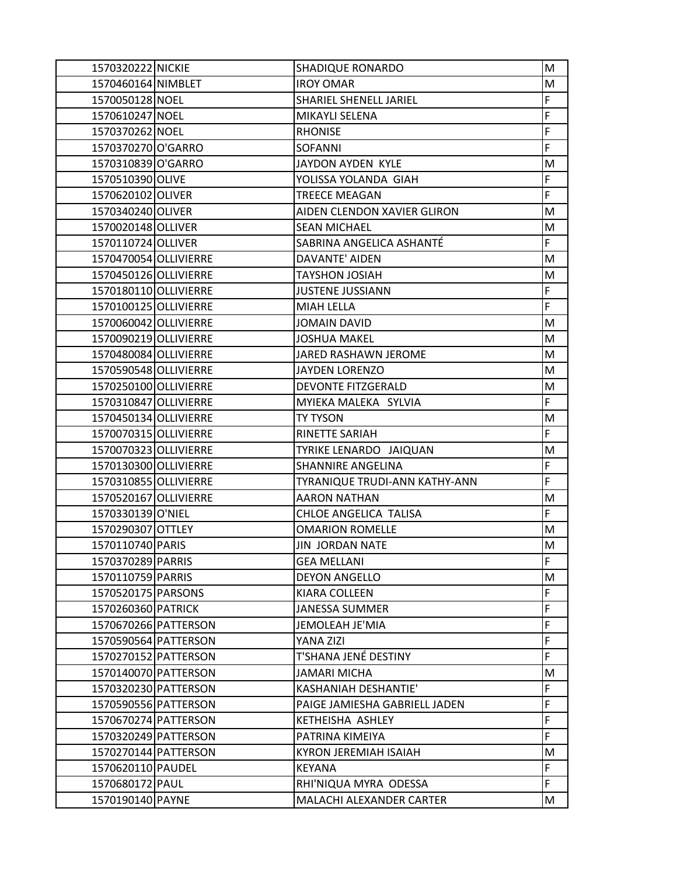| 1570320222 NICKIE     |                      | <b>SHADIQUE RONARDO</b>       | M  |
|-----------------------|----------------------|-------------------------------|----|
| 1570460164 NIMBLET    |                      | <b>IROY OMAR</b>              | M  |
| 1570050128 NOEL       |                      | SHARIEL SHENELL JARIEL        | F  |
| 1570610247 NOEL       |                      | MIKAYLI SELENA                | F  |
| 1570370262 NOEL       |                      | <b>RHONISE</b>                | F  |
| 1570370270 O'GARRO    |                      | <b>SOFANNI</b>                | F  |
| 1570310839 O'GARRO    |                      | JAYDON AYDEN KYLE             | M  |
| 1570510390 OLIVE      |                      | YOLISSA YOLANDA GIAH          | F  |
| 1570620102 OLIVER     |                      | <b>TREECE MEAGAN</b>          | F  |
| 1570340240 OLIVER     |                      | AIDEN CLENDON XAVIER GLIRON   | M  |
| 1570020148 OLLIVER    |                      | <b>SEAN MICHAEL</b>           | M  |
| 1570110724 OLLIVER    |                      | SABRINA ANGELICA ASHANTÉ      | F  |
| 1570470054 OLLIVIERRE |                      | DAVANTE' AIDEN                | M  |
| 1570450126 OLLIVIERRE |                      | <b>TAYSHON JOSIAH</b>         | M  |
| 1570180110 OLLIVIERRE |                      | <b>JUSTENE JUSSIANN</b>       | F  |
| 1570100125 OLLIVIERRE |                      | <b>MIAH LELLA</b>             | F  |
| 1570060042 OLLIVIERRE |                      | <b>JOMAIN DAVID</b>           | M  |
| 1570090219 OLLIVIERRE |                      | <b>JOSHUA MAKEL</b>           | M  |
| 1570480084 OLLIVIERRE |                      | <b>JARED RASHAWN JEROME</b>   | М  |
| 1570590548 OLLIVIERRE |                      | <b>JAYDEN LORENZO</b>         | M  |
| 1570250100 OLLIVIERRE |                      | DEVONTE FITZGERALD            | M  |
| 1570310847 OLLIVIERRE |                      | MYIEKA MALEKA SYLVIA          | F  |
| 1570450134 OLLIVIERRE |                      | <b>TY TYSON</b>               | M  |
| 1570070315 OLLIVIERRE |                      | RINETTE SARIAH                | F  |
| 1570070323 OLLIVIERRE |                      | TYRIKE LENARDO JAIQUAN        | M  |
| 1570130300 OLLIVIERRE |                      | SHANNIRE ANGELINA             | F  |
| 1570310855 OLLIVIERRE |                      | TYRANIQUE TRUDI-ANN KATHY-ANN | F  |
| 1570520167 OLLIVIERRE |                      | <b>AARON NATHAN</b>           | M  |
| 1570330139 O'NIEL     |                      | CHLOE ANGELICA TALISA         | F  |
| 1570290307 OTTLEY     |                      | <b>OMARION ROMELLE</b>        | M  |
| 1570110740 PARIS      |                      | JIN JORDAN NATE               | M  |
| 1570370289 PARRIS     |                      | <b>GEA MELLANI</b>            | F  |
| 1570110759 PARRIS     |                      | <b>DEYON ANGELLO</b>          | M  |
| 1570520175 PARSONS    |                      | KIARA COLLEEN                 | F  |
| 1570260360 PATRICK    |                      | <b>JANESSA SUMMER</b>         | F  |
|                       | 1570670266 PATTERSON | JEMOLEAH JE'MIA               | F  |
|                       | 1570590564 PATTERSON | YANA ZIZI                     | F  |
|                       | 1570270152 PATTERSON | T'SHANA JENÉ DESTINY          | F  |
|                       | 1570140070 PATTERSON | <b>JAMARI MICHA</b>           | М  |
|                       | 1570320230 PATTERSON | <b>KASHANIAH DESHANTIE'</b>   | F  |
|                       | 1570590556 PATTERSON | PAIGE JAMIESHA GABRIELL JADEN | F  |
|                       | 1570670274 PATTERSON | KETHEISHA ASHLEY              | F  |
|                       | 1570320249 PATTERSON | PATRINA KIMEIYA               | F  |
|                       | 1570270144 PATTERSON | KYRON JEREMIAH ISAIAH         | М  |
| 1570620110 PAUDEL     |                      | <b>KEYANA</b>                 | F. |
| 1570680172 PAUL       |                      | RHI'NIQUA MYRA ODESSA         | F. |
| 1570190140 PAYNE      |                      | MALACHI ALEXANDER CARTER      | M  |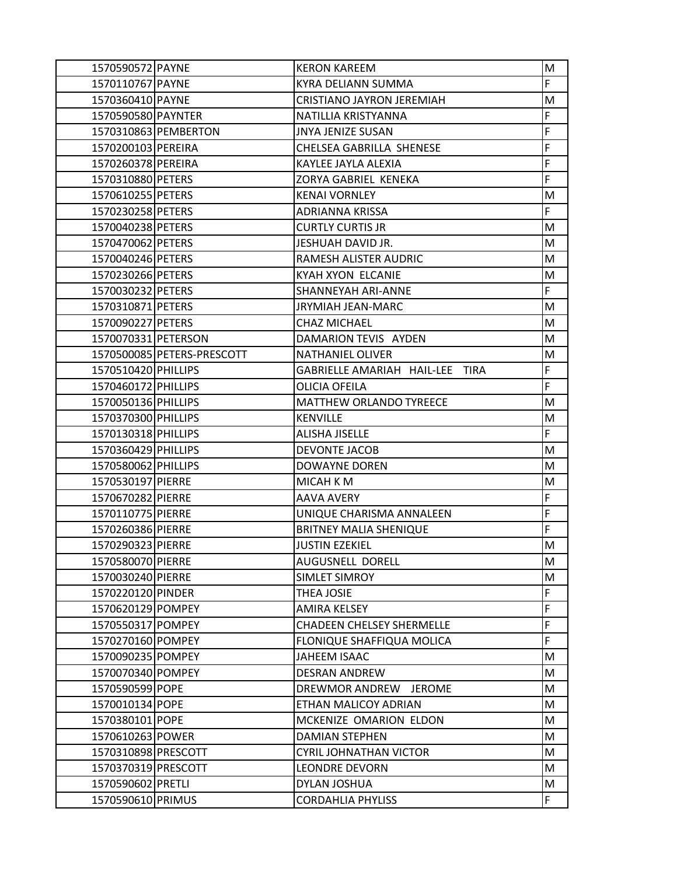| 1570590572 PAYNE    |                            | <b>KERON KAREEM</b>              | M  |
|---------------------|----------------------------|----------------------------------|----|
| 1570110767 PAYNE    |                            | KYRA DELIANN SUMMA               | F  |
| 1570360410 PAYNE    |                            | CRISTIANO JAYRON JEREMIAH        | M  |
| 1570590580 PAYNTER  |                            | NATILLIA KRISTYANNA              | F  |
|                     | 1570310863 PEMBERTON       | <b>JNYA JENIZE SUSAN</b>         | F  |
| 1570200103 PEREIRA  |                            | CHELSEA GABRILLA SHENESE         | F  |
| 1570260378 PEREIRA  |                            | KAYLEE JAYLA ALEXIA              | F  |
| 1570310880 PETERS   |                            | ZORYA GABRIEL KENEKA             | F  |
| 1570610255 PETERS   |                            | <b>KENAI VORNLEY</b>             | м  |
| 1570230258 PETERS   |                            | ADRIANNA KRISSA                  | F  |
| 1570040238 PETERS   |                            | <b>CURTLY CURTIS JR</b>          | M  |
| 1570470062 PETERS   |                            | JESHUAH DAVID JR.                | M  |
| 1570040246 PETERS   |                            | RAMESH ALISTER AUDRIC            | M  |
| 1570230266 PETERS   |                            | <b>KYAH XYON ELCANIE</b>         | М  |
| 1570030232 PETERS   |                            | <b>SHANNEYAH ARI-ANNE</b>        | F  |
| 1570310871 PETERS   |                            | JRYMIAH JEAN-MARC                | M  |
| 1570090227 PETERS   |                            | <b>CHAZ MICHAEL</b>              | M  |
| 1570070331 PETERSON |                            | DAMARION TEVIS AYDEN             | M  |
|                     | 1570500085 PETERS-PRESCOTT | <b>NATHANIEL OLIVER</b>          | М  |
| 1570510420 PHILLIPS |                            | GABRIELLE AMARIAH HAIL-LEE TIRA  | F  |
| 1570460172 PHILLIPS |                            | OLICIA OFEILA                    | F  |
| 1570050136 PHILLIPS |                            | MATTHEW ORLANDO TYREECE          | M  |
| 1570370300 PHILLIPS |                            | <b>KENVILLE</b>                  | M  |
| 1570130318 PHILLIPS |                            | <b>ALISHA JISELLE</b>            | F  |
| 1570360429 PHILLIPS |                            | <b>DEVONTE JACOB</b>             | M  |
| 1570580062 PHILLIPS |                            | DOWAYNE DOREN                    | M  |
| 1570530197 PIERRE   |                            | MICAH K M                        | M  |
| 1570670282 PIERRE   |                            | <b>AAVA AVERY</b>                | F  |
| 1570110775 PIERRE   |                            | UNIQUE CHARISMA ANNALEEN         | F  |
| 1570260386 PIERRE   |                            | <b>BRITNEY MALIA SHENIQUE</b>    | F  |
| 1570290323 PIERRE   |                            | <b>JUSTIN EZEKIEL</b>            | М  |
| 1570580070 PIERRE   |                            | AUGUSNELL DORELL                 | M  |
| 1570030240 PIERRE   |                            | <b>SIMLET SIMROY</b>             | M  |
| 1570220120 PINDER   |                            | THEA JOSIE                       | F  |
| 1570620129 POMPEY   |                            | <b>AMIRA KELSEY</b>              | F  |
| 1570550317 POMPEY   |                            | <b>CHADEEN CHELSEY SHERMELLE</b> | F  |
| 1570270160 POMPEY   |                            | <b>FLONIQUE SHAFFIQUA MOLICA</b> | F  |
| 1570090235 POMPEY   |                            | JAHEEM ISAAC                     | M  |
| 1570070340 POMPEY   |                            | <b>DESRAN ANDREW</b>             | M  |
| 1570590599 POPE     |                            | DREWMOR ANDREW JEROME            | M  |
| 1570010134 POPE     |                            | ETHAN MALICOY ADRIAN             | M  |
| 1570380101 POPE     |                            | MCKENIZE OMARION ELDON           | М  |
| 1570610263 POWER    |                            | <b>DAMIAN STEPHEN</b>            | M  |
| 1570310898 PRESCOTT |                            | CYRIL JOHNATHAN VICTOR           | М  |
| 1570370319 PRESCOTT |                            | <b>LEONDRE DEVORN</b>            | M  |
| 1570590602 PRETLI   |                            | DYLAN JOSHUA                     | M  |
| 1570590610 PRIMUS   |                            | <b>CORDAHLIA PHYLISS</b>         | F. |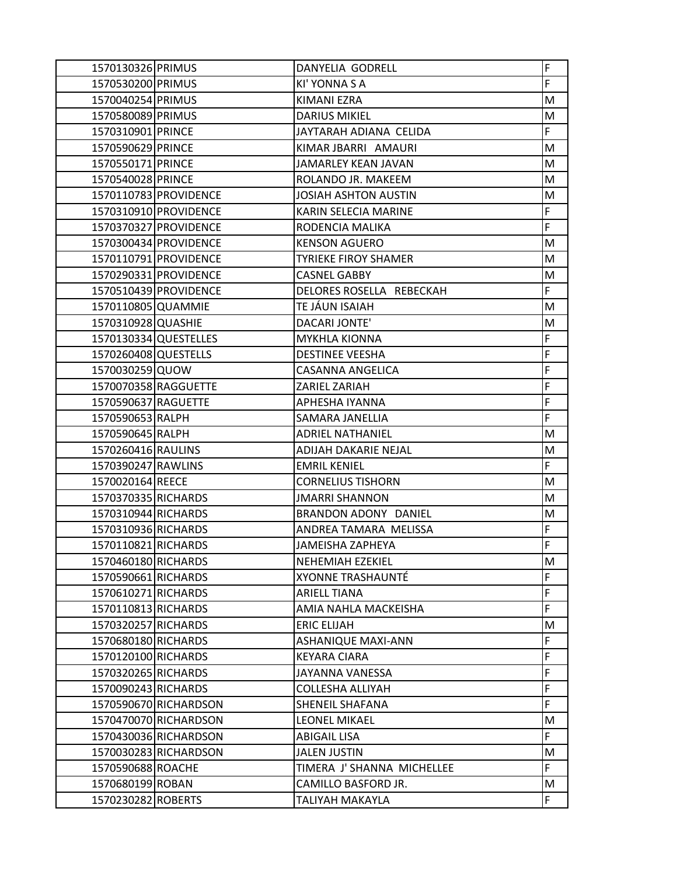| 1570130326 PRIMUS    |                       | DANYELIA GODRELL            | F           |
|----------------------|-----------------------|-----------------------------|-------------|
| 1570530200 PRIMUS    |                       | KI' YONNA S A               | $\mathsf F$ |
| 1570040254 PRIMUS    |                       | KIMANI EZRA                 | M           |
| 1570580089 PRIMUS    |                       | <b>DARIUS MIKIEL</b>        | M           |
| 1570310901 PRINCE    |                       | JAYTARAH ADIANA CELIDA      | F           |
| 1570590629 PRINCE    |                       | KIMAR JBARRI AMAURI         | M           |
| 1570550171 PRINCE    |                       | JAMARLEY KEAN JAVAN         | M           |
| 1570540028 PRINCE    |                       | ROLANDO JR. MAKEEM          | M           |
|                      | 1570110783 PROVIDENCE | <b>JOSIAH ASHTON AUSTIN</b> | M           |
|                      | 1570310910 PROVIDENCE | KARIN SELECIA MARINE        | $\mathsf F$ |
|                      | 1570370327 PROVIDENCE | RODENCIA MALIKA             | F           |
|                      | 1570300434 PROVIDENCE | <b>KENSON AGUERO</b>        | M           |
|                      | 1570110791 PROVIDENCE | <b>TYRIEKE FIROY SHAMER</b> | M           |
|                      | 1570290331 PROVIDENCE | <b>CASNEL GABBY</b>         | M           |
|                      | 1570510439 PROVIDENCE | DELORES ROSELLA REBECKAH    | F           |
| 1570110805 QUAMMIE   |                       | TE JÁUN ISAIAH              | M           |
| 1570310928 QUASHIE   |                       | DACARI JONTE'               | M           |
|                      | 1570130334 QUESTELLES | <b>MYKHLA KIONNA</b>        | $\mathsf F$ |
| 1570260408 QUESTELLS |                       | <b>DESTINEE VEESHA</b>      | $\mathsf F$ |
| 1570030259 QUOW      |                       | <b>CASANNA ANGELICA</b>     | F           |
|                      | 1570070358 RAGGUETTE  | ZARIEL ZARIAH               | $\mathsf F$ |
| 1570590637 RAGUETTE  |                       | APHESHA IYANNA              | $\mathsf F$ |
| 1570590653 RALPH     |                       | SAMARA JANELLIA             | $\mathsf F$ |
| 1570590645 RALPH     |                       | ADRIEL NATHANIEL            | M           |
| 1570260416 RAULINS   |                       | <b>ADIJAH DAKARIE NEJAL</b> | M           |
| 1570390247 RAWLINS   |                       | <b>EMRIL KENIEL</b>         | F           |
| 1570020164 REECE     |                       | <b>CORNELIUS TISHORN</b>    | M           |
| 1570370335 RICHARDS  |                       | <b>JMARRI SHANNON</b>       | M           |
| 1570310944 RICHARDS  |                       | BRANDON ADONY DANIEL        | M           |
| 1570310936 RICHARDS  |                       | ANDREA TAMARA MELISSA       | $\mathsf F$ |
| 1570110821 RICHARDS  |                       | JAMEISHA ZAPHEYA            | F           |
| 1570460180 RICHARDS  |                       | <b>NEHEMIAH EZEKIEL</b>     | M           |
| 1570590661 RICHARDS  |                       | XYONNE TRASHAUNTÉ           | $\mathsf F$ |
| 1570610271 RICHARDS  |                       | ARIELL TIANA                | $\mathsf F$ |
| 1570110813 RICHARDS  |                       | AMIA NAHLA MACKEISHA        | F           |
| 1570320257 RICHARDS  |                       | <b>ERIC ELIJAH</b>          | M           |
| 1570680180 RICHARDS  |                       | <b>ASHANIQUE MAXI-ANN</b>   | $\mathsf F$ |
| 1570120100 RICHARDS  |                       | <b>KEYARA CIARA</b>         | $\mathsf F$ |
| 1570320265 RICHARDS  |                       | JAYANNA VANESSA             | $\mathsf F$ |
| 1570090243 RICHARDS  |                       | COLLESHA ALLIYAH            | F           |
|                      | 1570590670 RICHARDSON | SHENEIL SHAFANA             | F           |
|                      | 1570470070 RICHARDSON | <b>LEONEL MIKAEL</b>        | M           |
|                      | 1570430036 RICHARDSON | <b>ABIGAIL LISA</b>         | $\mathsf F$ |
|                      | 1570030283 RICHARDSON | JALEN JUSTIN                | M           |
| 1570590688 ROACHE    |                       | TIMERA J' SHANNA MICHELLEE  | F           |
| 1570680199 ROBAN     |                       | CAMILLO BASFORD JR.         | M           |
| 1570230282 ROBERTS   |                       | TALIYAH MAKAYLA             | F           |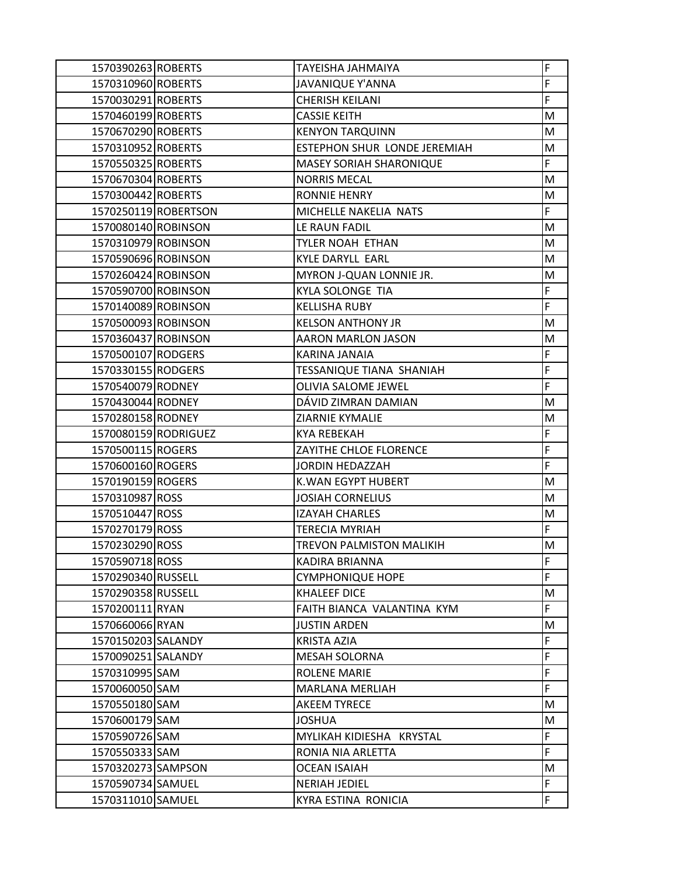| 1570390263 ROBERTS  |                      | TAYEISHA JAHMAIYA            | F  |
|---------------------|----------------------|------------------------------|----|
| 1570310960 ROBERTS  |                      | <b>JAVANIQUE Y'ANNA</b>      | F  |
| 1570030291 ROBERTS  |                      | CHERISH KEILANI              | F  |
| 1570460199 ROBERTS  |                      | <b>CASSIE KEITH</b>          | М  |
| 1570670290 ROBERTS  |                      | <b>KENYON TARQUINN</b>       | M  |
| 1570310952 ROBERTS  |                      | ESTEPHON SHUR LONDE JEREMIAH | M  |
| 1570550325 ROBERTS  |                      | MASEY SORIAH SHARONIQUE      | F  |
| 1570670304 ROBERTS  |                      | <b>NORRIS MECAL</b>          | M  |
| 1570300442 ROBERTS  |                      | <b>RONNIE HENRY</b>          | М  |
|                     | 1570250119 ROBERTSON | MICHELLE NAKELIA NATS        | F. |
| 1570080140 ROBINSON |                      | LE RAUN FADIL                | M  |
| 1570310979 ROBINSON |                      | TYLER NOAH ETHAN             | M  |
| 1570590696 ROBINSON |                      | <b>KYLE DARYLL EARL</b>      | M  |
| 1570260424 ROBINSON |                      | MYRON J-QUAN LONNIE JR.      | М  |
| 1570590700 ROBINSON |                      | KYLA SOLONGE TIA             | F  |
| 1570140089 ROBINSON |                      | <b>KELLISHA RUBY</b>         | F  |
| 1570500093 ROBINSON |                      | <b>KELSON ANTHONY JR</b>     | M  |
| 1570360437 ROBINSON |                      | <b>AARON MARLON JASON</b>    | M  |
| 1570500107 RODGERS  |                      | KARINA JANAIA                | F  |
| 1570330155 RODGERS  |                      | TESSANIQUE TIANA SHANIAH     | F  |
| 1570540079 RODNEY   |                      | OLIVIA SALOME JEWEL          | F  |
| 1570430044 RODNEY   |                      | DÁVID ZIMRAN DAMIAN          | M  |
| 1570280158 RODNEY   |                      | <b>ZIARNIE KYMALIE</b>       | M  |
|                     | 1570080159 RODRIGUEZ | <b>KYA REBEKAH</b>           | F  |
| 1570500115 ROGERS   |                      | ZAYITHE CHLOE FLORENCE       | F  |
| 1570600160 ROGERS   |                      | JORDIN HEDAZZAH              | F  |
| 1570190159 ROGERS   |                      | <b>K.WAN EGYPT HUBERT</b>    | M  |
| 1570310987 ROSS     |                      | <b>JOSIAH CORNELIUS</b>      | M  |
| 1570510447 ROSS     |                      | IZAYAH CHARLES               | М  |
| 1570270179 ROSS     |                      | <b>TERECIA MYRIAH</b>        | F. |
| 1570230290 ROSS     |                      | TREVON PALMISTON MALIKIH     | M  |
| 1570590718 ROSS     |                      | <b>KADIRA BRIANNA</b>        | F  |
| 1570290340 RUSSELL  |                      | <b>CYMPHONIQUE HOPE</b>      | F  |
| 1570290358 RUSSELL  |                      | <b>KHALEEF DICE</b>          | М  |
| 1570200111 RYAN     |                      | FAITH BIANCA VALANTINA KYM   | F. |
| 1570660066 RYAN     |                      | <b>JUSTIN ARDEN</b>          | M  |
| 1570150203 SALANDY  |                      | <b>KRISTA AZIA</b>           | F  |
| 1570090251 SALANDY  |                      | <b>MESAH SOLORNA</b>         | F  |
| 1570310995 SAM      |                      | <b>ROLENE MARIE</b>          | F  |
| 1570060050 SAM      |                      | <b>MARLANA MERLIAH</b>       | F. |
| 1570550180 SAM      |                      | <b>AKEEM TYRECE</b>          | M  |
| 1570600179 SAM      |                      | <b>JOSHUA</b>                | М  |
| 1570590726 SAM      |                      | MYLIKAH KIDIESHA KRYSTAL     | F  |
| 1570550333 SAM      |                      | RONIA NIA ARLETTA            | F  |
| 1570320273 SAMPSON  |                      | <b>OCEAN ISAIAH</b>          | M  |
| 1570590734 SAMUEL   |                      | <b>NERIAH JEDIEL</b>         | F  |
| 1570311010 SAMUEL   |                      | KYRA ESTINA RONICIA          | F  |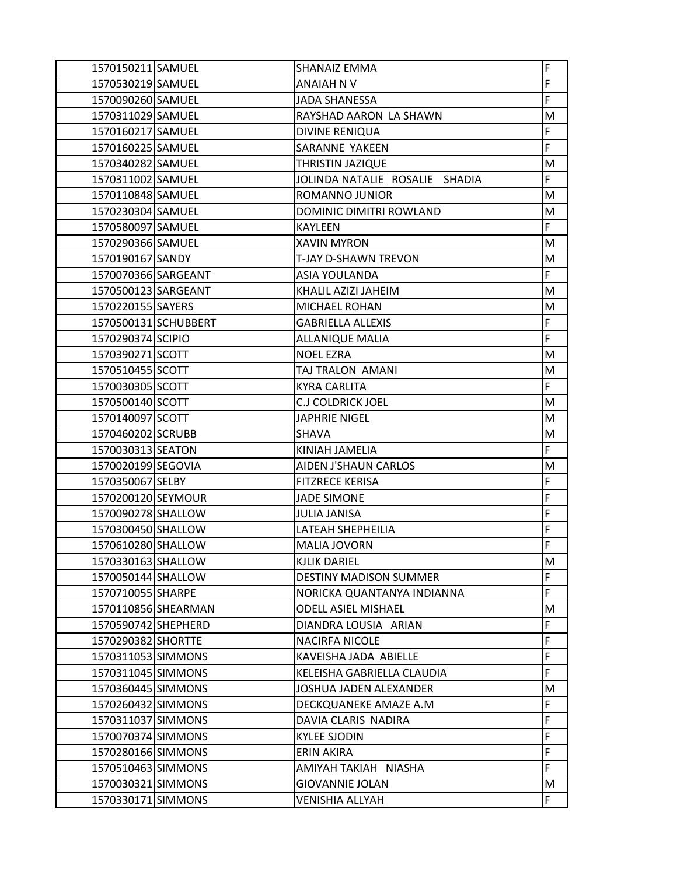| 1570150211 SAMUEL   |                      | <b>SHANAIZ EMMA</b>            | F              |
|---------------------|----------------------|--------------------------------|----------------|
| 1570530219 SAMUEL   |                      | ANAIAH N V                     | F              |
| 1570090260 SAMUEL   |                      | <b>JADA SHANESSA</b>           | F              |
| 1570311029 SAMUEL   |                      | RAYSHAD AARON LA SHAWN         | M              |
| 1570160217 SAMUEL   |                      | <b>DIVINE RENIQUA</b>          | F              |
| 1570160225 SAMUEL   |                      | SARANNE YAKEEN                 | $\overline{F}$ |
| 1570340282 SAMUEL   |                      | THRISTIN JAZIQUE               | M              |
| 1570311002 SAMUEL   |                      | JOLINDA NATALIE ROSALIE SHADIA | F              |
| 1570110848 SAMUEL   |                      | ROMANNO JUNIOR                 | M              |
| 1570230304 SAMUEL   |                      | DOMINIC DIMITRI ROWLAND        | M              |
| 1570580097 SAMUEL   |                      | KAYLEEN                        | F              |
| 1570290366 SAMUEL   |                      | <b>XAVIN MYRON</b>             | M              |
| 1570190167 SANDY    |                      | T-JAY D-SHAWN TREVON           | M              |
| 1570070366 SARGEANT |                      | ASIA YOULANDA                  | F              |
| 1570500123 SARGEANT |                      | KHALIL AZIZI JAHEIM            | М              |
| 1570220155 SAYERS   |                      | MICHAEL ROHAN                  | M              |
|                     | 1570500131 SCHUBBERT | <b>GABRIELLA ALLEXIS</b>       | F              |
| 1570290374 SCIPIO   |                      | <b>ALLANIQUE MALIA</b>         | F              |
| 1570390271 SCOTT    |                      | <b>NOEL EZRA</b>               | M              |
| 1570510455 SCOTT    |                      | TAJ TRALON AMANI               | M              |
| 1570030305 SCOTT    |                      | <b>KYRA CARLITA</b>            | F              |
| 1570500140 SCOTT    |                      | <b>C.J COLDRICK JOEL</b>       | M              |
| 1570140097 SCOTT    |                      | <b>JAPHRIE NIGEL</b>           | M              |
| 1570460202 SCRUBB   |                      | <b>SHAVA</b>                   | M              |
| 1570030313 SEATON   |                      | KINIAH JAMELIA                 | F              |
| 1570020199 SEGOVIA  |                      | AIDEN J'SHAUN CARLOS           | M              |
| 1570350067 SELBY    |                      | <b>FITZRECE KERISA</b>         | F              |
| 1570200120 SEYMOUR  |                      | <b>JADE SIMONE</b>             | F              |
| 1570090278 SHALLOW  |                      | <b>JULIA JANISA</b>            | F              |
| 1570300450 SHALLOW  |                      | LATEAH SHEPHEILIA              | F              |
| 1570610280 SHALLOW  |                      | <b>MALIA JOVORN</b>            | F              |
| 1570330163 SHALLOW  |                      | <b>KJLIK DARIEL</b>            | M              |
| 1570050144 SHALLOW  |                      | <b>DESTINY MADISON SUMMER</b>  | F              |
| 1570710055 SHARPE   |                      | NORICKA QUANTANYA INDIANNA     | F              |
| 1570110856 SHEARMAN |                      | <b>ODELL ASIEL MISHAEL</b>     | М              |
| 1570590742 SHEPHERD |                      | DIANDRA LOUSIA ARIAN           | F              |
| 1570290382 SHORTTE  |                      | <b>NACIRFA NICOLE</b>          | F              |
| 1570311053 SIMMONS  |                      | KAVEISHA JADA ABIELLE          | F              |
| 1570311045 SIMMONS  |                      | KELEISHA GABRIELLA CLAUDIA     | F              |
| 1570360445 SIMMONS  |                      | JOSHUA JADEN ALEXANDER         | М              |
| 1570260432 SIMMONS  |                      | DECKQUANEKE AMAZE A.M          | F              |
| 1570311037 SIMMONS  |                      | DAVIA CLARIS NADIRA            | F              |
| 1570070374 SIMMONS  |                      | <b>KYLEE SJODIN</b>            | F              |
| 1570280166 SIMMONS  |                      | ERIN AKIRA                     | F              |
| 1570510463 SIMMONS  |                      | AMIYAH TAKIAH NIASHA           | F              |
| 1570030321 SIMMONS  |                      | <b>GIOVANNIE JOLAN</b>         | M              |
| 1570330171 SIMMONS  |                      | VENISHIA ALLYAH                | F              |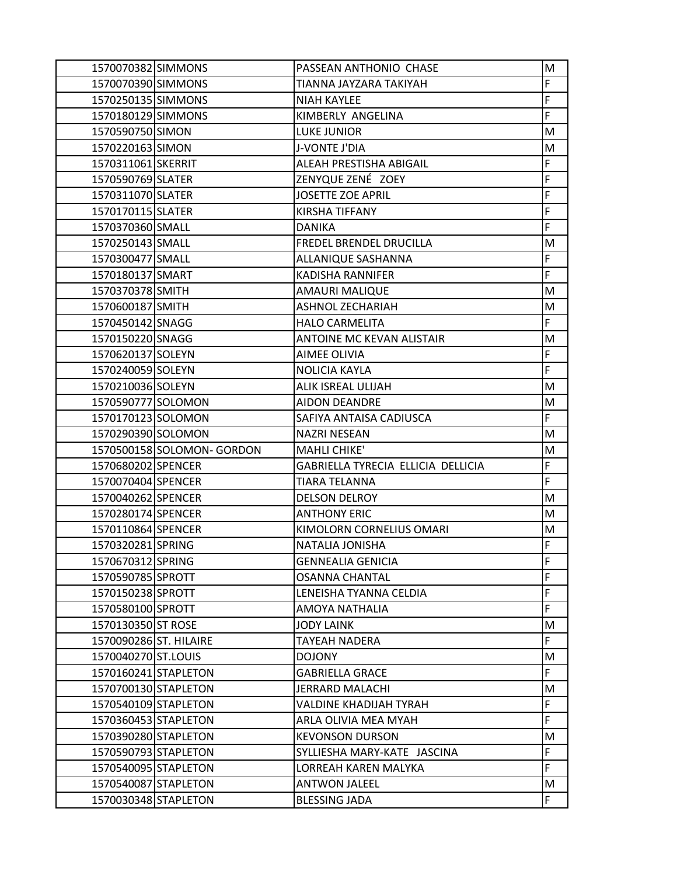|                        | 1570070382 SIMMONS                           | PASSEAN ANTHONIO CHASE                       | M       |
|------------------------|----------------------------------------------|----------------------------------------------|---------|
| 1570070390 SIMMONS     |                                              | TIANNA JAYZARA TAKIYAH                       | F       |
| 1570250135 SIMMONS     |                                              | <b>NIAH KAYLEE</b>                           | F       |
| 1570180129 SIMMONS     |                                              | KIMBERLY ANGELINA                            | F       |
| 1570590750 SIMON       |                                              | <b>LUKE JUNIOR</b>                           | M       |
| 1570220163 SIMON       |                                              | J-VONTE J'DIA                                | M       |
| 1570311061 SKERRIT     |                                              | ALEAH PRESTISHA ABIGAIL                      | F       |
| 1570590769 SLATER      |                                              | ZENYQUE ZENÉ ZOEY                            | F       |
| 1570311070 SLATER      |                                              | <b>JOSETTE ZOE APRIL</b>                     | F       |
| 1570170115 SLATER      |                                              | <b>KIRSHA TIFFANY</b>                        | F       |
| 1570370360 SMALL       |                                              | <b>DANIKA</b>                                | F       |
| 1570250143 SMALL       |                                              | FREDEL BRENDEL DRUCILLA                      | M       |
| 1570300477 SMALL       |                                              | ALLANIQUE SASHANNA                           | F       |
| 1570180137 SMART       |                                              | <b>KADISHA RANNIFER</b>                      | F       |
| 1570370378 SMITH       |                                              | <b>AMAURI MALIQUE</b>                        | M       |
| 1570600187 SMITH       |                                              | ASHNOL ZECHARIAH                             | M       |
| 1570450142 SNAGG       |                                              | <b>HALO CARMELITA</b>                        | F       |
| 1570150220 SNAGG       |                                              | <b>ANTOINE MC KEVAN ALISTAIR</b>             | M       |
| 1570620137 SOLEYN      |                                              | <b>AIMEE OLIVIA</b>                          | F       |
| 1570240059 SOLEYN      |                                              | NOLICIA KAYLA                                | F       |
| 1570210036 SOLEYN      |                                              | ALIK ISREAL ULIJAH                           | M       |
| 1570590777 SOLOMON     |                                              | <b>AIDON DEANDRE</b>                         | M       |
| 1570170123 SOLOMON     |                                              | SAFIYA ANTAISA CADIUSCA                      | F       |
| 1570290390 SOLOMON     |                                              | <b>NAZRI NESEAN</b>                          | M       |
|                        | 1570500158 SOLOMON- GORDON                   | MAHLI CHIKE'                                 | M       |
| 1570680202 SPENCER     |                                              | GABRIELLA TYRECIA ELLICIA DELLICIA           | F       |
| 1570070404 SPENCER     |                                              | <b>TIARA TELANNA</b>                         | F       |
|                        |                                              |                                              |         |
| 1570040262 SPENCER     |                                              | <b>DELSON DELROY</b>                         | M       |
| 1570280174 SPENCER     |                                              | <b>ANTHONY ERIC</b>                          | M       |
| 1570110864 SPENCER     |                                              | KIMOLORN CORNELIUS OMARI                     | M       |
| 1570320281 SPRING      |                                              | NATALIA JONISHA                              | F       |
| 1570670312 SPRING      |                                              | <b>GENNEALIA GENICIA</b>                     | F       |
| 1570590785 SPROTT      |                                              | <b>OSANNA CHANTAL</b>                        | F       |
| 1570150238 SPROTT      |                                              | LENEISHA TYANNA CELDIA                       | F       |
| 1570580100 SPROTT      |                                              | AMOYA NATHALIA                               | F       |
| 1570130350 ST ROSE     |                                              | <b>JODY LAINK</b>                            | M       |
| 1570090286 ST. HILAIRE |                                              | TAYEAH NADERA                                | F.      |
| 1570040270 ST.LOUIS    |                                              | <b>DOJONY</b>                                | M       |
| 1570160241 STAPLETON   |                                              | <b>GABRIELLA GRACE</b>                       | F       |
|                        | 1570700130 STAPLETON                         | <b>JERRARD MALACHI</b>                       | M       |
| 1570540109 STAPLETON   |                                              | VALDINE KHADIJAH TYRAH                       | F       |
|                        | 1570360453 STAPLETON                         | ARLA OLIVIA MEA MYAH                         | F       |
|                        | 1570390280 STAPLETON                         | <b>KEVONSON DURSON</b>                       | M       |
|                        | 1570590793 STAPLETON                         | SYLLIESHA MARY-KATE JASCINA                  | F       |
|                        | 1570540095 STAPLETON                         | LORREAH KAREN MALYKA                         | F       |
|                        | 1570540087 STAPLETON<br>1570030348 STAPLETON | <b>ANTWON JALEEL</b><br><b>BLESSING JADA</b> | M<br>F. |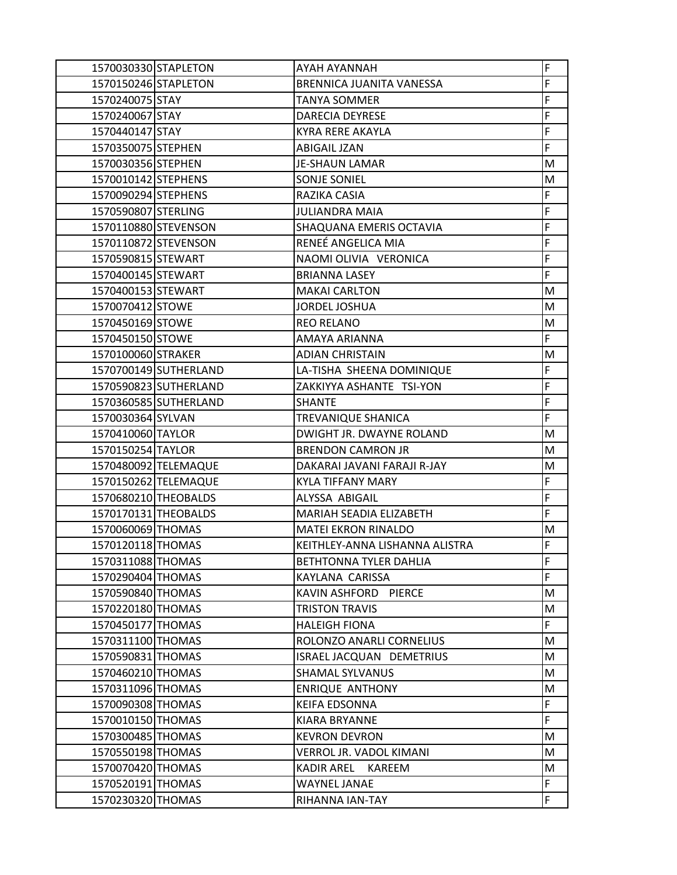| 1570030330 STAPLETON |                       | AYAH AYANNAH                       | F  |
|----------------------|-----------------------|------------------------------------|----|
| 1570150246 STAPLETON |                       | BRENNICA JUANITA VANESSA           | F  |
| 1570240075 STAY      |                       | TANYA SOMMER                       | F  |
| 1570240067 STAY      |                       | DARECIA DEYRESE                    | F  |
| 1570440147 STAY      |                       | <b>KYRA RERE AKAYLA</b>            | F  |
| 1570350075 STEPHEN   |                       | <b>ABIGAIL JZAN</b>                | F  |
| 1570030356 STEPHEN   |                       | <b>JE-SHAUN LAMAR</b>              | M  |
| 1570010142 STEPHENS  |                       | SONJE SONIEL                       | M  |
| 1570090294 STEPHENS  |                       | RAZIKA CASIA                       | F  |
| 1570590807 STERLING  |                       | <b>JULIANDRA MAIA</b>              | F  |
|                      | 1570110880 STEVENSON  | SHAQUANA EMERIS OCTAVIA            | F  |
|                      | 1570110872 STEVENSON  | RENEÉ ANGELICA MIA                 | F  |
| 1570590815 STEWART   |                       | NAOMI OLIVIA VERONICA              | F  |
| 1570400145 STEWART   |                       | <b>BRIANNA LASEY</b>               | F  |
| 1570400153 STEWART   |                       | <b>MAKAI CARLTON</b>               | M  |
| 1570070412 STOWE     |                       | JORDEL JOSHUA                      | M  |
| 1570450169 STOWE     |                       | <b>REO RELANO</b>                  | M  |
| 1570450150 STOWE     |                       | AMAYA ARIANNA                      | F  |
| 1570100060 STRAKER   |                       | <b>ADIAN CHRISTAIN</b>             | М  |
|                      | 1570700149 SUTHERLAND | LA-TISHA SHEENA DOMINIQUE          | F  |
|                      | 1570590823 SUTHERLAND | ZAKKIYYA ASHANTE TSI-YON           | F  |
|                      | 1570360585 SUTHERLAND | <b>SHANTE</b>                      | F  |
| 1570030364 SYLVAN    |                       | TREVANIQUE SHANICA                 | F  |
| 1570410060 TAYLOR    |                       | DWIGHT JR. DWAYNE ROLAND           | М  |
| 1570150254 TAYLOR    |                       | <b>BRENDON CAMRON JR</b>           | M  |
|                      | 1570480092 TELEMAQUE  | DAKARAI JAVANI FARAJI R-JAY        | M  |
|                      | 1570150262 TELEMAQUE  | KYLA TIFFANY MARY                  | F  |
|                      | 1570680210 THEOBALDS  | ALYSSA ABIGAIL                     | F  |
|                      | 1570170131 THEOBALDS  | <b>MARIAH SEADIA ELIZABETH</b>     | F  |
| 1570060069 THOMAS    |                       | <b>MATEI EKRON RINALDO</b>         | M  |
| 1570120118 THOMAS    |                       | KEITHLEY-ANNA LISHANNA ALISTRA     | F  |
| 1570311088 THOMAS    |                       | <b>BETHTONNA TYLER DAHLIA</b>      | F  |
| 1570290404 THOMAS    |                       | KAYLANA CARISSA                    | F  |
| 1570590840 THOMAS    |                       | KAVIN ASHFORD PIERCE               | M  |
| 1570220180 THOMAS    |                       | <b>TRISTON TRAVIS</b>              | M  |
| 1570450177 THOMAS    |                       | <b>HALEIGH FIONA</b>               | F  |
| 1570311100 THOMAS    |                       | ROLONZO ANARLI CORNELIUS           | M  |
| 1570590831 THOMAS    |                       | ISRAEL JACQUAN DEMETRIUS           | M  |
| 1570460210 THOMAS    |                       | <b>SHAMAL SYLVANUS</b>             | М  |
| 1570311096 THOMAS    |                       | <b>ENRIQUE ANTHONY</b>             | M  |
| 1570090308 THOMAS    |                       | <b>KEIFA EDSONNA</b>               | F  |
| 1570010150 THOMAS    |                       | KIARA BRYANNE                      | F. |
| 1570300485 THOMAS    |                       | <b>KEVRON DEVRON</b>               | M  |
| 1570550198 THOMAS    |                       | VERROL JR. VADOL KIMANI            | M  |
| 1570070420 THOMAS    |                       | <b>KADIR AREL</b><br><b>KAREEM</b> | M  |
| 1570520191 THOMAS    |                       | <b>WAYNEL JANAE</b>                | F  |
| 1570230320 THOMAS    |                       | RIHANNA IAN-TAY                    | F  |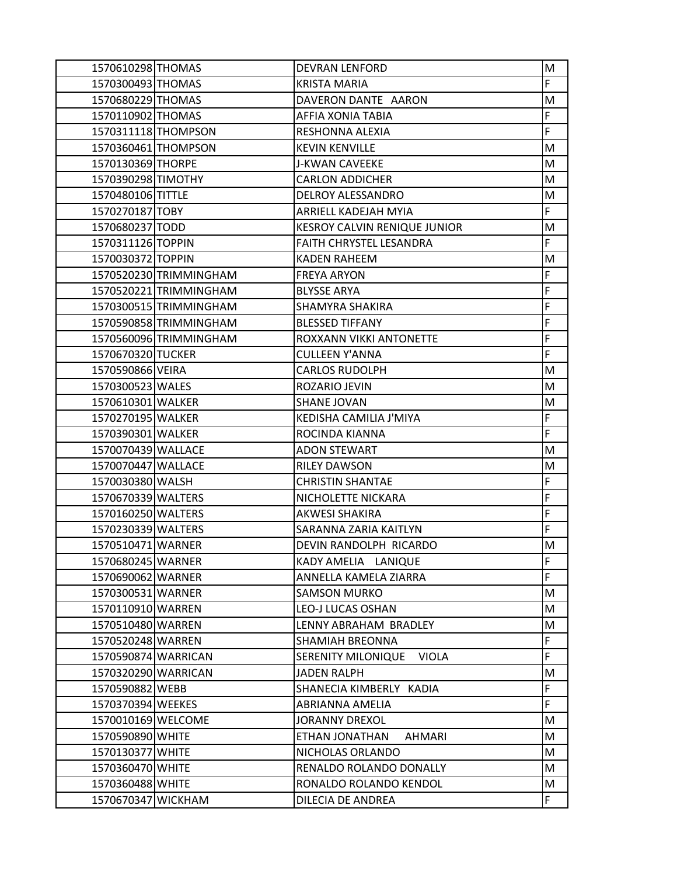| 1570610298 THOMAS   |                        | <b>DEVRAN LENFORD</b>               | M  |
|---------------------|------------------------|-------------------------------------|----|
| 1570300493 THOMAS   |                        | <b>KRISTA MARIA</b>                 | F. |
| 1570680229 THOMAS   |                        | DAVERON DANTE AARON                 | M  |
| 1570110902 THOMAS   |                        | AFFIA XONIA TABIA                   | F  |
|                     | 1570311118 THOMPSON    | RESHONNA ALEXIA                     | F  |
|                     | 1570360461 THOMPSON    | <b>KEVIN KENVILLE</b>               | M  |
| 1570130369 THORPE   |                        | J-KWAN CAVEEKE                      | M  |
| 1570390298 TIMOTHY  |                        | <b>CARLON ADDICHER</b>              | M  |
| 1570480106 TITTLE   |                        | <b>DELROY ALESSANDRO</b>            | M  |
| 1570270187 TOBY     |                        | <b>ARRIELL KADEJAH MYIA</b>         | F  |
| 1570680237 TODD     |                        | <b>KESROY CALVIN RENIQUE JUNIOR</b> | M  |
| 1570311126 TOPPIN   |                        | FAITH CHRYSTEL LESANDRA             | F. |
| 1570030372 TOPPIN   |                        | <b>KADEN RAHEEM</b>                 | M  |
|                     | 1570520230 TRIMMINGHAM | <b>FREYA ARYON</b>                  | F  |
|                     | 1570520221 TRIMMINGHAM | <b>BLYSSE ARYA</b>                  | F  |
|                     | 1570300515 TRIMMINGHAM | SHAMYRA SHAKIRA                     | F  |
|                     | 1570590858 TRIMMINGHAM | <b>BLESSED TIFFANY</b>              | F  |
|                     | 1570560096 TRIMMINGHAM | ROXXANN VIKKI ANTONETTE             | F  |
| 1570670320 TUCKER   |                        | <b>CULLEEN Y'ANNA</b>               | F  |
| 1570590866 VEIRA    |                        | <b>CARLOS RUDOLPH</b>               | М  |
| 1570300523 WALES    |                        | ROZARIO JEVIN                       | M  |
| 1570610301 WALKER   |                        | <b>SHANE JOVAN</b>                  | M  |
| 1570270195 WALKER   |                        | KEDISHA CAMILIA J'MIYA              | F  |
| 1570390301 WALKER   |                        | ROCINDA KIANNA                      | F  |
| 1570070439 WALLACE  |                        | <b>ADON STEWART</b>                 | М  |
| 1570070447 WALLACE  |                        | <b>RILEY DAWSON</b>                 | M  |
| 1570030380 WALSH    |                        | <b>CHRISTIN SHANTAE</b>             | F  |
| 1570670339 WALTERS  |                        | NICHOLETTE NICKARA                  | F  |
| 1570160250 WALTERS  |                        | AKWESI SHAKIRA                      | F  |
| 1570230339 WALTERS  |                        | SARANNA ZARIA KAITLYN               | F  |
| 1570510471 WARNER   |                        | DEVIN RANDOLPH RICARDO              | M  |
| 1570680245 WARNER   |                        | KADY AMELIA LANIQUE                 | F  |
| 1570690062 WARNER   |                        | ANNELLA KAMELA ZIARRA               | F  |
| 1570300531 WARNER   |                        | <b>SAMSON MURKO</b>                 | M  |
| 1570110910 WARREN   |                        | <b>LEO-J LUCAS OSHAN</b>            | м  |
| 1570510480 WARREN   |                        | LENNY ABRAHAM BRADLEY               | M  |
| 1570520248 WARREN   |                        | SHAMIAH BREONNA                     | F  |
| 1570590874 WARRICAN |                        | SERENITY MILONIQUE<br><b>VIOLA</b>  | F. |
| 1570320290 WARRICAN |                        | <b>JADEN RALPH</b>                  | М  |
| 1570590882 WEBB     |                        | SHANECIA KIMBERLY KADIA             | F  |
| 1570370394 WEEKES   |                        | ABRIANNA AMELIA                     | F  |
| 1570010169 WELCOME  |                        | <b>JORANNY DREXOL</b>               | M  |
| 1570590890 WHITE    |                        | ETHAN JONATHAN<br><b>AHMARI</b>     | М  |
| 1570130377 WHITE    |                        | NICHOLAS ORLANDO                    | M  |
| 1570360470 WHITE    |                        | RENALDO ROLANDO DONALLY             | м  |
| 1570360488 WHITE    |                        | RONALDO ROLANDO KENDOL              | M  |
| 1570670347 WICKHAM  |                        | DILECIA DE ANDREA                   | F. |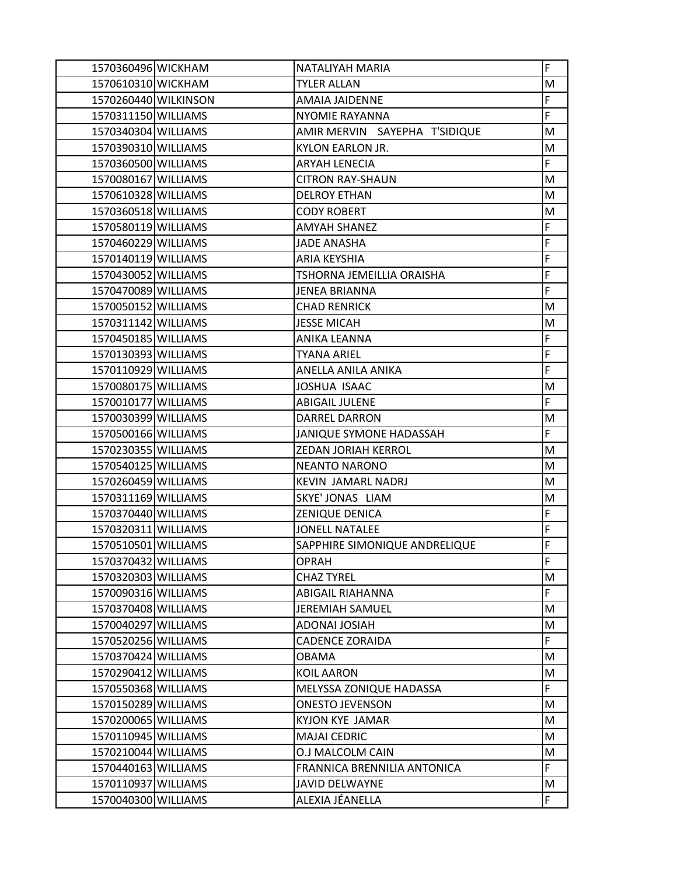| 1570360496 WICKHAM   | NATALIYAH MARIA               | F           |
|----------------------|-------------------------------|-------------|
| 1570610310 WICKHAM   | <b>TYLER ALLAN</b>            | M           |
| 1570260440 WILKINSON | <b>AMAIA JAIDENNE</b>         | F           |
| 1570311150 WILLIAMS  | NYOMIE RAYANNA                | F           |
| 1570340304 WILLIAMS  | AMIR MERVIN SAYEPHA T'SIDIQUE | M           |
| 1570390310 WILLIAMS  | KYLON EARLON JR.              | M           |
| 1570360500 WILLIAMS  | <b>ARYAH LENECIA</b>          | F           |
| 1570080167 WILLIAMS  | <b>CITRON RAY-SHAUN</b>       | M           |
| 1570610328 WILLIAMS  | <b>DELROY ETHAN</b>           | M           |
| 1570360518 WILLIAMS  | <b>CODY ROBERT</b>            | M           |
| 1570580119 WILLIAMS  | <b>AMYAH SHANEZ</b>           | F           |
| 1570460229 WILLIAMS  | <b>JADE ANASHA</b>            | F           |
| 1570140119 WILLIAMS  | <b>ARIA KEYSHIA</b>           | F           |
| 1570430052 WILLIAMS  | TSHORNA JEMEILLIA ORAISHA     | F           |
| 1570470089 WILLIAMS  | <b>JENEA BRIANNA</b>          | F           |
| 1570050152 WILLIAMS  | <b>CHAD RENRICK</b>           | M           |
| 1570311142 WILLIAMS  | <b>JESSE MICAH</b>            | M           |
| 1570450185 WILLIAMS  | ANIKA LEANNA                  | F           |
| 1570130393 WILLIAMS  | <b>TYANA ARIEL</b>            | F           |
| 1570110929 WILLIAMS  | ANELLA ANILA ANIKA            | F           |
| 1570080175 WILLIAMS  | JOSHUA ISAAC                  | M           |
| 1570010177 WILLIAMS  | <b>ABIGAIL JULENE</b>         | F           |
| 1570030399 WILLIAMS  | <b>DARREL DARRON</b>          | M           |
| 1570500166 WILLIAMS  | JANIQUE SYMONE HADASSAH       | F           |
| 1570230355 WILLIAMS  | ZEDAN JORIAH KERROL           | M           |
| 1570540125 WILLIAMS  | <b>NEANTO NARONO</b>          | M           |
| 1570260459 WILLIAMS  | KEVIN JAMARL NADRJ            | M           |
| 1570311169 WILLIAMS  | SKYE' JONAS LIAM              | M           |
| 1570370440 WILLIAMS  | ZENIQUE DENICA                | F           |
| 1570320311 WILLIAMS  | <b>JONELL NATALEE</b>         | F           |
| 1570510501 WILLIAMS  | SAPPHIRE SIMONIQUE ANDRELIQUE | F           |
| 1570370432 WILLIAMS  | <b>OPRAH</b>                  | $\mathsf F$ |
| 1570320303 WILLIAMS  | <b>CHAZ TYREL</b>             | M           |
| 1570090316 WILLIAMS  | <b>ABIGAIL RIAHANNA</b>       | F           |
| 1570370408 WILLIAMS  | <b>JEREMIAH SAMUEL</b>        | M           |
| 1570040297 WILLIAMS  | <b>ADONAI JOSIAH</b>          | M           |
| 1570520256 WILLIAMS  | <b>CADENCE ZORAIDA</b>        | F.          |
| 1570370424 WILLIAMS  | <b>OBAMA</b>                  | M           |
| 1570290412 WILLIAMS  | <b>KOIL AARON</b>             | M           |
| 1570550368 WILLIAMS  | MELYSSA ZONIQUE HADASSA       | F           |
| 1570150289 WILLIAMS  | <b>ONESTO JEVENSON</b>        | M           |
| 1570200065 WILLIAMS  | <b>KYJON KYE JAMAR</b>        | M           |
| 1570110945 WILLIAMS  | <b>MAJAI CEDRIC</b>           | M           |
| 1570210044 WILLIAMS  | O.J MALCOLM CAIN              | M           |
| 1570440163 WILLIAMS  | FRANNICA BRENNILIA ANTONICA   | F           |
| 1570110937 WILLIAMS  | <b>JAVID DELWAYNE</b>         | M           |
| 1570040300 WILLIAMS  | ALEXIA JÉANELLA               | F           |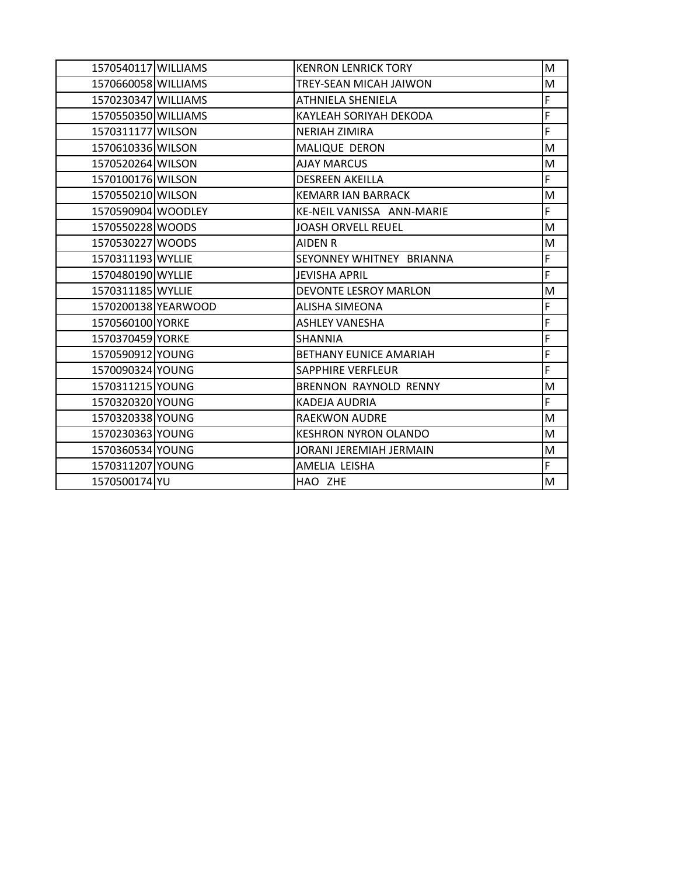| 1570540117 WILLIAMS |                     | <b>KENRON LENRICK TORY</b>    | M  |
|---------------------|---------------------|-------------------------------|----|
| 1570660058 WILLIAMS |                     | <b>TREY-SEAN MICAH JAIWON</b> | M  |
| 1570230347 WILLIAMS |                     | ATHNIELA SHENIELA             | F  |
| 1570550350 WILLIAMS |                     | KAYLEAH SORIYAH DEKODA        | F  |
| 1570311177 WILSON   |                     | <b>NERIAH ZIMIRA</b>          | F  |
| 1570610336 WILSON   |                     | <b>MALIQUE DERON</b>          | M  |
| 1570520264 WILSON   |                     | <b>AJAY MARCUS</b>            | M  |
| 1570100176 WILSON   |                     | <b>DESREEN AKEILLA</b>        | F  |
| 1570550210 WILSON   |                     | <b>KEMARR IAN BARRACK</b>     | M  |
| 1570590904 WOODLEY  |                     | KE-NEIL VANISSA ANN-MARIE     | F. |
| 1570550228 WOODS    |                     | <b>JOASH ORVELL REUEL</b>     | M  |
| 1570530227 WOODS    |                     | <b>AIDEN R</b>                | M  |
| 1570311193 WYLLIE   |                     | SEYONNEY WHITNEY BRIANNA      | F  |
| 1570480190 WYLLIE   |                     | <b>JEVISHA APRIL</b>          | F. |
| 1570311185 WYLLIE   |                     | DEVONTE LESROY MARLON         | M  |
|                     | 1570200138 YEARWOOD | ALISHA SIMEONA                | F  |
| 1570560100 YORKE    |                     | <b>ASHLEY VANESHA</b>         | F  |
| 1570370459 YORKE    |                     | <b>SHANNIA</b>                | F  |
| 1570590912 YOUNG    |                     | <b>BETHANY EUNICE AMARIAH</b> | F  |
| 1570090324 YOUNG    |                     | <b>SAPPHIRE VERFLEUR</b>      | F  |
| 1570311215 YOUNG    |                     | <b>BRENNON RAYNOLD RENNY</b>  | M  |
| 1570320320 YOUNG    |                     | <b>KADEJA AUDRIA</b>          | F. |
| 1570320338 YOUNG    |                     | RAEKWON AUDRE                 | М  |
| 1570230363 YOUNG    |                     | <b>KESHRON NYRON OLANDO</b>   | M  |
| 1570360534 YOUNG    |                     | JORANI JEREMIAH JERMAIN       | M  |
| 1570311207 YOUNG    |                     | AMELIA LEISHA                 | F  |
| 1570500174 YU       |                     | HAO ZHE                       | M  |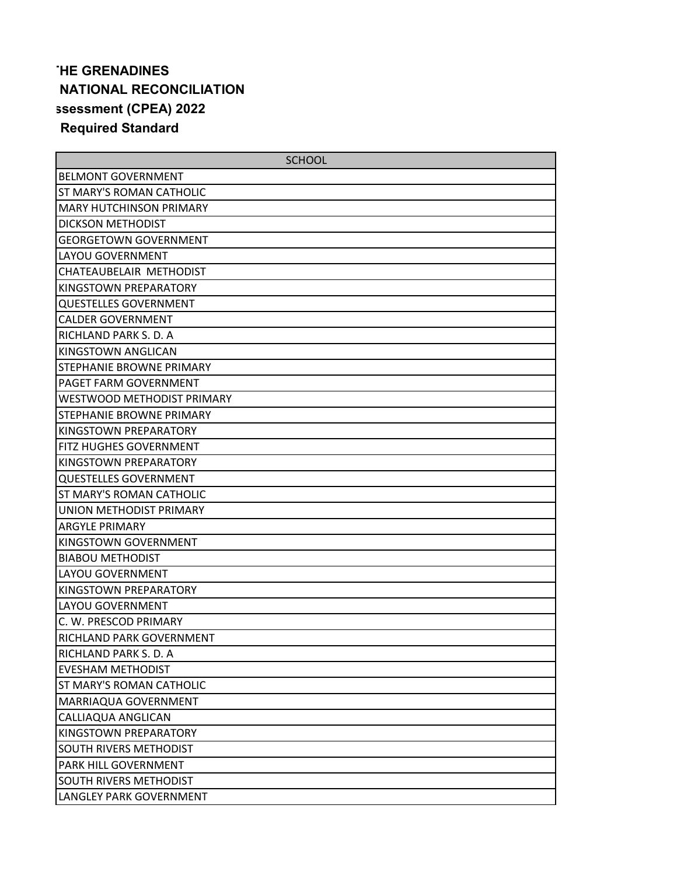## **THE GRENADINES NATIONAL RECONCILIATION ssessment (CPEA) 2022 Required Standard**

| <b>SCHOOL</b>                   |
|---------------------------------|
| <b>BELMONT GOVERNMENT</b>       |
| ST MARY'S ROMAN CATHOLIC        |
| <b>MARY HUTCHINSON PRIMARY</b>  |
| <b>DICKSON METHODIST</b>        |
| <b>GEORGETOWN GOVERNMENT</b>    |
| LAYOU GOVERNMENT                |
| CHATEAUBELAIR METHODIST         |
| KINGSTOWN PREPARATORY           |
| <b>QUESTELLES GOVERNMENT</b>    |
| <b>CALDER GOVERNMENT</b>        |
| RICHLAND PARK S. D. A           |
| KINGSTOWN ANGLICAN              |
| <b>STEPHANIE BROWNE PRIMARY</b> |
| PAGET FARM GOVERNMENT           |
| WESTWOOD METHODIST PRIMARY      |
| STEPHANIE BROWNE PRIMARY        |
| KINGSTOWN PREPARATORY           |
| FITZ HUGHES GOVERNMENT          |
| KINGSTOWN PREPARATORY           |
| <b>QUESTELLES GOVERNMENT</b>    |
| <b>ST MARY'S ROMAN CATHOLIC</b> |
| UNION METHODIST PRIMARY         |
| <b>ARGYLE PRIMARY</b>           |
| KINGSTOWN GOVERNMENT            |
| <b>BIABOU METHODIST</b>         |
| LAYOU GOVERNMENT                |
| KINGSTOWN PREPARATORY           |
| LAYOU GOVERNMENT                |
| C. W. PRESCOD PRIMARY           |
| RICHLAND PARK GOVERNMENT        |
| RICHLAND PARK S. D. A           |
| <b>EVESHAM METHODIST</b>        |
| ST MARY'S ROMAN CATHOLIC        |
| MARRIAQUA GOVERNMENT            |
| CALLIAQUA ANGLICAN              |
| KINGSTOWN PREPARATORY           |
| SOUTH RIVERS METHODIST          |
| PARK HILL GOVERNMENT            |
| SOUTH RIVERS METHODIST          |
| LANGLEY PARK GOVERNMENT         |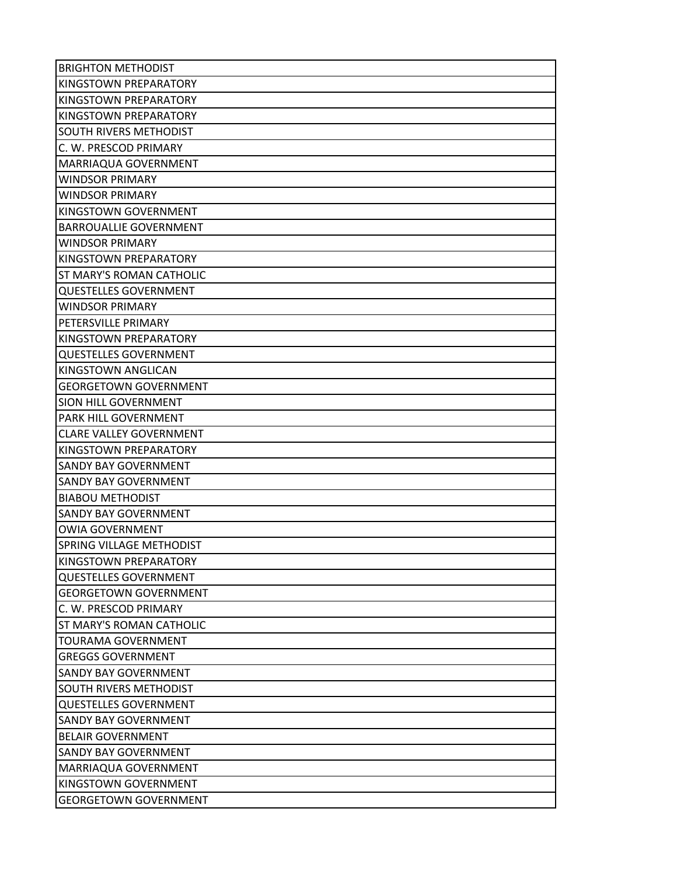| <b>BRIGHTON METHODIST</b>      |
|--------------------------------|
| KINGSTOWN PREPARATORY          |
| KINGSTOWN PREPARATORY          |
| KINGSTOWN PREPARATORY          |
| SOUTH RIVERS METHODIST         |
| C. W. PRESCOD PRIMARY          |
| MARRIAQUA GOVERNMENT           |
| <b>WINDSOR PRIMARY</b>         |
| <b>WINDSOR PRIMARY</b>         |
| KINGSTOWN GOVERNMENT           |
| <b>BARROUALLIE GOVERNMENT</b>  |
| <b>WINDSOR PRIMARY</b>         |
| KINGSTOWN PREPARATORY          |
| ST MARY'S ROMAN CATHOLIC       |
| <b>QUESTELLES GOVERNMENT</b>   |
| <b>WINDSOR PRIMARY</b>         |
| PETERSVILLE PRIMARY            |
| KINGSTOWN PREPARATORY          |
| <b>QUESTELLES GOVERNMENT</b>   |
| KINGSTOWN ANGLICAN             |
| <b>GEORGETOWN GOVERNMENT</b>   |
| SION HILL GOVERNMENT           |
| PARK HILL GOVERNMENT           |
| <b>CLARE VALLEY GOVERNMENT</b> |
| KINGSTOWN PREPARATORY          |
| <b>SANDY BAY GOVERNMENT</b>    |
| <b>SANDY BAY GOVERNMENT</b>    |
| <b>BIABOU METHODIST</b>        |
| <b>SANDY BAY GOVERNMENT</b>    |
| <b>OWIA GOVERNMENT</b>         |
| SPRING VILLAGE METHODIST       |
| KINGSTOWN PREPARATORY          |
| <b>QUESTELLES GOVERNMENT</b>   |
| <b>GEORGETOWN GOVERNMENT</b>   |
| C. W. PRESCOD PRIMARY          |
| ST MARY'S ROMAN CATHOLIC       |
| TOURAMA GOVERNMENT             |
| <b>GREGGS GOVERNMENT</b>       |
| <b>SANDY BAY GOVERNMENT</b>    |
| <b>SOUTH RIVERS METHODIST</b>  |
| <b>QUESTELLES GOVERNMENT</b>   |
| SANDY BAY GOVERNMENT           |
| <b>BELAIR GOVERNMENT</b>       |
| SANDY BAY GOVERNMENT           |
| MARRIAQUA GOVERNMENT           |
| KINGSTOWN GOVERNMENT           |
| <b>GEORGETOWN GOVERNMENT</b>   |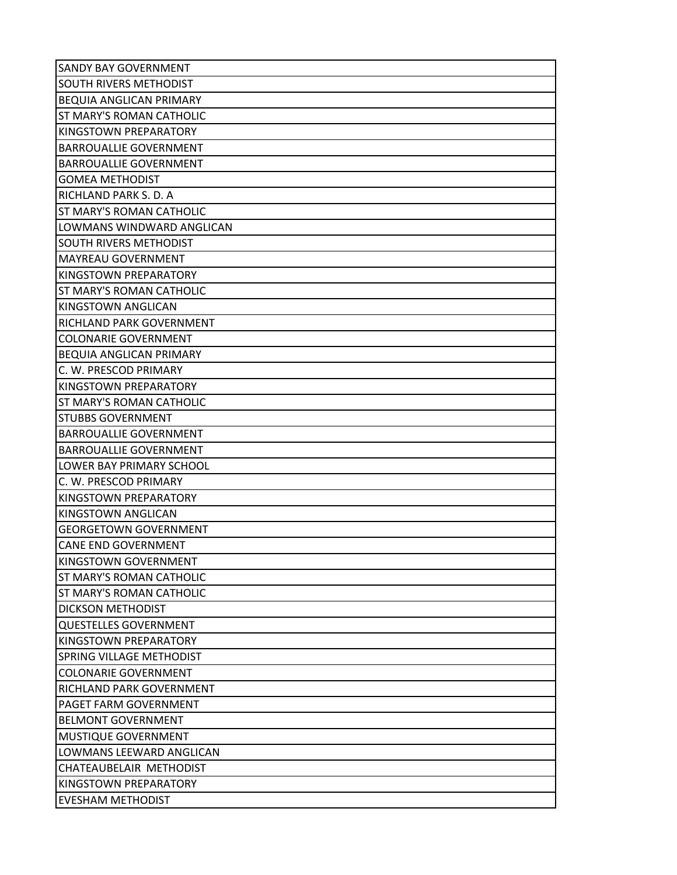| <b>SANDY BAY GOVERNMENT</b>     |
|---------------------------------|
| SOUTH RIVERS METHODIST          |
| <b>BEQUIA ANGLICAN PRIMARY</b>  |
| ST MARY'S ROMAN CATHOLIC        |
| KINGSTOWN PREPARATORY           |
| <b>BARROUALLIE GOVERNMENT</b>   |
| <b>BARROUALLIE GOVERNMENT</b>   |
| <b>GOMEA METHODIST</b>          |
| RICHLAND PARK S. D. A           |
| ST MARY'S ROMAN CATHOLIC        |
| LOWMANS WINDWARD ANGLICAN       |
| SOUTH RIVERS METHODIST          |
| <b>MAYREAU GOVERNMENT</b>       |
| KINGSTOWN PREPARATORY           |
| ST MARY'S ROMAN CATHOLIC        |
| KINGSTOWN ANGLICAN              |
| RICHLAND PARK GOVERNMENT        |
| <b>COLONARIE GOVERNMENT</b>     |
| <b>BEQUIA ANGLICAN PRIMARY</b>  |
| C. W. PRESCOD PRIMARY           |
| KINGSTOWN PREPARATORY           |
| ST MARY'S ROMAN CATHOLIC        |
| <b>STUBBS GOVERNMENT</b>        |
| <b>BARROUALLIE GOVERNMENT</b>   |
| <b>BARROUALLIE GOVERNMENT</b>   |
| LOWER BAY PRIMARY SCHOOL        |
| C. W. PRESCOD PRIMARY           |
| KINGSTOWN PREPARATORY           |
| KINGSTOWN ANGLICAN              |
| <b>GEORGETOWN GOVERNMENT</b>    |
| <b>CANE END GOVERNMENT</b>      |
| KINGSTOWN GOVERNMENT            |
| ST MARY'S ROMAN CATHOLIC        |
| <b>ST MARY'S ROMAN CATHOLIC</b> |
| <b>DICKSON METHODIST</b>        |
| <b>QUESTELLES GOVERNMENT</b>    |
| KINGSTOWN PREPARATORY           |
| SPRING VILLAGE METHODIST        |
| <b>COLONARIE GOVERNMENT</b>     |
| RICHLAND PARK GOVERNMENT        |
| PAGET FARM GOVERNMENT           |
| <b>BELMONT GOVERNMENT</b>       |
| MUSTIQUE GOVERNMENT             |
| LOWMANS LEEWARD ANGLICAN        |
| CHATEAUBELAIR METHODIST         |
| KINGSTOWN PREPARATORY           |
| <b>EVESHAM METHODIST</b>        |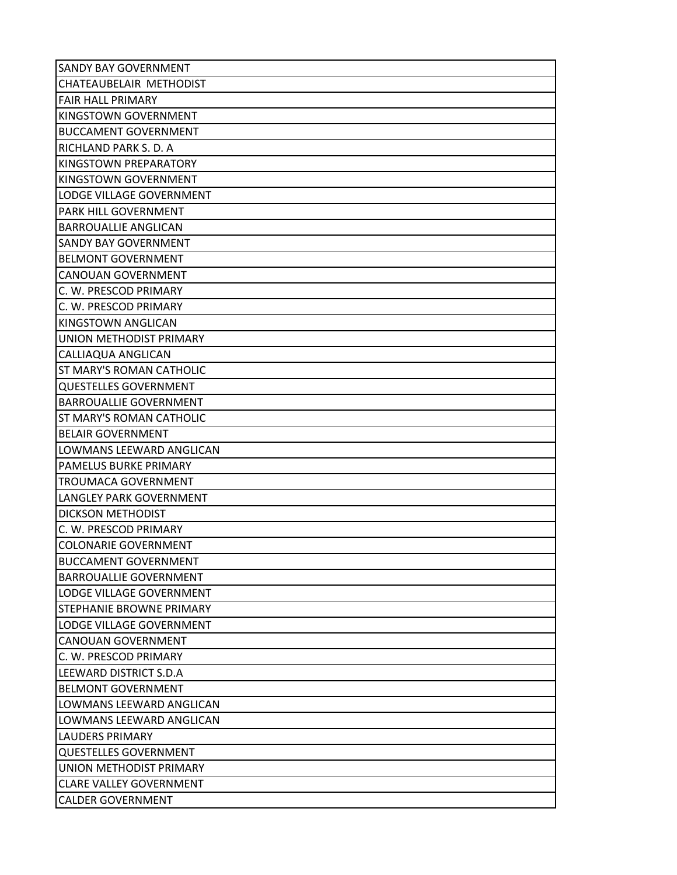| <b>SANDY BAY GOVERNMENT</b>     |
|---------------------------------|
| CHATEAUBELAIR METHODIST         |
| <b>FAIR HALL PRIMARY</b>        |
| KINGSTOWN GOVERNMENT            |
| <b>BUCCAMENT GOVERNMENT</b>     |
| RICHLAND PARK S. D. A           |
| KINGSTOWN PREPARATORY           |
| KINGSTOWN GOVERNMENT            |
| LODGE VILLAGE GOVERNMENT        |
| PARK HILL GOVERNMENT            |
| <b>BARROUALLIE ANGLICAN</b>     |
| <b>SANDY BAY GOVERNMENT</b>     |
| <b>BELMONT GOVERNMENT</b>       |
| <b>CANOUAN GOVERNMENT</b>       |
| C. W. PRESCOD PRIMARY           |
| C. W. PRESCOD PRIMARY           |
| KINGSTOWN ANGLICAN              |
| UNION METHODIST PRIMARY         |
| CALLIAQUA ANGLICAN              |
| ST MARY'S ROMAN CATHOLIC        |
| <b>QUESTELLES GOVERNMENT</b>    |
| <b>BARROUALLIE GOVERNMENT</b>   |
| ST MARY'S ROMAN CATHOLIC        |
| <b>BELAIR GOVERNMENT</b>        |
| LOWMANS LEEWARD ANGLICAN        |
| PAMELUS BURKE PRIMARY           |
| <b>TROUMACA GOVERNMENT</b>      |
| <b>LANGLEY PARK GOVERNMENT</b>  |
| <b>DICKSON METHODIST</b>        |
| C. W. PRESCOD PRIMARY           |
| <b>COLONARIE GOVERNMENT</b>     |
| <b>BUCCAMENT GOVERNMENT</b>     |
| <b>BARROUALLIE GOVERNMENT</b>   |
| LODGE VILLAGE GOVERNMENT        |
| <b>STEPHANIE BROWNE PRIMARY</b> |
| <b>LODGE VILLAGE GOVERNMENT</b> |
| CANOUAN GOVERNMENT              |
| C. W. PRESCOD PRIMARY           |
| ILEEWARD DISTRICT S.D.A         |
| <b>BELMONT GOVERNMENT</b>       |
| LOWMANS LEEWARD ANGLICAN        |
| LOWMANS LEEWARD ANGLICAN        |
| <b>LAUDERS PRIMARY</b>          |
| <b>QUESTELLES GOVERNMENT</b>    |
| UNION METHODIST PRIMARY         |
| <b>CLARE VALLEY GOVERNMENT</b>  |
| <b>CALDER GOVERNMENT</b>        |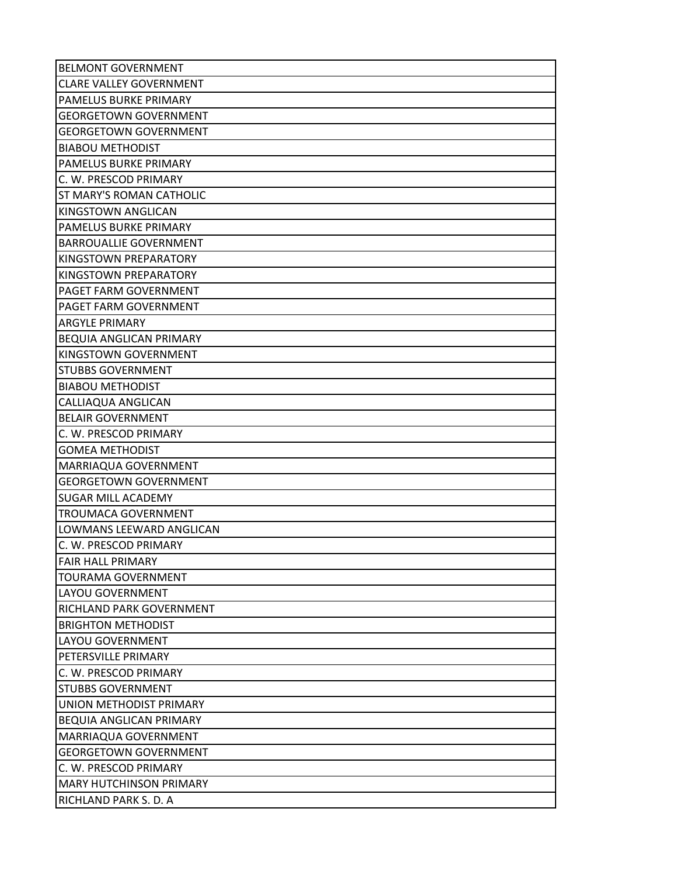| <b>BELMONT GOVERNMENT</b>       |
|---------------------------------|
| <b>CLARE VALLEY GOVERNMENT</b>  |
| <b>PAMELUS BURKE PRIMARY</b>    |
| <b>GEORGETOWN GOVERNMENT</b>    |
| <b>GEORGETOWN GOVERNMENT</b>    |
| <b>BIABOU METHODIST</b>         |
| PAMELUS BURKE PRIMARY           |
| C. W. PRESCOD PRIMARY           |
| <b>ST MARY'S ROMAN CATHOLIC</b> |
| KINGSTOWN ANGLICAN              |
| PAMELUS BURKE PRIMARY           |
| <b>BARROUALLIE GOVERNMENT</b>   |
| KINGSTOWN PREPARATORY           |
| KINGSTOWN PREPARATORY           |
| PAGET FARM GOVERNMENT           |
| PAGET FARM GOVERNMENT           |
| <b>ARGYLE PRIMARY</b>           |
| <b>BEQUIA ANGLICAN PRIMARY</b>  |
| KINGSTOWN GOVERNMENT            |
| <b>STUBBS GOVERNMENT</b>        |
| <b>BIABOU METHODIST</b>         |
| CALLIAQUA ANGLICAN              |
| <b>BELAIR GOVERNMENT</b>        |
| C. W. PRESCOD PRIMARY           |
| <b>GOMEA METHODIST</b>          |
| MARRIAQUA GOVERNMENT            |
| <b>GEORGETOWN GOVERNMENT</b>    |
| <b>SUGAR MILL ACADEMY</b>       |
| <b>TROUMACA GOVERNMENT</b>      |
| LOWMANS LEEWARD ANGLICAN        |
| C. W. PRESCOD PRIMARY           |
| <b>FAIR HALL PRIMARY</b>        |
| <b>TOURAMA GOVERNMENT</b>       |
| <b>LAYOU GOVERNMENT</b>         |
| <b>RICHLAND PARK GOVERNMENT</b> |
| <b>BRIGHTON METHODIST</b>       |
| LAYOU GOVERNMENT                |
| PETERSVILLE PRIMARY             |
| C. W. PRESCOD PRIMARY           |
| <b>STUBBS GOVERNMENT</b>        |
| UNION METHODIST PRIMARY         |
| <b>BEQUIA ANGLICAN PRIMARY</b>  |
| MARRIAQUA GOVERNMENT            |
| <b>GEORGETOWN GOVERNMENT</b>    |
| C. W. PRESCOD PRIMARY           |
| <b>MARY HUTCHINSON PRIMARY</b>  |
| RICHLAND PARK S. D. A           |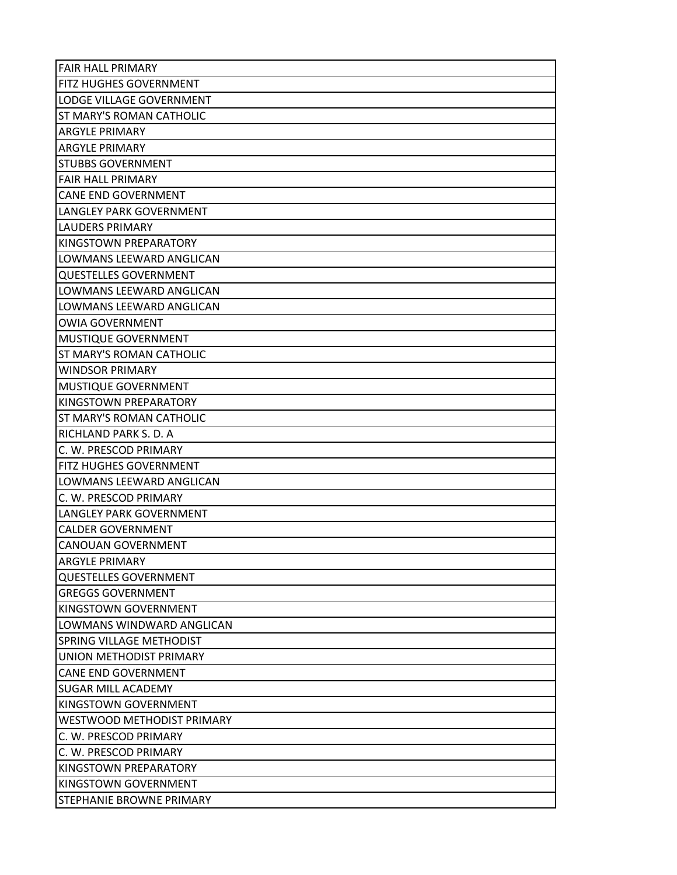| <b>FAIR HALL PRIMARY</b>       |
|--------------------------------|
| FITZ HUGHES GOVERNMENT         |
| LODGE VILLAGE GOVERNMENT       |
| ST MARY'S ROMAN CATHOLIC       |
| <b>ARGYLE PRIMARY</b>          |
| <b>ARGYLE PRIMARY</b>          |
| <b>STUBBS GOVERNMENT</b>       |
| <b>FAIR HALL PRIMARY</b>       |
| <b>CANE END GOVERNMENT</b>     |
| LANGLEY PARK GOVERNMENT        |
| <b>LAUDERS PRIMARY</b>         |
| KINGSTOWN PREPARATORY          |
| LOWMANS LEEWARD ANGLICAN       |
| <b>QUESTELLES GOVERNMENT</b>   |
| LOWMANS LEEWARD ANGLICAN       |
| LOWMANS LEEWARD ANGLICAN       |
| <b>OWIA GOVERNMENT</b>         |
| MUSTIQUE GOVERNMENT            |
| ST MARY'S ROMAN CATHOLIC       |
| <b>WINDSOR PRIMARY</b>         |
| MUSTIQUE GOVERNMENT            |
| KINGSTOWN PREPARATORY          |
| ST MARY'S ROMAN CATHOLIC       |
| RICHLAND PARK S. D. A          |
| C. W. PRESCOD PRIMARY          |
| FITZ HUGHES GOVERNMENT         |
| LOWMANS LEEWARD ANGLICAN       |
| C. W. PRESCOD PRIMARY          |
| <b>LANGLEY PARK GOVERNMENT</b> |
| <b>CALDER GOVERNMENT</b>       |
| <b>CANOUAN GOVERNMENT</b>      |
| <b>ARGYLE PRIMARY</b>          |
| <b>QUESTELLES GOVERNMENT</b>   |
| <b>GREGGS GOVERNMENT</b>       |
| KINGSTOWN GOVERNMENT           |
| LOWMANS WINDWARD ANGLICAN      |
| SPRING VILLAGE METHODIST       |
| UNION METHODIST PRIMARY        |
| <b>CANE END GOVERNMENT</b>     |
| <b>SUGAR MILL ACADEMY</b>      |
| KINGSTOWN GOVERNMENT           |
| WESTWOOD METHODIST PRIMARY     |
| C. W. PRESCOD PRIMARY          |
| C. W. PRESCOD PRIMARY          |
| KINGSTOWN PREPARATORY          |
| KINGSTOWN GOVERNMENT           |
| STEPHANIE BROWNE PRIMARY       |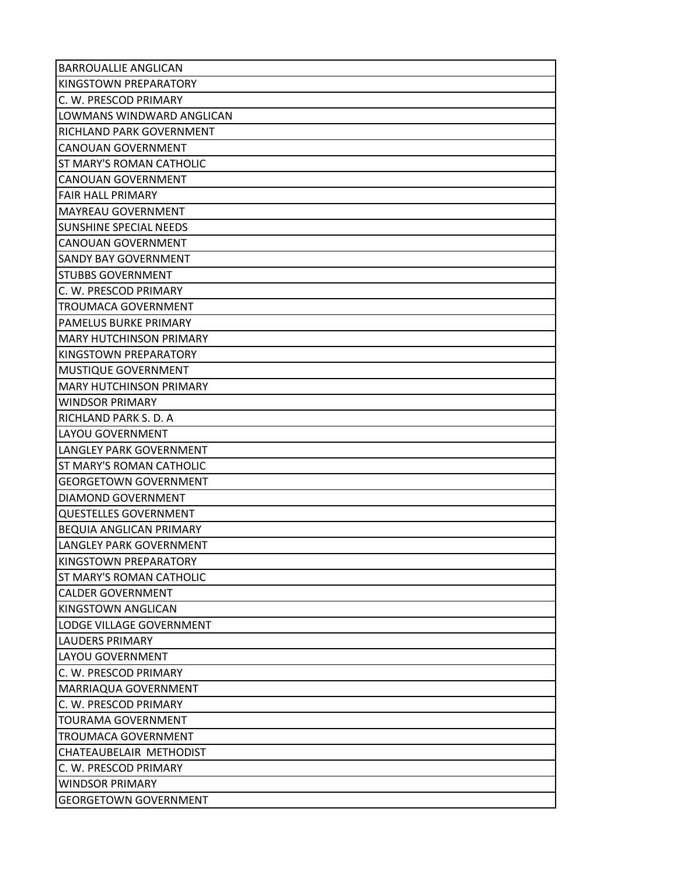| <b>BARROUALLIE ANGLICAN</b>     |
|---------------------------------|
| KINGSTOWN PREPARATORY           |
| C. W. PRESCOD PRIMARY           |
| LOWMANS WINDWARD ANGLICAN       |
| RICHLAND PARK GOVERNMENT        |
| CANOUAN GOVERNMENT              |
| <b>ST MARY'S ROMAN CATHOLIC</b> |
| <b>CANOUAN GOVERNMENT</b>       |
| <b>FAIR HALL PRIMARY</b>        |
| <b>MAYREAU GOVERNMENT</b>       |
| <b>SUNSHINE SPECIAL NEEDS</b>   |
| CANOUAN GOVERNMENT              |
| <b>SANDY BAY GOVERNMENT</b>     |
| <b>STUBBS GOVERNMENT</b>        |
| C. W. PRESCOD PRIMARY           |
| <b>TROUMACA GOVERNMENT</b>      |
| <b>PAMELUS BURKE PRIMARY</b>    |
| <b>MARY HUTCHINSON PRIMARY</b>  |
| KINGSTOWN PREPARATORY           |
| MUSTIQUE GOVERNMENT             |
| <b>MARY HUTCHINSON PRIMARY</b>  |
| <b>WINDSOR PRIMARY</b>          |
| RICHLAND PARK S. D. A           |
| LAYOU GOVERNMENT                |
| LANGLEY PARK GOVERNMENT         |
| ST MARY'S ROMAN CATHOLIC        |
| <b>GEORGETOWN GOVERNMENT</b>    |
| DIAMOND GOVERNMENT              |
| <b>QUESTELLES GOVERNMENT</b>    |
| <b>BEQUIA ANGLICAN PRIMARY</b>  |
| LANGLEY PARK GOVERNMENT         |
| KINGSTOWN PREPARATORY           |
| <b>ST MARY'S ROMAN CATHOLIC</b> |
| <b>CALDER GOVERNMENT</b>        |
| KINGSTOWN ANGLICAN              |
| LODGE VILLAGE GOVERNMENT        |
| <b>LAUDERS PRIMARY</b>          |
| LAYOU GOVERNMENT                |
| C. W. PRESCOD PRIMARY           |
| MARRIAQUA GOVERNMENT            |
| C. W. PRESCOD PRIMARY           |
| <b>TOURAMA GOVERNMENT</b>       |
| <b>TROUMACA GOVERNMENT</b>      |
| CHATEAUBELAIR METHODIST         |
| C. W. PRESCOD PRIMARY           |
| <b>WINDSOR PRIMARY</b>          |
| <b>GEORGETOWN GOVERNMENT</b>    |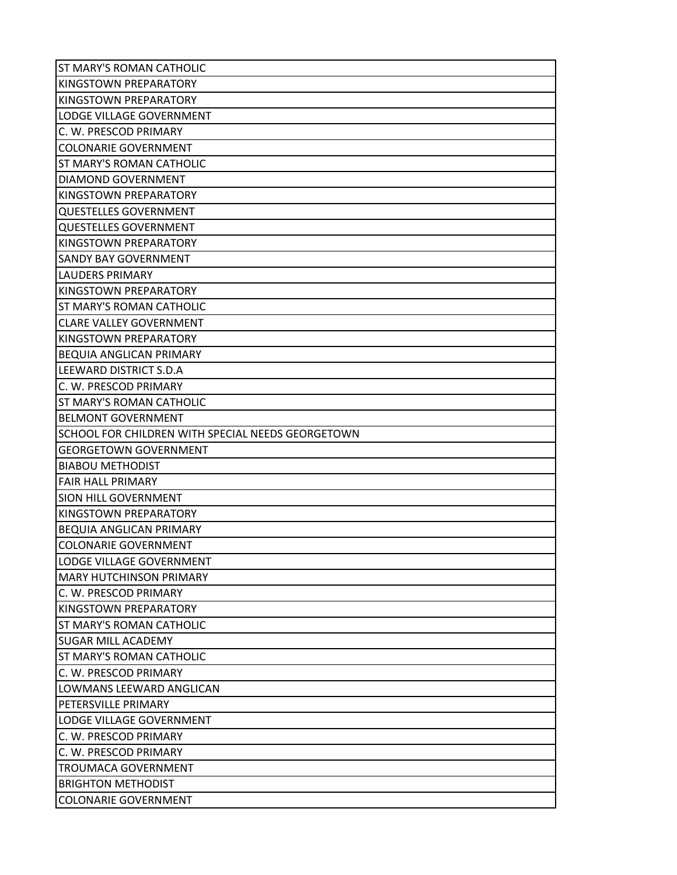| ST MARY'S ROMAN CATHOLIC                          |
|---------------------------------------------------|
| KINGSTOWN PREPARATORY                             |
| KINGSTOWN PREPARATORY                             |
| LODGE VILLAGE GOVERNMENT                          |
| C. W. PRESCOD PRIMARY                             |
| <b>COLONARIE GOVERNMENT</b>                       |
| ST MARY'S ROMAN CATHOLIC                          |
| DIAMOND GOVERNMENT                                |
| KINGSTOWN PREPARATORY                             |
| <b>QUESTELLES GOVERNMENT</b>                      |
| <b>QUESTELLES GOVERNMENT</b>                      |
| KINGSTOWN PREPARATORY                             |
| <b>SANDY BAY GOVERNMENT</b>                       |
| LAUDERS PRIMARY                                   |
| KINGSTOWN PREPARATORY                             |
| ST MARY'S ROMAN CATHOLIC                          |
| <b>CLARE VALLEY GOVERNMENT</b>                    |
| KINGSTOWN PREPARATORY                             |
| <b>BEQUIA ANGLICAN PRIMARY</b>                    |
| <b>LEEWARD DISTRICT S.D.A</b>                     |
| C. W. PRESCOD PRIMARY                             |
| ST MARY'S ROMAN CATHOLIC                          |
| <b>BELMONT GOVERNMENT</b>                         |
| SCHOOL FOR CHILDREN WITH SPECIAL NEEDS GEORGETOWN |
| <b>GEORGETOWN GOVERNMENT</b>                      |
| <b>BIABOU METHODIST</b>                           |
| <b>FAIR HALL PRIMARY</b>                          |
| SION HILL GOVERNMENT                              |
| KINGSTOWN PREPARATORY                             |
| <b>BEQUIA ANGLICAN PRIMARY</b>                    |
| <b>COLONARIE GOVERNMENT</b>                       |
| LODGE VILLAGE GOVERNMENT                          |
| <b>MARY HUTCHINSON PRIMARY</b>                    |
| C. W. PRESCOD PRIMARY                             |
| KINGSTOWN PREPARATORY                             |
| ST MARY'S ROMAN CATHOLIC                          |
| <b>SUGAR MILL ACADEMY</b>                         |
| ST MARY'S ROMAN CATHOLIC                          |
| C. W. PRESCOD PRIMARY                             |
| LOWMANS LEEWARD ANGLICAN                          |
| PETERSVILLE PRIMARY                               |
| LODGE VILLAGE GOVERNMENT                          |
| C. W. PRESCOD PRIMARY                             |
| C. W. PRESCOD PRIMARY                             |
| <b>TROUMACA GOVERNMENT</b>                        |
| <b>BRIGHTON METHODIST</b>                         |
| <b>COLONARIE GOVERNMENT</b>                       |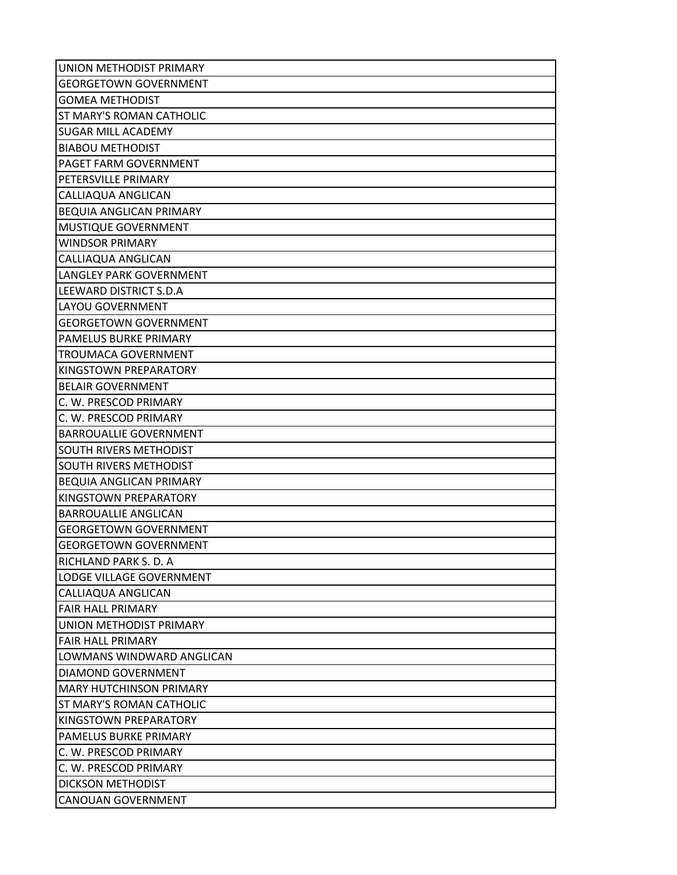| UNION METHODIST PRIMARY        |
|--------------------------------|
| <b>GEORGETOWN GOVERNMENT</b>   |
| <b>GOMEA METHODIST</b>         |
| ST MARY'S ROMAN CATHOLIC       |
| <b>SUGAR MILL ACADEMY</b>      |
| <b>BIABOU METHODIST</b>        |
| PAGET FARM GOVERNMENT          |
| PETERSVILLE PRIMARY            |
| CALLIAQUA ANGLICAN             |
| <b>BEQUIA ANGLICAN PRIMARY</b> |
| MUSTIQUE GOVERNMENT            |
| <b>WINDSOR PRIMARY</b>         |
| CALLIAQUA ANGLICAN             |
| LANGLEY PARK GOVERNMENT        |
| <b>LEEWARD DISTRICT S.D.A</b>  |
| LAYOU GOVERNMENT               |
| <b>GEORGETOWN GOVERNMENT</b>   |
| PAMELUS BURKE PRIMARY          |
| <b>TROUMACA GOVERNMENT</b>     |
| KINGSTOWN PREPARATORY          |
| <b>BELAIR GOVERNMENT</b>       |
| C. W. PRESCOD PRIMARY          |
| C. W. PRESCOD PRIMARY          |
| <b>BARROUALLIE GOVERNMENT</b>  |
| SOUTH RIVERS METHODIST         |
| SOUTH RIVERS METHODIST         |
| BEQUIA ANGLICAN PRIMARY        |
| KINGSTOWN PREPARATORY          |
| <b>BARROUALLIE ANGLICAN</b>    |
| <b>GEORGETOWN GOVERNMENT</b>   |
| <b>GEORGETOWN GOVERNMENT</b>   |
| RICHLAND PARK S. D. A          |
| LODGE VILLAGE GOVERNMENT       |
| CALLIAQUA ANGLICAN             |
| <b>FAIR HALL PRIMARY</b>       |
| UNION METHODIST PRIMARY        |
| <b>FAIR HALL PRIMARY</b>       |
| LOWMANS WINDWARD ANGLICAN      |
| DIAMOND GOVERNMENT             |
| <b>MARY HUTCHINSON PRIMARY</b> |
| ST MARY'S ROMAN CATHOLIC       |
| KINGSTOWN PREPARATORY          |
| PAMELUS BURKE PRIMARY          |
| C. W. PRESCOD PRIMARY          |
| C. W. PRESCOD PRIMARY          |
| <b>DICKSON METHODIST</b>       |
| <b>CANOUAN GOVERNMENT</b>      |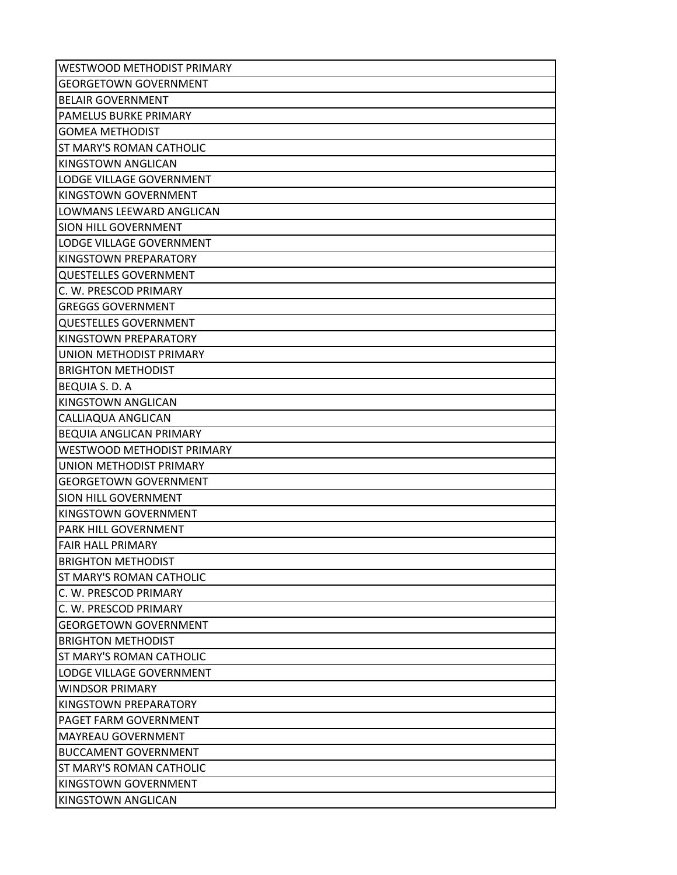| WESTWOOD METHODIST PRIMARY      |
|---------------------------------|
| <b>GEORGETOWN GOVERNMENT</b>    |
| <b>BELAIR GOVERNMENT</b>        |
| PAMELUS BURKE PRIMARY           |
| <b>GOMEA METHODIST</b>          |
| ST MARY'S ROMAN CATHOLIC        |
| <b>KINGSTOWN ANGLICAN</b>       |
| LODGE VILLAGE GOVERNMENT        |
| KINGSTOWN GOVERNMENT            |
| LOWMANS LEEWARD ANGLICAN        |
| <b>SION HILL GOVERNMENT</b>     |
| LODGE VILLAGE GOVERNMENT        |
| KINGSTOWN PREPARATORY           |
| <b>QUESTELLES GOVERNMENT</b>    |
| C. W. PRESCOD PRIMARY           |
| <b>GREGGS GOVERNMENT</b>        |
| <b>QUESTELLES GOVERNMENT</b>    |
| KINGSTOWN PREPARATORY           |
| UNION METHODIST PRIMARY         |
| <b>BRIGHTON METHODIST</b>       |
| <b>BEQUIA S. D. A</b>           |
| <b>KINGSTOWN ANGLICAN</b>       |
| CALLIAQUA ANGLICAN              |
| <b>BEQUIA ANGLICAN PRIMARY</b>  |
| WESTWOOD METHODIST PRIMARY      |
| UNION METHODIST PRIMARY         |
| <b>GEORGETOWN GOVERNMENT</b>    |
| SION HILL GOVERNMENT            |
| KINGSTOWN GOVERNMENT            |
| PARK HILL GOVERNMENT            |
| <b>FAIR HALL PRIMARY</b>        |
| <b>BRIGHTON METHODIST</b>       |
| <b>ST MARY'S ROMAN CATHOLIC</b> |
| C. W. PRESCOD PRIMARY           |
| C. W. PRESCOD PRIMARY           |
| <b>GEORGETOWN GOVERNMENT</b>    |
| <b>BRIGHTON METHODIST</b>       |
| <b>ST MARY'S ROMAN CATHOLIC</b> |
| LODGE VILLAGE GOVERNMENT        |
| <b>WINDSOR PRIMARY</b>          |
| KINGSTOWN PREPARATORY           |
| PAGET FARM GOVERNMENT           |
| <b>MAYREAU GOVERNMENT</b>       |
| <b>BUCCAMENT GOVERNMENT</b>     |
| <b>ST MARY'S ROMAN CATHOLIC</b> |
| KINGSTOWN GOVERNMENT            |
| <b>KINGSTOWN ANGLICAN</b>       |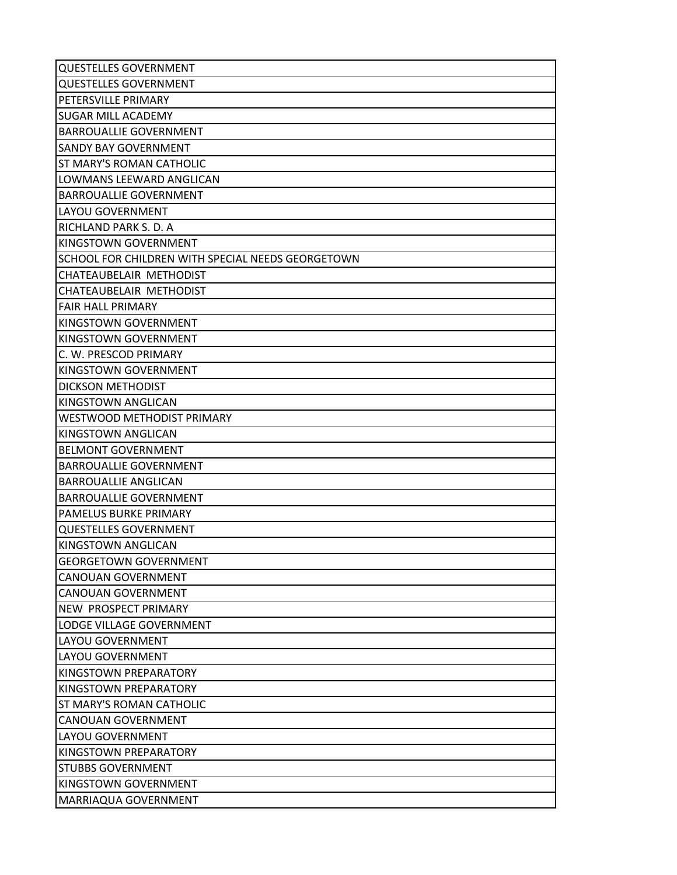| <b>QUESTELLES GOVERNMENT</b>                      |
|---------------------------------------------------|
| <b>QUESTELLES GOVERNMENT</b>                      |
| PETERSVILLE PRIMARY                               |
| <b>SUGAR MILL ACADEMY</b>                         |
| <b>BARROUALLIE GOVERNMENT</b>                     |
| <b>SANDY BAY GOVERNMENT</b>                       |
| ST MARY'S ROMAN CATHOLIC                          |
| LOWMANS LEEWARD ANGLICAN                          |
| <b>BARROUALLIE GOVERNMENT</b>                     |
| LAYOU GOVERNMENT                                  |
| RICHLAND PARK S. D. A                             |
| KINGSTOWN GOVERNMENT                              |
| SCHOOL FOR CHILDREN WITH SPECIAL NEEDS GEORGETOWN |
| CHATEAUBELAIR METHODIST                           |
| CHATEAUBELAIR METHODIST                           |
| <b>FAIR HALL PRIMARY</b>                          |
| KINGSTOWN GOVERNMENT                              |
| KINGSTOWN GOVERNMENT                              |
| C. W. PRESCOD PRIMARY                             |
| KINGSTOWN GOVERNMENT                              |
| <b>DICKSON METHODIST</b>                          |
| KINGSTOWN ANGLICAN                                |
| WESTWOOD METHODIST PRIMARY                        |
| KINGSTOWN ANGLICAN                                |
| <b>BELMONT GOVERNMENT</b>                         |
| <b>BARROUALLIE GOVERNMENT</b>                     |
| <b>BARROUALLIE ANGLICAN</b>                       |
| <b>BARROUALLIE GOVERNMENT</b>                     |
| PAMELUS BURKE PRIMARY                             |
| <b>QUESTELLES GOVERNMENT</b>                      |
| KINGSTOWN ANGLICAN                                |
| <b>GEORGETOWN GOVERNMENT</b>                      |
| <b>CANOUAN GOVERNMENT</b>                         |
| <b>CANOUAN GOVERNMENT</b>                         |
| NEW PROSPECT PRIMARY                              |
| LODGE VILLAGE GOVERNMENT                          |
| <b>LAYOU GOVERNMENT</b>                           |
| <b>LAYOU GOVERNMENT</b>                           |
| KINGSTOWN PREPARATORY                             |
| KINGSTOWN PREPARATORY                             |
| ST MARY'S ROMAN CATHOLIC                          |
| <b>CANOUAN GOVERNMENT</b>                         |
| LAYOU GOVERNMENT                                  |
| KINGSTOWN PREPARATORY                             |
| <b>STUBBS GOVERNMENT</b>                          |
| KINGSTOWN GOVERNMENT                              |
| MARRIAQUA GOVERNMENT                              |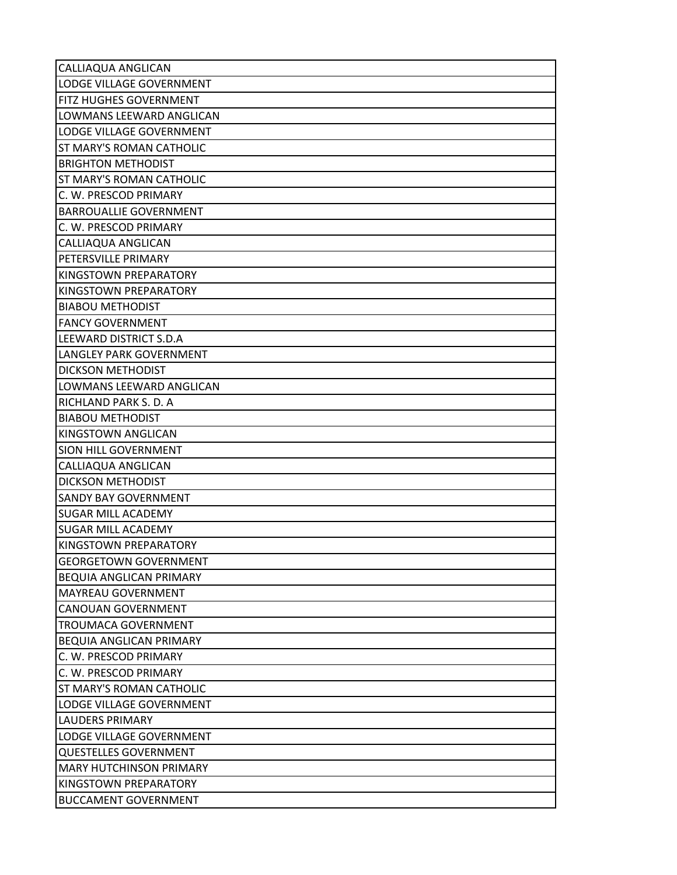| CALLIAQUA ANGLICAN             |
|--------------------------------|
| LODGE VILLAGE GOVERNMENT       |
| FITZ HUGHES GOVERNMENT         |
| LOWMANS LEEWARD ANGLICAN       |
| LODGE VILLAGE GOVERNMENT       |
| ST MARY'S ROMAN CATHOLIC       |
| <b>BRIGHTON METHODIST</b>      |
| ST MARY'S ROMAN CATHOLIC       |
| C. W. PRESCOD PRIMARY          |
| <b>BARROUALLIE GOVERNMENT</b>  |
| C. W. PRESCOD PRIMARY          |
| CALLIAQUA ANGLICAN             |
| PETERSVILLE PRIMARY            |
| KINGSTOWN PREPARATORY          |
| KINGSTOWN PREPARATORY          |
| <b>BIABOU METHODIST</b>        |
| <b>FANCY GOVERNMENT</b>        |
| LEEWARD DISTRICT S.D.A         |
| LANGLEY PARK GOVERNMENT        |
| <b>DICKSON METHODIST</b>       |
| LOWMANS LEEWARD ANGLICAN       |
| RICHLAND PARK S. D. A          |
| <b>BIABOU METHODIST</b>        |
| KINGSTOWN ANGLICAN             |
| SION HILL GOVERNMENT           |
| CALLIAQUA ANGLICAN             |
| <b>DICKSON METHODIST</b>       |
| <b>SANDY BAY GOVERNMENT</b>    |
| <b>SUGAR MILL ACADEMY</b>      |
| <b>SUGAR MILL ACADEMY</b>      |
| KINGSTOWN PREPARATORY          |
| <b>GEORGETOWN GOVERNMENT</b>   |
| <b>BEQUIA ANGLICAN PRIMARY</b> |
| <b>MAYREAU GOVERNMENT</b>      |
| <b>CANOUAN GOVERNMENT</b>      |
| <b>TROUMACA GOVERNMENT</b>     |
| BEQUIA ANGLICAN PRIMARY        |
| C. W. PRESCOD PRIMARY          |
| C. W. PRESCOD PRIMARY          |
| ST MARY'S ROMAN CATHOLIC       |
| LODGE VILLAGE GOVERNMENT       |
| <b>LAUDERS PRIMARY</b>         |
| LODGE VILLAGE GOVERNMENT       |
| <b>QUESTELLES GOVERNMENT</b>   |
| <b>MARY HUTCHINSON PRIMARY</b> |
| KINGSTOWN PREPARATORY          |
| <b>BUCCAMENT GOVERNMENT</b>    |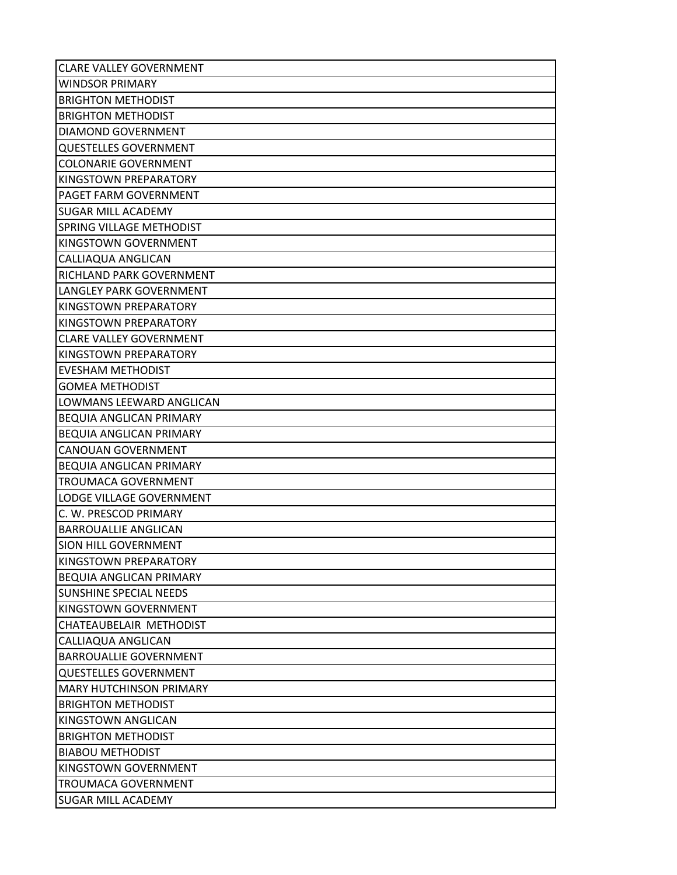| <b>CLARE VALLEY GOVERNMENT</b>  |
|---------------------------------|
| <b>WINDSOR PRIMARY</b>          |
| <b>BRIGHTON METHODIST</b>       |
| <b>BRIGHTON METHODIST</b>       |
| <b>DIAMOND GOVERNMENT</b>       |
| <b>QUESTELLES GOVERNMENT</b>    |
| <b>COLONARIE GOVERNMENT</b>     |
| KINGSTOWN PREPARATORY           |
| PAGET FARM GOVERNMENT           |
| <b>SUGAR MILL ACADEMY</b>       |
| <b>SPRING VILLAGE METHODIST</b> |
| KINGSTOWN GOVERNMENT            |
| CALLIAQUA ANGLICAN              |
| <b>RICHLAND PARK GOVERNMENT</b> |
| LANGLEY PARK GOVERNMENT         |
| KINGSTOWN PREPARATORY           |
| KINGSTOWN PREPARATORY           |
| <b>CLARE VALLEY GOVERNMENT</b>  |
| KINGSTOWN PREPARATORY           |
| <b>EVESHAM METHODIST</b>        |
| <b>GOMEA METHODIST</b>          |
| LOWMANS LEEWARD ANGLICAN        |
| BEQUIA ANGLICAN PRIMARY         |
| <b>BEQUIA ANGLICAN PRIMARY</b>  |
| <b>CANOUAN GOVERNMENT</b>       |
| <b>BEQUIA ANGLICAN PRIMARY</b>  |
| <b>TROUMACA GOVERNMENT</b>      |
| LODGE VILLAGE GOVERNMENT        |
| C. W. PRESCOD PRIMARY           |
| <b>BARROUALLIE ANGLICAN</b>     |
| SION HILL GOVERNMENT            |
| KINGSTOWN PREPARATORY           |
| <b>BEQUIA ANGLICAN PRIMARY</b>  |
| <b>SUNSHINE SPECIAL NEEDS</b>   |
| KINGSTOWN GOVERNMENT            |
| CHATEAUBELAIR METHODIST         |
| CALLIAQUA ANGLICAN              |
| <b>BARROUALLIE GOVERNMENT</b>   |
| <b>QUESTELLES GOVERNMENT</b>    |
| <b>MARY HUTCHINSON PRIMARY</b>  |
| <b>BRIGHTON METHODIST</b>       |
| KINGSTOWN ANGLICAN              |
| <b>BRIGHTON METHODIST</b>       |
| <b>BIABOU METHODIST</b>         |
| KINGSTOWN GOVERNMENT            |
| TROUMACA GOVERNMENT             |
| <b>SUGAR MILL ACADEMY</b>       |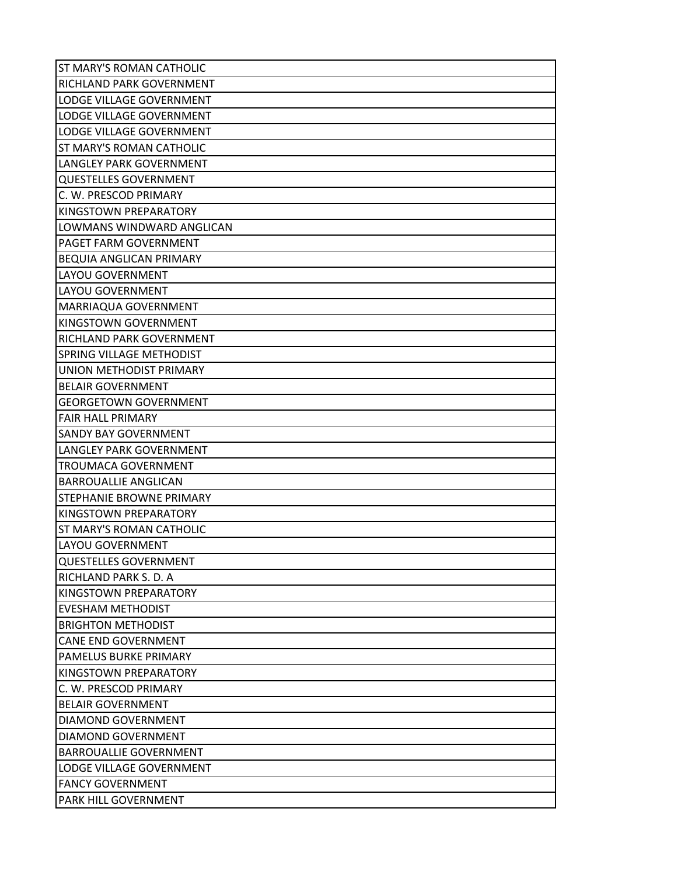| ST MARY'S ROMAN CATHOLIC        |
|---------------------------------|
| RICHLAND PARK GOVERNMENT        |
| <b>LODGE VILLAGE GOVERNMENT</b> |
| LODGE VILLAGE GOVERNMENT        |
| LODGE VILLAGE GOVERNMENT        |
| ST MARY'S ROMAN CATHOLIC        |
| LANGLEY PARK GOVERNMENT         |
| <b>QUESTELLES GOVERNMENT</b>    |
| C. W. PRESCOD PRIMARY           |
| KINGSTOWN PREPARATORY           |
| LOWMANS WINDWARD ANGLICAN       |
| PAGET FARM GOVERNMENT           |
| BEQUIA ANGLICAN PRIMARY         |
| LAYOU GOVERNMENT                |
| LAYOU GOVERNMENT                |
| MARRIAQUA GOVERNMENT            |
| KINGSTOWN GOVERNMENT            |
| RICHLAND PARK GOVERNMENT        |
| <b>SPRING VILLAGE METHODIST</b> |
| <b>UNION METHODIST PRIMARY</b>  |
| <b>BELAIR GOVERNMENT</b>        |
| <b>GEORGETOWN GOVERNMENT</b>    |
| <b>FAIR HALL PRIMARY</b>        |
| SANDY BAY GOVERNMENT            |
| LANGLEY PARK GOVERNMENT         |
| <b>TROUMACA GOVERNMENT</b>      |
| <b>BARROUALLIE ANGLICAN</b>     |
| STEPHANIE BROWNE PRIMARY        |
| KINGSTOWN PREPARATORY           |
| ST MARY'S ROMAN CATHOLIC        |
| LAYOU GOVERNMENT                |
| <b>QUESTELLES GOVERNMENT</b>    |
| RICHLAND PARK S. D. A           |
| KINGSTOWN PREPARATORY           |
| <b>EVESHAM METHODIST</b>        |
| <b>BRIGHTON METHODIST</b>       |
| <b>CANE END GOVERNMENT</b>      |
| PAMELUS BURKE PRIMARY           |
| KINGSTOWN PREPARATORY           |
| C. W. PRESCOD PRIMARY           |
| <b>BELAIR GOVERNMENT</b>        |
| DIAMOND GOVERNMENT              |
| DIAMOND GOVERNMENT              |
| <b>BARROUALLIE GOVERNMENT</b>   |
| LODGE VILLAGE GOVERNMENT        |
| <b>FANCY GOVERNMENT</b>         |
| PARK HILL GOVERNMENT            |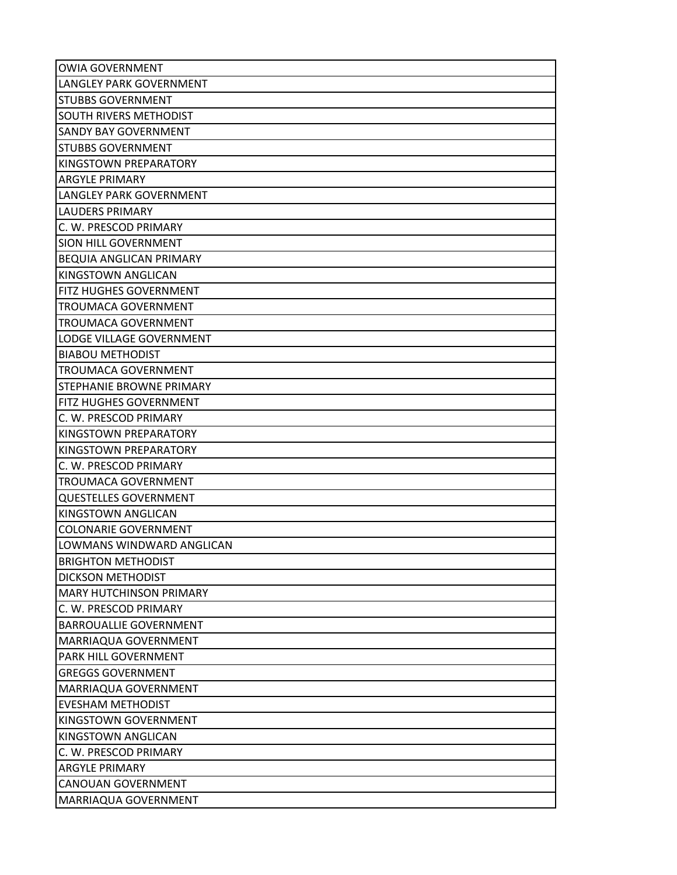| <b>OWIA GOVERNMENT</b>          |
|---------------------------------|
| <b>LANGLEY PARK GOVERNMENT</b>  |
| <b>STUBBS GOVERNMENT</b>        |
| SOUTH RIVERS METHODIST          |
| <b>SANDY BAY GOVERNMENT</b>     |
| <b>STUBBS GOVERNMENT</b>        |
| KINGSTOWN PREPARATORY           |
| <b>ARGYLE PRIMARY</b>           |
| LANGLEY PARK GOVERNMENT         |
| <b>LAUDERS PRIMARY</b>          |
| C. W. PRESCOD PRIMARY           |
| SION HILL GOVERNMENT            |
| BEQUIA ANGLICAN PRIMARY         |
| KINGSTOWN ANGLICAN              |
| FITZ HUGHES GOVERNMENT          |
| <b>TROUMACA GOVERNMENT</b>      |
| TROUMACA GOVERNMENT             |
| <b>LODGE VILLAGE GOVERNMENT</b> |
| <b>BIABOU METHODIST</b>         |
| TROUMACA GOVERNMENT             |
| STEPHANIE BROWNE PRIMARY        |
| FITZ HUGHES GOVERNMENT          |
| C. W. PRESCOD PRIMARY           |
| KINGSTOWN PREPARATORY           |
| KINGSTOWN PREPARATORY           |
| C. W. PRESCOD PRIMARY           |
| TROUMACA GOVERNMENT             |
| <b>QUESTELLES GOVERNMENT</b>    |
| KINGSTOWN ANGLICAN              |
| <b>COLONARIE GOVERNMENT</b>     |
| LOWMANS WINDWARD ANGLICAN       |
| <b>BRIGHTON METHODIST</b>       |
| <b>DICKSON METHODIST</b>        |
| <b>MARY HUTCHINSON PRIMARY</b>  |
| C. W. PRESCOD PRIMARY           |
| <b>BARROUALLIE GOVERNMENT</b>   |
| MARRIAQUA GOVERNMENT            |
| PARK HILL GOVERNMENT            |
| <b>GREGGS GOVERNMENT</b>        |
| MARRIAQUA GOVERNMENT            |
| <b>EVESHAM METHODIST</b>        |
| KINGSTOWN GOVERNMENT            |
| KINGSTOWN ANGLICAN              |
| C. W. PRESCOD PRIMARY           |
| <b>ARGYLE PRIMARY</b>           |
| <b>CANOUAN GOVERNMENT</b>       |
| MARRIAQUA GOVERNMENT            |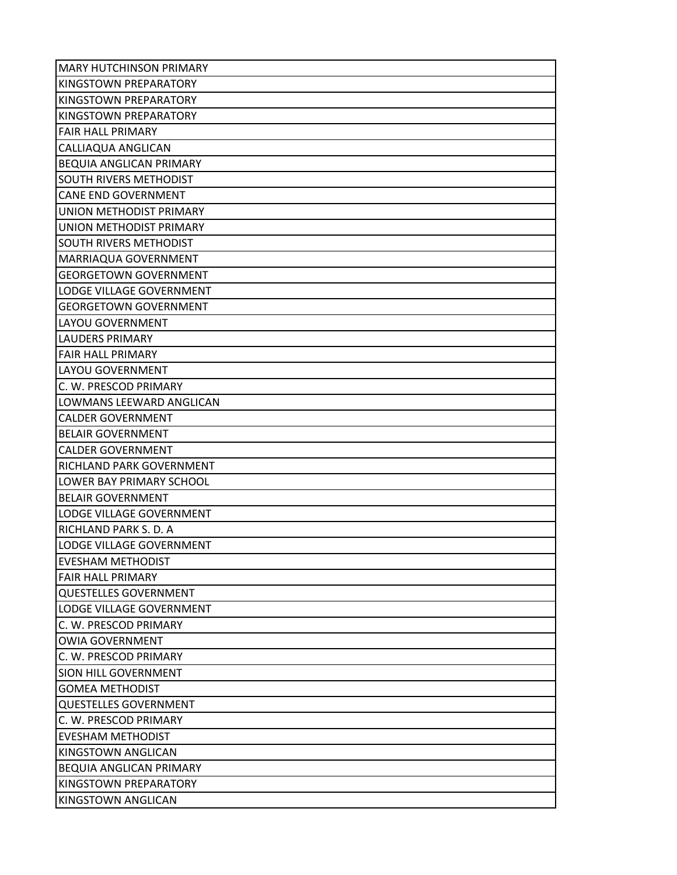| <b>MARY HUTCHINSON PRIMARY</b> |
|--------------------------------|
| KINGSTOWN PREPARATORY          |
| KINGSTOWN PREPARATORY          |
| KINGSTOWN PREPARATORY          |
| <b>FAIR HALL PRIMARY</b>       |
| CALLIAQUA ANGLICAN             |
| BEQUIA ANGLICAN PRIMARY        |
| SOUTH RIVERS METHODIST         |
| <b>CANE END GOVERNMENT</b>     |
| UNION METHODIST PRIMARY        |
| UNION METHODIST PRIMARY        |
| SOUTH RIVERS METHODIST         |
| MARRIAQUA GOVERNMENT           |
| <b>GEORGETOWN GOVERNMENT</b>   |
| LODGE VILLAGE GOVERNMENT       |
| <b>GEORGETOWN GOVERNMENT</b>   |
| <b>LAYOU GOVERNMENT</b>        |
| <b>LAUDERS PRIMARY</b>         |
| <b>FAIR HALL PRIMARY</b>       |
| LAYOU GOVERNMENT               |
| C. W. PRESCOD PRIMARY          |
| LOWMANS LEEWARD ANGLICAN       |
| <b>CALDER GOVERNMENT</b>       |
| <b>BELAIR GOVERNMENT</b>       |
| <b>CALDER GOVERNMENT</b>       |
| RICHLAND PARK GOVERNMENT       |
| LOWER BAY PRIMARY SCHOOL       |
| <b>BELAIR GOVERNMENT</b>       |
| LODGE VILLAGE GOVERNMENT       |
| RICHLAND PARK S. D. A          |
| LODGE VILLAGE GOVERNMENT       |
| <b>EVESHAM METHODIST</b>       |
| <b>FAIR HALL PRIMARY</b>       |
| <b>QUESTELLES GOVERNMENT</b>   |
| LODGE VILLAGE GOVERNMENT       |
| C. W. PRESCOD PRIMARY          |
| <b>OWIA GOVERNMENT</b>         |
| C. W. PRESCOD PRIMARY          |
| SION HILL GOVERNMENT           |
| <b>GOMEA METHODIST</b>         |
| <b>QUESTELLES GOVERNMENT</b>   |
| C. W. PRESCOD PRIMARY          |
| <b>EVESHAM METHODIST</b>       |
| KINGSTOWN ANGLICAN             |
| BEQUIA ANGLICAN PRIMARY        |
| KINGSTOWN PREPARATORY          |
| KINGSTOWN ANGLICAN             |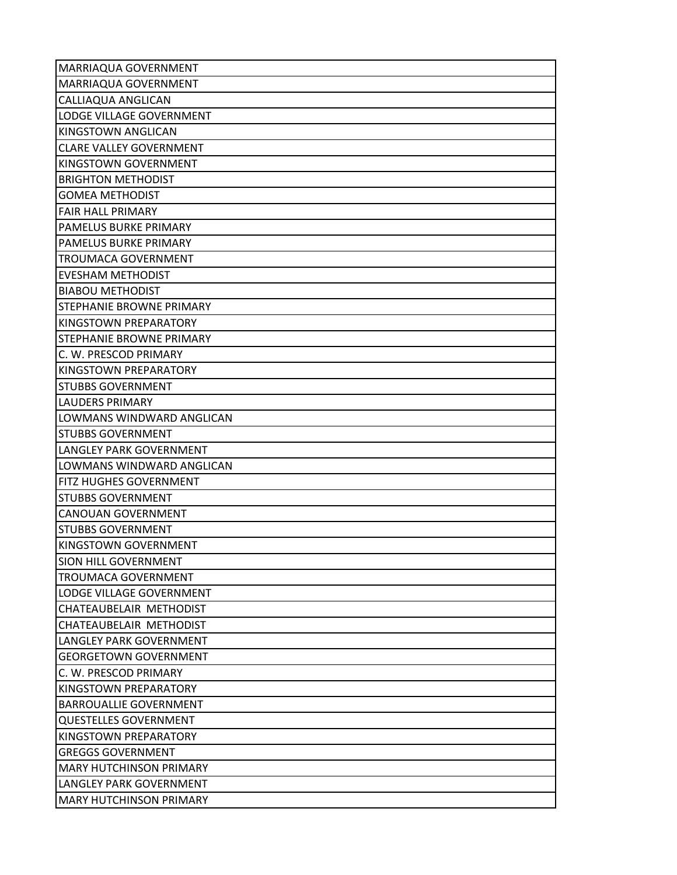| MARRIAQUA GOVERNMENT           |
|--------------------------------|
| MARRIAQUA GOVERNMENT           |
| CALLIAQUA ANGLICAN             |
| LODGE VILLAGE GOVERNMENT       |
| KINGSTOWN ANGLICAN             |
| <b>CLARE VALLEY GOVERNMENT</b> |
| KINGSTOWN GOVERNMENT           |
| <b>BRIGHTON METHODIST</b>      |
| <b>GOMEA METHODIST</b>         |
| <b>FAIR HALL PRIMARY</b>       |
| PAMELUS BURKE PRIMARY          |
| PAMELUS BURKE PRIMARY          |
| <b>TROUMACA GOVERNMENT</b>     |
| <b>EVESHAM METHODIST</b>       |
| <b>BIABOU METHODIST</b>        |
| STEPHANIE BROWNE PRIMARY       |
| KINGSTOWN PREPARATORY          |
| STEPHANIE BROWNE PRIMARY       |
| C. W. PRESCOD PRIMARY          |
| KINGSTOWN PREPARATORY          |
| <b>STUBBS GOVERNMENT</b>       |
| <b>LAUDERS PRIMARY</b>         |
| LOWMANS WINDWARD ANGLICAN      |
| <b>STUBBS GOVERNMENT</b>       |
| LANGLEY PARK GOVERNMENT        |
| LOWMANS WINDWARD ANGLICAN      |
| FITZ HUGHES GOVERNMENT         |
| <b>STUBBS GOVERNMENT</b>       |
| <b>CANOUAN GOVERNMENT</b>      |
| <b>STUBBS GOVERNMENT</b>       |
| KINGSTOWN GOVERNMENT           |
| SION HILL GOVERNMENT           |
| <b>TROUMACA GOVERNMENT</b>     |
| LODGE VILLAGE GOVERNMENT       |
| CHATEAUBELAIR METHODIST        |
| CHATEAUBELAIR METHODIST        |
| LANGLEY PARK GOVERNMENT        |
| <b>GEORGETOWN GOVERNMENT</b>   |
| C. W. PRESCOD PRIMARY          |
| KINGSTOWN PREPARATORY          |
| <b>BARROUALLIE GOVERNMENT</b>  |
| <b>QUESTELLES GOVERNMENT</b>   |
| KINGSTOWN PREPARATORY          |
| <b>GREGGS GOVERNMENT</b>       |
| <b>MARY HUTCHINSON PRIMARY</b> |
| LANGLEY PARK GOVERNMENT        |
| <b>MARY HUTCHINSON PRIMARY</b> |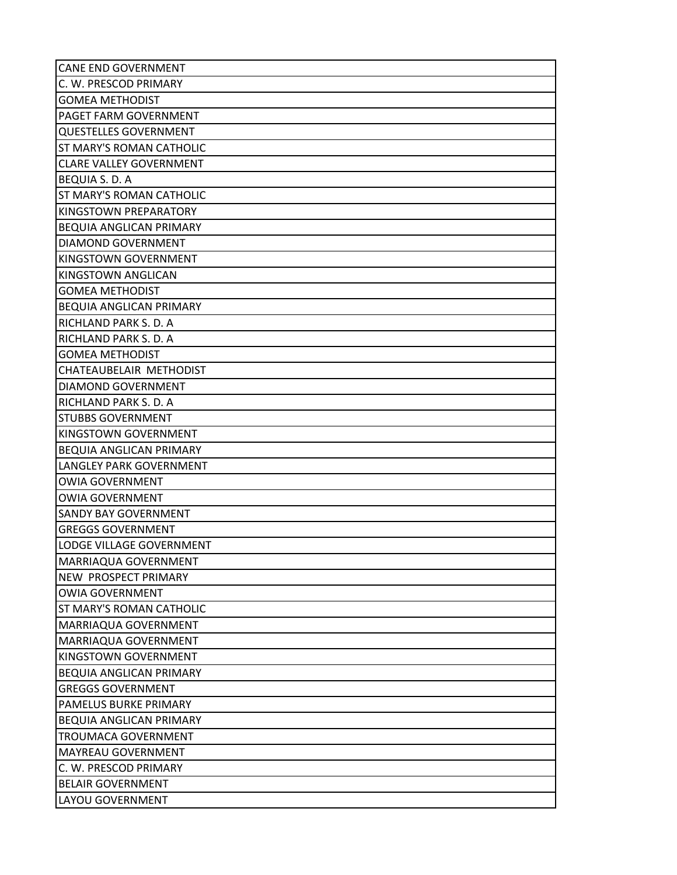| <b>CANE END GOVERNMENT</b>      |
|---------------------------------|
| C. W. PRESCOD PRIMARY           |
| <b>GOMEA METHODIST</b>          |
| PAGET FARM GOVERNMENT           |
| <b>QUESTELLES GOVERNMENT</b>    |
| ST MARY'S ROMAN CATHOLIC        |
| <b>CLARE VALLEY GOVERNMENT</b>  |
| <b>BEQUIA S. D. A</b>           |
| <b>ST MARY'S ROMAN CATHOLIC</b> |
| KINGSTOWN PREPARATORY           |
| <b>BEQUIA ANGLICAN PRIMARY</b>  |
| DIAMOND GOVERNMENT              |
| KINGSTOWN GOVERNMENT            |
| KINGSTOWN ANGLICAN              |
| <b>GOMEA METHODIST</b>          |
| <b>BEQUIA ANGLICAN PRIMARY</b>  |
| RICHLAND PARK S. D. A           |
| RICHLAND PARK S. D. A           |
| <b>GOMEA METHODIST</b>          |
| CHATEAUBELAIR METHODIST         |
| DIAMOND GOVERNMENT              |
| <b>RICHLAND PARK S. D. A</b>    |
| <b>STUBBS GOVERNMENT</b>        |
| KINGSTOWN GOVERNMENT            |
| <b>BEQUIA ANGLICAN PRIMARY</b>  |
| LANGLEY PARK GOVERNMENT         |
| <b>OWIA GOVERNMENT</b>          |
| <b>OWIA GOVERNMENT</b>          |
| <b>SANDY BAY GOVERNMENT</b>     |
| <b>GREGGS GOVERNMENT</b>        |
| LODGE VILLAGE GOVERNMENT        |
| MARRIAQUA GOVERNMENT            |
| <b>NEW PROSPECT PRIMARY</b>     |
| <b>OWIA GOVERNMENT</b>          |
| <b>ST MARY'S ROMAN CATHOLIC</b> |
| MARRIAQUA GOVERNMENT            |
| MARRIAQUA GOVERNMENT            |
| KINGSTOWN GOVERNMENT            |
| <b>BEQUIA ANGLICAN PRIMARY</b>  |
| <b>GREGGS GOVERNMENT</b>        |
| PAMELUS BURKE PRIMARY           |
| <b>BEQUIA ANGLICAN PRIMARY</b>  |
| <b>TROUMACA GOVERNMENT</b>      |
| <b>MAYREAU GOVERNMENT</b>       |
| C. W. PRESCOD PRIMARY           |
| <b>BELAIR GOVERNMENT</b>        |
| LAYOU GOVERNMENT                |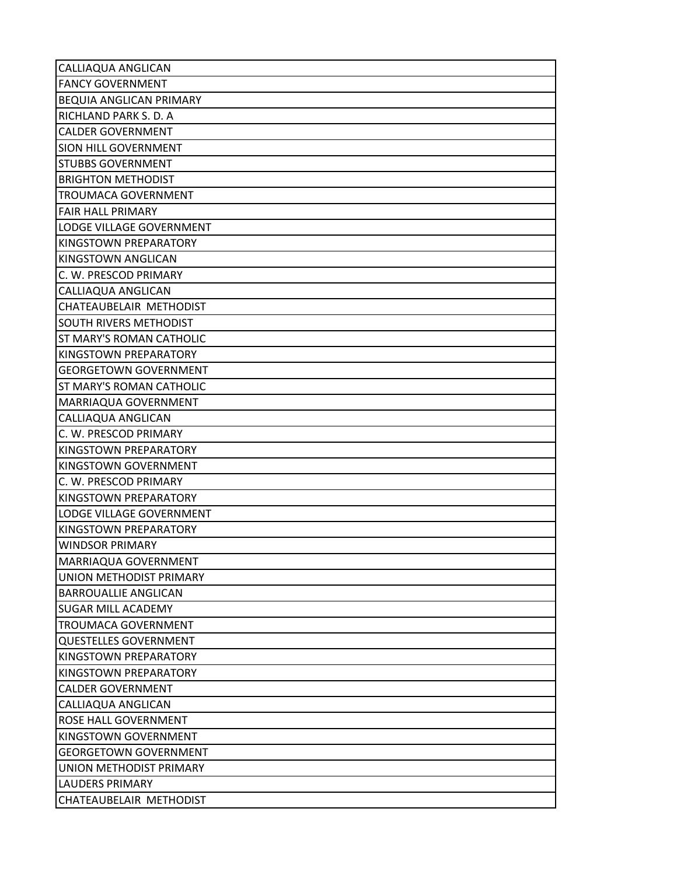| CALLIAQUA ANGLICAN             |
|--------------------------------|
| <b>FANCY GOVERNMENT</b>        |
| <b>BEQUIA ANGLICAN PRIMARY</b> |
| RICHLAND PARK S. D. A          |
| <b>CALDER GOVERNMENT</b>       |
| <b>SION HILL GOVERNMENT</b>    |
| <b>STUBBS GOVERNMENT</b>       |
| <b>BRIGHTON METHODIST</b>      |
| <b>TROUMACA GOVERNMENT</b>     |
| <b>FAIR HALL PRIMARY</b>       |
| LODGE VILLAGE GOVERNMENT       |
| <b>KINGSTOWN PREPARATORY</b>   |
| KINGSTOWN ANGLICAN             |
| C. W. PRESCOD PRIMARY          |
| CALLIAQUA ANGLICAN             |
| CHATEAUBELAIR METHODIST        |
| <b>SOUTH RIVERS METHODIST</b>  |
| ST MARY'S ROMAN CATHOLIC       |
| KINGSTOWN PREPARATORY          |
| <b>GEORGETOWN GOVERNMENT</b>   |
| ST MARY'S ROMAN CATHOLIC       |
| MARRIAQUA GOVERNMENT           |
| CALLIAQUA ANGLICAN             |
| C. W. PRESCOD PRIMARY          |
| KINGSTOWN PREPARATORY          |
| KINGSTOWN GOVERNMENT           |
| C. W. PRESCOD PRIMARY          |
| KINGSTOWN PREPARATORY          |
| LODGE VILLAGE GOVERNMENT       |
| KINGSTOWN PREPARATORY          |
| <b>WINDSOR PRIMARY</b>         |
| MARRIAQUA GOVERNMENT           |
| UNION METHODIST PRIMARY        |
| <b>BARROUALLIE ANGLICAN</b>    |
| <b>SUGAR MILL ACADEMY</b>      |
| <b>TROUMACA GOVERNMENT</b>     |
| <b>QUESTELLES GOVERNMENT</b>   |
| KINGSTOWN PREPARATORY          |
| KINGSTOWN PREPARATORY          |
| <b>CALDER GOVERNMENT</b>       |
| CALLIAQUA ANGLICAN             |
| ROSE HALL GOVERNMENT           |
| KINGSTOWN GOVERNMENT           |
| <b>GEORGETOWN GOVERNMENT</b>   |
| UNION METHODIST PRIMARY        |
| <b>LAUDERS PRIMARY</b>         |
| CHATEAUBELAIR METHODIST        |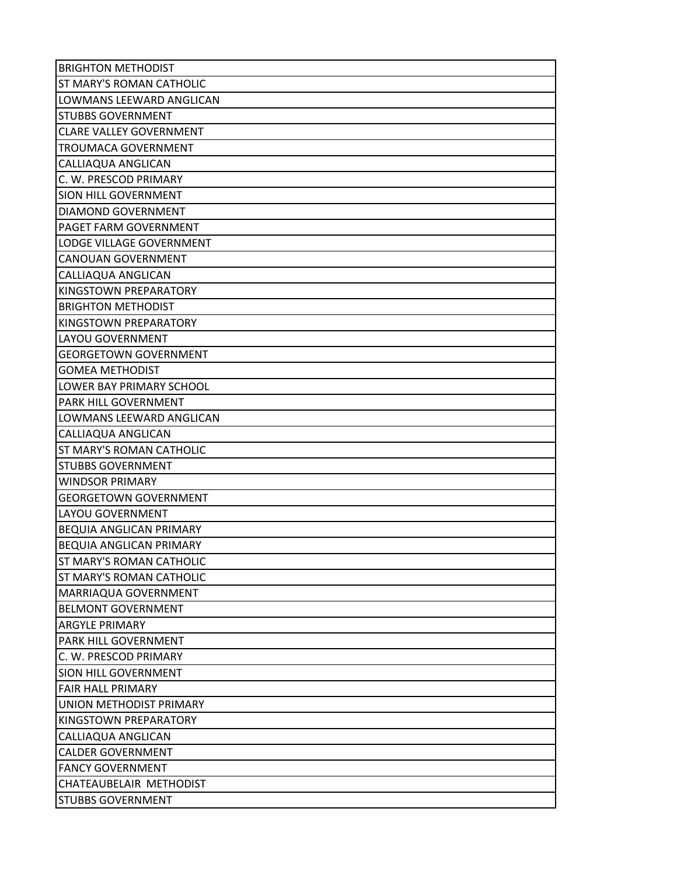| <b>BRIGHTON METHODIST</b>       |
|---------------------------------|
| ST MARY'S ROMAN CATHOLIC        |
| LOWMANS LEEWARD ANGLICAN        |
| <b>STUBBS GOVERNMENT</b>        |
| <b>CLARE VALLEY GOVERNMENT</b>  |
| <b>TROUMACA GOVERNMENT</b>      |
| CALLIAQUA ANGLICAN              |
| C. W. PRESCOD PRIMARY           |
| SION HILL GOVERNMENT            |
| DIAMOND GOVERNMENT              |
| PAGET FARM GOVERNMENT           |
| LODGE VILLAGE GOVERNMENT        |
| <b>CANOUAN GOVERNMENT</b>       |
| CALLIAQUA ANGLICAN              |
| KINGSTOWN PREPARATORY           |
| <b>BRIGHTON METHODIST</b>       |
| <b>KINGSTOWN PREPARATORY</b>    |
| <b>LAYOU GOVERNMENT</b>         |
| <b>GEORGETOWN GOVERNMENT</b>    |
| <b>GOMEA METHODIST</b>          |
| LOWER BAY PRIMARY SCHOOL        |
| PARK HILL GOVERNMENT            |
| LOWMANS LEEWARD ANGLICAN        |
| CALLIAQUA ANGLICAN              |
| ST MARY'S ROMAN CATHOLIC        |
| <b>STUBBS GOVERNMENT</b>        |
| <b>WINDSOR PRIMARY</b>          |
| <b>GEORGETOWN GOVERNMENT</b>    |
| <b>LAYOU GOVERNMENT</b>         |
| BEQUIA ANGLICAN PRIMARY         |
| <b>BEQUIA ANGLICAN PRIMARY</b>  |
| <b>ST MARY'S ROMAN CATHOLIC</b> |
| ST MARY'S ROMAN CATHOLIC        |
| MARRIAQUA GOVERNMENT            |
| <b>BELMONT GOVERNMENT</b>       |
| <b>ARGYLE PRIMARY</b>           |
| PARK HILL GOVERNMENT            |
| C. W. PRESCOD PRIMARY           |
| <b>SION HILL GOVERNMENT</b>     |
| <b>FAIR HALL PRIMARY</b>        |
| UNION METHODIST PRIMARY         |
| KINGSTOWN PREPARATORY           |
| CALLIAQUA ANGLICAN              |
| <b>CALDER GOVERNMENT</b>        |
| <b>FANCY GOVERNMENT</b>         |
| CHATEAUBELAIR METHODIST         |
| <b>STUBBS GOVERNMENT</b>        |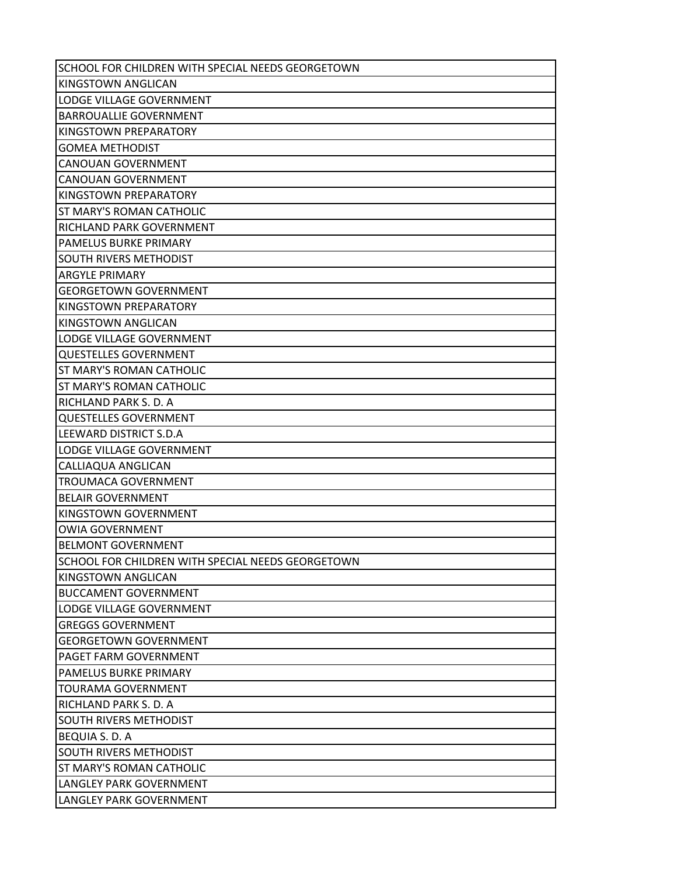| SCHOOL FOR CHILDREN WITH SPECIAL NEEDS GEORGETOWN |
|---------------------------------------------------|
| <b>KINGSTOWN ANGLICAN</b>                         |
| LODGE VILLAGE GOVERNMENT                          |
| <b>BARROUALLIE GOVERNMENT</b>                     |
| KINGSTOWN PREPARATORY                             |
| <b>GOMEA METHODIST</b>                            |
| <b>CANOUAN GOVERNMENT</b>                         |
| <b>CANOUAN GOVERNMENT</b>                         |
| KINGSTOWN PREPARATORY                             |
| ST MARY'S ROMAN CATHOLIC                          |
| RICHLAND PARK GOVERNMENT                          |
| PAMELUS BURKE PRIMARY                             |
| SOUTH RIVERS METHODIST                            |
| <b>ARGYLE PRIMARY</b>                             |
| <b>GEORGETOWN GOVERNMENT</b>                      |
| KINGSTOWN PREPARATORY                             |
| <b>KINGSTOWN ANGLICAN</b>                         |
| LODGE VILLAGE GOVERNMENT                          |
| <b>QUESTELLES GOVERNMENT</b>                      |
| ST MARY'S ROMAN CATHOLIC                          |
| ST MARY'S ROMAN CATHOLIC                          |
| RICHLAND PARK S. D. A                             |
| <b>QUESTELLES GOVERNMENT</b>                      |
| LEEWARD DISTRICT S.D.A                            |
| LODGE VILLAGE GOVERNMENT                          |
| CALLIAQUA ANGLICAN                                |
| TROUMACA GOVERNMENT                               |
| <b>BELAIR GOVERNMENT</b>                          |
| KINGSTOWN GOVERNMENT                              |
| <b>OWIA GOVERNMENT</b>                            |
| <b>BELMONT GOVERNMENT</b>                         |
| SCHOOL FOR CHILDREN WITH SPECIAL NEEDS GEORGETOWN |
| KINGSTOWN ANGLICAN                                |
| <b>BUCCAMENT GOVERNMENT</b>                       |
| LODGE VILLAGE GOVERNMENT                          |
| <b>GREGGS GOVERNMENT</b>                          |
| <b>GEORGETOWN GOVERNMENT</b>                      |
| PAGET FARM GOVERNMENT                             |
| PAMELUS BURKE PRIMARY                             |
| <b>TOURAMA GOVERNMENT</b>                         |
| RICHLAND PARK S. D. A                             |
| SOUTH RIVERS METHODIST                            |
| <b>BEQUIA S. D. A</b>                             |
| <b>SOUTH RIVERS METHODIST</b>                     |
| ST MARY'S ROMAN CATHOLIC                          |
| LANGLEY PARK GOVERNMENT                           |
| LANGLEY PARK GOVERNMENT                           |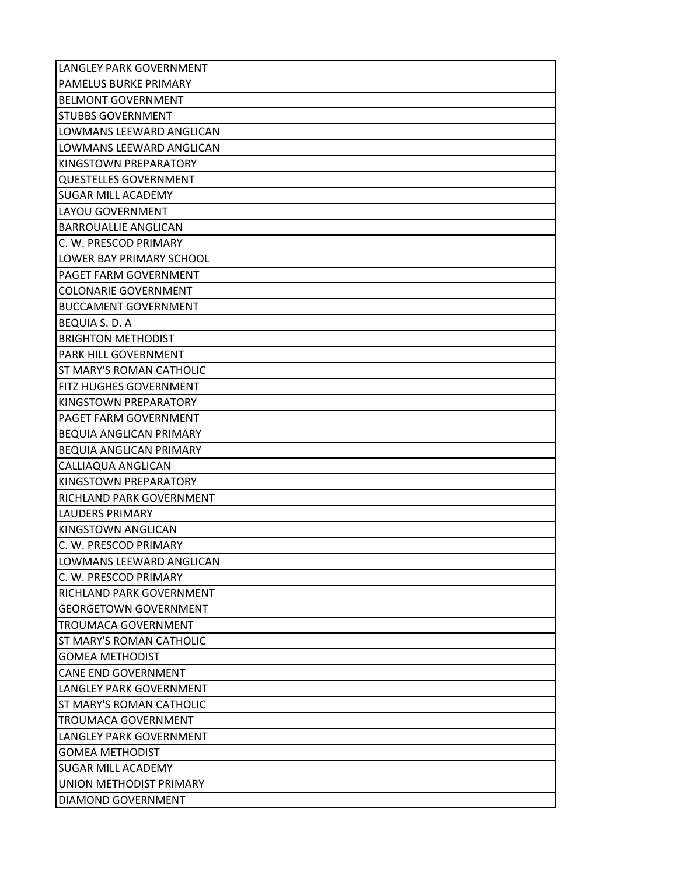| LANGLEY PARK GOVERNMENT        |
|--------------------------------|
| PAMELUS BURKE PRIMARY          |
| <b>BELMONT GOVERNMENT</b>      |
| <b>STUBBS GOVERNMENT</b>       |
| LOWMANS LEEWARD ANGLICAN       |
| LOWMANS LEEWARD ANGLICAN       |
| KINGSTOWN PREPARATORY          |
| <b>QUESTELLES GOVERNMENT</b>   |
| <b>SUGAR MILL ACADEMY</b>      |
| LAYOU GOVERNMENT               |
| <b>BARROUALLIE ANGLICAN</b>    |
| C. W. PRESCOD PRIMARY          |
| LOWER BAY PRIMARY SCHOOL       |
| PAGET FARM GOVERNMENT          |
| <b>COLONARIE GOVERNMENT</b>    |
| <b>BUCCAMENT GOVERNMENT</b>    |
| BEQUIA S. D. A                 |
| <b>BRIGHTON METHODIST</b>      |
| PARK HILL GOVERNMENT           |
| ST MARY'S ROMAN CATHOLIC       |
| FITZ HUGHES GOVERNMENT         |
| KINGSTOWN PREPARATORY          |
| PAGET FARM GOVERNMENT          |
| <b>BEQUIA ANGLICAN PRIMARY</b> |
| <b>BEQUIA ANGLICAN PRIMARY</b> |
| CALLIAQUA ANGLICAN             |
| KINGSTOWN PREPARATORY          |
| RICHLAND PARK GOVERNMENT       |
| <b>LAUDERS PRIMARY</b>         |
| KINGSTOWN ANGLICAN             |
| C. W. PRESCOD PRIMARY          |
| LOWMANS LEEWARD ANGLICAN       |
| C. W. PRESCOD PRIMARY          |
| RICHLAND PARK GOVERNMENT       |
| <b>GEORGETOWN GOVERNMENT</b>   |
| <b>TROUMACA GOVERNMENT</b>     |
| ST MARY'S ROMAN CATHOLIC       |
| <b>GOMEA METHODIST</b>         |
| <b>CANE END GOVERNMENT</b>     |
| <b>LANGLEY PARK GOVERNMENT</b> |
| ST MARY'S ROMAN CATHOLIC       |
| <b>TROUMACA GOVERNMENT</b>     |
| LANGLEY PARK GOVERNMENT        |
| <b>GOMEA METHODIST</b>         |
| SUGAR MILL ACADEMY             |
| UNION METHODIST PRIMARY        |
| DIAMOND GOVERNMENT             |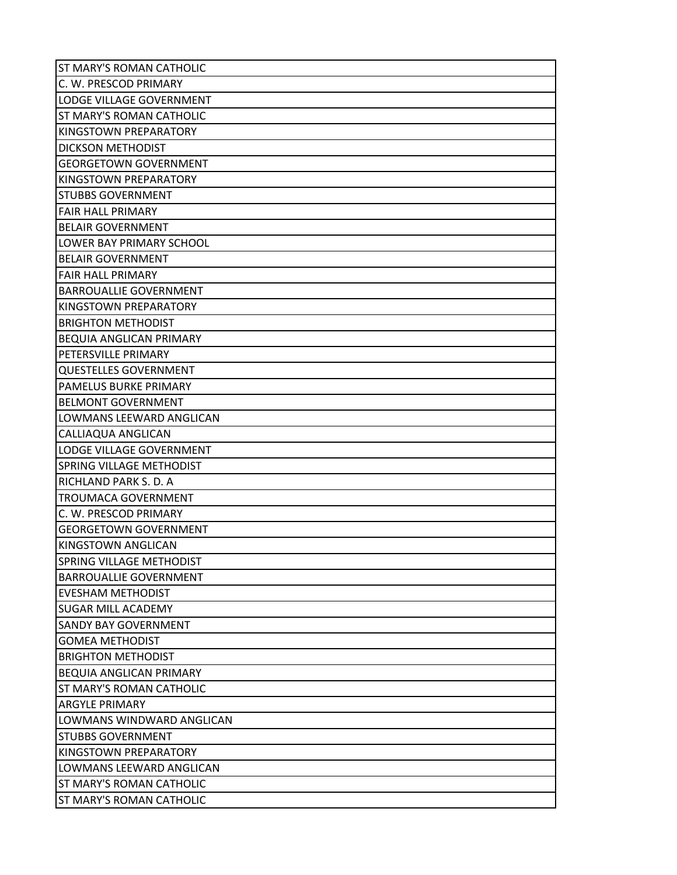| ST MARY'S ROMAN CATHOLIC        |
|---------------------------------|
| C. W. PRESCOD PRIMARY           |
| LODGE VILLAGE GOVERNMENT        |
| ST MARY'S ROMAN CATHOLIC        |
| KINGSTOWN PREPARATORY           |
| <b>DICKSON METHODIST</b>        |
| <b>GEORGETOWN GOVERNMENT</b>    |
| KINGSTOWN PREPARATORY           |
| <b>STUBBS GOVERNMENT</b>        |
| <b>FAIR HALL PRIMARY</b>        |
| <b>BELAIR GOVERNMENT</b>        |
| LOWER BAY PRIMARY SCHOOL        |
| <b>BELAIR GOVERNMENT</b>        |
| <b>FAIR HALL PRIMARY</b>        |
| <b>BARROUALLIE GOVERNMENT</b>   |
| KINGSTOWN PREPARATORY           |
| <b>BRIGHTON METHODIST</b>       |
| BEQUIA ANGLICAN PRIMARY         |
| PETERSVILLE PRIMARY             |
| <b>QUESTELLES GOVERNMENT</b>    |
| PAMELUS BURKE PRIMARY           |
| <b>BELMONT GOVERNMENT</b>       |
| LOWMANS LEEWARD ANGLICAN        |
| CALLIAQUA ANGLICAN              |
| <b>LODGE VILLAGE GOVERNMENT</b> |
| SPRING VILLAGE METHODIST        |
| RICHLAND PARK S. D. A           |
| <b>TROUMACA GOVERNMENT</b>      |
| C. W. PRESCOD PRIMARY           |
| <b>GEORGETOWN GOVERNMENT</b>    |
| KINGSTOWN ANGLICAN              |
| <b>SPRING VILLAGE METHODIST</b> |
| <b>BARROUALLIE GOVERNMENT</b>   |
| EVESHAM METHODIST               |
| <b>SUGAR MILL ACADEMY</b>       |
| <b>SANDY BAY GOVERNMENT</b>     |
| <b>GOMEA METHODIST</b>          |
| <b>BRIGHTON METHODIST</b>       |
| <b>BEQUIA ANGLICAN PRIMARY</b>  |
| ST MARY'S ROMAN CATHOLIC        |
| <b>ARGYLE PRIMARY</b>           |
| LOWMANS WINDWARD ANGLICAN       |
| <b>STUBBS GOVERNMENT</b>        |
| KINGSTOWN PREPARATORY           |
| LOWMANS LEEWARD ANGLICAN        |
| ST MARY'S ROMAN CATHOLIC        |
| ST MARY'S ROMAN CATHOLIC        |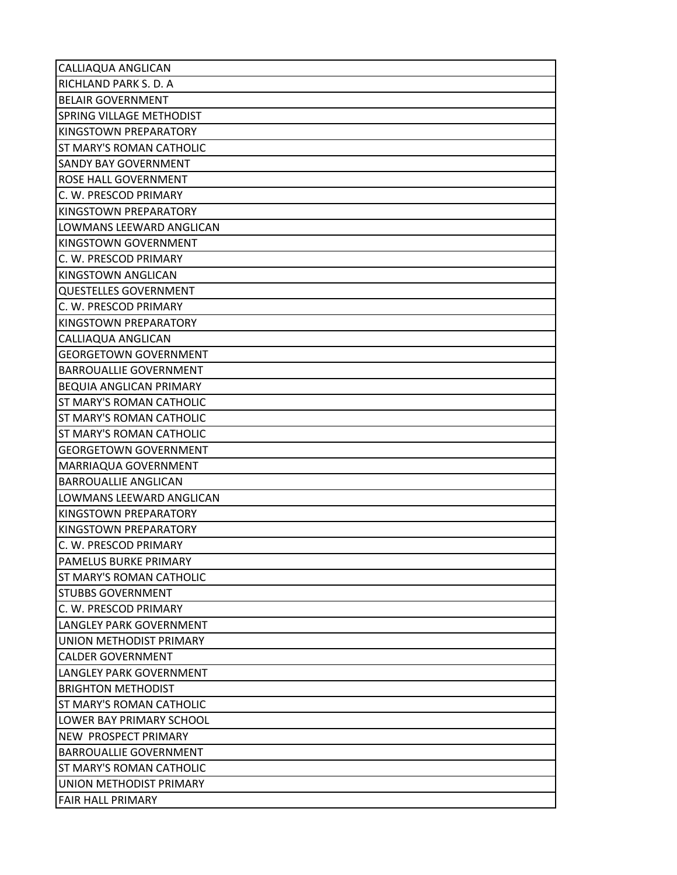| CALLIAQUA ANGLICAN              |
|---------------------------------|
| RICHLAND PARK S. D. A           |
| <b>BELAIR GOVERNMENT</b>        |
| <b>SPRING VILLAGE METHODIST</b> |
| KINGSTOWN PREPARATORY           |
| ST MARY'S ROMAN CATHOLIC        |
| <b>SANDY BAY GOVERNMENT</b>     |
| <b>ROSE HALL GOVERNMENT</b>     |
| C. W. PRESCOD PRIMARY           |
| KINGSTOWN PREPARATORY           |
| LOWMANS LEEWARD ANGLICAN        |
| KINGSTOWN GOVERNMENT            |
| C. W. PRESCOD PRIMARY           |
| KINGSTOWN ANGLICAN              |
| <b>QUESTELLES GOVERNMENT</b>    |
| C. W. PRESCOD PRIMARY           |
| KINGSTOWN PREPARATORY           |
| CALLIAQUA ANGLICAN              |
| <b>GEORGETOWN GOVERNMENT</b>    |
| <b>BARROUALLIE GOVERNMENT</b>   |
| BEQUIA ANGLICAN PRIMARY         |
| <b>ST MARY'S ROMAN CATHOLIC</b> |
| ST MARY'S ROMAN CATHOLIC        |
| <b>ST MARY'S ROMAN CATHOLIC</b> |
| <b>GEORGETOWN GOVERNMENT</b>    |
| MARRIAQUA GOVERNMENT            |
| <b>BARROUALLIE ANGLICAN</b>     |
| <b>LOWMANS LEEWARD ANGLICAN</b> |
| KINGSTOWN PREPARATORY           |
| KINGSTOWN PREPARATORY           |
| C. W. PRESCOD PRIMARY           |
| <b>PAMELUS BURKE PRIMARY</b>    |
| <b>ST MARY'S ROMAN CATHOLIC</b> |
| <b>STUBBS GOVERNMENT</b>        |
| C. W. PRESCOD PRIMARY           |
| LANGLEY PARK GOVERNMENT         |
| UNION METHODIST PRIMARY         |
| <b>CALDER GOVERNMENT</b>        |
| LANGLEY PARK GOVERNMENT         |
| <b>BRIGHTON METHODIST</b>       |
| <b>ST MARY'S ROMAN CATHOLIC</b> |
| LOWER BAY PRIMARY SCHOOL        |
| <b>NEW PROSPECT PRIMARY</b>     |
| <b>BARROUALLIE GOVERNMENT</b>   |
| <b>ST MARY'S ROMAN CATHOLIC</b> |
| UNION METHODIST PRIMARY         |
| <b>FAIR HALL PRIMARY</b>        |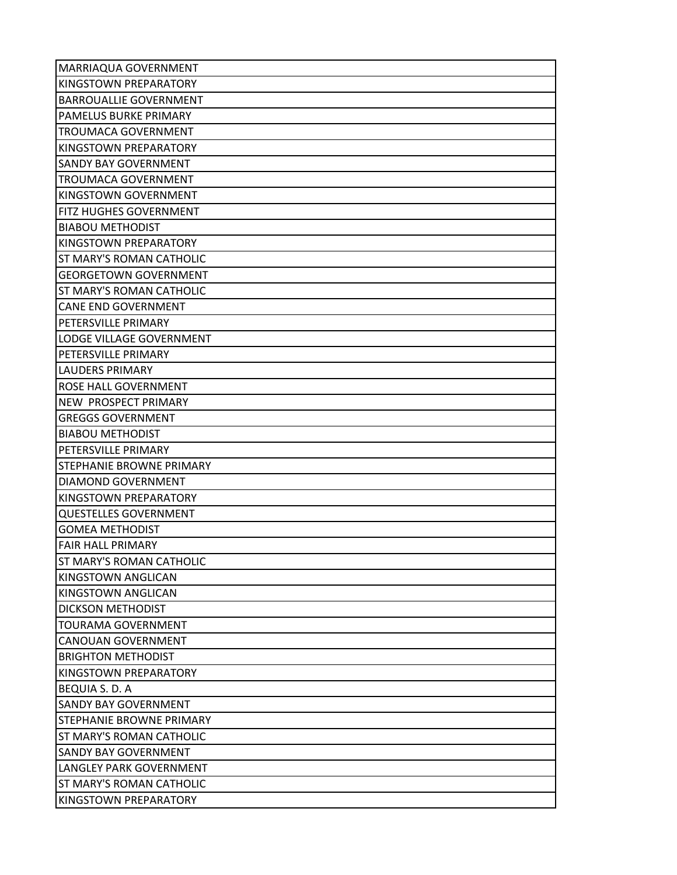| MARRIAQUA GOVERNMENT          |
|-------------------------------|
| <b>KINGSTOWN PREPARATORY</b>  |
| <b>BARROUALLIE GOVERNMENT</b> |
| PAMELUS BURKE PRIMARY         |
| <b>TROUMACA GOVERNMENT</b>    |
| KINGSTOWN PREPARATORY         |
| <b>SANDY BAY GOVERNMENT</b>   |
| <b>TROUMACA GOVERNMENT</b>    |
| KINGSTOWN GOVERNMENT          |
| FITZ HUGHES GOVERNMENT        |
| <b>BIABOU METHODIST</b>       |
| KINGSTOWN PREPARATORY         |
| ST MARY'S ROMAN CATHOLIC      |
| <b>GEORGETOWN GOVERNMENT</b>  |
| ST MARY'S ROMAN CATHOLIC      |
| <b>CANE END GOVERNMENT</b>    |
| PETERSVILLE PRIMARY           |
| LODGE VILLAGE GOVERNMENT      |
| PETERSVILLE PRIMARY           |
| <b>LAUDERS PRIMARY</b>        |
| ROSE HALL GOVERNMENT          |
| NEW PROSPECT PRIMARY          |
| <b>GREGGS GOVERNMENT</b>      |
| <b>BIABOU METHODIST</b>       |
| PETERSVILLE PRIMARY           |
| STEPHANIE BROWNE PRIMARY      |
| DIAMOND GOVERNMENT            |
| KINGSTOWN PREPARATORY         |
| <b>QUESTELLES GOVERNMENT</b>  |
| <b>GOMEA METHODIST</b>        |
| <b>FAIR HALL PRIMARY</b>      |
| ST MARY'S ROMAN CATHOLIC      |
| KINGSTOWN ANGLICAN            |
| KINGSTOWN ANGLICAN            |
| <b>DICKSON METHODIST</b>      |
| <b>TOURAMA GOVERNMENT</b>     |
| <b>CANOUAN GOVERNMENT</b>     |
| <b>BRIGHTON METHODIST</b>     |
| KINGSTOWN PREPARATORY         |
| BEQUIA S. D. A                |
| <b>SANDY BAY GOVERNMENT</b>   |
| STEPHANIE BROWNE PRIMARY      |
| ST MARY'S ROMAN CATHOLIC      |
| <b>SANDY BAY GOVERNMENT</b>   |
| LANGLEY PARK GOVERNMENT       |
| ST MARY'S ROMAN CATHOLIC      |
| KINGSTOWN PREPARATORY         |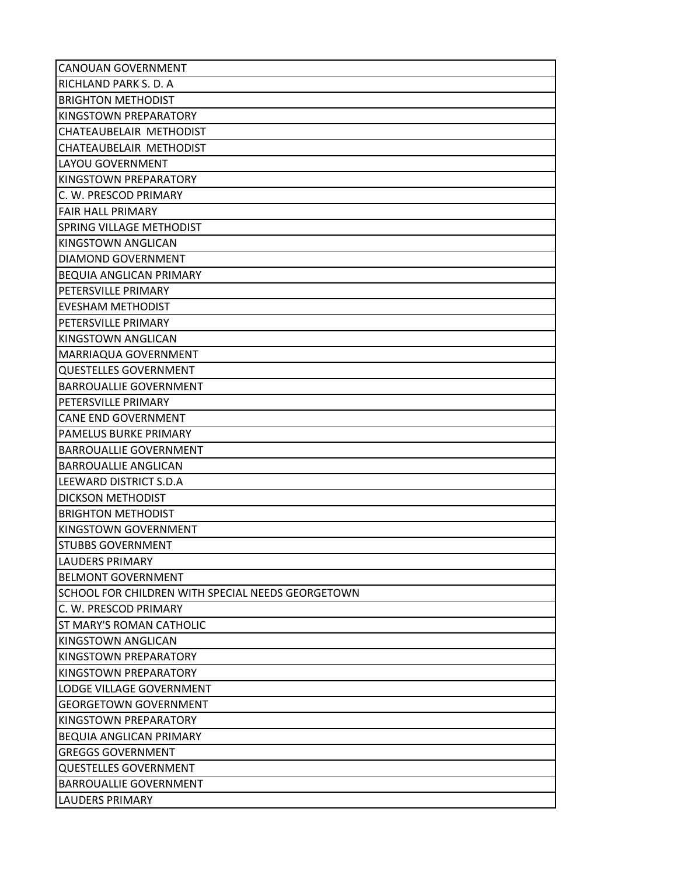| <b>CANOUAN GOVERNMENT</b>                         |
|---------------------------------------------------|
| RICHLAND PARK S. D. A.                            |
| <b>BRIGHTON METHODIST</b>                         |
| KINGSTOWN PREPARATORY                             |
| CHATEAUBELAIR METHODIST                           |
| CHATEAUBELAIR METHODIST                           |
| LAYOU GOVERNMENT                                  |
| KINGSTOWN PREPARATORY                             |
| C. W. PRESCOD PRIMARY                             |
| <b>FAIR HALL PRIMARY</b>                          |
| <b>SPRING VILLAGE METHODIST</b>                   |
| KINGSTOWN ANGLICAN                                |
| DIAMOND GOVERNMENT                                |
| <b>BEQUIA ANGLICAN PRIMARY</b>                    |
| PETERSVILLE PRIMARY                               |
| <b>EVESHAM METHODIST</b>                          |
| PETERSVILLE PRIMARY                               |
| KINGSTOWN ANGLICAN                                |
| MARRIAQUA GOVERNMENT                              |
| <b>QUESTELLES GOVERNMENT</b>                      |
| <b>BARROUALLIE GOVERNMENT</b>                     |
| PETERSVILLE PRIMARY                               |
| <b>CANE END GOVERNMENT</b>                        |
| PAMELUS BURKE PRIMARY                             |
| <b>BARROUALLIE GOVERNMENT</b>                     |
| <b>BARROUALLIE ANGLICAN</b>                       |
| LEEWARD DISTRICT S.D.A                            |
| <b>DICKSON METHODIST</b>                          |
| <b>BRIGHTON METHODIST</b>                         |
| KINGSTOWN GOVERNMENT                              |
| <b>STUBBS GOVERNMENT</b>                          |
| <b>LAUDERS PRIMARY</b>                            |
| <b>BELMONT GOVERNMENT</b>                         |
| SCHOOL FOR CHILDREN WITH SPECIAL NEEDS GEORGETOWN |
| C. W. PRESCOD PRIMARY                             |
| <b>ST MARY'S ROMAN CATHOLIC</b>                   |
| KINGSTOWN ANGLICAN                                |
| KINGSTOWN PREPARATORY                             |
| KINGSTOWN PREPARATORY                             |
| LODGE VILLAGE GOVERNMENT                          |
| <b>GEORGETOWN GOVERNMENT</b>                      |
| KINGSTOWN PREPARATORY                             |
| <b>BEQUIA ANGLICAN PRIMARY</b>                    |
| <b>GREGGS GOVERNMENT</b>                          |
| <b>QUESTELLES GOVERNMENT</b>                      |
| <b>BARROUALLIE GOVERNMENT</b>                     |
| <b>LAUDERS PRIMARY</b>                            |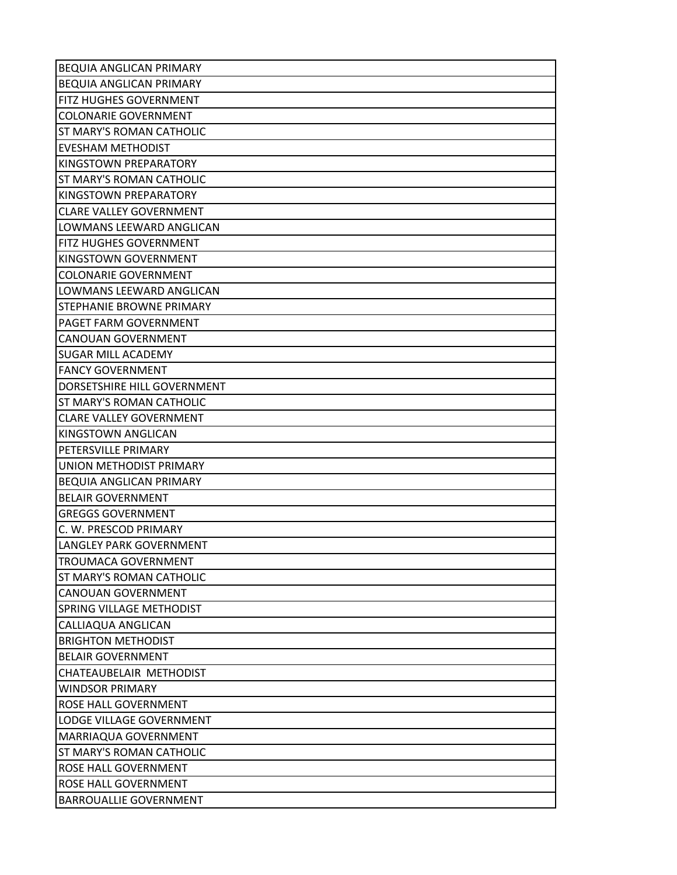| <b>BEQUIA ANGLICAN PRIMARY</b>  |
|---------------------------------|
| <b>BEQUIA ANGLICAN PRIMARY</b>  |
| <b>FITZ HUGHES GOVERNMENT</b>   |
| <b>COLONARIE GOVERNMENT</b>     |
| <b>ST MARY'S ROMAN CATHOLIC</b> |
| <b>EVESHAM METHODIST</b>        |
| KINGSTOWN PREPARATORY           |
| <b>ST MARY'S ROMAN CATHOLIC</b> |
| KINGSTOWN PREPARATORY           |
| <b>CLARE VALLEY GOVERNMENT</b>  |
| LOWMANS LEEWARD ANGLICAN        |
| <b>FITZ HUGHES GOVERNMENT</b>   |
| KINGSTOWN GOVERNMENT            |
| <b>COLONARIE GOVERNMENT</b>     |
| LOWMANS LEEWARD ANGLICAN        |
| STEPHANIE BROWNE PRIMARY        |
| PAGET FARM GOVERNMENT           |
| <b>CANOUAN GOVERNMENT</b>       |
| <b>SUGAR MILL ACADEMY</b>       |
| <b>FANCY GOVERNMENT</b>         |
| DORSETSHIRE HILL GOVERNMENT     |
| <b>ST MARY'S ROMAN CATHOLIC</b> |
| <b>CLARE VALLEY GOVERNMENT</b>  |
| KINGSTOWN ANGLICAN              |
| PETERSVILLE PRIMARY             |
| UNION METHODIST PRIMARY         |
| <b>BEQUIA ANGLICAN PRIMARY</b>  |
| <b>BELAIR GOVERNMENT</b>        |
| <b>GREGGS GOVERNMENT</b>        |
| C. W. PRESCOD PRIMARY           |
| LANGLEY PARK GOVERNMENT         |
| <b>TROUMACA GOVERNMENT</b>      |
| <b>ST MARY'S ROMAN CATHOLIC</b> |
| <b>CANOUAN GOVERNMENT</b>       |
| SPRING VILLAGE METHODIST        |
| CALLIAQUA ANGLICAN              |
| <b>BRIGHTON METHODIST</b>       |
| <b>BELAIR GOVERNMENT</b>        |
| CHATEAUBELAIR METHODIST         |
| <b>WINDSOR PRIMARY</b>          |
| ROSE HALL GOVERNMENT            |
| LODGE VILLAGE GOVERNMENT        |
| MARRIAQUA GOVERNMENT            |
| <b>ST MARY'S ROMAN CATHOLIC</b> |
| <b>ROSE HALL GOVERNMENT</b>     |
| ROSE HALL GOVERNMENT            |
| <b>BARROUALLIE GOVERNMENT</b>   |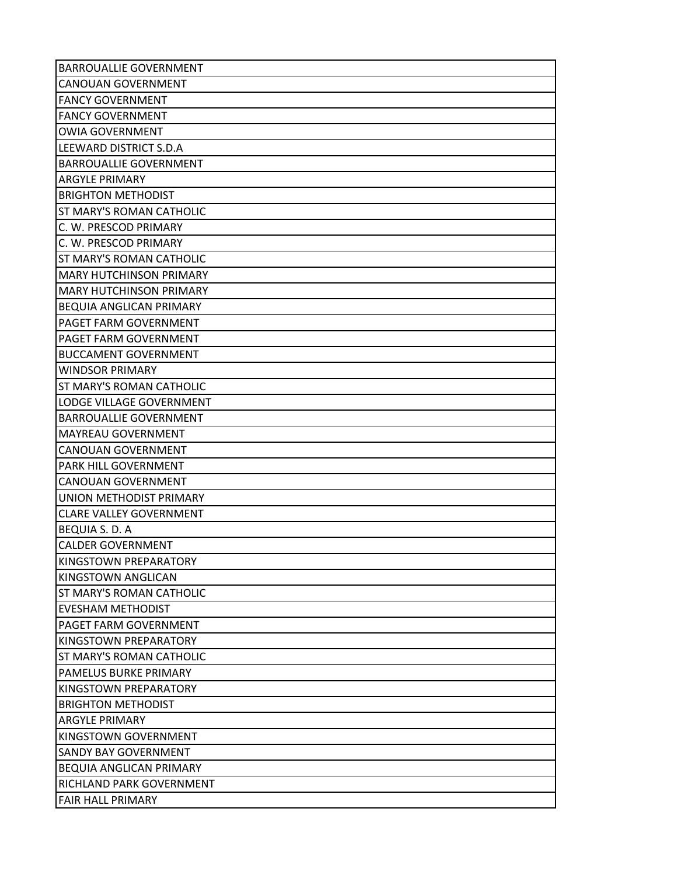| <b>BARROUALLIE GOVERNMENT</b>   |
|---------------------------------|
| <b>CANOUAN GOVERNMENT</b>       |
| <b>FANCY GOVERNMENT</b>         |
| <b>FANCY GOVERNMENT</b>         |
| <b>OWIA GOVERNMENT</b>          |
| LEEWARD DISTRICT S.D.A          |
| <b>BARROUALLIE GOVERNMENT</b>   |
| <b>ARGYLE PRIMARY</b>           |
| <b>BRIGHTON METHODIST</b>       |
| <b>ST MARY'S ROMAN CATHOLIC</b> |
| C. W. PRESCOD PRIMARY           |
| C. W. PRESCOD PRIMARY           |
| <b>ST MARY'S ROMAN CATHOLIC</b> |
| <b>MARY HUTCHINSON PRIMARY</b>  |
| <b>MARY HUTCHINSON PRIMARY</b>  |
| <b>BEQUIA ANGLICAN PRIMARY</b>  |
| PAGET FARM GOVERNMENT           |
| PAGET FARM GOVERNMENT           |
| <b>BUCCAMENT GOVERNMENT</b>     |
| <b>WINDSOR PRIMARY</b>          |
| ST MARY'S ROMAN CATHOLIC        |
| LODGE VILLAGE GOVERNMENT        |
| <b>BARROUALLIE GOVERNMENT</b>   |
| <b>MAYREAU GOVERNMENT</b>       |
| <b>CANOUAN GOVERNMENT</b>       |
| PARK HILL GOVERNMENT            |
| <b>CANOUAN GOVERNMENT</b>       |
| UNION METHODIST PRIMARY         |
| <b>CLARE VALLEY GOVERNMENT</b>  |
| <b>BEQUIA S. D. A</b>           |
| <b>CALDER GOVERNMENT</b>        |
| KINGSTOWN PREPARATORY           |
| KINGSTOWN ANGLICAN              |
| <b>ST MARY'S ROMAN CATHOLIC</b> |
| <b>EVESHAM METHODIST</b>        |
| PAGET FARM GOVERNMENT           |
| KINGSTOWN PREPARATORY           |
| <b>ST MARY'S ROMAN CATHOLIC</b> |
| <b>PAMELUS BURKE PRIMARY</b>    |
| KINGSTOWN PREPARATORY           |
| <b>BRIGHTON METHODIST</b>       |
| <b>ARGYLE PRIMARY</b>           |
| KINGSTOWN GOVERNMENT            |
| <b>SANDY BAY GOVERNMENT</b>     |
| <b>BEQUIA ANGLICAN PRIMARY</b>  |
| RICHLAND PARK GOVERNMENT        |
| <b>FAIR HALL PRIMARY</b>        |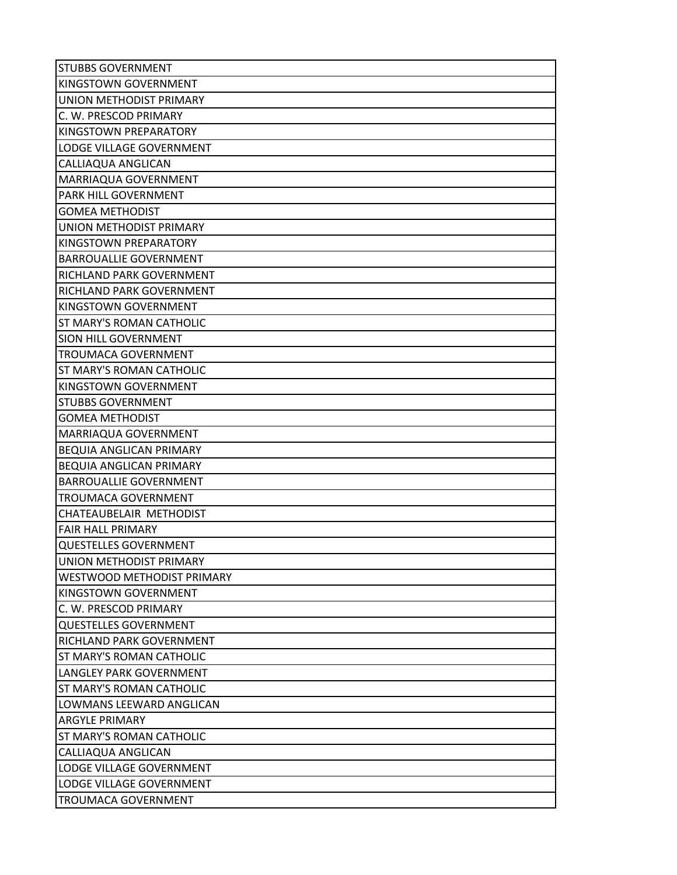| <b>STUBBS GOVERNMENT</b>       |
|--------------------------------|
| <b>KINGSTOWN GOVERNMENT</b>    |
| UNION METHODIST PRIMARY        |
| C. W. PRESCOD PRIMARY          |
| KINGSTOWN PREPARATORY          |
| LODGE VILLAGE GOVERNMENT       |
| CALLIAQUA ANGLICAN             |
| MARRIAQUA GOVERNMENT           |
| PARK HILL GOVERNMENT           |
| <b>GOMEA METHODIST</b>         |
| UNION METHODIST PRIMARY        |
| <b>KINGSTOWN PREPARATORY</b>   |
| <b>BARROUALLIE GOVERNMENT</b>  |
| RICHLAND PARK GOVERNMENT       |
| RICHLAND PARK GOVERNMENT       |
| KINGSTOWN GOVERNMENT           |
| ST MARY'S ROMAN CATHOLIC       |
| SION HILL GOVERNMENT           |
| <b>TROUMACA GOVERNMENT</b>     |
| ST MARY'S ROMAN CATHOLIC       |
| KINGSTOWN GOVERNMENT           |
| <b>STUBBS GOVERNMENT</b>       |
| <b>GOMEA METHODIST</b>         |
| MARRIAQUA GOVERNMENT           |
| <b>BEQUIA ANGLICAN PRIMARY</b> |
| <b>BEQUIA ANGLICAN PRIMARY</b> |
| <b>BARROUALLIE GOVERNMENT</b>  |
| <b>TROUMACA GOVERNMENT</b>     |
| CHATEAUBELAIR METHODIST        |
| <b>FAIR HALL PRIMARY</b>       |
| <b>QUESTELLES GOVERNMENT</b>   |
| UNION METHODIST PRIMARY        |
| WESTWOOD METHODIST PRIMARY     |
| KINGSTOWN GOVERNMENT           |
| C. W. PRESCOD PRIMARY          |
| <b>QUESTELLES GOVERNMENT</b>   |
| RICHLAND PARK GOVERNMENT       |
| ST MARY'S ROMAN CATHOLIC       |
| LANGLEY PARK GOVERNMENT        |
| ST MARY'S ROMAN CATHOLIC       |
| LOWMANS LEEWARD ANGLICAN       |
| <b>ARGYLE PRIMARY</b>          |
| ST MARY'S ROMAN CATHOLIC       |
| CALLIAQUA ANGLICAN             |
| LODGE VILLAGE GOVERNMENT       |
| LODGE VILLAGE GOVERNMENT       |
| <b>TROUMACA GOVERNMENT</b>     |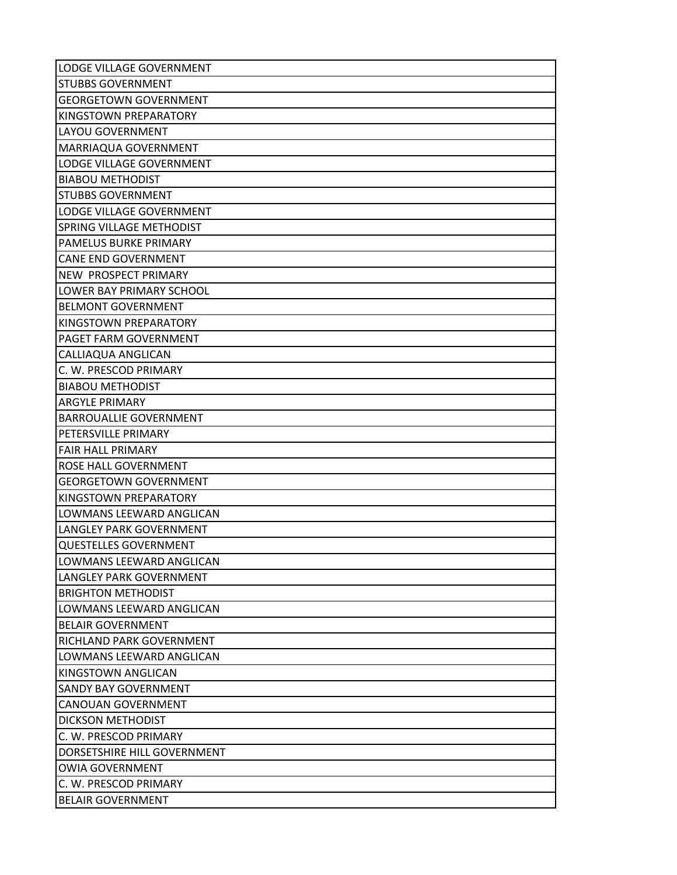| LODGE VILLAGE GOVERNMENT      |
|-------------------------------|
| <b>STUBBS GOVERNMENT</b>      |
| <b>GEORGETOWN GOVERNMENT</b>  |
| KINGSTOWN PREPARATORY         |
| LAYOU GOVERNMENT              |
| MARRIAQUA GOVERNMENT          |
| LODGE VILLAGE GOVERNMENT      |
| <b>BIABOU METHODIST</b>       |
| <b>STUBBS GOVERNMENT</b>      |
| LODGE VILLAGE GOVERNMENT      |
| SPRING VILLAGE METHODIST      |
| PAMELUS BURKE PRIMARY         |
| <b>CANE END GOVERNMENT</b>    |
| NEW PROSPECT PRIMARY          |
| LOWER BAY PRIMARY SCHOOL      |
| <b>BELMONT GOVERNMENT</b>     |
| KINGSTOWN PREPARATORY         |
| PAGET FARM GOVERNMENT         |
| CALLIAQUA ANGLICAN            |
| C. W. PRESCOD PRIMARY         |
| <b>BIABOU METHODIST</b>       |
| <b>ARGYLE PRIMARY</b>         |
| <b>BARROUALLIE GOVERNMENT</b> |
| PETERSVILLE PRIMARY           |
| <b>FAIR HALL PRIMARY</b>      |
| ROSE HALL GOVERNMENT          |
| <b>GEORGETOWN GOVERNMENT</b>  |
| KINGSTOWN PREPARATORY         |
| LOWMANS LEEWARD ANGLICAN      |
| LANGLEY PARK GOVERNMENT       |
| <b>QUESTELLES GOVERNMENT</b>  |
| LOWMANS LEEWARD ANGLICAN      |
| LANGLEY PARK GOVERNMENT       |
| <b>BRIGHTON METHODIST</b>     |
| LOWMANS LEEWARD ANGLICAN      |
| <b>BELAIR GOVERNMENT</b>      |
| RICHLAND PARK GOVERNMENT      |
| LOWMANS LEEWARD ANGLICAN      |
| KINGSTOWN ANGLICAN            |
| <b>SANDY BAY GOVERNMENT</b>   |
| <b>CANOUAN GOVERNMENT</b>     |
| <b>DICKSON METHODIST</b>      |
| C. W. PRESCOD PRIMARY         |
| DORSETSHIRE HILL GOVERNMENT   |
| <b>OWIA GOVERNMENT</b>        |
| C. W. PRESCOD PRIMARY         |
| <b>BELAIR GOVERNMENT</b>      |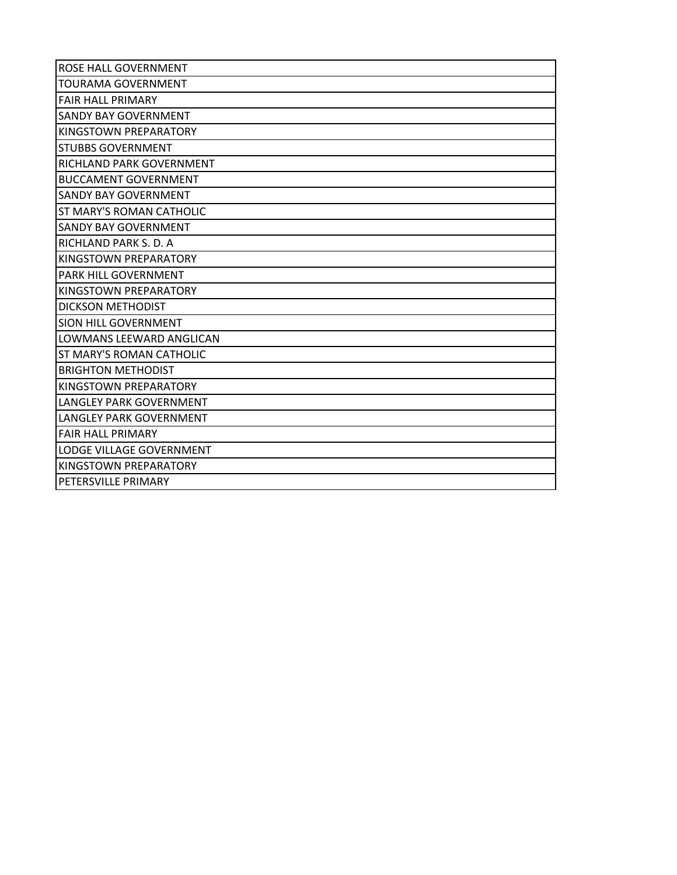| ROSE HALL GOVERNMENT           |
|--------------------------------|
| <b>TOURAMA GOVERNMENT</b>      |
| <b>FAIR HALL PRIMARY</b>       |
| <b>SANDY BAY GOVERNMENT</b>    |
| KINGSTOWN PREPARATORY          |
| <b>STUBBS GOVERNMENT</b>       |
| RICHLAND PARK GOVERNMENT       |
| <b>BUCCAMENT GOVERNMENT</b>    |
| <b>SANDY BAY GOVERNMENT</b>    |
| ST MARY'S ROMAN CATHOLIC       |
| SANDY BAY GOVERNMENT           |
| RICHLAND PARK S. D. A          |
| KINGSTOWN PREPARATORY          |
| <b>PARK HILL GOVERNMENT</b>    |
| KINGSTOWN PREPARATORY          |
| DICKSON METHODIST              |
| <b>SION HILL GOVERNMENT</b>    |
| LOWMANS LEEWARD ANGLICAN       |
| ST MARY'S ROMAN CATHOLIC       |
| <b>BRIGHTON METHODIST</b>      |
| KINGSTOWN PREPARATORY          |
| <b>LANGLEY PARK GOVERNMENT</b> |
| LANGLEY PARK GOVERNMENT        |
| <b>FAIR HALL PRIMARY</b>       |
| LODGE VILLAGE GOVERNMENT       |
| KINGSTOWN PREPARATORY          |
| PETERSVILLE PRIMARY            |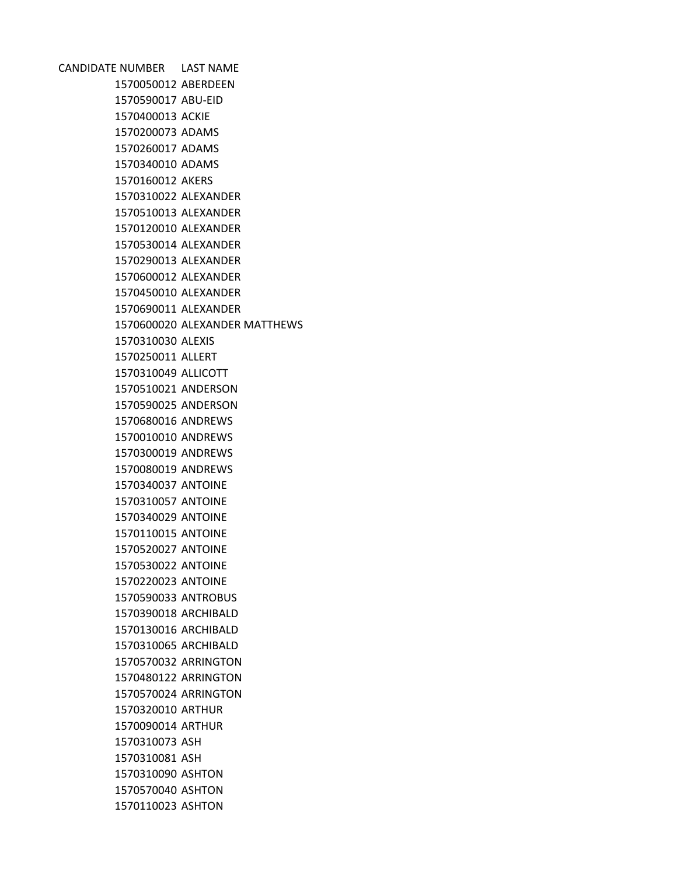CANDIDATE NUMBER LAST NAME ABERDEEN ABU-EID ACKIE ADAMS ADAMS ADAMS AKERS ALEXANDER ALEXANDER ALEXANDER ALEXANDER ALEXANDER ALEXANDER ALEXANDER ALEXANDER ALEXANDER MATTHEWS ALEXIS ALLERT ALLICOTT ANDERSON ANDERSON ANDREWS ANDREWS ANDREWS ANDREWS ANTOINE ANTOINE ANTOINE ANTOINE ANTOINE ANTOINE ANTOINE ANTROBUS ARCHIBALD ARCHIBALD ARCHIBALD ARRINGTON ARRINGTON ARRINGTON ARTHUR ARTHUR ASH ASH ASHTON ASHTON ASHTON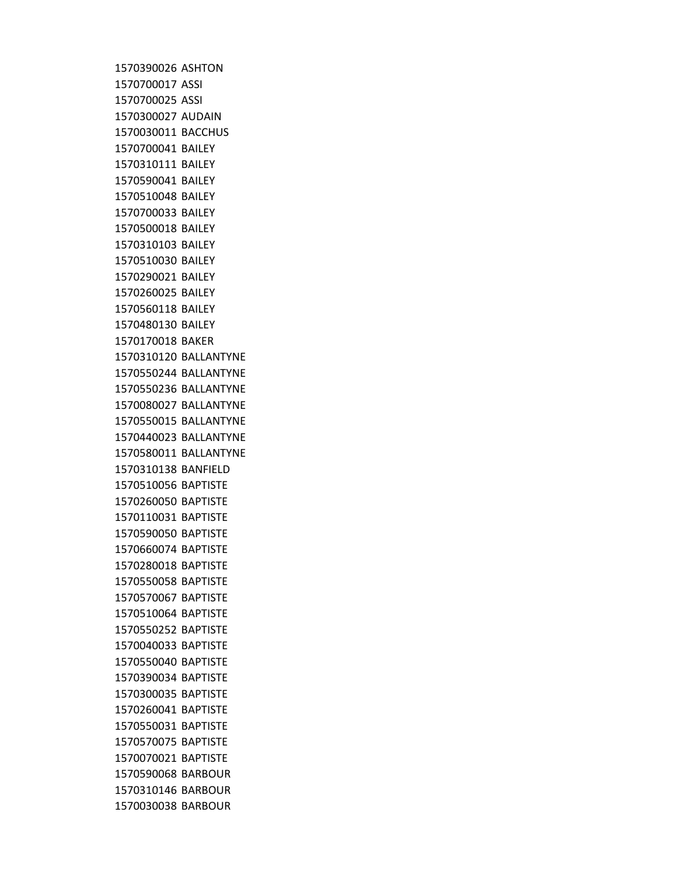ASHTON ASSI ASSI AUDAIN BACCHUS BAILEY BAILEY BAILEY BAILEY BAILEY BAILEY BAILEY BAILEY BAILEY BAILEY BAILEY BAILEY BAKER BALLANTYNE BALLANTYNE BALLANTYNE BALLANTYNE BALLANTYNE BALLANTYNE BALLANTYNE BANFIELD BAPTISTE BAPTISTE BAPTISTE BAPTISTE BAPTISTE BAPTISTE BAPTISTE BAPTISTE BAPTISTE BAPTISTE BAPTISTE BAPTISTE BAPTISTE BAPTISTE BAPTISTE BAPTISTE BAPTISTE BAPTISTE BARBOUR BARBOUR BARBOUR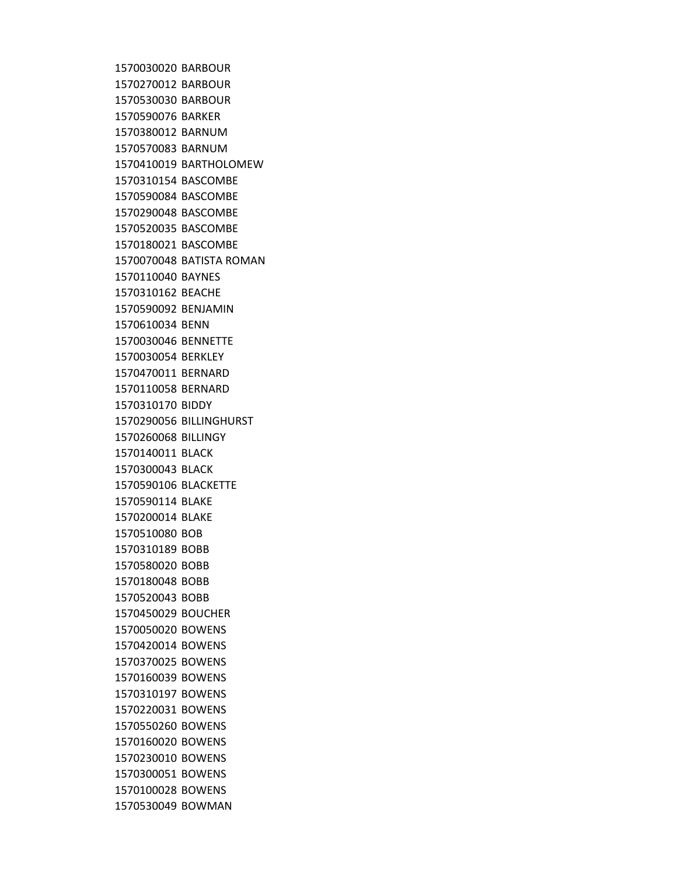BARBOUR BARBOUR BARBOUR BARKER BARNUM BARNUM BARTHOLOMEW BASCOMBE BASCOMBE BASCOMBE BASCOMBE BASCOMBE BATISTA ROMAN BAYNES BEACHE BENJAMIN BENN BENNETTE BERKLEY BERNARD BERNARD BIDDY BILLINGHURST BILLINGY BLACK BLACK BLACKETTE BLAKE BLAKE BOB BOBB BOBB BOBB BOBB BOUCHER BOWENS BOWENS BOWENS BOWENS BOWENS BOWENS BOWENS BOWENS BOWENS BOWENS BOWENS BOWMAN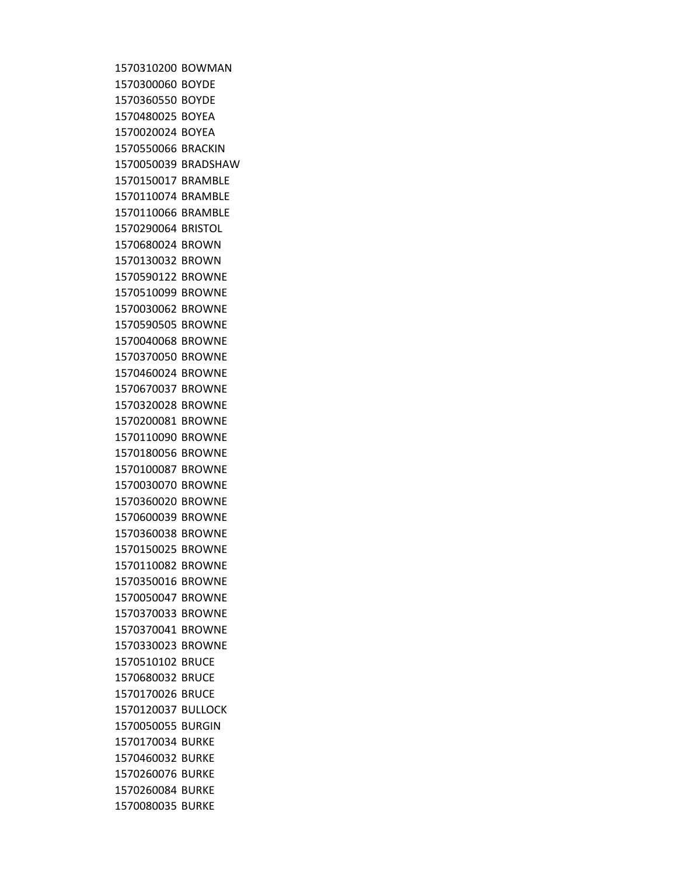BOWMAN BOYDE BOYDE BOYEA BOYEA BRACKIN BRADSHAW BRAMBLE BRAMBLE BRAMBLE BRISTOL BROWN BROWN BROWNE BROWNE BROWNE BROWNE BROWNE BROWNE BROWNE BROWNE BROWNE BROWNE BROWNE BROWNE BROWNE BROWNE BROWNE BROWNE BROWNE BROWNE BROWNE BROWNE BROWNE BROWNE BROWNE BROWNE BRUCE BRUCE BRUCE BULLOCK BURGIN BURKE BURKE BURKE BURKE BURKE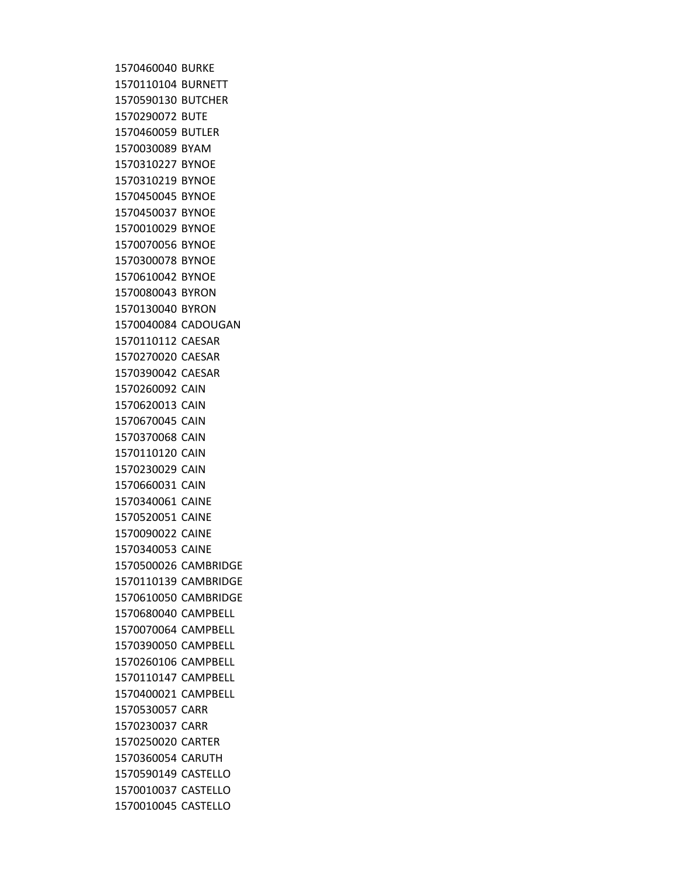BURKE BURNETT BUTCHER BUTE BUTLER BYAM BYNOE BYNOE BYNOE BYNOE BYNOE BYNOE BYNOE BYNOE BYRON BYRON CADOUGAN CAESAR CAESAR CAESAR CAIN CAIN CAIN CAIN CAIN CAIN CAIN CAINE CAINE CAINE CAINE CAMBRIDGE CAMBRIDGE CAMBRIDGE CAMPBELL CAMPBELL CAMPBELL CAMPBELL CAMPBELL CAMPBELL CARR CARR CARTER CARUTH CASTELLO CASTELLO CASTELLO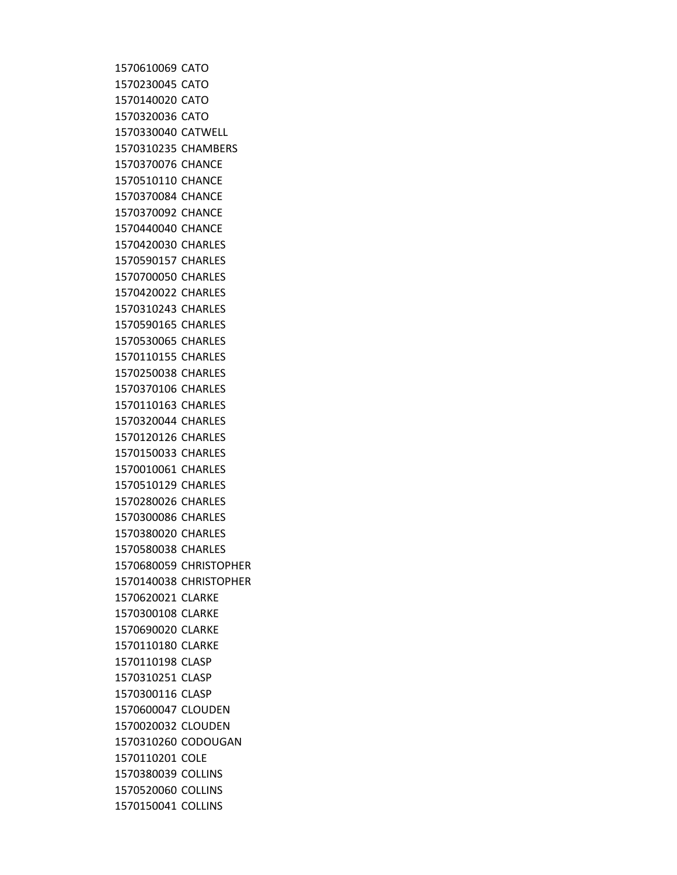CATO CATO CATO CATO CATWELL CHAMBERS CHANCE CHANCE CHANCE CHANCE CHANCE CHARLES CHARLES CHARLES CHARLES CHARLES CHARLES CHARLES CHARLES CHARLES CHARLES CHARLES CHARLES CHARLES CHARLES CHARLES CHARLES CHARLES CHARLES CHARLES CHARLES CHRISTOPHER CHRISTOPHER CLARKE CLARKE CLARKE CLARKE CLASP CLASP CLASP CLOUDEN CLOUDEN CODOUGAN COLE COLLINS COLLINS COLLINS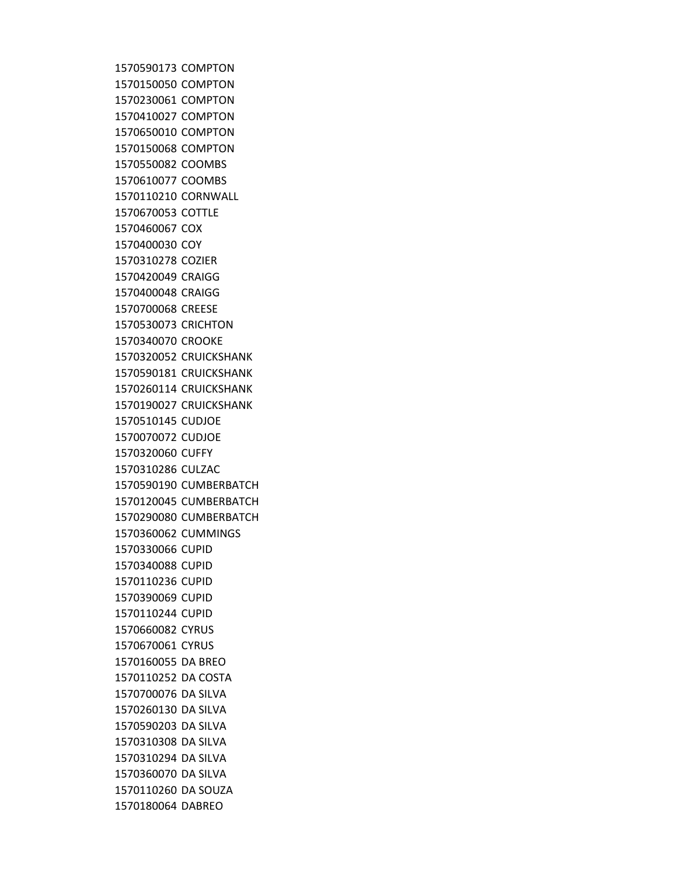COMPTON COMPTON COMPTON COMPTON COMPTON COMPTON COOMBS COOMBS CORNWALL COTTLE COX COY COZIER CRAIGG CRAIGG CREESE CRICHTON CROOKE CRUICKSHANK CRUICKSHANK CRUICKSHANK CRUICKSHANK CUDJOE CUDJOE CUFFY CULZAC CUMBERBATCH CUMBERBATCH CUMBERBATCH CUMMINGS CUPID CUPID CUPID CUPID CUPID CYRUS CYRUS DA BREO DA COSTA DA SILVA DA SILVA DA SILVA DA SILVA DA SILVA DA SILVA DA SOUZA DABREO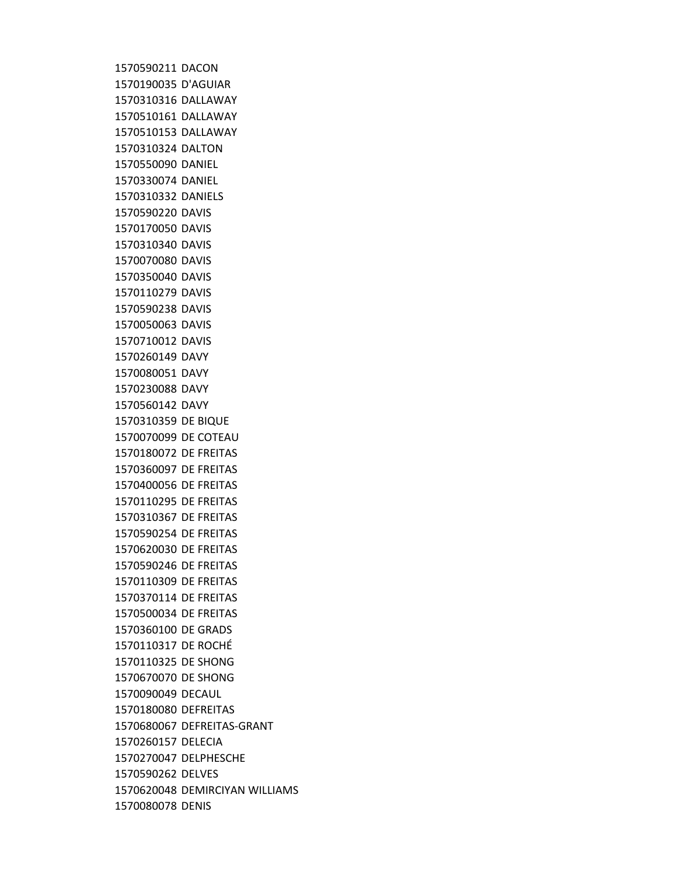DACON D'AGUIAR DALLAWAY DALLAWAY DALLAWAY DALTON DANIEL DANIEL DANIELS DAVIS DAVIS DAVIS DAVIS DAVIS DAVIS DAVIS DAVIS DAVIS DAVY DAVY DAVY DAVY DE BIQUE DE COTEAU DE FREITAS DE FREITAS DE FREITAS DE FREITAS DE FREITAS DE FREITAS DE FREITAS DE FREITAS DE FREITAS DE FREITAS DE FREITAS DE GRADS DE ROCHÉ DE SHONG DE SHONG DECAUL DEFREITAS DEFREITAS-GRANT DELECIA DELPHESCHE DELVES DEMIRCIYAN WILLIAMS DENIS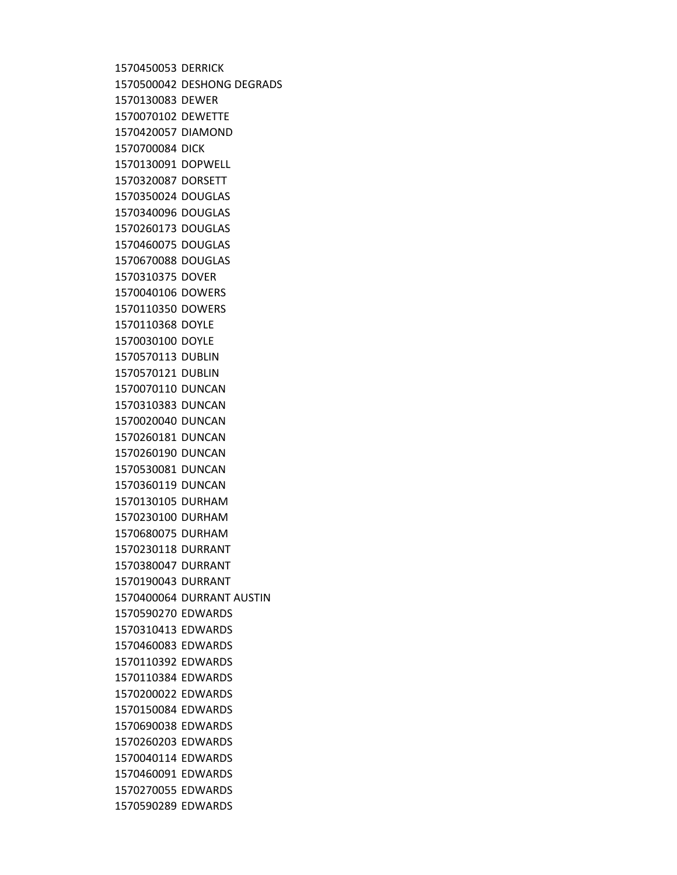DERRICK DESHONG DEGRADS DEWER DEWETTE DIAMOND DICK DOPWELL DORSETT DOUGLAS DOUGLAS DOUGLAS DOUGLAS DOUGLAS DOVER DOWERS DOWERS DOYLE DOYLE DUBLIN DUBLIN DUNCAN DUNCAN DUNCAN DUNCAN DUNCAN DUNCAN DUNCAN DURHAM DURHAM DURHAM DURRANT DURRANT DURRANT DURRANT AUSTIN EDWARDS EDWARDS EDWARDS EDWARDS EDWARDS EDWARDS EDWARDS EDWARDS EDWARDS EDWARDS EDWARDS EDWARDS EDWARDS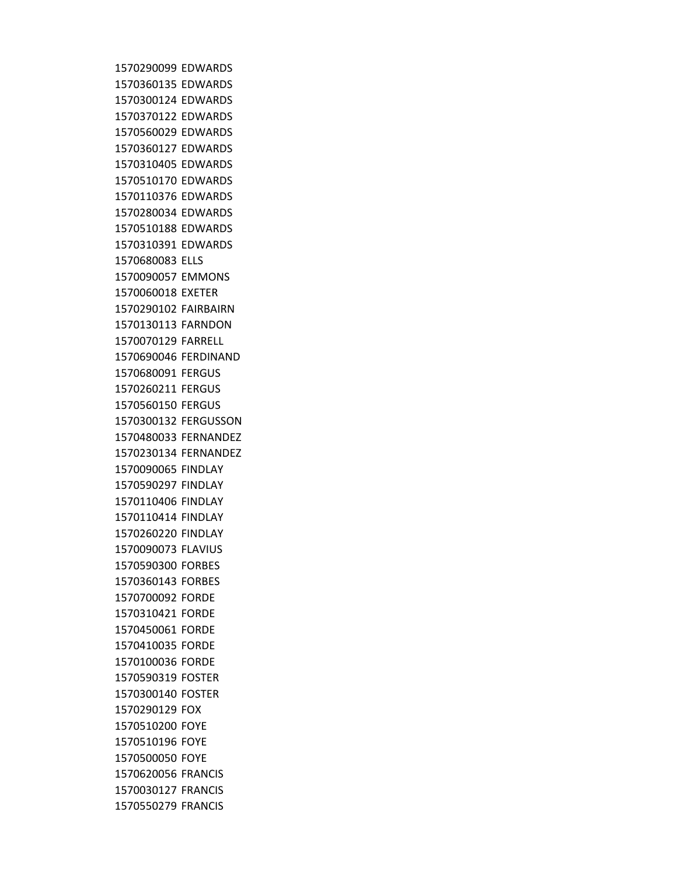EDWARDS EDWARDS EDWARDS EDWARDS EDWARDS EDWARDS EDWARDS EDWARDS EDWARDS EDWARDS EDWARDS EDWARDS ELLS EMMONS EXETER FAIRBAIRN FARNDON FARRELL FERDINAND FERGUS FERGUS FERGUS FERGUSSON FERNANDEZ FERNANDEZ FINDLAY FINDLAY FINDLAY FINDLAY FINDLAY FLAVIUS FORBES FORBES FORDE FORDE FORDE FORDE FORDE FOSTER FOSTER FOX FOYE FOYE FOYE FRANCIS FRANCIS FRANCIS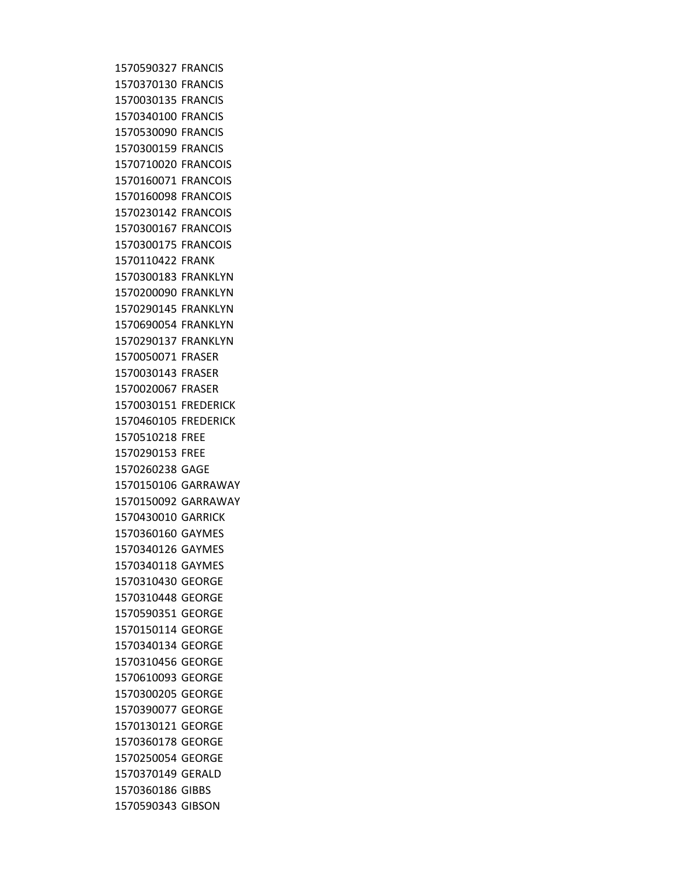FRANCIS FRANCIS FRANCIS FRANCIS FRANCIS FRANCIS FRANCOIS FRANCOIS FRANCOIS FRANCOIS FRANCOIS FRANCOIS FRANK FRANKLYN FRANKLYN FRANKLYN FRANKLYN FRANKLYN FRASER FRASER FRASER FREDERICK FREDERICK FREE FREE GAGE GARRAWAY GARRAWAY GARRICK GAYMES GAYMES GAYMES GEORGE GEORGE GEORGE GEORGE GEORGE GEORGE GEORGE GEORGE GEORGE GEORGE GEORGE GEORGE GERALD GIBBS GIBSON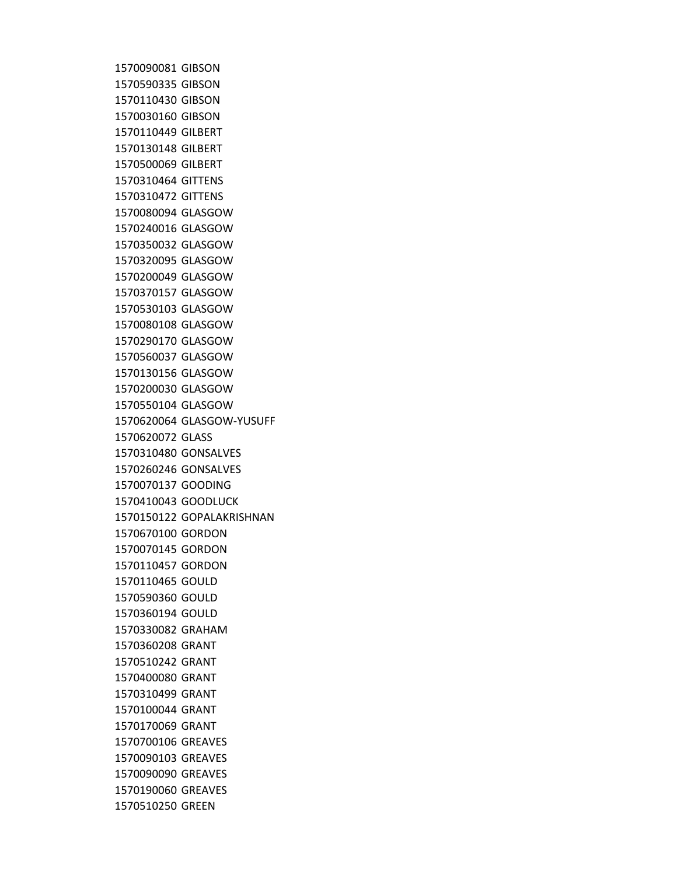GIBSON GIBSON GIBSON GIBSON GILBERT GILBERT GILBERT GITTENS GITTENS GLASGOW GLASGOW GLASGOW GLASGOW GLASGOW GLASGOW GLASGOW GLASGOW GLASGOW GLASGOW GLASGOW GLASGOW GLASGOW GLASGOW-YUSUFF GLASS GONSALVES GONSALVES GOODING GOODLUCK GOPALAKRISHNAN GORDON GORDON GORDON GOULD GOULD GOULD GRAHAM GRANT GRANT GRANT GRANT GRANT GRANT GREAVES GREAVES GREAVES GREAVES GREEN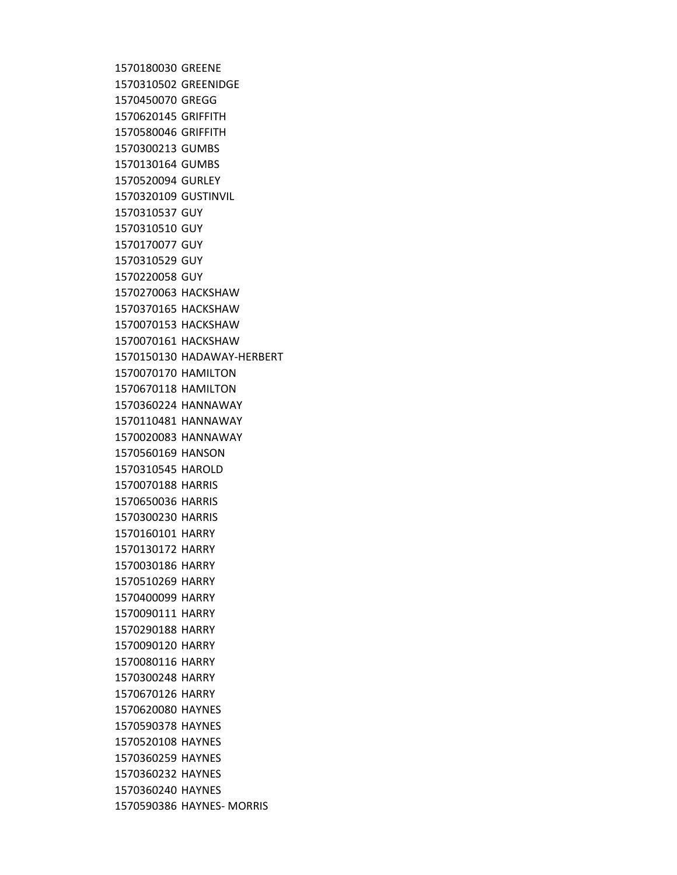GREENE GREENIDGE GREGG GRIFFITH GRIFFITH GUMBS GUMBS GURLEY GUSTINVIL GUY GUY GUY GUY GUY HACKSHAW HACKSHAW HACKSHAW HACKSHAW HADAWAY-HERBERT HAMILTON HAMILTON HANNAWAY HANNAWAY HANNAWAY HANSON HAROLD HARRIS HARRIS HARRIS HARRY HARRY HARRY HARRY HARRY HARRY HARRY HARRY HARRY HARRY HARRY HAYNES HAYNES HAYNES HAYNES HAYNES HAYNES HAYNES- MORRIS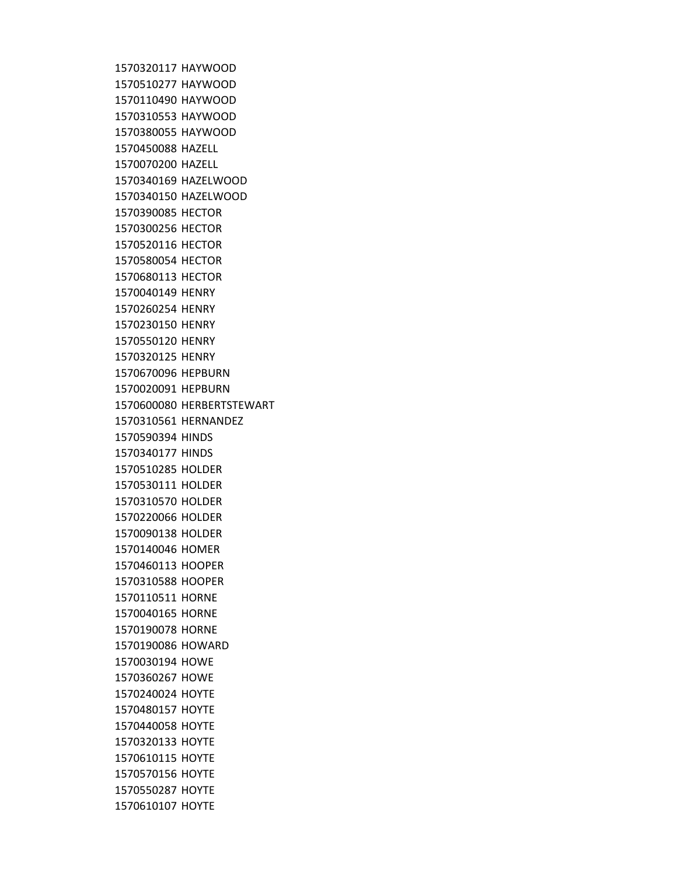HAYWOOD HAYWOOD HAYWOOD HAYWOOD HAYWOOD HAZELL HAZELL HAZELWOOD HAZELWOOD HECTOR HECTOR HECTOR HECTOR HECTOR HENRY HENRY HENRY HENRY HENRY HEPBURN HEPBURN HERBERTSTEWART HERNANDEZ HINDS HINDS HOLDER HOLDER HOLDER HOLDER HOLDER HOMER HOOPER HOOPER HORNE HORNE HORNE HOWARD HOWE HOWE HOYTE HOYTE HOYTE HOYTE HOYTE HOYTE HOYTE HOYTE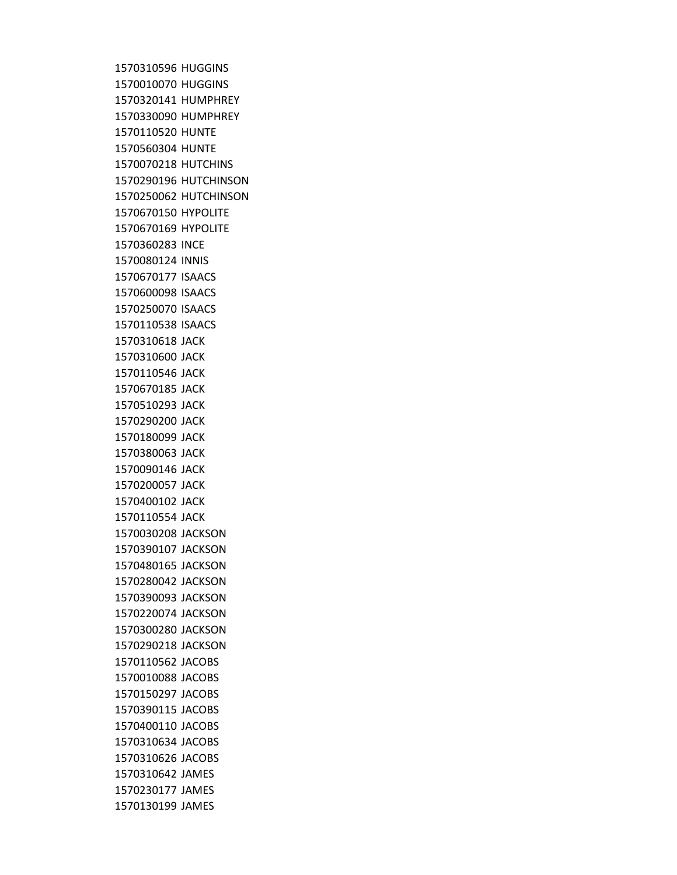HUGGINS HUGGINS HUMPHREY HUMPHREY HUNTE HUNTE HUTCHINS HUTCHINSON HUTCHINSON HYPOLITE HYPOLITE INCE INNIS ISAACS ISAACS ISAACS ISAACS JACK JACK JACK JACK JACK JACK JACK JACK JACK JACK JACK JACK JACKSON JACKSON JACKSON JACKSON JACKSON JACKSON JACKSON JACKSON JACOBS JACOBS JACOBS JACOBS JACOBS JACOBS JACOBS JAMES JAMES JAMES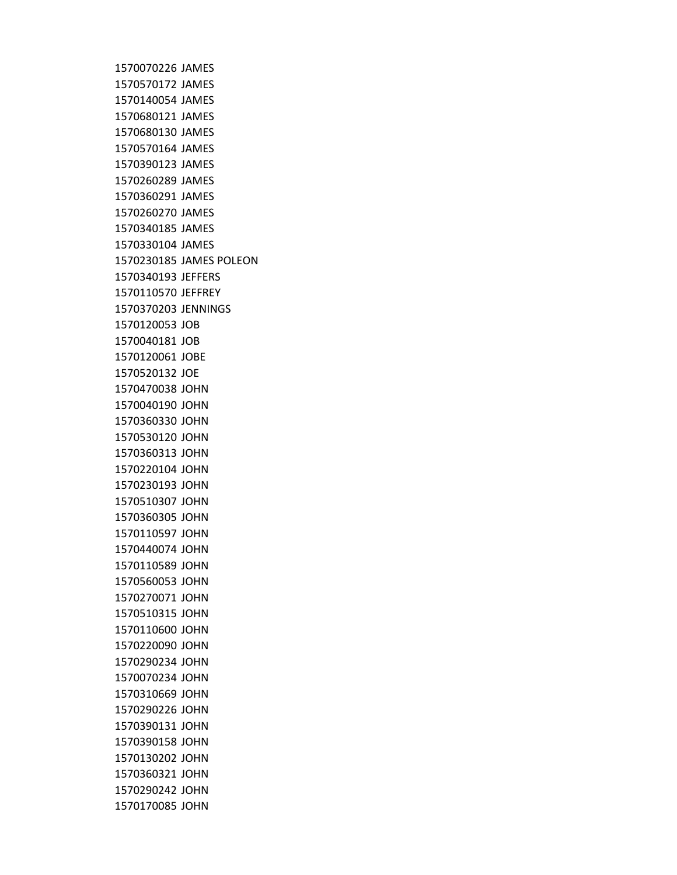JAMES JAMES JAMES JAMES JAMES JAMES JAMES JAMES JAMES JAMES JAMES JAMES JAMES POLEON JEFFERS JEFFREY JENNINGS JOB JOB JOBE JOE JOHN JOHN JOHN JOHN JOHN JOHN JOHN JOHN JOHN JOHN JOHN JOHN JOHN JOHN JOHN JOHN JOHN JOHN JOHN JOHN JOHN JOHN JOHN JOHN JOHN JOHN JOHN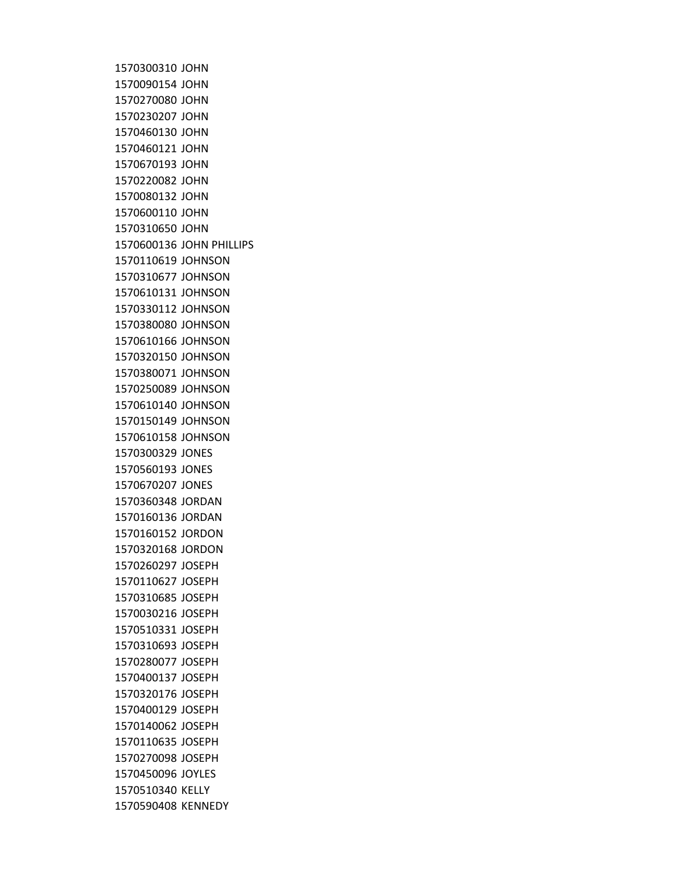JOHN JOHN JOHN JOHN JOHN JOHN JOHN JOHN JOHN JOHN JOHN JOHN PHILLIPS JOHNSON JOHNSON JOHNSON JOHNSON JOHNSON JOHNSON JOHNSON JOHNSON JOHNSON JOHNSON JOHNSON JOHNSON JONES JONES JONES JORDAN JORDAN JORDON JORDON JOSEPH JOSEPH JOSEPH JOSEPH JOSEPH JOSEPH JOSEPH JOSEPH JOSEPH JOSEPH JOSEPH JOSEPH JOSEPH JOYLES KELLY KENNEDY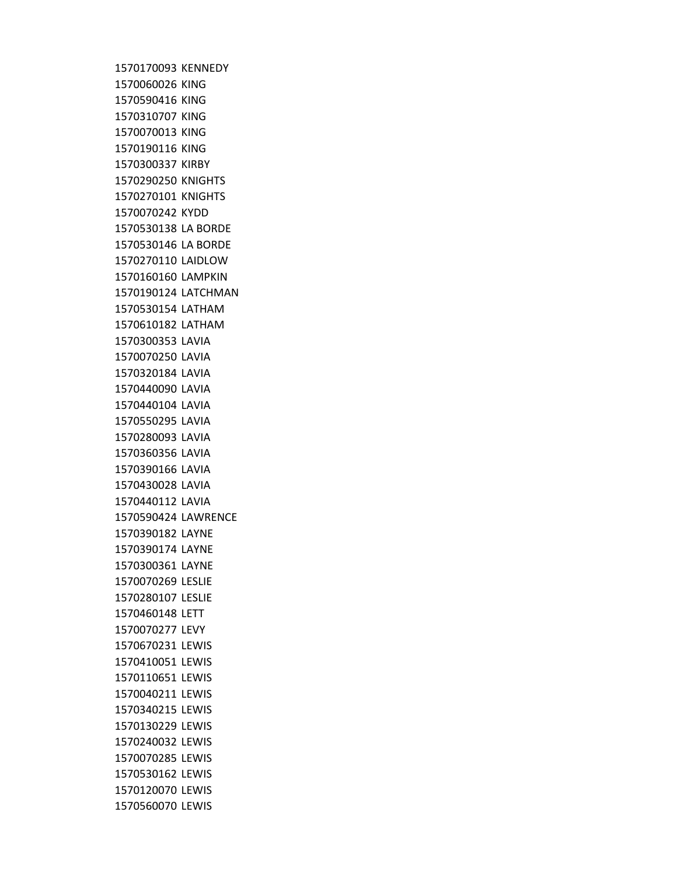KENNEDY KING KING KING KING KING KIRBY KNIGHTS KNIGHTS KYDD LA BORDE LA BORDE LAIDLOW LAMPKIN LATCHMAN LATHAM LATHAM LAVIA LAVIA LAVIA LAVIA LAVIA LAVIA LAVIA LAVIA LAVIA LAVIA LAVIA LAWRENCE LAYNE LAYNE LAYNE LESLIE LESLIE LETT LEVY LEWIS LEWIS LEWIS LEWIS LEWIS LEWIS LEWIS LEWIS LEWIS LEWIS LEWIS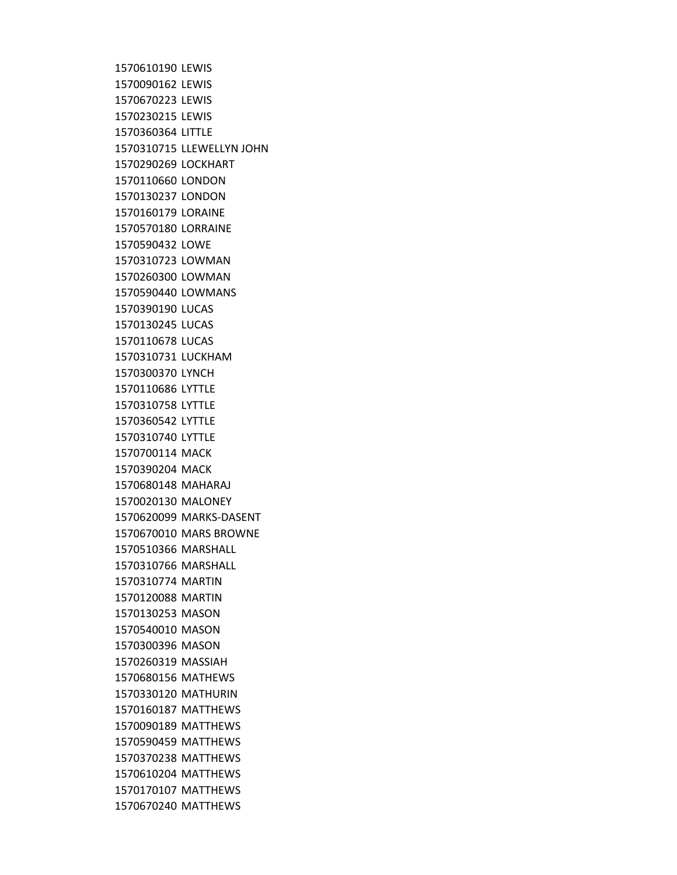LEWIS LEWIS LEWIS LEWIS LITTLE LLEWELLYN JOHN LOCKHART LONDON LONDON LORAINE LORRAINE LOWE LOWMAN LOWMAN LOWMANS LUCAS LUCAS LUCAS LUCKHAM LYNCH LYTTLE LYTTLE LYTTLE LYTTLE MACK MACK MAHARAJ MALONEY MARKS-DASENT MARS BROWNE MARSHALL MARSHALL MARTIN MARTIN MASON MASON MASON MASSIAH MATHEWS MATHURIN MATTHEWS MATTHEWS MATTHEWS MATTHEWS MATTHEWS MATTHEWS MATTHEWS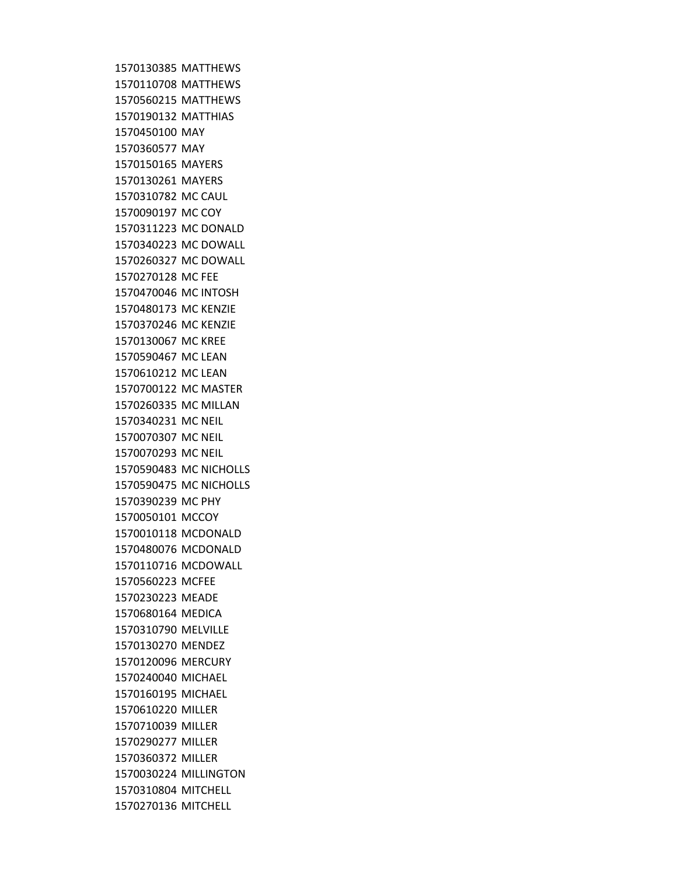MATTHEWS MATTHEWS MATTHEWS MATTHIAS MAY MAY MAYERS MAYERS MC CAUL MC COY MC DONALD MC DOWALL MC DOWALL MC FEE MC INTOSH MC KENZIE MC KENZIE MC KREE MC LEAN MC LEAN MC MASTER MC MILLAN MC NEIL MC NEIL MC NEIL MC NICHOLLS MC NICHOLLS MC PHY MCCOY MCDONALD MCDONALD MCDOWALL MCFEE MEADE MEDICA MELVILLE MENDEZ MERCURY MICHAEL MICHAEL MILLER MILLER MILLER MILLER MILLINGTON MITCHELL MITCHELL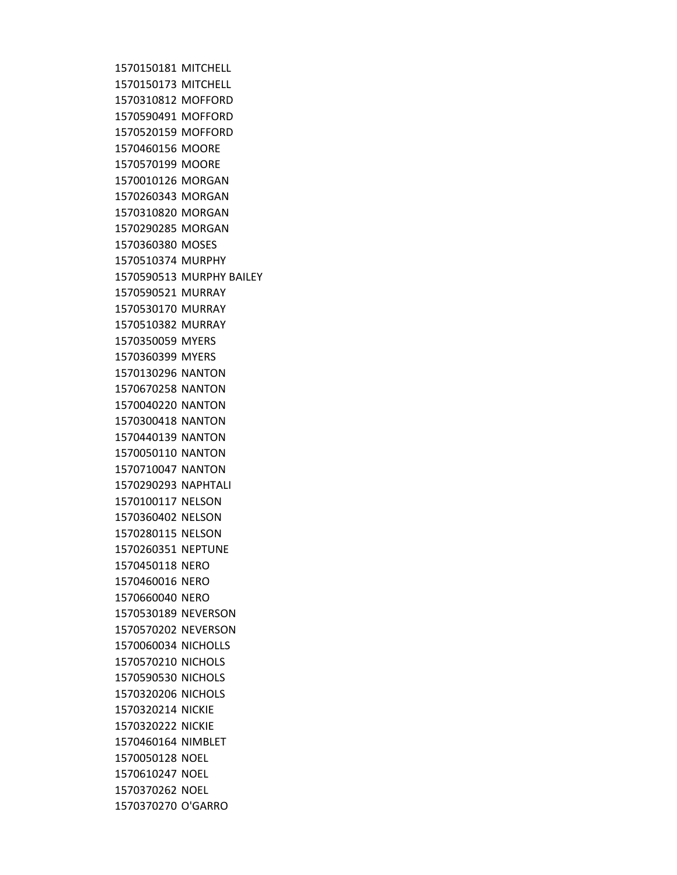MITCHELL MITCHELL MOFFORD MOFFORD MOFFORD MOORE MOORE MORGAN MORGAN MORGAN MORGAN MOSES MURPHY MURPHY BAILEY MURRAY MURRAY MURRAY MYERS MYERS NANTON NANTON NANTON NANTON NANTON NANTON NANTON NAPHTALI NELSON NELSON NELSON NEPTUNE NERO NERO NERO NEVERSON NEVERSON NICHOLLS NICHOLS NICHOLS NICHOLS NICKIE NICKIE NIMBLET NOEL NOEL NOEL O'GARRO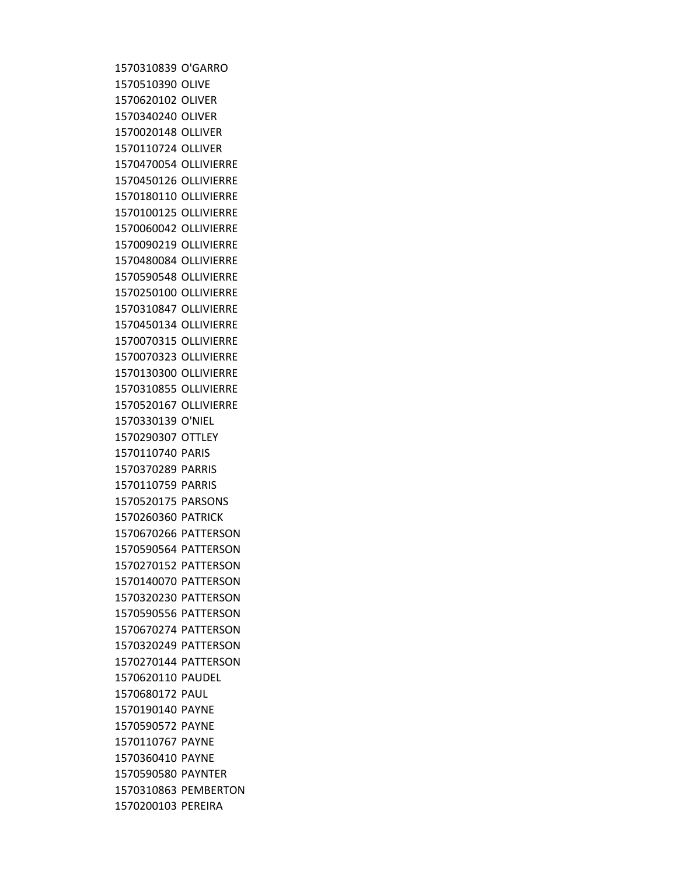O'GARRO OLIVE OLIVER OLIVER OLLIVER OLLIVER OLLIVIERRE OLLIVIERRE OLLIVIERRE OLLIVIERRE OLLIVIERRE OLLIVIERRE OLLIVIERRE OLLIVIERRE OLLIVIERRE OLLIVIERRE OLLIVIERRE OLLIVIERRE OLLIVIERRE OLLIVIERRE OLLIVIERRE OLLIVIERRE O'NIEL OTTLEY PARIS PARRIS PARRIS PARSONS PATRICK PATTERSON PATTERSON PATTERSON PATTERSON PATTERSON PATTERSON PATTERSON PATTERSON PATTERSON PAUDEL PAUL PAYNE PAYNE PAYNE PAYNE PAYNTER PEMBERTON PEREIRA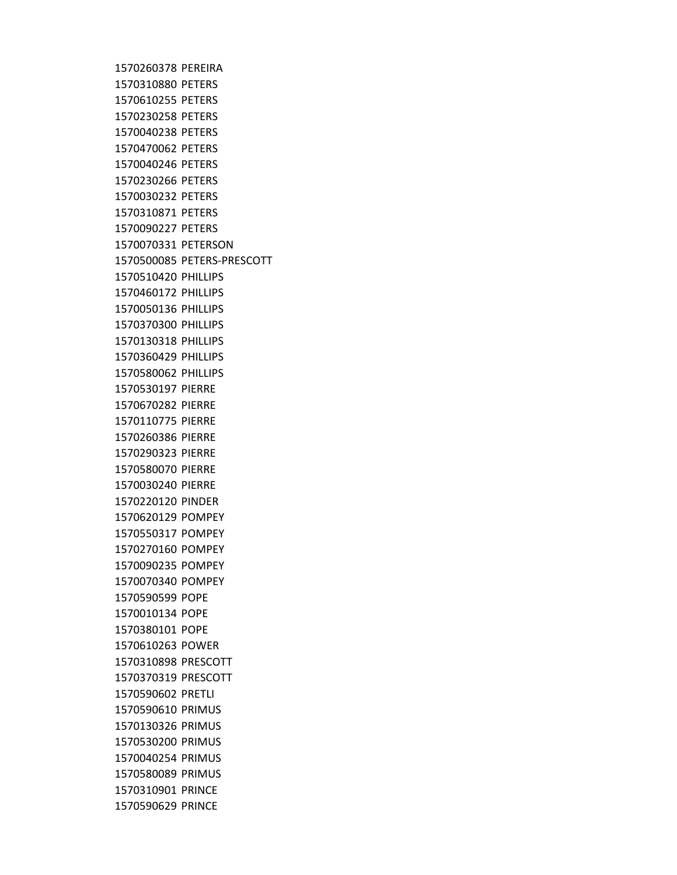PEREIRA PETERS PETERS PETERS PETERS PETERS PETERS PETERS PETERS PETERS PETERS PETERSON PETERS-PRESCOTT PHILLIPS PHILLIPS PHILLIPS PHILLIPS PHILLIPS PHILLIPS PHILLIPS PIERRE PIERRE PIERRE PIERRE PIERRE PIERRE PIERRE PINDER POMPEY POMPEY POMPEY POMPEY POMPEY POPE POPE POPE POWER PRESCOTT PRESCOTT PRETLI PRIMUS PRIMUS PRIMUS PRIMUS PRIMUS PRINCE PRINCE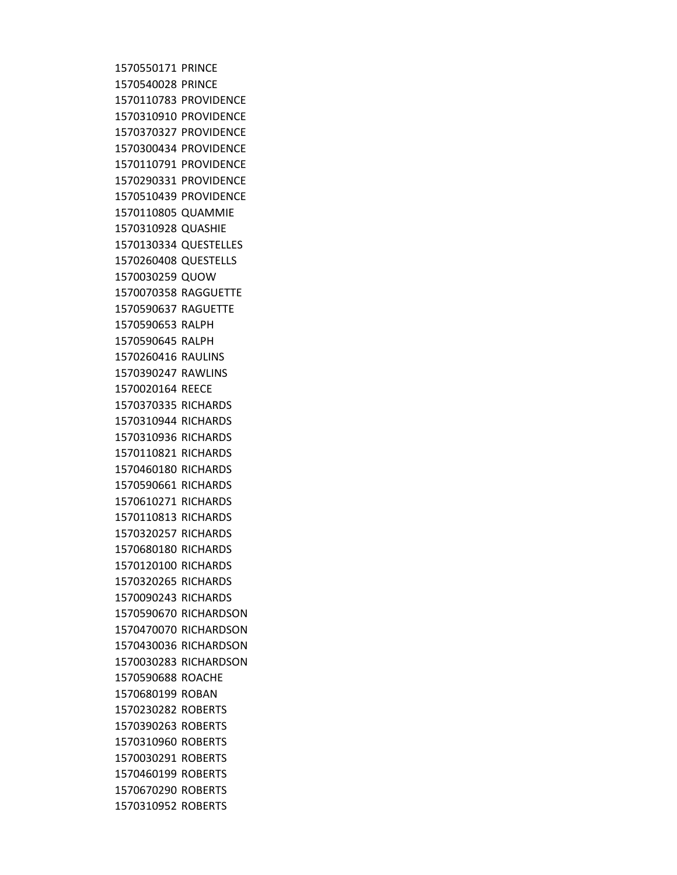PRINCE PRINCE PROVIDENCE PROVIDENCE PROVIDENCE PROVIDENCE PROVIDENCE PROVIDENCE PROVIDENCE QUAMMIE QUASHIE QUESTELLES QUESTELLS QUOW RAGGUETTE RAGUETTE RALPH RALPH RAULINS RAWLINS REECE RICHARDS RICHARDS RICHARDS RICHARDS RICHARDS RICHARDS RICHARDS RICHARDS RICHARDS RICHARDS RICHARDS RICHARDS RICHARDS RICHARDSON RICHARDSON RICHARDSON RICHARDSON ROACHE ROBAN ROBERTS ROBERTS ROBERTS ROBERTS ROBERTS ROBERTS ROBERTS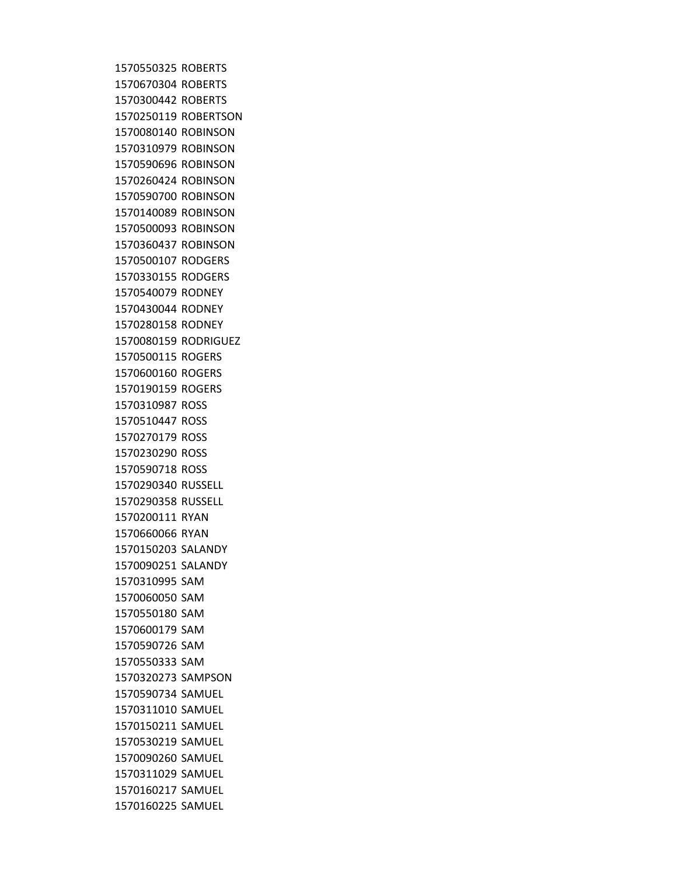ROBERTS ROBERTS ROBERTS ROBERTSON ROBINSON ROBINSON ROBINSON ROBINSON ROBINSON ROBINSON ROBINSON ROBINSON RODGERS RODGERS RODNEY RODNEY RODNEY RODRIGUEZ ROGERS ROGERS ROGERS ROSS ROSS ROSS ROSS ROSS RUSSELL RUSSELL RYAN RYAN SALANDY SALANDY SAM SAM SAM SAM SAM SAM SAMPSON SAMUEL SAMUEL SAMUEL SAMUEL SAMUEL SAMUEL SAMUEL SAMUEL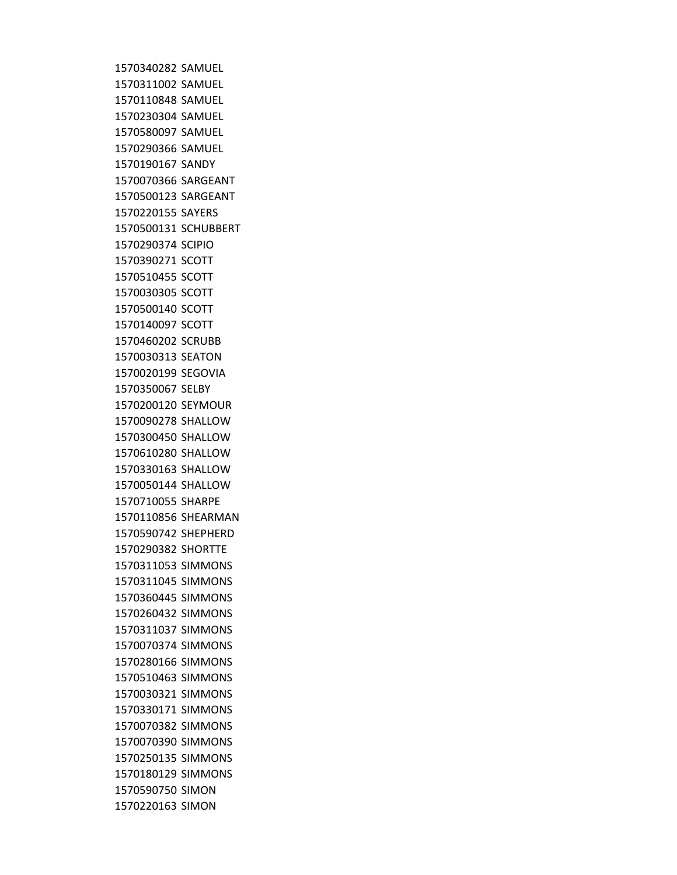SAMUEL SAMUEL SAMUEL SAMUEL SAMUEL SAMUEL SANDY SARGEANT SARGEANT SAYERS SCHUBBERT SCIPIO SCOTT SCOTT SCOTT SCOTT SCOTT SCRUBB SEATON SEGOVIA SELBY SEYMOUR SHALLOW SHALLOW SHALLOW SHALLOW SHALLOW SHARPE SHEARMAN SHEPHERD SHORTTE SIMMONS SIMMONS SIMMONS SIMMONS SIMMONS SIMMONS SIMMONS SIMMONS SIMMONS SIMMONS SIMMONS SIMMONS SIMMONS SIMMONS SIMON SIMON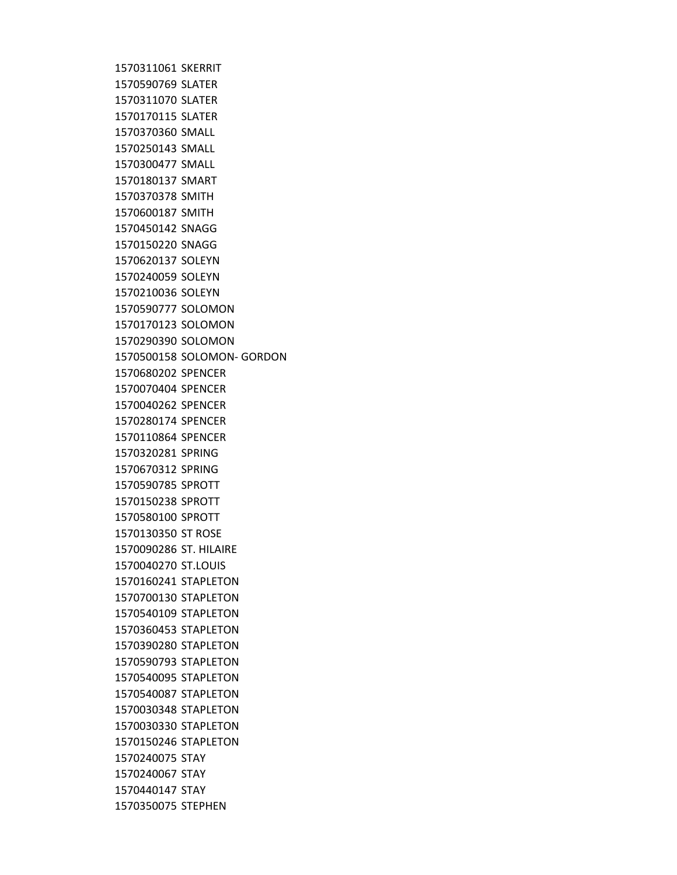SKERRIT SLATER SLATER SLATER SMALL SMALL SMALL SMART SMITH SMITH SNAGG SNAGG SOLEYN SOLEYN SOLEYN SOLOMON SOLOMON SOLOMON SOLOMON- GORDON SPENCER SPENCER SPENCER SPENCER SPENCER SPRING SPRING SPROTT SPROTT SPROTT ST ROSE ST. HILAIRE ST.LOUIS STAPLETON STAPLETON STAPLETON STAPLETON STAPLETON STAPLETON STAPLETON STAPLETON STAPLETON STAPLETON STAPLETON STAY STAY STAY STEPHEN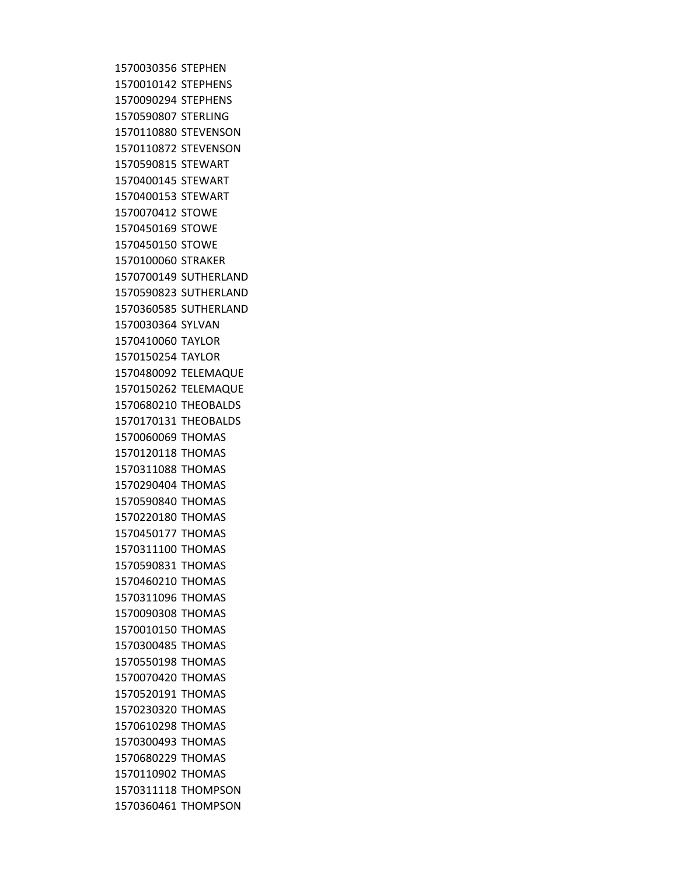STEPHEN STEPHENS STEPHENS STERLING STEVENSON STEVENSON STEWART STEWART STEWART STOWE STOWE STOWE STRAKER SUTHERLAND SUTHERLAND SUTHERLAND SYLVAN TAYLOR TAYLOR TELEMAQUE TELEMAQUE THEOBALDS THEOBALDS THOMAS THOMAS THOMAS THOMAS THOMAS THOMAS THOMAS THOMAS THOMAS THOMAS THOMAS THOMAS THOMAS THOMAS THOMAS THOMAS THOMAS THOMAS THOMAS THOMAS THOMAS THOMAS THOMPSON THOMPSON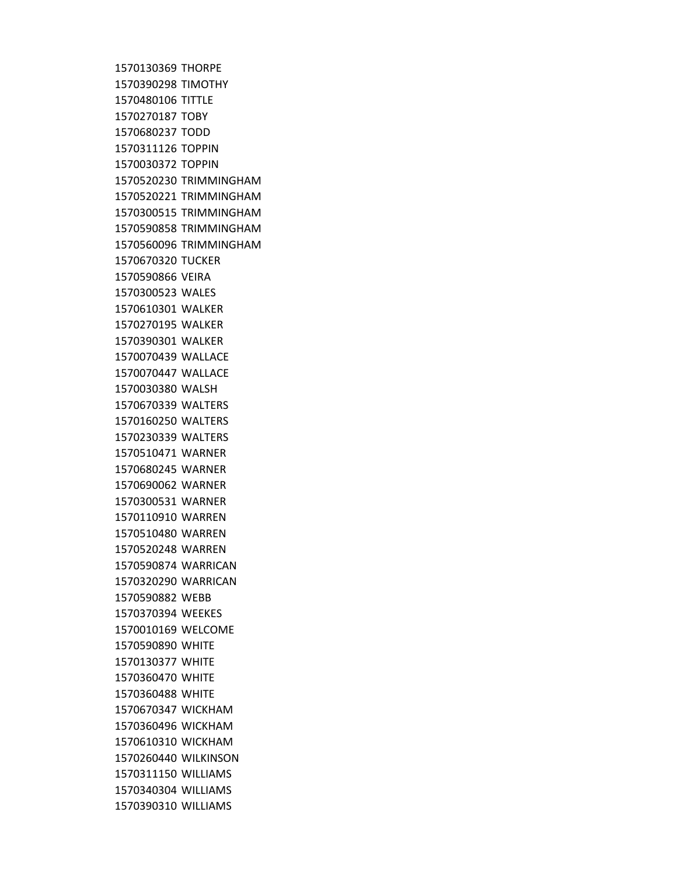THORPE TIMOTHY TITTLE TOBY TODD TOPPIN TOPPIN TRIMMINGHAM TRIMMINGHAM TRIMMINGHAM TRIMMINGHAM TRIMMINGHAM TUCKER VEIRA WALES WALKER WALKER WALKER WALLACE WALLACE WALSH WALTERS WALTERS WALTERS WARNER WARNER WARNER WARNER WARREN WARREN WARREN WARRICAN WARRICAN WEBB WEEKES WELCOME WHITE WHITE WHITE WHITE WICKHAM WICKHAM WICKHAM WILKINSON WILLIAMS WILLIAMS WILLIAMS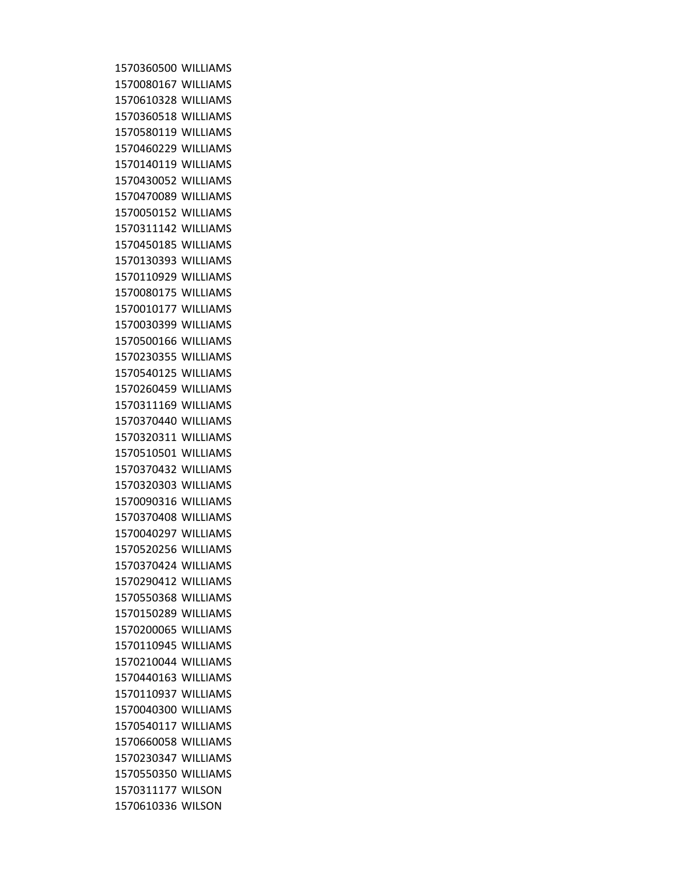WILLIAMS WILLIAMS WILLIAMS WILLIAMS WILLIAMS WILLIAMS WILLIAMS WILLIAMS WILLIAMS WILLIAMS WILLIAMS WILLIAMS WILLIAMS WILLIAMS WILLIAMS WILLIAMS WILLIAMS WILLIAMS WILLIAMS WILLIAMS WILLIAMS WILLIAMS WILLIAMS WILLIAMS WILLIAMS WILLIAMS WILLIAMS WILLIAMS WILLIAMS WILLIAMS WILLIAMS WILLIAMS WILLIAMS WILLIAMS WILLIAMS WILLIAMS WILLIAMS WILLIAMS WILLIAMS WILLIAMS WILLIAMS WILLIAMS WILLIAMS WILLIAMS WILLIAMS WILSON WILSON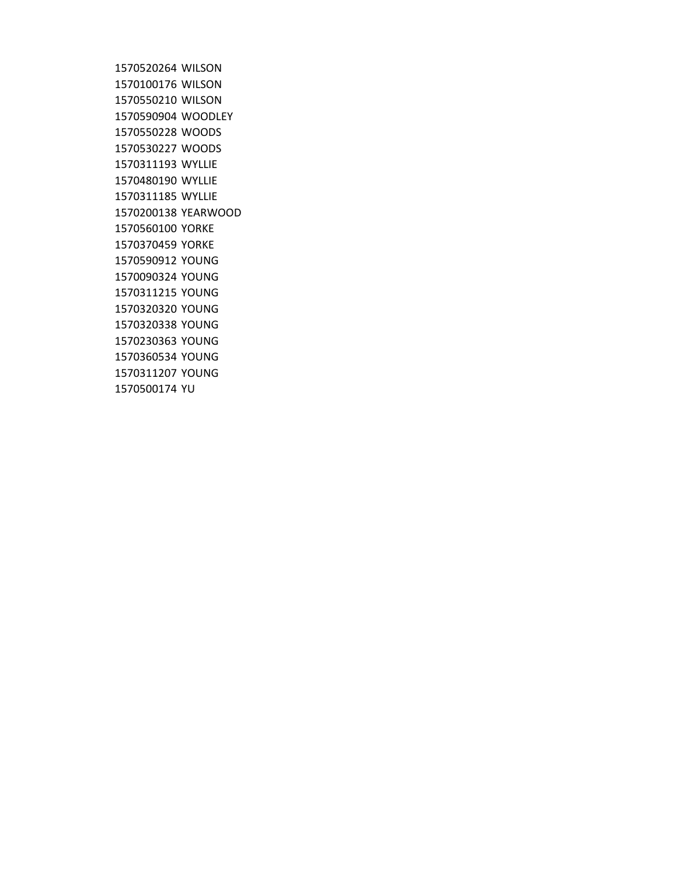WILSON WILSON WILSON WOODLEY WOODS WOODS WYLLIE WYLLIE WYLLIE YEARWOOD YORKE YORKE YOUNG YOUNG YOUNG YOUNG YOUNG YOUNG YOUNG YOUNG YU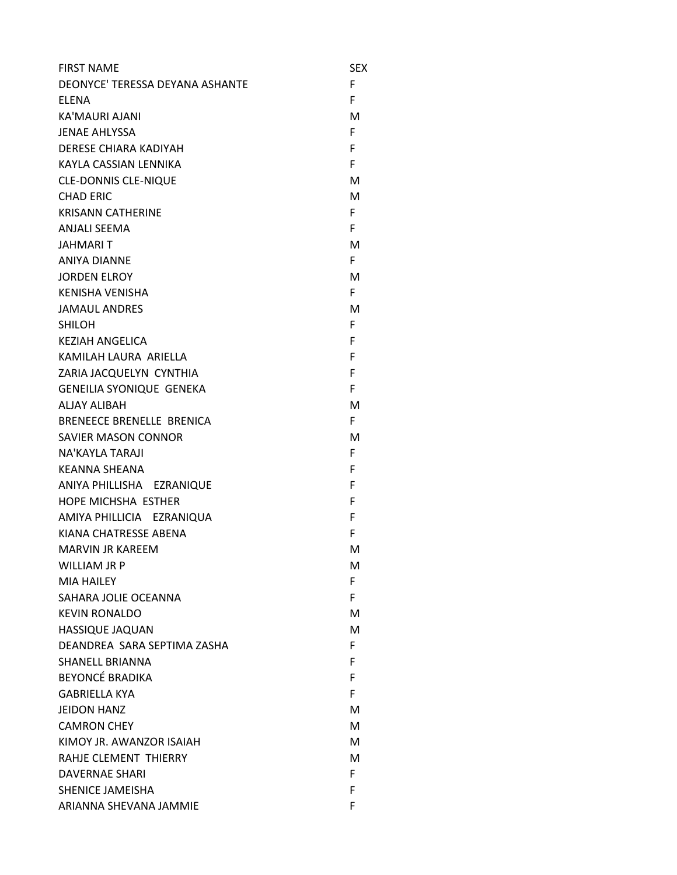| <b>FIRST NAME</b>               | SEX |
|---------------------------------|-----|
| DEONYCE' TERESSA DEYANA ASHANTE | F   |
| <b>ELENA</b>                    | F   |
| KA'MAURI AJANI                  | м   |
| <b>JENAE AHLYSSA</b>            | F   |
| <b>DERESE CHIARA KADIYAH</b>    | F   |
| KAYLA CASSIAN LENNIKA           | F   |
| <b>CLE-DONNIS CLE-NIQUE</b>     | М   |
| <b>CHAD ERIC</b>                | м   |
| <b>KRISANN CATHERINE</b>        | F   |
| <b>ANJALI SEEMA</b>             | F   |
| <b>JAHMARIT</b>                 | M   |
| <b>ANIYA DIANNE</b>             | F.  |
| <b>JORDEN ELROY</b>             | M   |
| <b>KENISHA VENISHA</b>          | F.  |
| <b>JAMAUL ANDRES</b>            | м   |
| <b>SHILOH</b>                   | F   |
| <b>KEZIAH ANGELICA</b>          | F   |
| KAMILAH LAURA ARIFILA           | F   |
| ZARIA JACQUELYN CYNTHIA         | F   |
| <b>GENEILIA SYONIQUE GENEKA</b> | F   |
| <b>ALJAY ALIBAH</b>             | м   |
| BRENEECE BRENELLE BRENICA       | F.  |
| <b>SAVIER MASON CONNOR</b>      | м   |
| NA'KAYLA TARAJI                 | F   |
| <b>KEANNA SHEANA</b>            | F   |
| ANIYA PHILLISHA EZRANIQUE       | F   |
| <b>HOPE MICHSHA ESTHER</b>      | F   |
| AMIYA PHILLICIA EZRANIQUA       | F   |
| KIANA CHATRESSE ABENA           | F.  |
| <b>MARVIN JR KAREEM</b>         | М   |
| <b>WILLIAM JR P</b>             | м   |
| <b>MIA HAILEY</b>               | F.  |
| SAHARA JOLIE OCEANNA            | F   |
| <b>KEVIN RONALDO</b>            | м   |
| <b>HASSIQUE JAQUAN</b>          | M   |
| DEANDREA SARA SEPTIMA ZASHA     | F.  |
| <b>SHANELL BRIANNA</b>          | F   |
| <b>BEYONCÉ BRADIKA</b>          | F   |
| <b>GABRIELLA KYA</b>            | F.  |
| <b>JEIDON HANZ</b>              | м   |
| <b>CAMRON CHEY</b>              | м   |
| KIMOY JR. AWANZOR ISAIAH        | м   |
| RAHJE CLEMENT THIERRY           | м   |
| <b>DAVERNAE SHARI</b>           | F.  |
| <b>SHENICE JAMEISHA</b>         | F   |
| ARIANNA SHEVANA JAMMIE          | F   |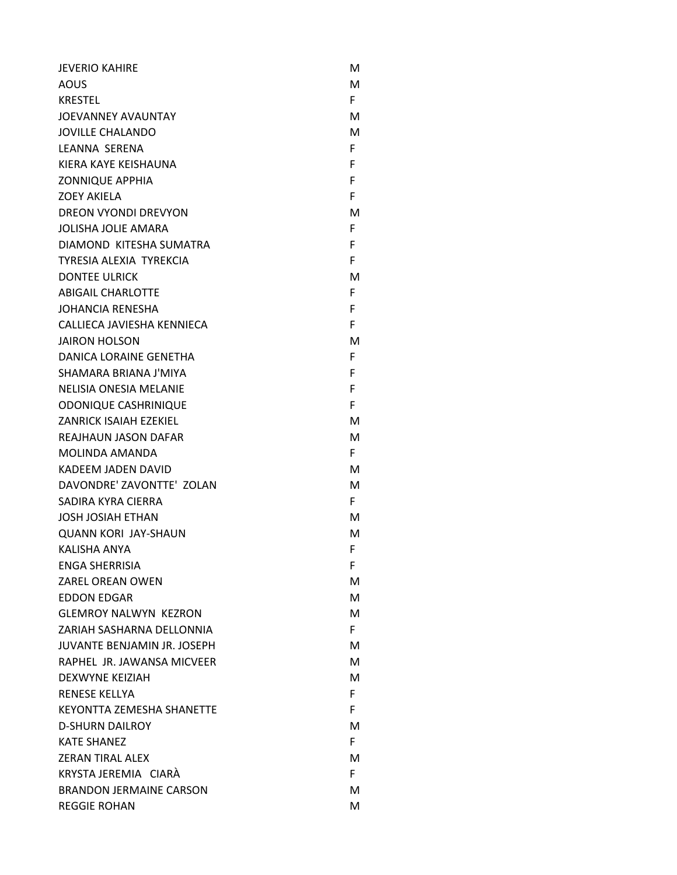| <b>JEVERIO KAHIRE</b>              | м  |
|------------------------------------|----|
| AOUS                               | м  |
| <b>KRESTEL</b>                     | F. |
| JOEVANNEY AVAUNTAY                 | м  |
| <b>JOVILLE CHALANDO</b>            | м  |
| LEANNA SERENA                      | F. |
| KIERA KAYE KEISHAUNA               | F. |
| <b>ZONNIQUE APPHIA</b>             | F  |
| <b>ZOEY AKIELA</b>                 | F  |
| <b>DREON VYONDI DREVYON</b>        | м  |
| <b>JOLISHA JOLIE AMARA</b>         | F. |
| DIAMOND KITESHA SUMATRA            | F  |
| TYRESIA ALEXIA TYREKCIA            | F  |
| <b>DONTEE ULRICK</b>               | м  |
| <b>ABIGAIL CHARLOTTE</b>           | F. |
| <b>JOHANCIA RENESHA</b>            | F  |
| CALLIECA JAVIESHA KENNIECA         | F  |
| <b>JAIRON HOLSON</b>               | м  |
| DANICA LORAINE GENETHA             | F. |
| SHAMARA BRIANA J'MIYA              | F  |
| <b>NELISIA ONESIA MELANIE</b>      | F  |
| <b>ODONIQUE CASHRINIQUE</b>        | F  |
| <b>ZANRICK ISAIAH EZEKIEL</b>      | м  |
| <b>REAJHAUN JASON DAFAR</b>        | м  |
| MOLINDA AMANDA                     | F. |
| KADEEM JADEN DAVID                 | м  |
| DAVONDRE' ZAVONTTE' ZOLAN          | м  |
| SADIRA KYRA CIERRA                 | F. |
| <b>JOSH JOSIAH ETHAN</b>           | м  |
| <b>QUANN KORI JAY-SHAUN</b>        | М  |
| <b>KALISHA ANYA</b>                | F  |
| <b>ENGA SHERRISIA</b>              | F  |
| ZAREL OREAN OWEN                   | М  |
| <b>EDDON EDGAR</b>                 | М  |
| <b>GLEMROY NALWYN KEZRON</b>       | М  |
| ZARIAH SASHARNA DELLONNIA          | F. |
| <b>JUVANTE BENJAMIN JR. JOSEPH</b> | м  |
| RAPHEL JR. JAWANSA MICVEER         | М  |
| <b>DEXWYNE KEIZIAH</b>             | М  |
| <b>RENESE KELLYA</b>               | F. |
| <b>KEYONTTA ZEMESHA SHANETTE</b>   | F. |
| <b>D-SHURN DAILROY</b>             | M  |
| <b>KATE SHANEZ</b>                 | F. |
| <b>ZERAN TIRAL ALEX</b>            | м  |
| KRYSTA JEREMIA CIARÀ               | F. |
| <b>BRANDON JERMAINE CARSON</b>     | м  |
| <b>REGGIE ROHAN</b>                | М  |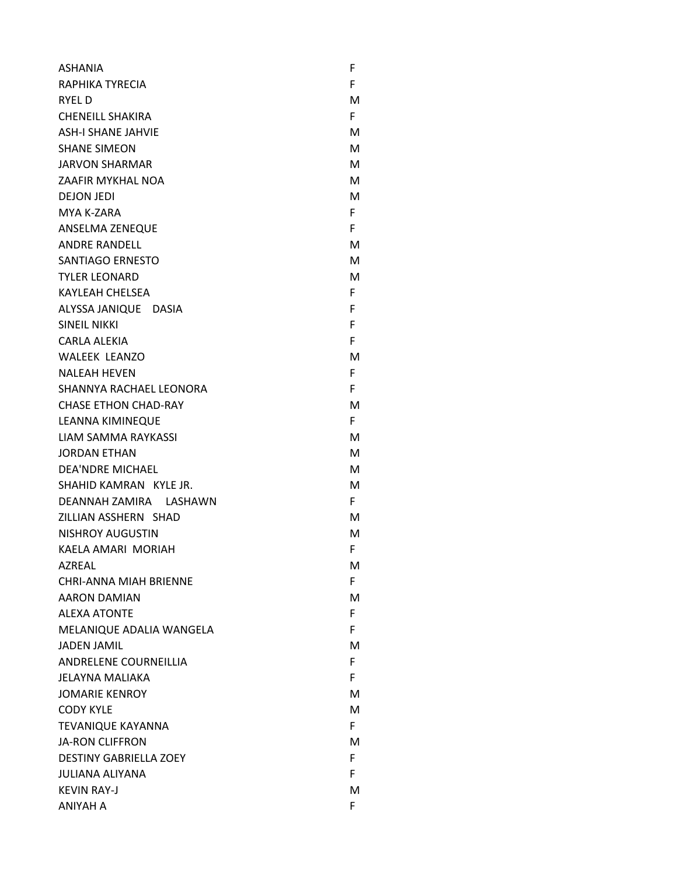| <b>ASHANIA</b>                | F  |
|-------------------------------|----|
| RAPHIKA TYRECIA               | F. |
| RYEL D                        | м  |
| <b>CHENEILL SHAKIRA</b>       | F. |
| <b>ASH-I SHANE JAHVIE</b>     | м  |
| <b>SHANE SIMEON</b>           | м  |
| <b>JARVON SHARMAR</b>         | M  |
| <b>ZAAFIR MYKHAL NOA</b>      | м  |
| <b>DEJON JEDI</b>             | м  |
| MYA K-ZARA                    | F. |
| ANSELMA ZENEQUE               | F. |
| <b>ANDRE RANDELL</b>          | м  |
| SANTIAGO ERNESTO              | м  |
| <b>TYLER LEONARD</b>          | м  |
| <b>KAYLEAH CHELSEA</b>        | F. |
| ALYSSA JANIQUE DASIA          | F. |
| <b>SINEIL NIKKI</b>           | F. |
| CARLA ALEKIA                  | F. |
| <b>WALEEK LEANZO</b>          | м  |
| <b>NALEAH HEVEN</b>           | F. |
| SHANNYA RACHAEL LEONORA       | F. |
| <b>CHASE ETHON CHAD-RAY</b>   | м  |
| LEANNA KIMINEQUE              | F. |
| LIAM SAMMA RAYKASSI           | м  |
| <b>JORDAN ETHAN</b>           | м  |
| <b>DEA'NDRE MICHAEL</b>       | м  |
| SHAHID KAMRAN KYLE JR.        | M  |
| DEANNAH ZAMIRA LASHAWN        | F. |
| ZILLIAN ASSHERN SHAD          | м  |
| <b>NISHROY AUGUSTIN</b>       | M  |
| KAELA AMARI MORIAH            | F  |
| <b>AZREAL</b>                 | M  |
| <b>CHRI-ANNA MIAH BRIENNE</b> | F. |
| AARON DAMIAN                  | м  |
| <b>ALEXA ATONTE</b>           | F. |
| MELANIQUE ADALIA WANGELA      | F. |
| <b>JADEN JAMIL</b>            | м  |
| ANDRELENE COURNEILLIA         | F. |
| JELAYNA MALIAKA               | F. |
| <b>JOMARIE KENROY</b>         | м  |
| <b>CODY KYLE</b>              | м  |
| <b>TEVANIQUE KAYANNA</b>      | F. |
| <b>JA-RON CLIFFRON</b>        | м  |
| <b>DESTINY GABRIELLA ZOEY</b> | F. |
| <b>JULIANA ALIYANA</b>        | F. |
| <b>KEVIN RAY-J</b>            | м  |
| ANIYAH A                      | F. |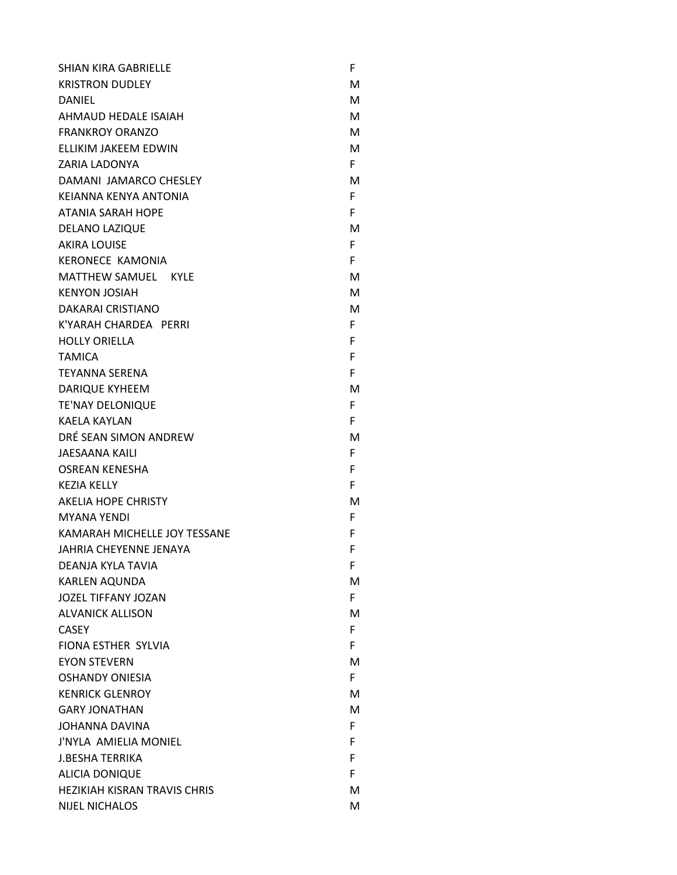| SHIAN KIRA GABRIELLE                | F  |
|-------------------------------------|----|
| <b>KRISTRON DUDLEY</b>              | М  |
| DANIEL                              | М  |
| AHMAUD HEDALE ISAIAH                | M  |
| <b>FRANKROY ORANZO</b>              | М  |
| <b>ELLIKIM JAKEEM EDWIN</b>         | М  |
| <b>ZARIA LADONYA</b>                | F. |
| DAMANI JAMARCO CHESLEY              | м  |
| KEIANNA KENYA ANTONIA               | F  |
| <b>ATANIA SARAH HOPE</b>            | F  |
| <b>DELANO LAZIQUE</b>               | М  |
| <b>AKIRA LOUISE</b>                 | F. |
| KERONECE KAMONIA                    | F  |
| MATTHEW SAMUEL KYLE                 | м  |
| <b>KENYON JOSIAH</b>                | M  |
| DAKARAI CRISTIANO                   | M  |
| K'YARAH CHARDEA PERRI               | F. |
| <b>HOLLY ORIELLA</b>                | F  |
| <b>TAMICA</b>                       | F  |
| <b>TEYANNA SERENA</b>               | F  |
| <b>DARIQUE KYHEEM</b>               | м  |
| <b>TE'NAY DELONIQUE</b>             | F  |
| <b>KAELA KAYLAN</b>                 | F  |
| DRÉ SEAN SIMON ANDREW               | м  |
| <b>JAESAANA KAILI</b>               | F  |
| <b>OSREAN KENESHA</b>               | F  |
| <b>KEZIA KELLY</b>                  | F  |
| <b>AKELIA HOPE CHRISTY</b>          | M  |
| <b>MYANA YENDI</b>                  | F. |
| KAMARAH MICHELLE JOY TESSANE        | F  |
| <b>JAHRIA CHEYENNE JENAYA</b>       | F  |
| DEANJA KYLA TAVIA                   | F  |
| <b>KARLEN AOUNDA</b>                | м  |
| <b>JOZEL TIFFANY JOZAN</b>          | F  |
| <b>ALVANICK ALLISON</b>             | м  |
| <b>CASEY</b>                        | F. |
| FIONA ESTHER SYLVIA                 | F  |
| <b>EYON STEVERN</b>                 | М  |
| <b>OSHANDY ONIESIA</b>              | F. |
| <b>KENRICK GLENROY</b>              | м  |
| <b>GARY JONATHAN</b>                | м  |
| <b>JOHANNA DAVINA</b>               | F. |
| J'NYLA AMIELIA MONIEL               | F  |
| <b>J.BESHA TERRIKA</b>              | F  |
| <b>ALICIA DONIQUE</b>               | F  |
| <b>HEZIKIAH KISRAN TRAVIS CHRIS</b> | М  |
| <b>NIJEL NICHALOS</b>               | м  |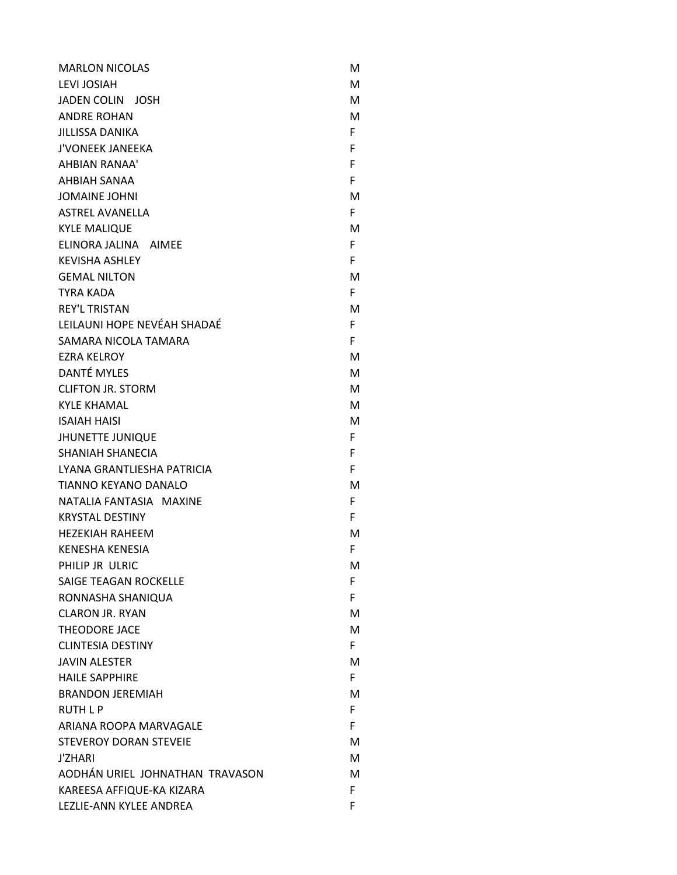| <b>MARLON NICOLAS</b>           | м  |
|---------------------------------|----|
| <b>LEVI JOSIAH</b>              | M  |
| JADEN COLIN JOSH                | м  |
| <b>ANDRE ROHAN</b>              | M  |
| JILLISSA DANIKA                 | F. |
| <b>J'VONEEK JANEEKA</b>         | F  |
| AHBIAN RANAA'                   | F. |
| AHBIAH SANAA                    | F  |
| <b>JOMAINE JOHNI</b>            | м  |
| <b>ASTREL AVANELLA</b>          | F. |
| <b>KYLE MALIQUE</b>             | м  |
| ELINORA JALINA AIMEE            | F. |
| <b>KEVISHA ASHLEY</b>           | F. |
| <b>GEMAL NILTON</b>             | м  |
| <b>TYRA KADA</b>                | F. |
| <b>REY'L TRISTAN</b>            | M  |
| LEILAUNI HOPE NEVÉAH SHADAÉ     | F. |
| SAMARA NICOLA TAMARA            | F  |
| <b>EZRA KELROY</b>              | м  |
| <b>DANTÉ MYLES</b>              | м  |
| <b>CLIFTON JR. STORM</b>        | м  |
| <b>KYLE KHAMAL</b>              | м  |
| <b>ISAIAH HAISI</b>             | м  |
| <b>JHUNETTE JUNIQUE</b>         | F. |
| <b>SHANIAH SHANECIA</b>         | F. |
| LYANA GRANTLIESHA PATRICIA      | F. |
| TIANNO KEYANO DANALO            | м  |
| NATALIA FANTASIA MAXINE         | F  |
| <b>KRYSTAL DESTINY</b>          | F. |
| HEZEKIAH RAHEEM                 | м  |
| <b>KENESHA KENESIA</b>          | F  |
| PHILIP JR ULRIC                 | M  |
| SAIGE TEAGAN ROCKELLE           | F. |
| RONNASHA SHANIQUA               | F. |
| <b>CLARON JR. RYAN</b>          | M  |
| <b>THEODORE JACE</b>            | м  |
| <b>CLINTESIA DESTINY</b>        | F. |
| <b>JAVIN ALESTER</b>            | м  |
| <b>HAILE SAPPHIRE</b>           | F. |
| <b>BRANDON JEREMIAH</b>         | м  |
| <b>RUTH L P</b>                 | F. |
| ARIANA ROOPA MARVAGALE          | F. |
| <b>STEVEROY DORAN STEVEIE</b>   | м  |
| <b>J'ZHARI</b>                  | M  |
| AODHÁN URIEL JOHNATHAN TRAVASON | м  |
| KAREESA AFFIQUE-KA KIZARA       | F. |
| LEZLIE-ANN KYLEE ANDREA         | F  |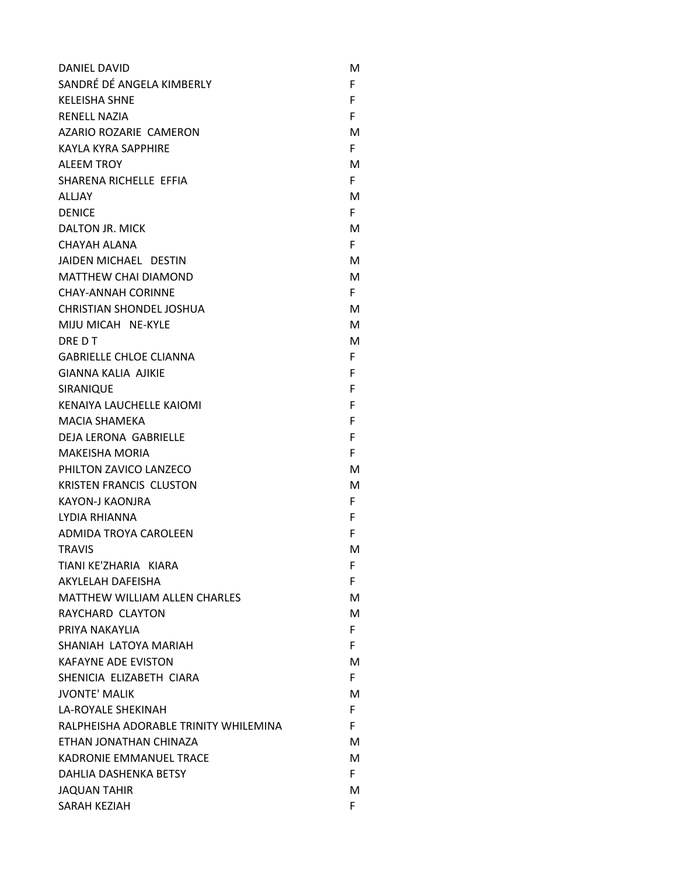| DANIEL DAVID                          | м  |
|---------------------------------------|----|
| SANDRÉ DÉ ANGELA KIMBERLY             | F  |
| <b>KELEISHA SHNE</b>                  | F  |
| <b>RENELL NAZIA</b>                   | F  |
| AZARIO ROZARIE CAMERON                | М  |
| KAYLA KYRA SAPPHIRE                   | F. |
| <b>ALEEM TROY</b>                     | M  |
| SHARENA RICHELLE EFFIA                | F. |
| <b>ALLIAY</b>                         | M  |
| <b>DENICE</b>                         | F  |
| DALTON JR. MICK                       | М  |
| CHAYAH ALANA                          | F. |
| JAIDEN MICHAEL DESTIN                 | м  |
| <b>MATTHEW CHAI DIAMOND</b>           | М  |
| <b>CHAY-ANNAH CORINNE</b>             | F. |
| <b>CHRISTIAN SHONDEL JOSHUA</b>       | M  |
| MIIU MICAH NE-KYLE                    | м  |
| DRE D T                               | М  |
| <b>GABRIELLE CHLOE CLIANNA</b>        | F  |
| <b>GIANNA KALIA AIIKIE</b>            | F  |
| SIRANIQUE                             | F  |
| KENAIYA LAUCHELLE KAIOMI              | F  |
| <b>MACIA SHAMEKA</b>                  | F  |
| <b>DEJA LERONA GABRIELLE</b>          | F  |
| <b>MAKEISHA MORIA</b>                 | F  |
| PHILTON ZAVICO LANZECO                | м  |
| <b>KRISTEN FRANCIS CLUSTON</b>        | М  |
| KAYON-J KAONJRA                       | F  |
| LYDIA RHIANNA                         | F  |
| ADMIDA TROYA CAROLEEN                 | F  |
| <b>TRAVIS</b>                         | M  |
| TIANI KE'ZHARIA KIARA                 | F  |
| AKYLELAH DAFEISHA                     | F  |
| <b>MATTHEW WILLIAM ALLEN CHARLES</b>  | м  |
| RAYCHARD CLAYTON                      | М  |
| PRIYA NAKAYLIA                        | F  |
| SHANIAH LATOYA MARIAH                 | F. |
| <b>KAFAYNE ADE EVISTON</b>            | M  |
| SHENICIA ELIZABETH CIARA              | F. |
| <b>JVONTE' MALIK</b>                  | M  |
| <b>LA-ROYALE SHEKINAH</b>             | F  |
| RALPHEISHA ADORABLE TRINITY WHILEMINA | F  |
| ETHAN JONATHAN CHINAZA                | M  |
| KADRONIE EMMANUEL TRACE               | M  |
| DAHLIA DASHENKA BETSY                 | F. |
| <b>JAQUAN TAHIR</b>                   | М  |
| SARAH KEZIAH                          | F. |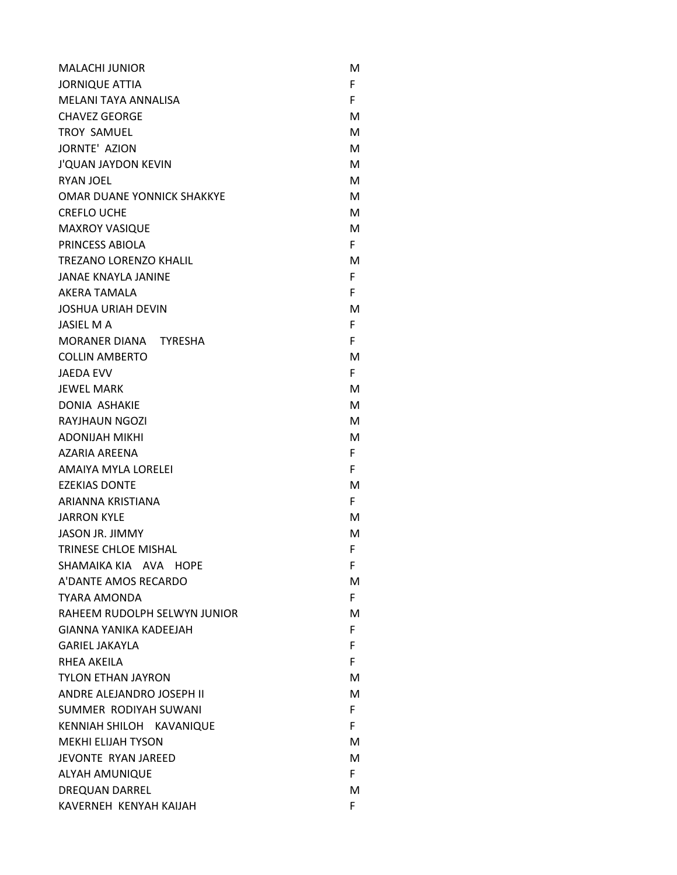| <b>MALACHI JUNIOR</b>             | м  |
|-----------------------------------|----|
| <b>JORNIQUE ATTIA</b>             | F. |
| MELANI TAYA ANNALISA              | F. |
| <b>CHAVEZ GEORGE</b>              | м  |
| <b>TROY SAMUEL</b>                | М  |
| <b>JORNTE' AZION</b>              | м  |
| <b>J'QUAN JAYDON KEVIN</b>        | м  |
| <b>RYAN JOEL</b>                  | М  |
| <b>OMAR DUANE YONNICK SHAKKYE</b> | м  |
| <b>CREFLO UCHE</b>                | м  |
| <b>MAXROY VASIQUE</b>             | м  |
| PRINCESS ABIOLA                   | F. |
| <b>TREZANO LORENZO KHALIL</b>     | М  |
| <b>JANAE KNAYLA JANINE</b>        | F. |
| AKERA TAMALA                      | F  |
| <b>JOSHUA URIAH DEVIN</b>         | м  |
| <b>JASIEL MA</b>                  | F. |
| MORANER DIANA TYRESHA             | F. |
| <b>COLLIN AMBERTO</b>             | м  |
| <b>JAEDA EVV</b>                  | F. |
| <b>JEWEL MARK</b>                 | м  |
| <b>DONIA ASHAKIE</b>              | М  |
| RAYJHAUN NGOZI                    | м  |
| <b>ADONIJAH MIKHI</b>             | М  |
| AZARIA AREENA                     | F. |
| AMAIYA MYLA LORELEI               | F. |
| <b>EZEKIAS DONTE</b>              | м  |
| ARIANNA KRISTIANA                 | F. |
| <b>JARRON KYLE</b>                | м  |
| <b>JASON JR. JIMMY</b>            | м  |
| <b>TRINESE CHLOE MISHAL</b>       | F  |
| SHAMAIKA KIA AVA HOPE             | F. |
| A'DANTE AMOS RECARDO              | м  |
| <b>TYARA AMONDA</b>               | F. |
| RAHEEM RUDOLPH SELWYN JUNIOR      | м  |
| <b>GIANNA YANIKA KADEEJAH</b>     | F. |
| <b>GARIEL JAKAYLA</b>             | F. |
| RHEA AKEILA                       | F. |
| <b>TYLON ETHAN JAYRON</b>         | м  |
| ANDRE ALEJANDRO JOSEPH II         | м  |
| SUMMER RODIYAH SUWANI             | F. |
| KENNIAH SHILOH KAVANIQUE          | F. |
| <b>MEKHI ELIJAH TYSON</b>         | м  |
| JEVONTE RYAN JAREED               | м  |
| <b>ALYAH AMUNIQUE</b>             | F. |
| <b>DREQUAN DARREL</b>             | м  |
| KAVERNEH KENYAH KAIJAH            | F. |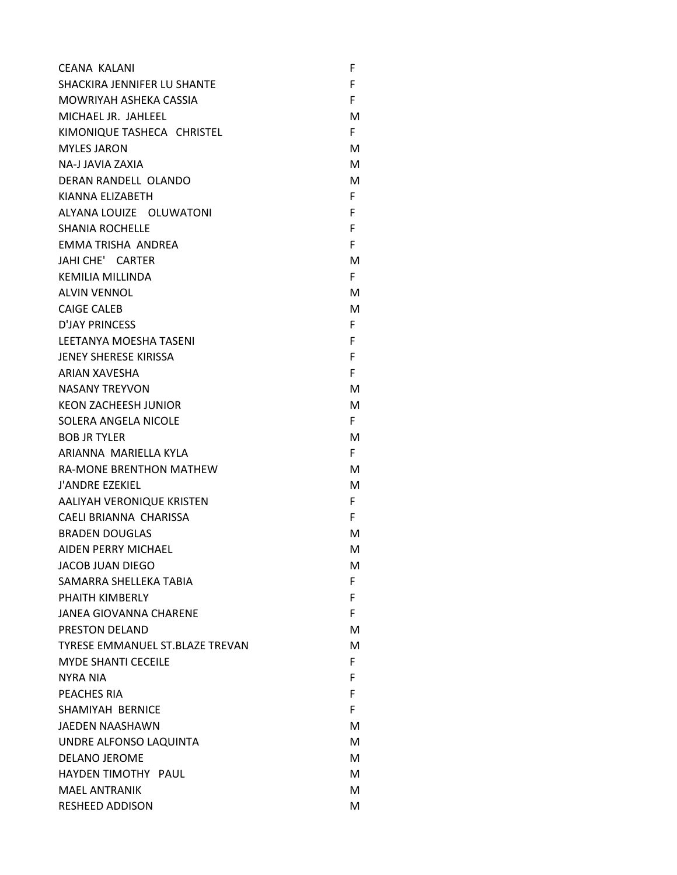| CEANA KALANI                    | F  |
|---------------------------------|----|
| SHACKIRA JENNIFER LU SHANTE     | F. |
| MOWRIYAH ASHEKA CASSIA          | F. |
| MICHAEL JR. JAHLEEL             | М  |
| KIMONIQUE TASHECA CHRISTEL      | F. |
| <b>MYLES JARON</b>              | м  |
| NA-J JAVIA ZAXIA                | М  |
| DERAN RANDELL OLANDO            | М  |
| KIANNA ELIZABETH                | F. |
| ALYANA LOUIZE OLUWATONI         | F. |
| <b>SHANIA ROCHELLE</b>          | F. |
| EMMA TRISHA ANDREA              | F. |
| JAHI CHE' CARTER                | м  |
| <b>KEMILIA MILLINDA</b>         | F. |
| <b>ALVIN VENNOL</b>             | м  |
| <b>CAIGE CALEB</b>              | М  |
| <b>D'JAY PRINCESS</b>           | F  |
| <b>LEETANYA MOESHA TASENI</b>   | F. |
| JENEY SHERESE KIRISSA           | F  |
| <b>ARIAN XAVESHA</b>            | F. |
| <b>NASANY TREYVON</b>           | м  |
| <b>KEON ZACHEESH JUNIOR</b>     | м  |
| SOLERA ANGELA NICOLE            | F. |
| <b>BOB JR TYLER</b>             | м  |
| ARIANNA MARIELLA KYLA           | F. |
| <b>RA-MONE BRENTHON MATHEW</b>  | м  |
| <b>J'ANDRE EZEKIEL</b>          | М  |
| AALIYAH VERONIQUE KRISTEN       | F. |
| CAELI BRIANNA CHARISSA          | F. |
| <b>BRADEN DOUGLAS</b>           | м  |
| AIDEN PERRY MICHAEL             | м  |
| <b>JACOB JUAN DIEGO</b>         | м  |
| SAMARRA SHELLEKA TABIA          | F. |
| PHAITH KIMBERLY                 | F. |
| <b>JANEA GIOVANNA CHARENE</b>   | F. |
| PRESTON DELAND                  | м  |
| TYRESE EMMANUEL ST.BLAZE TREVAN | м  |
| <b>MYDE SHANTI CECEILE</b>      | F. |
| <b>NYRA NIA</b>                 | F  |
| PEACHES RIA                     | F  |
| SHAMIYAH BERNICE                | F  |
| <b>JAEDEN NAASHAWN</b>          | м  |
| UNDRE ALFONSO LAQUINTA          | м  |
| <b>DELANO JEROME</b>            | м  |
| HAYDEN TIMOTHY PAUL             | м  |
| <b>MAEL ANTRANIK</b>            | м  |
| <b>RESHEED ADDISON</b>          | М  |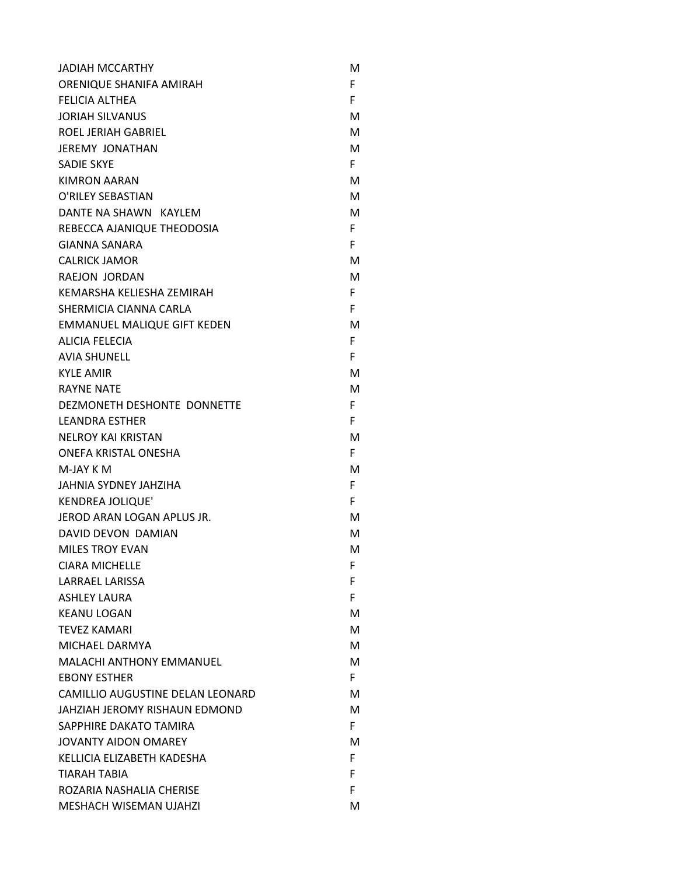| <b>JADIAH MCCARTHY</b>             | м  |
|------------------------------------|----|
| ORENIQUE SHANIFA AMIRAH            | F. |
| <b>FELICIA ALTHEA</b>              | F. |
| <b>JORIAH SILVANUS</b>             | м  |
| <b>ROEL JERIAH GABRIEL</b>         | м  |
| <b>JEREMY JONATHAN</b>             | М  |
| <b>SADIE SKYE</b>                  | F. |
| <b>KIMRON AARAN</b>                | м  |
| O'RILEY SEBASTIAN                  | м  |
| DANTE NA SHAWN KAYLEM              | м  |
| REBECCA AJANIQUE THEODOSIA         | F. |
| GIANNA SANARA                      | F  |
| <b>CALRICK JAMOR</b>               | м  |
| RAEJON JORDAN                      | м  |
| KEMARSHA KELIESHA ZEMIRAH          | F. |
| SHERMICIA CIANNA CARLA             | F. |
| <b>EMMANUEL MALIQUE GIFT KEDEN</b> | м  |
| <b>ALICIA FELECIA</b>              | F. |
| <b>AVIA SHUNELL</b>                | F. |
| <b>KYLE AMIR</b>                   | м  |
| <b>RAYNE NATE</b>                  | м  |
| DEZMONETH DESHONTE DONNETTE        | F. |
| <b>LEANDRA ESTHER</b>              | F. |
| <b>NELROY KAI KRISTAN</b>          | м  |
| ONEFA KRISTAL ONESHA               | F. |
| M-JAY K M                          | м  |
| JAHNIA SYDNEY JAHZIHA              | F. |
| <b>KENDREA JOLIQUE'</b>            | F. |
| JEROD ARAN LOGAN APLUS JR.         | м  |
| DAVID DEVON DAMIAN                 | м  |
| <b>MILES TROY EVAN</b>             | м  |
| <b>CIARA MICHELLE</b>              | F  |
| <b>LARRAEL LARISSA</b>             | F  |
| <b>ASHLEY LAURA</b>                | F. |
| <b>KEANU LOGAN</b>                 | м  |
| <b>TEVEZ KAMARI</b>                | м  |
| MICHAEL DARMYA                     | м  |
| <b>MALACHI ANTHONY EMMANUEL</b>    | м  |
| <b>EBONY ESTHER</b>                | F. |
| CAMILLIO AUGUSTINE DELAN LEONARD   | м  |
| JAHZIAH JEROMY RISHAUN EDMOND      | м  |
| SAPPHIRE DAKATO TAMIRA             | F. |
| <b>JOVANTY AIDON OMAREY</b>        | м  |
| KELLICIA ELIZABETH KADESHA         | F. |
| <b>TIARAH TABIA</b>                | F. |
| ROZARIA NASHALIA CHERISE           | F. |
| <b>MESHACH WISEMAN UJAHZI</b>      | м  |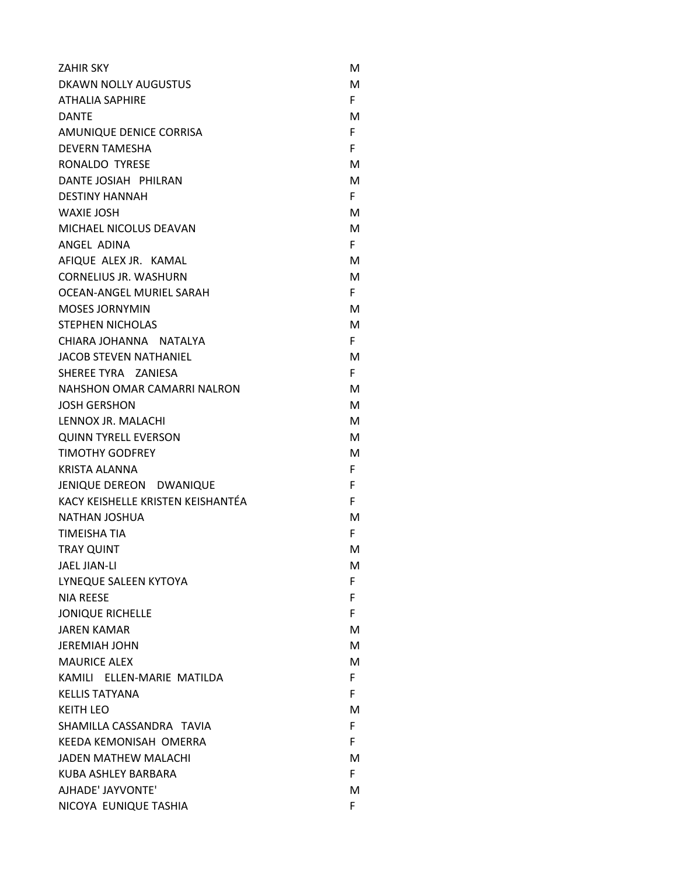| <b>ZAHIR SKY</b>                  | М  |
|-----------------------------------|----|
| DKAWN NOLLY AUGUSTUS              | М  |
| <b>ATHALIA SAPHIRE</b>            | F. |
| <b>DANTE</b>                      | м  |
| AMUNIQUE DENICE CORRISA           | F. |
| <b>DEVERN TAMESHA</b>             | F. |
| RONALDO TYRESE                    | М  |
| DANTE JOSIAH PHILRAN              | М  |
| <b>DESTINY HANNAH</b>             | F. |
| <b>WAXIE JOSH</b>                 | М  |
| MICHAEL NICOLUS DEAVAN            | м  |
| ANGEL ADINA                       | F. |
| AFIQUE ALEX JR. KAMAL             | м  |
| <b>CORNELIUS JR. WASHURN</b>      | м  |
| OCEAN-ANGEL MURIEL SARAH          | F. |
| <b>MOSES JORNYMIN</b>             | М  |
| <b>STEPHEN NICHOLAS</b>           | м  |
| CHIARA JOHANNA NATALYA            | F. |
| JACOB STEVEN NATHANIEL            | м  |
| SHEREE TYRA ZANIESA               | F. |
| NAHSHON OMAR CAMARRI NALRON       | М  |
| <b>JOSH GERSHON</b>               | M  |
| LENNOX JR. MALACHI                | М  |
| <b>QUINN TYRELL EVERSON</b>       | М  |
| <b>TIMOTHY GODFREY</b>            | М  |
| <b>KRISTA ALANNA</b>              | F. |
| JENIQUE DEREON DWANIQUE           | F  |
| KACY KEISHELLE KRISTEN KEISHANTÉA | F  |
| <b>NATHAN JOSHUA</b>              | М  |
| <b>TIMEISHA TIA</b>               | F. |
| <b>TRAY QUINT</b>                 | M  |
| <b>JAEL JIAN-LI</b>               | м  |
| LYNEQUE SALEEN KYTOYA             | F. |
| <b>NIA REESE</b>                  | F  |
| <b>JONIQUE RICHELLE</b>           | F. |
| <b>JAREN KAMAR</b>                | М  |
| <b>JEREMIAH JOHN</b>              | м  |
| <b>MAURICE ALEX</b>               | М  |
| KAMILI ELLEN-MARIE MATILDA        | F. |
| <b>KELLIS TATYANA</b>             | F. |
| <b>KEITH LEO</b>                  | М  |
| SHAMILLA CASSANDRA TAVIA          | F. |
| KEEDA KEMONISAH OMERRA            | F. |
| <b>JADEN MATHEW MALACHI</b>       | M  |
| KUBA ASHLEY BARBARA               | F. |
| AJHADE' JAYVONTE'                 | М  |
| NICOYA EUNIQUE TASHIA             | F. |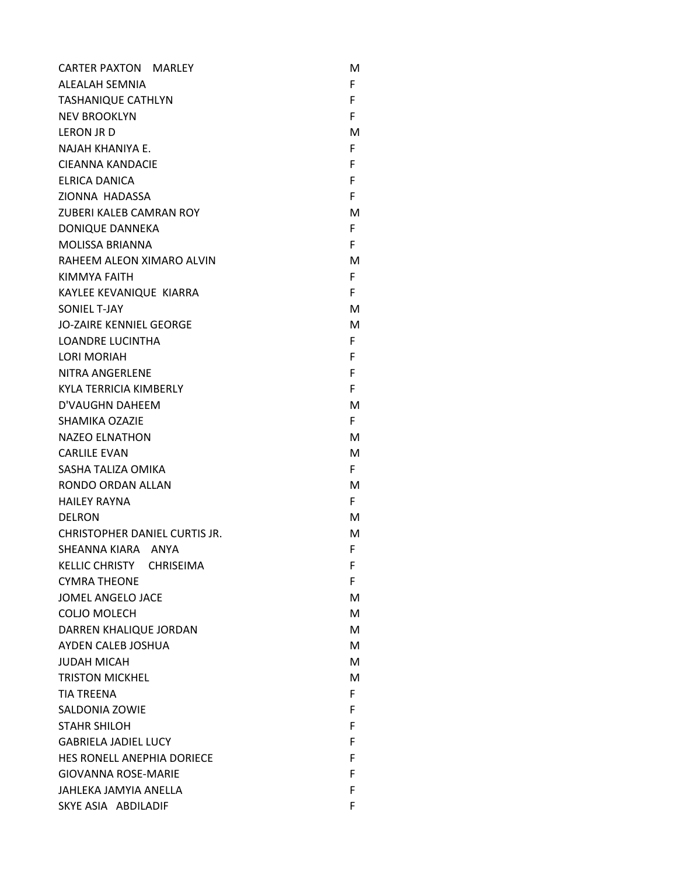| <b>CARTER PAXTON MARLEY</b>    | M  |
|--------------------------------|----|
| ALEALAH SEMNIA                 | F. |
| <b>TASHANIQUE CATHLYN</b>      | F. |
| <b>NEV BROOKLYN</b>            | F. |
| LERON JR D                     | м  |
| NAJAH KHANIYA E.               | F. |
| CIEANNA KANDACIE               | F. |
| ELRICA DANICA                  | F. |
| <b>ZIONNA HADASSA</b>          | F. |
| ZUBERI KALEB CAMRAN ROY        | м  |
| <b>DONIQUE DANNEKA</b>         | F. |
| <b>MOLISSA BRIANNA</b>         | F  |
| RAHEEM ALEON XIMARO ALVIN      | м  |
| KIMMYA FAITH                   | F  |
| KAYLEE KEVANIQUE KIARRA        | F. |
| SONIEL T-JAY                   | м  |
| <b>JO-ZAIRE KENNIEL GEORGE</b> | м  |
| <b>LOANDRE LUCINTHA</b>        | F. |
| <b>LORI MORIAH</b>             | F. |
| <b>NITRA ANGERLENE</b>         | F. |
| KYLA TERRICIA KIMBERLY         | F. |
| D'VAUGHN DAHEEM                | м  |
| <b>SHAMIKA OZAZIE</b>          | F. |
| <b>NAZEO ELNATHON</b>          | м  |
| <b>CARLILE EVAN</b>            | м  |
| SASHA TALIZA OMIKA             | F. |
| RONDO ORDAN ALLAN              | м  |
| <b>HAILEY RAYNA</b>            | F. |
| <b>DELRON</b>                  | м  |
| CHRISTOPHER DANIEL CURTIS JR.  | м  |
| SHEANNA KIARA ANYA             | F  |
| KELLIC CHRISTY CHRISEIMA       | F. |
| <b>CYMRA THEONE</b>            | F. |
| <b>JOMEL ANGELO JACE</b>       | м  |
| <b>COLJO MOLECH</b>            | M  |
| DARREN KHALIQUE JORDAN         | м  |
| AYDEN CALEB JOSHUA             | М  |
| <b>JUDAH MICAH</b>             | M  |
| <b>TRISTON MICKHEL</b>         | M  |
| <b>TIA TREENA</b>              | F. |
| <b>SALDONIA ZOWIE</b>          | F. |
| <b>STAHR SHILOH</b>            | F. |
| <b>GABRIELA JADIEL LUCY</b>    | F. |
| HES RONELL ANEPHIA DORIECE     | F  |
| <b>GIOVANNA ROSE-MARIE</b>     | F  |
| JAHLEKA JAMYIA ANELLA          | F. |
| SKYE ASIA ABDILADIF            | F. |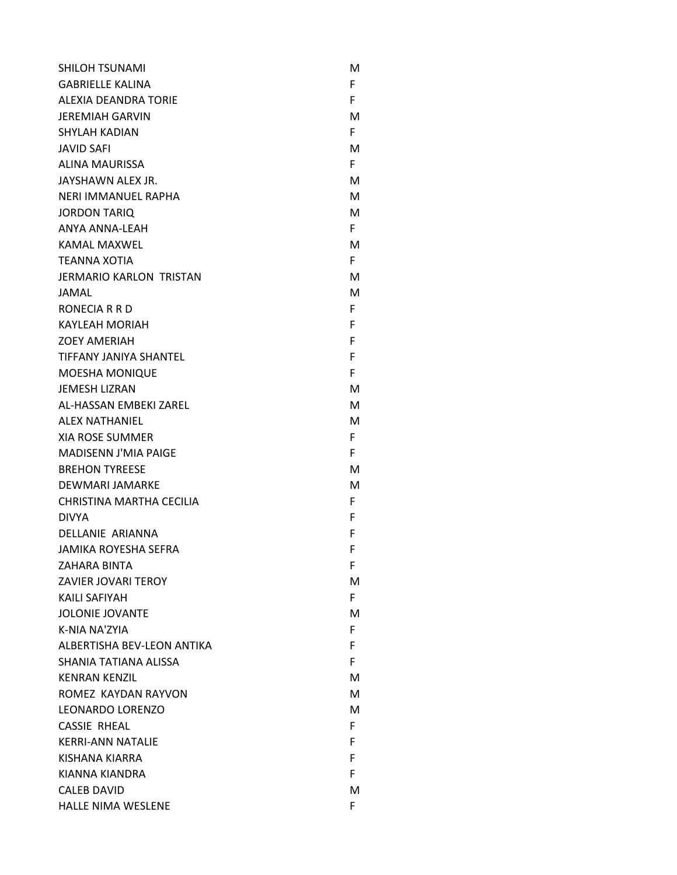| <b>SHILOH TSUNAMI</b>          | м  |
|--------------------------------|----|
| <b>GABRIELLE KALINA</b>        | F. |
| ALEXIA DEANDRA TORIE           | F  |
| <b>JEREMIAH GARVIN</b>         | м  |
| <b>SHYLAH KADIAN</b>           | F. |
| <b>JAVID SAFI</b>              | м  |
| <b>ALINA MAURISSA</b>          | F. |
| JAYSHAWN ALEX JR.              | м  |
| NERI IMMANUEL RAPHA            | м  |
| <b>JORDON TARIO</b>            | м  |
| <b>ANYA ANNA-LEAH</b>          | F. |
| KAMAL MAXWEL                   | м  |
| <b>TEANNA XOTIA</b>            | F. |
| <b>JERMARIO KARLON TRISTAN</b> | м  |
| JAMAL                          | М  |
| RONECIA R R D                  | F. |
| <b>KAYLEAH MORIAH</b>          | F  |
| <b>ZOEY AMERIAH</b>            | F  |
| TIFFANY JANIYA SHANTEL         | F  |
| <b>MOESHA MONIQUE</b>          | F  |
| <b>JEMESH LIZRAN</b>           | м  |
| AL-HASSAN EMBEKI ZAREL         | м  |
| ALEX NATHANIEL                 | м  |
| XIA ROSE SUMMER                | F. |
| <b>MADISENN J'MIA PAIGE</b>    | F. |
| <b>BREHON TYREESE</b>          | м  |
| DEWMARI JAMARKE                | м  |
| CHRISTINA MARTHA CECILIA       | F. |
| <b>DIVYA</b>                   | F  |
| DELLANIE ARIANNA               | F  |
| <b>JAMIKA ROYESHA SEFRA</b>    | F  |
| ZAHARA BINTA                   | F  |
| <b>ZAVIER JOVARI TEROY</b>     | м  |
| KAILI SAFIYAH                  | F. |
| <b>JOLONIE JOVANTE</b>         | м  |
| K-NIA NA'ZYIA                  | F  |
| ALBERTISHA BEV-LEON ANTIKA     | F. |
| SHANIA TATIANA ALISSA          | F. |
| <b>KENRAN KENZIL</b>           | м  |
| ROMEZ KAYDAN RAYVON            | м  |
| LEONARDO LORENZO               | м  |
| <b>CASSIE RHEAL</b>            | F. |
| <b>KERRI-ANN NATALIE</b>       | F  |
| KISHANA KIARRA                 | F. |
| KIANNA KIANDRA                 | F. |
| <b>CALEB DAVID</b>             | м  |
| <b>HALLE NIMA WESLENE</b>      | F  |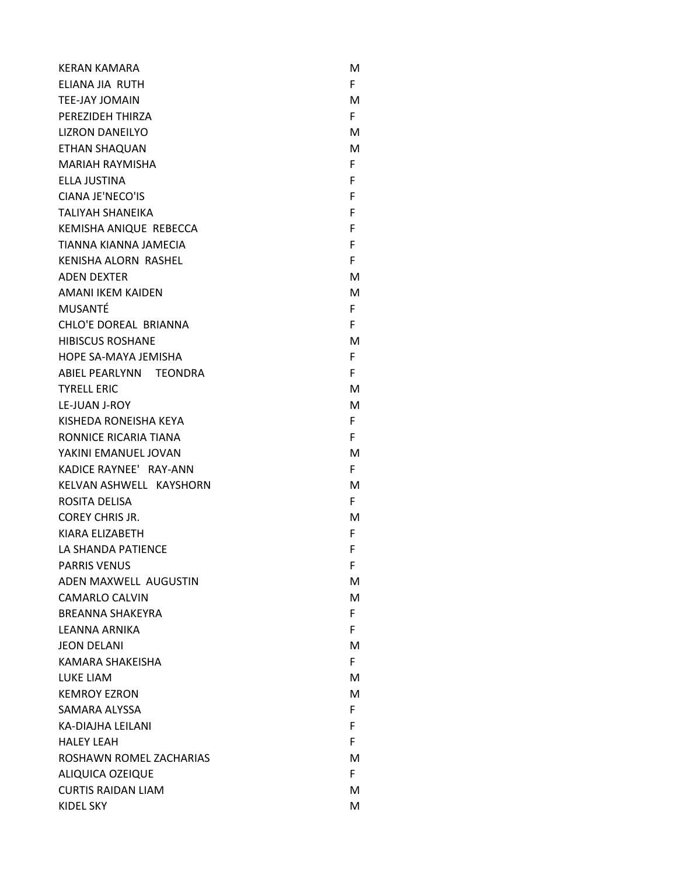| <b>KERAN KAMARA</b>       | м  |
|---------------------------|----|
| ELIANA JIA RUTH           | F. |
| <b>TEE-JAY JOMAIN</b>     | М  |
| PEREZIDEH THIRZA          | F. |
| <b>LIZRON DANEILYO</b>    | м  |
| <b>ETHAN SHAQUAN</b>      | М  |
| <b>MARIAH RAYMISHA</b>    | F. |
| ELLA JUSTINA              | F  |
| CIANA JE'NECO'IS          | F  |
| <b>TALIYAH SHANEIKA</b>   | F  |
| KEMISHA ANIQUE REBECCA    | F  |
| TIANNA KIANNA JAMECIA     | F  |
| KENISHA ALORN RASHEL      | F  |
| <b>ADEN DEXTER</b>        | м  |
| <b>AMANI IKEM KAIDEN</b>  | М  |
| <b>MUSANTÉ</b>            | F. |
| CHLO'E DOREAL BRIANNA     | F  |
| <b>HIBISCUS ROSHANE</b>   | м  |
| HOPE SA-MAYA JEMISHA      | F. |
| ABIEL PEARLYNN TEONDRA    | F  |
| <b>TYRELL ERIC</b>        | м  |
| <b>LE-JUAN J-ROY</b>      | М  |
| KISHEDA RONEISHA KEYA     | F. |
| RONNICE RICARIA TIANA     | F  |
| YAKINI EMANUEL JOVAN      | М  |
| KADICE RAYNEE' RAY-ANN    | F. |
| KELVAN ASHWELL KAYSHORN   | м  |
| ROSITA DELISA             | F. |
| <b>COREY CHRIS JR.</b>    | м  |
| KIARA ELIZABETH           | F  |
| LA SHANDA PATIENCE        | F  |
| <b>PARRIS VENUS</b>       | F  |
| ADEN MAXWELL AUGUSTIN     | М  |
| <b>CAMARLO CALVIN</b>     | М  |
| <b>BREANNA SHAKEYRA</b>   | F. |
| <b>LEANNA ARNIKA</b>      | F  |
| <b>JEON DELANI</b>        | м  |
| KAMARA SHAKEISHA          | F. |
| <b>LUKE LIAM</b>          | м  |
| <b>KEMROY EZRON</b>       | М  |
| SAMARA ALYSSA             | F. |
| KA-DIAJHA LEILANI         | F  |
| <b>HALEY LEAH</b>         | F  |
| ROSHAWN ROMEL ZACHARIAS   | м  |
| <b>ALIQUICA OZEIQUE</b>   | F. |
| <b>CURTIS RAIDAN LIAM</b> | м  |
| <b>KIDEL SKY</b>          | м  |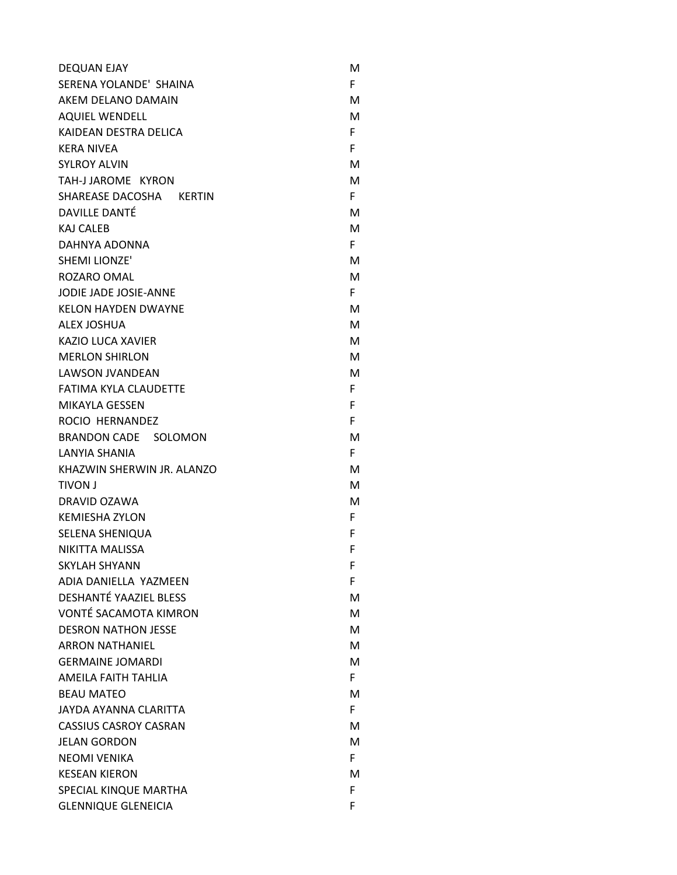| <b>DEQUAN EJAY</b>            | м  |
|-------------------------------|----|
| SERENA YOLANDE' SHAINA        | F. |
| AKEM DELANO DAMAIN            | м  |
| <b>AQUIEL WENDELL</b>         | М  |
| KAIDEAN DESTRA DELICA         | F. |
| <b>KERA NIVEA</b>             | F. |
| <b>SYLROY ALVIN</b>           | М  |
| TAH-J JAROME KYRON            | М  |
| SHAREASE DACOSHA KERTIN       | F. |
| <b>DAVILLE DANTÉ</b>          | м  |
| <b>KAJ CALEB</b>              | M  |
| DAHNYA ADONNA                 | F. |
| <b>SHEMI LIONZE'</b>          | М  |
| ROZARO OMAL                   | M  |
| JODIE JADE JOSIE-ANNE         | F. |
| <b>KELON HAYDEN DWAYNE</b>    | М  |
| <b>ALEX JOSHUA</b>            | M  |
| KAZIO LUCA XAVIER             | M  |
| <b>MERLON SHIRLON</b>         | м  |
| <b>LAWSON JVANDEAN</b>        | М  |
| <b>FATIMA KYLA CLAUDETTE</b>  | F. |
| <b>MIKAYLA GESSEN</b>         | F  |
| ROCIO HERNANDEZ               | F  |
| BRANDON CADE SOLOMON          | м  |
| LANYIA SHANIA                 | F. |
| KHAZWIN SHERWIN JR. ALANZO    | М  |
| <b>TIVON J</b>                | M  |
| DRAVID OZAWA                  | М  |
| <b>KEMIESHA ZYLON</b>         | F. |
| <b>SELENA SHENIQUA</b>        | F  |
| NIKITTA MALISSA               | F  |
| <b>SKYLAH SHYANN</b>          | F  |
| ADIA DANIELLA YAZMEEN         | F  |
| <b>DESHANTÉ YAAZIEL BLESS</b> | м  |
| <b>VONTÉ SACAMOTA KIMRON</b>  | М  |
| <b>DESRON NATHON JESSE</b>    | M  |
| <b>ARRON NATHANIEL</b>        | М  |
| <b>GERMAINE JOMARDI</b>       | М  |
| AMEILA FAITH TAHLIA           | F. |
| <b>BEAU MATEO</b>             | М  |
| JAYDA AYANNA CLARITTA         | F. |
| <b>CASSIUS CASROY CASRAN</b>  | М  |
| <b>JELAN GORDON</b>           | М  |
| <b>NEOMI VENIKA</b>           | F. |
| <b>KESEAN KIERON</b>          | м  |
| SPECIAL KINQUE MARTHA         | F  |
| <b>GLENNIQUE GLENEICIA</b>    | F  |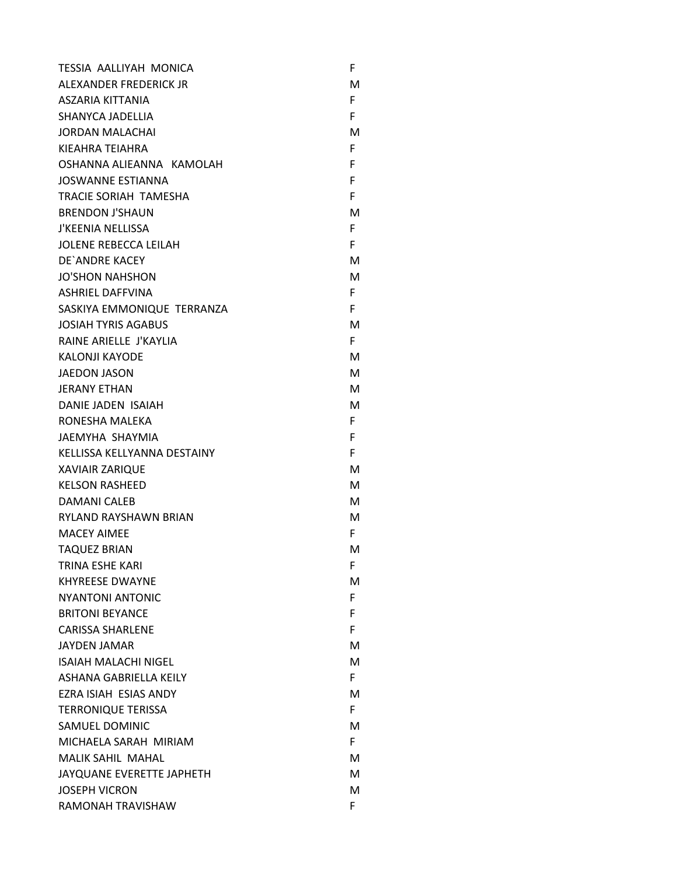| <b>TESSIA AALLIYAH MONICA</b> | F  |
|-------------------------------|----|
| ALEXANDER FREDERICK JR        | M  |
| ASZARIA KITTANIA              | F. |
| SHANYCA JADELLIA              | F  |
| <b>JORDAN MALACHAI</b>        | м  |
| KIEAHRA TEIAHRA               | F. |
| OSHANNA ALIEANNA KAMOLAH      | F  |
| <b>JOSWANNE ESTIANNA</b>      | F  |
| <b>TRACIE SORIAH TAMESHA</b>  | F. |
| <b>BRENDON J'SHAUN</b>        | м  |
| <b>J'KEENIA NELLISSA</b>      | F. |
| <b>JOLENE REBECCA LEILAH</b>  | F. |
| DE`ANDRE KACEY                | м  |
| <b>JO'SHON NAHSHON</b>        | М  |
| <b>ASHRIEL DAFFVINA</b>       | F. |
| SASKIYA EMMONIQUE TERRANZA    | F. |
| <b>JOSIAH TYRIS AGABUS</b>    | М  |
| RAINE ARIELLE J'KAYLIA        | F. |
| <b>KALONJI KAYODE</b>         | М  |
| <b>JAEDON JASON</b>           | м  |
| <b>JERANY ETHAN</b>           | м  |
| DANIE JADEN ISAIAH            | м  |
| RONESHA MALEKA                | F. |
| JAEMYHA SHAYMIA               | F  |
| KELLISSA KELLYANNA DESTAINY   | F. |
| <b>XAVIAIR ZARIQUE</b>        | м  |
| <b>KELSON RASHEED</b>         | м  |
| <b>DAMANI CALEB</b>           | М  |
| <b>RYLAND RAYSHAWN BRIAN</b>  | М  |
| <b>MACEY AIMEE</b>            | F. |
| <b>TAQUEZ BRIAN</b>           | м  |
| <b>TRINA ESHE KARI</b>        | F  |
| <b>KHYREESE DWAYNE</b>        | М  |
| <b>NYANTONI ANTONIC</b>       | F. |
| <b>BRITONI BEYANCE</b>        | F. |
| <b>CARISSA SHARLENE</b>       | F. |
| <b>JAYDEN JAMAR</b>           | м  |
| <b>ISAIAH MALACHI NIGEL</b>   | м  |
| ASHANA GABRIELLA KEILY        | F  |
| EZRA ISIAH ESIAS ANDY         | м  |
| <b>TERRONIQUE TERISSA</b>     | F. |
| SAMUEL DOMINIC                | м  |
| MICHAELA SARAH MIRIAM         | F. |
| <b>MALIK SAHIL MAHAL</b>      | м  |
| JAYQUANE EVERETTE JAPHETH     | м  |
| <b>JOSEPH VICRON</b>          | м  |
| RAMONAH TRAVISHAW             | F. |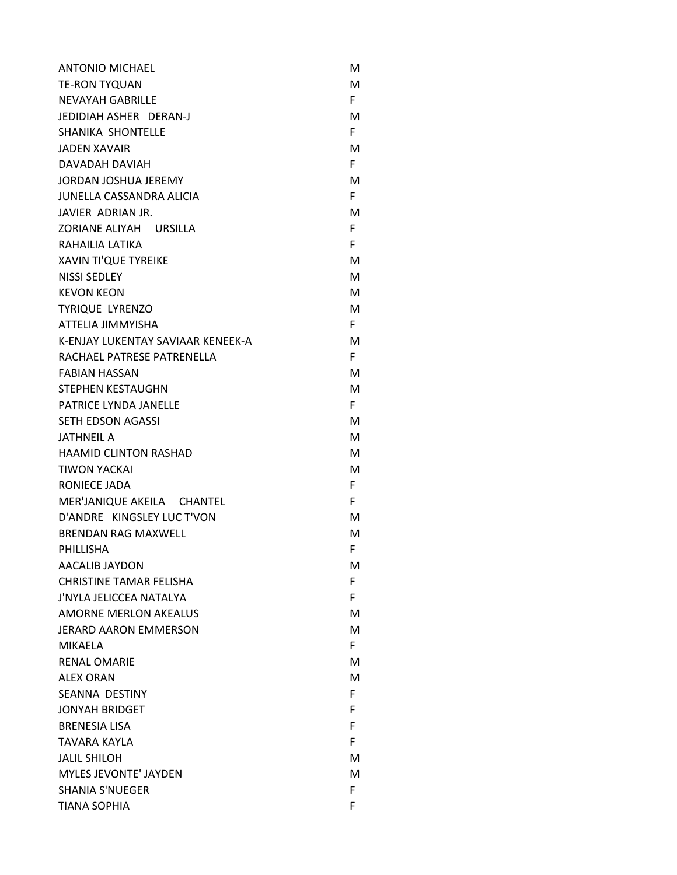| <b>ANTONIO MICHAEL</b>            | м  |
|-----------------------------------|----|
| <b>TE-RON TYQUAN</b>              | м  |
| <b>NEVAYAH GABRILLE</b>           | F. |
| JEDIDIAH ASHER DERAN-J            | м  |
| SHANIKA SHONTELLE                 | F. |
| <b>JADEN XAVAIR</b>               | м  |
| DAVADAH DAVIAH                    | F. |
| <b>JORDAN JOSHUA JEREMY</b>       | M  |
| <b>JUNELLA CASSANDRA ALICIA</b>   | F. |
| JAVIER ADRIAN JR.                 | м  |
| ZORIANE ALIYAH URSILLA            | F. |
| RAHAILIA LATIKA                   | F. |
| <b>XAVIN TI'QUE TYREIKE</b>       | м  |
| <b>NISSI SEDLEY</b>               | м  |
| <b>KEVON KEON</b>                 | M  |
| <b>TYRIQUE LYRENZO</b>            | м  |
| ATTELIA JIMMYISHA                 | F. |
| K-ENJAY LUKENTAY SAVIAAR KENEEK-A | M  |
| RACHAEL PATRESE PATRENELLA        | F. |
| <b>FABIAN HASSAN</b>              | м  |
| STEPHEN KESTAUGHN                 | M  |
| PATRICE LYNDA JANELLE             | F. |
| SETH EDSON AGASSI                 | м  |
| <b>JATHNEIL A</b>                 | м  |
| <b>HAAMID CLINTON RASHAD</b>      | м  |
| <b>TIWON YACKAI</b>               | м  |
| RONIECE JADA                      | F. |
| MER'JANIQUE AKEILA CHANTEL        | F. |
| D'ANDRE KINGSLEY LUC T'VON        | м  |
| <b>BRENDAN RAG MAXWELL</b>        | M  |
| PHILLISHA                         | F. |
| <b>AACALIB JAYDON</b>             | M  |
| <b>CHRISTINE TAMAR FELISHA</b>    | F. |
| J'NYLA JELICCEA NATALYA           | F. |
| <b>AMORNE MERLON AKEALUS</b>      | м  |
| <b>JERARD AARON EMMERSON</b>      | м  |
| <b>MIKAELA</b>                    | F. |
| <b>RENAL OMARIE</b>               | м  |
| <b>ALEX ORAN</b>                  | м  |
| <b>SEANNA DESTINY</b>             | F. |
| <b>JONYAH BRIDGET</b>             | F. |
| <b>BRENESIA LISA</b>              | F. |
| <b>TAVARA KAYLA</b>               | F  |
| <b>JALIL SHILOH</b>               | м  |
| MYLES JEVONTE' JAYDEN             | м  |
| <b>SHANIA S'NUEGER</b>            | F. |
| <b>TIANA SOPHIA</b>               | F  |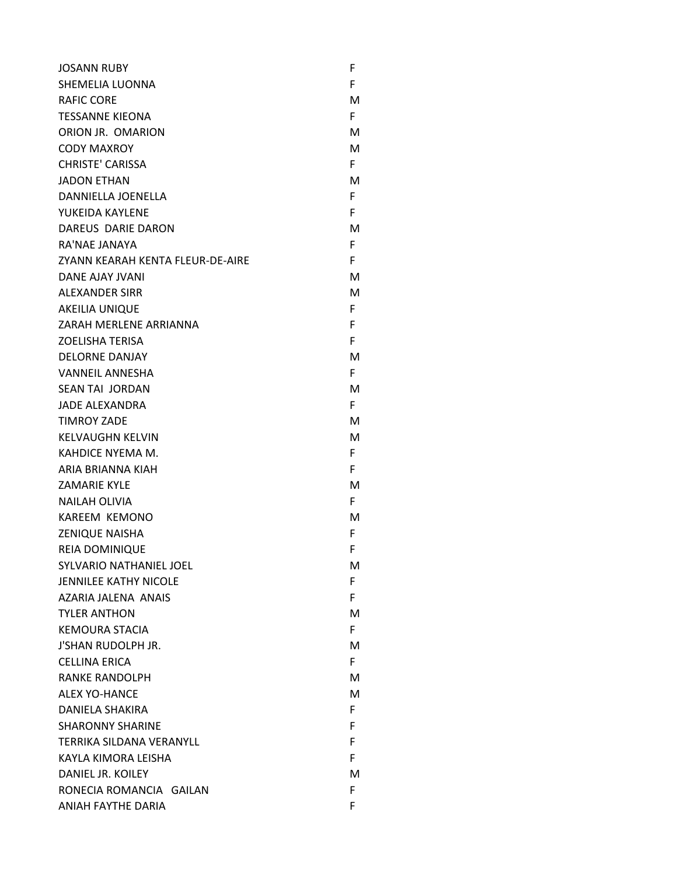| <b>JOSANN RUBY</b>               | F  |
|----------------------------------|----|
| SHEMELIA LUONNA                  | F  |
| <b>RAFIC CORE</b>                | м  |
| <b>TESSANNE KIEONA</b>           | F. |
| ORION JR. OMARION                | м  |
| <b>CODY MAXROY</b>               | м  |
| <b>CHRISTE' CARISSA</b>          | F. |
| <b>JADON ETHAN</b>               | M  |
| DANNIELLA JOENELLA               | F. |
| YUKEIDA KAYLENE                  | F  |
| DAREUS DARIE DARON               | м  |
| RA'NAE JANAYA                    | F. |
| ZYANN KEARAH KENTA FLEUR-DE-AIRE | F. |
| DANE AJAY JVANI                  | м  |
| <b>ALEXANDER SIRR</b>            | м  |
| <b>AKEILIA UNIQUE</b>            | F. |
| ZARAH MERLENE ARRIANNA           | F  |
| <b>ZOELISHA TERISA</b>           | F. |
| <b>DELORNE DANJAY</b>            | м  |
| <b>VANNEIL ANNESHA</b>           | F. |
| <b>SEAN TAI JORDAN</b>           | M  |
| <b>JADE ALEXANDRA</b>            | F. |
| <b>TIMROY ZADE</b>               | м  |
| <b>KELVAUGHN KELVIN</b>          | M  |
| KAHDICE NYEMA M.                 | F. |
| ARIA BRIANNA KIAH                | F. |
| <b>ZAMARIE KYLE</b>              | м  |
| <b>NAILAH OLIVIA</b>             | F. |
| <b>KAREEM KEMONO</b>             | м  |
| <b>ZENIQUE NAISHA</b>            | F. |
| <b>REIA DOMINIQUE</b>            | F  |
| <b>SYLVARIO NATHANIEL JOEL</b>   | м  |
| <b>JENNILEE KATHY NICOLE</b>     | F. |
| AZARIA JALENA ANAIS              | F. |
| <b>TYLER ANTHON</b>              | м  |
| <b>KEMOURA STACIA</b>            | F. |
| <b>J'SHAN RUDOLPH JR.</b>        | м  |
| <b>CELLINA ERICA</b>             | F. |
| <b>RANKE RANDOLPH</b>            | м  |
| <b>ALEX YO-HANCE</b>             | м  |
| DANIELA SHAKIRA                  | F. |
| <b>SHARONNY SHARINE</b>          | F. |
| TERRIKA SILDANA VERANYLL         | F. |
| KAYLA KIMORA LEISHA              | F. |
| DANIEL JR. KOILEY                | м  |
| RONECIA ROMANCIA GAILAN          | F  |
| ANIAH FAYTHE DARIA               | F  |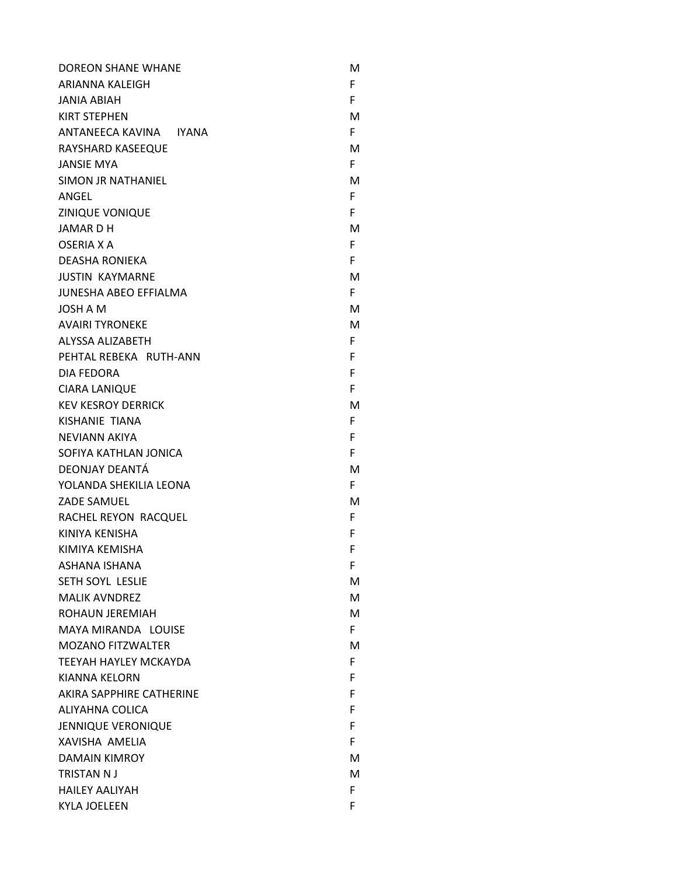| <b>DOREON SHANE WHANE</b>    | м  |
|------------------------------|----|
| ARIANNA KALEIGH              | F  |
| <b>JANIA ABIAH</b>           | F  |
| <b>KIRT STEPHEN</b>          | М  |
| ANTANEECA KAVINA IYANA       | F. |
| RAYSHARD KASEEQUE            | М  |
| <b>JANSIE MYA</b>            | F. |
| SIMON JR NATHANIEL           | M  |
| ANGEL                        | F  |
| ZINIQUE VONIQUE              | F  |
| <b>JAMARDH</b>               | М  |
| OSERIA X A                   | F  |
| <b>DEASHA RONIEKA</b>        | F  |
| <b>JUSTIN KAYMARNE</b>       | М  |
| <b>JUNESHA ABEO EFFIALMA</b> | F. |
| JOSH A M                     | М  |
| <b>AVAIRI TYRONEKE</b>       | М  |
| ALYSSA ALIZABETH             | F  |
| PEHTAL REBEKA RUTH-ANN       | F  |
| DIA FEDORA                   | F  |
| <b>CIARA LANIQUE</b>         | F  |
| <b>KEV KESROY DERRICK</b>    | M  |
| KISHANIE TIANA               | F  |
| NEVIANN AKIYA                | F  |
| SOFIYA KATHLAN JONICA        | F  |
| DEONJAY DEANTÁ               | М  |
| YOLANDA SHEKILIA LEONA       | F  |
| <b>ZADE SAMUEL</b>           | M  |
| RACHEL REYON RACQUEL         | F  |
| KINIYA KENISHA               | F  |
| KIMIYA KEMISHA               | F  |
| <b>ASHANA ISHANA</b>         | F  |
| SETH SOYL LESLIE             | M  |
| <b>MALIK AVNDREZ</b>         | M  |
| ROHAUN JEREMIAH              | м  |
| MAYA MIRANDA LOUISE          | F. |
| <b>MOZANO FITZWALTER</b>     | М  |
| TEEYAH HAYLEY MCKAYDA        | F. |
| KIANNA KELORN                | F  |
| AKIRA SAPPHIRE CATHERINE     | F  |
| ALIYAHNA COLICA              | F  |
| <b>JENNIQUE VERONIQUE</b>    | F  |
| XAVISHA AMELIA               | F  |
| <b>DAMAIN KIMROY</b>         | м  |
| <b>TRISTAN NJ</b>            | М  |
| <b>HAILEY AALIYAH</b>        | F  |
| <b>KYLA JOELEEN</b>          | F  |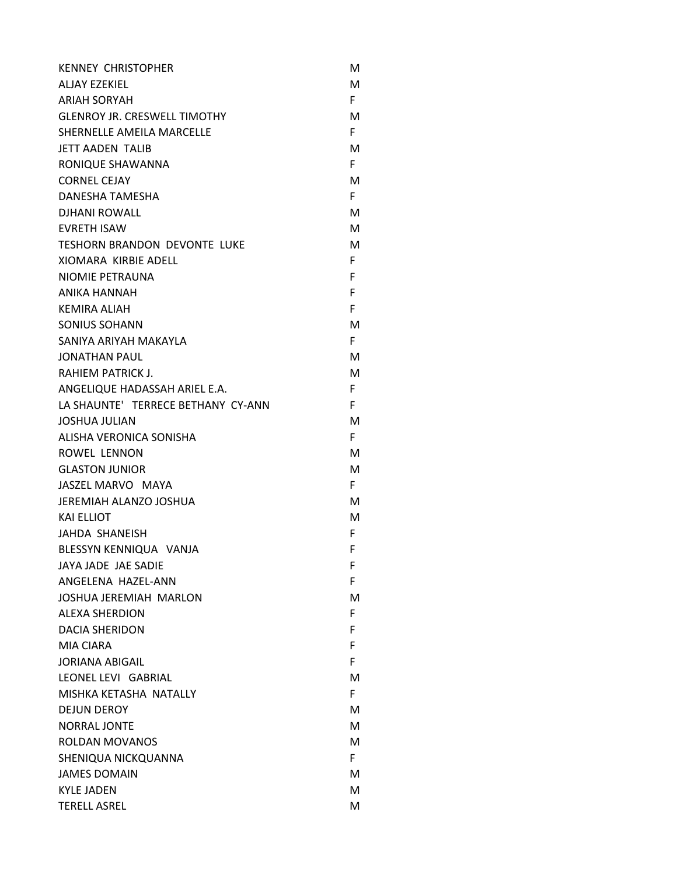| <b>KENNEY CHRISTOPHER</b>           | M  |
|-------------------------------------|----|
| ALJAY EZEKIEL                       | м  |
| <b>ARIAH SORYAH</b>                 | F. |
| <b>GLENROY JR. CRESWELL TIMOTHY</b> | м  |
| SHERNELLE AMEILA MARCELLE           | F. |
| <b>JETT AADEN TALIB</b>             | м  |
| RONIQUE SHAWANNA                    | F. |
| <b>CORNEL CEJAY</b>                 | м  |
| DANESHA TAMESHA                     | F. |
| DIHANI ROWALL                       | м  |
| <b>EVRETH ISAW</b>                  | м  |
| <b>TESHORN BRANDON DEVONTE LUKE</b> | м  |
| XIOMARA KIRBIE ADELL                | F. |
| NIOMIE PETRAUNA                     | F. |
| ANIKA HANNAH                        | F  |
| <b>KEMIRA ALIAH</b>                 | F. |
| <b>SONIUS SOHANN</b>                | м  |
| SANIYA ARIYAH MAKAYLA               | F. |
| <b>JONATHAN PAUL</b>                | м  |
| <b>RAHIEM PATRICK J.</b>            | M  |
| ANGELIQUE HADASSAH ARIEL E.A.       | F. |
| LA SHAUNTE' TERRECE BETHANY CY-ANN  | F. |
| <b>JOSHUA JULIAN</b>                | M  |
| ALISHA VERONICA SONISHA             | F. |
| ROWEL LENNON                        | м  |
| <b>GLASTON JUNIOR</b>               | м  |
| JASZEL MARVO MAYA                   | F. |
| JEREMIAH ALANZO JOSHUA              | м  |
| <b>KAI ELLIOT</b>                   | м  |
| JAHDA SHANEISH                      | F. |
| BLESSYN KENNIQUA VANJA              | F  |
| JAYA JADE JAE SADIE                 | F  |
| ANGELENA HAZEL-ANN                  | F. |
| <b>JOSHUA JEREMIAH MARLON</b>       | м  |
| <b>ALEXA SHERDION</b>               | F. |
| <b>DACIA SHERIDON</b>               | F. |
| <b>MIA CIARA</b>                    | F. |
| <b>JORIANA ABIGAIL</b>              | F  |
| LEONEL LEVI GABRIAL                 | M  |
| MISHKA KETASHA NATALLY              | F. |
| <b>DEJUN DEROY</b>                  | м  |
| <b>NORRAL JONTE</b>                 | М  |
| <b>ROLDAN MOVANOS</b>               | м  |
| SHENIQUA NICKQUANNA                 | F. |
| <b>JAMES DOMAIN</b>                 | М  |
| <b>KYLE JADEN</b>                   | М  |
| <b>TERELL ASREL</b>                 | M  |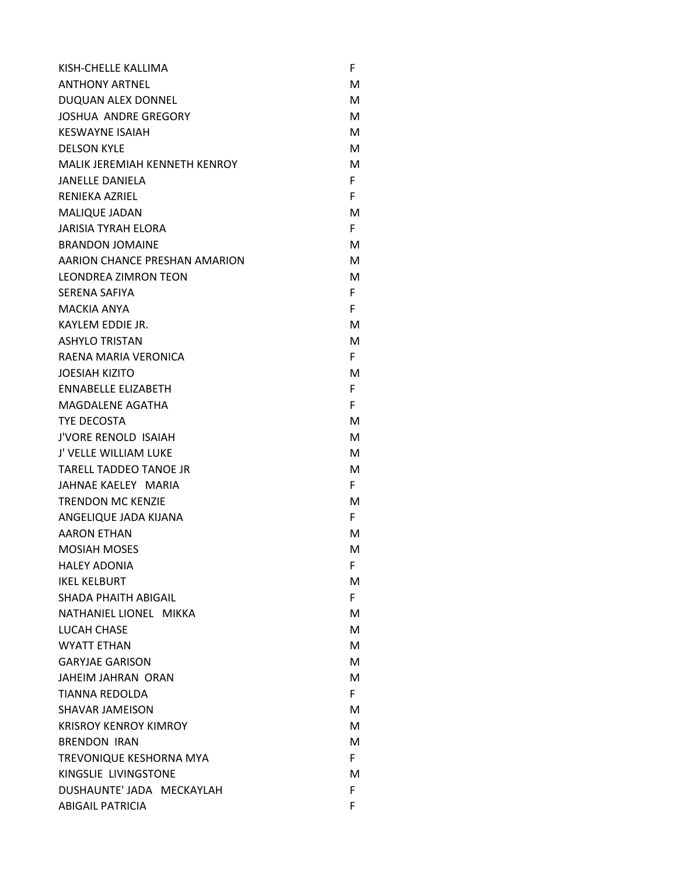| KISH-CHELLE KALLIMA           | F  |
|-------------------------------|----|
| <b>ANTHONY ARTNEL</b>         | м  |
| DUQUAN ALEX DONNEL            | М  |
| <b>JOSHUA ANDRE GREGORY</b>   | м  |
| <b>KESWAYNE ISAIAH</b>        | м  |
| <b>DELSON KYLE</b>            | М  |
| MALIK JEREMIAH KENNETH KENROY | М  |
| <b>JANELLE DANIELA</b>        | F. |
| <b>RENIEKA AZRIEL</b>         | F. |
| <b>MALIQUE JADAN</b>          | м  |
| <b>JARISIA TYRAH ELORA</b>    | F. |
| <b>BRANDON JOMAINE</b>        | м  |
| AARION CHANCE PRESHAN AMARION | М  |
| <b>LEONDREA ZIMRON TEON</b>   | м  |
| SERENA SAFIYA                 | F. |
| <b>MACKIA ANYA</b>            | F. |
| KAYLEM EDDIE JR.              | м  |
| <b>ASHYLO TRISTAN</b>         | м  |
| RAENA MARIA VERONICA          | F. |
| <b>JOESIAH KIZITO</b>         | М  |
| <b>ENNABELLE ELIZABETH</b>    | F. |
| <b>MAGDALENE AGATHA</b>       | F. |
| TYE DECOSTA                   | м  |
| <b>J'VORE RENOLD ISAIAH</b>   | м  |
| J' VELLE WILLIAM LUKE         | М  |
| <b>TARELL TADDEO TANOE JR</b> | М  |
| JAHNAE KAELEY MARIA           | F. |
| <b>TRENDON MC KENZIE</b>      | м  |
| ANGELIQUE JADA KIJANA         | F. |
| <b>AARON ETHAN</b>            | М  |
| <b>MOSIAH MOSES</b>           | М  |
| <b>HALEY ADONIA</b>           | F. |
| <b>IKEL KELBURT</b>           | М  |
| SHADA PHAITH ABIGAIL          | F. |
| NATHANIEL LIONEL MIKKA        | м  |
| LUCAH CHASE                   | М  |
| <b>WYATT ETHAN</b>            | М  |
| <b>GARYJAE GARISON</b>        | М  |
| <b>JAHEIM JAHRAN ORAN</b>     | М  |
| <b>TIANNA REDOLDA</b>         | F. |
| <b>SHAVAR JAMEISON</b>        | м  |
| <b>KRISROY KENROY KIMROY</b>  | М  |
| <b>BRENDON IRAN</b>           | м  |
| TREVONIQUE KESHORNA MYA       | F. |
| KINGSLIE LIVINGSTONE          | м  |
| DUSHAUNTE' JADA MECKAYLAH     | F. |
| <b>ABIGAIL PATRICIA</b>       | F  |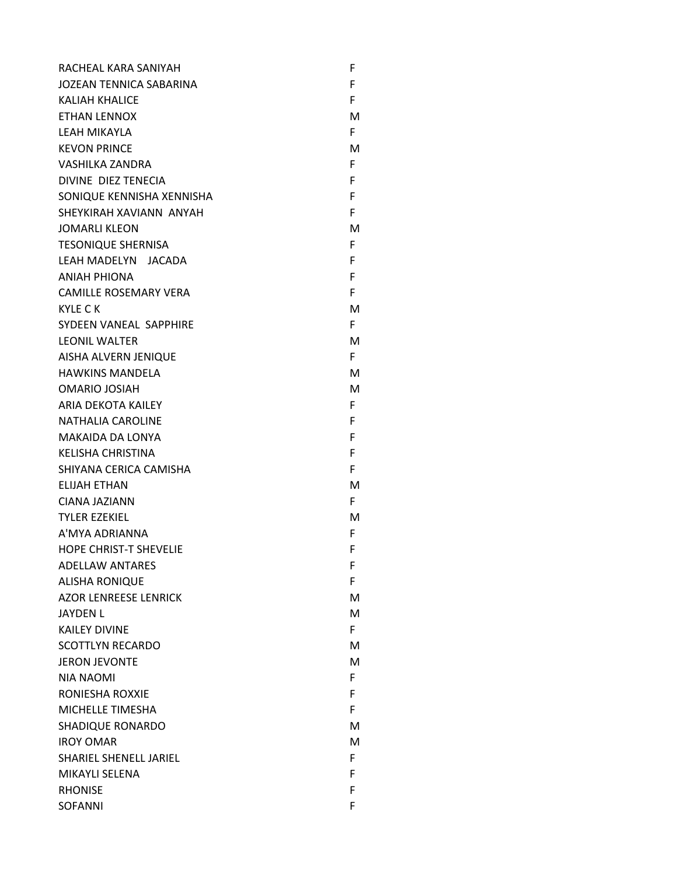| F  |
|----|
| F  |
| F. |
| M  |
| F. |
| M  |
| F  |
| F  |
| F  |
| F  |
| M  |
| F  |
| F  |
| F  |
| F  |
| M  |
| F. |
| M  |
| F. |
| M  |
| M  |
| F  |
| F  |
| F  |
| F  |
| F  |
| M  |
| F. |
| M  |
| F. |
| F  |
| F  |
| F  |
| M  |
| M  |
| F. |
| M  |
| M  |
| F. |
| F. |
| F  |
| M  |
| M  |
| F. |
| F  |
| F  |
| F  |
|    |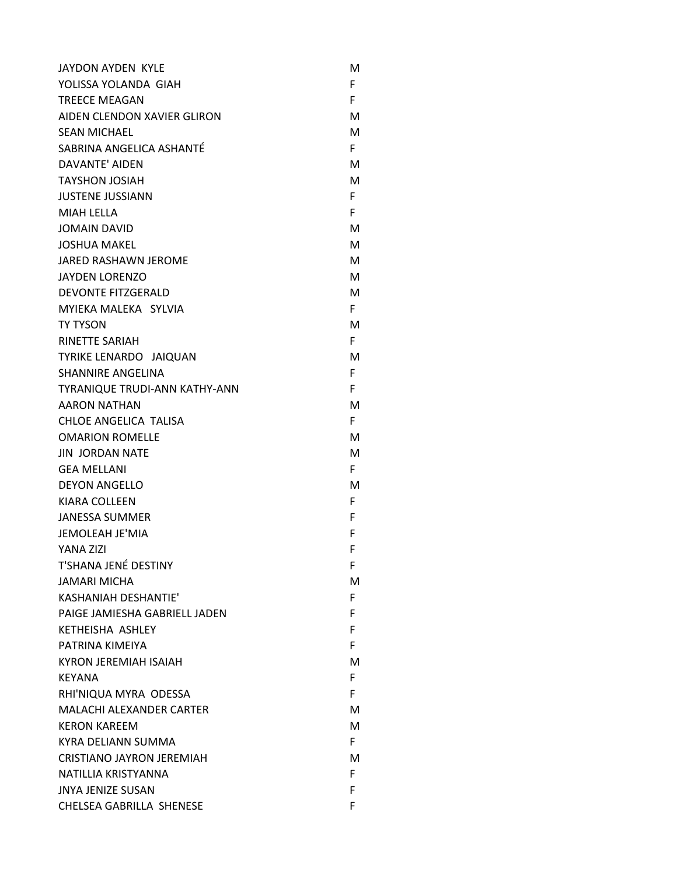| JAYDON AYDEN KYLE               | м  |
|---------------------------------|----|
| YOLISSA YOLANDA GIAH            | F  |
| <b>TREECE MEAGAN</b>            | F  |
| AIDEN CLENDON XAVIER GLIRON     | м  |
| <b>SEAN MICHAEL</b>             | М  |
| SABRINA ANGELICA ASHANTÉ        | F. |
| DAVANTE' AIDEN                  | М  |
| <b>TAYSHON JOSIAH</b>           | M  |
| <b>JUSTENE JUSSIANN</b>         | F  |
| <b>MIAH LELLA</b>               | F  |
| <b>JOMAIN DAVID</b>             | М  |
| <b>JOSHUA MAKEL</b>             | M  |
| JARED RASHAWN JEROME            | M  |
| <b>JAYDEN LORENZO</b>           | м  |
| <b>DEVONTE FITZGERALD</b>       | м  |
| MYIEKA MALEKA SYLVIA            | F. |
| <b>TY TYSON</b>                 | м  |
| <b>RINETTE SARIAH</b>           | F. |
| TYRIKE LENARDO JAIQUAN          | м  |
| <b>SHANNIRE ANGELINA</b>        | F  |
| TYRANIQUE TRUDI-ANN KATHY-ANN   | F  |
| <b>AARON NATHAN</b>             | м  |
| CHLOE ANGELICA TALISA           | F. |
| <b>OMARION ROMELLE</b>          | м  |
| <b>JIN JORDAN NATE</b>          | M  |
| <b>GEA MELLANI</b>              | F. |
| <b>DEYON ANGELLO</b>            | м  |
| <b>KIARA COLLEEN</b>            | F  |
| <b>JANESSA SUMMER</b>           | F  |
| <b>JEMOLEAH JE'MIA</b>          | F  |
| YANA ZIZI                       | F  |
| T'SHANA JENÉ DESTINY            | F  |
| <b>JAMARI MICHA</b>             | м  |
| <b>KASHANIAH DESHANTIE'</b>     | F. |
| PAIGE JAMIESHA GABRIELL JADEN   | F  |
| KETHEISHA ASHLEY                | F  |
| PATRINA KIMEIYA                 | F  |
| <b>KYRON JEREMIAH ISAIAH</b>    | м  |
| KEYANA                          | F. |
| RHI'NIQUA MYRA ODESSA           | F. |
| <b>MALACHI ALEXANDER CARTER</b> | м  |
| <b>KERON KAREEM</b>             | м  |
| KYRA DELIANN SUMMA              | F. |
| CRISTIANO JAYRON JEREMIAH       | м  |
| NATILLIA KRISTYANNA             | F. |
| <b>JNYA JENIZE SUSAN</b>        | F  |
| CHELSEA GABRILLA SHENESE        | F  |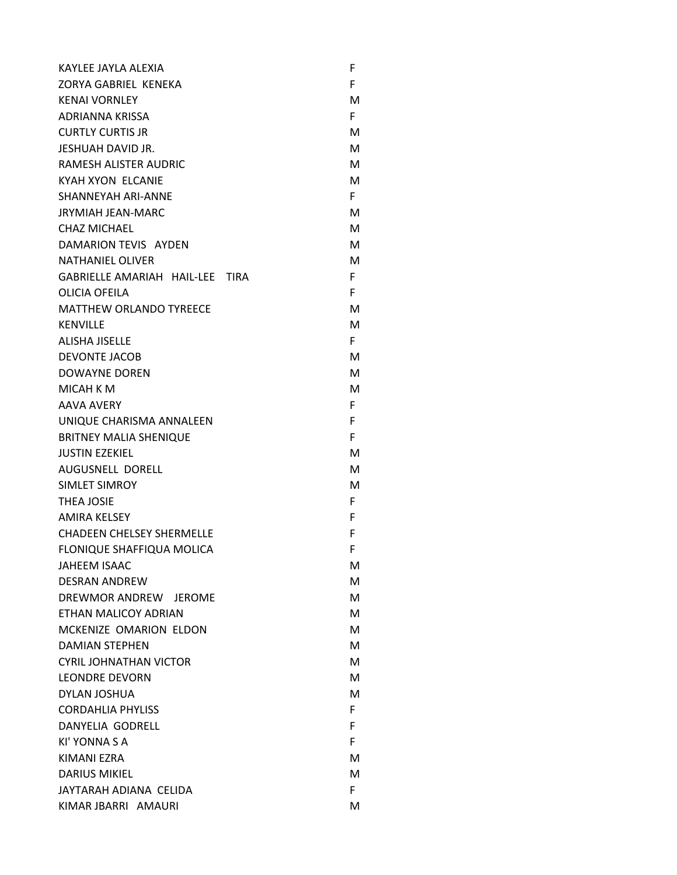| KAYLEE JAYLA ALEXIA              | F  |  |
|----------------------------------|----|--|
| ZORYA GABRIEL KENEKA             | F  |  |
| <b>KENAI VORNLEY</b>             | м  |  |
| <b>ADRIANNA KRISSA</b>           | F. |  |
| <b>CURTLY CURTIS JR</b>          | м  |  |
| JESHUAH DAVID JR.                | м  |  |
| <b>RAMESH ALISTER AUDRIC</b>     | м  |  |
| <b>KYAH XYON ELCANIE</b>         | М  |  |
| <b>SHANNEYAH ARI-ANNE</b>        | F. |  |
| <b>JRYMIAH JEAN-MARC</b>         | м  |  |
| <b>CHAZ MICHAEL</b>              | М  |  |
| DAMARION TEVIS AYDEN             | м  |  |
| <b>NATHANIEL OLIVER</b>          | М  |  |
| GABRIELLE AMARIAH HAIL-LEE TIRA  | F. |  |
| OLICIA OFFILA                    | F  |  |
| <b>MATTHEW ORLANDO TYREECE</b>   | М  |  |
| <b>KENVILLE</b>                  | М  |  |
| <b>ALISHA JISELLE</b>            | F. |  |
| <b>DEVONTE JACOB</b>             | м  |  |
| <b>DOWAYNE DOREN</b>             | М  |  |
| <b>MICAH K M</b>                 | М  |  |
| <b>AAVA AVERY</b>                | F. |  |
| UNIQUE CHARISMA ANNALEEN         | F  |  |
| <b>BRITNEY MALIA SHENIQUE</b>    | F  |  |
| <b>JUSTIN EZEKIEL</b>            | м  |  |
| AUGUSNELL DORELL                 | М  |  |
| SIMLET SIMROY                    | М  |  |
| <b>THEA JOSIE</b>                | F. |  |
| <b>AMIRA KELSEY</b>              | F  |  |
| <b>CHADEEN CHELSEY SHERMELLE</b> | F  |  |
| FLONIQUE SHAFFIQUA MOLICA        | F  |  |
| <b>JAHEEM ISAAC</b>              | м  |  |
| <b>DESRAN ANDREW</b>             | М  |  |
| DREWMOR ANDREW JEROME            | м  |  |
| ETHAN MALICOY ADRIAN             | М  |  |
| MCKENIZE OMARION ELDON           | м  |  |
| <b>DAMIAN STEPHEN</b>            | М  |  |
| <b>CYRIL JOHNATHAN VICTOR</b>    | М  |  |
| <b>LEONDRE DEVORN</b>            | М  |  |
| DYLAN JOSHUA                     | М  |  |
| <b>CORDAHLIA PHYLISS</b>         | F. |  |
| DANYELIA GODRELL                 | F. |  |
| KI' YONNA S A                    | F. |  |
| KIMANI EZRA                      | м  |  |
| <b>DARIUS MIKIEL</b>             | м  |  |
| JAYTARAH ADIANA CELIDA           | F  |  |
| KIMAR JBARRI AMAURI              | м  |  |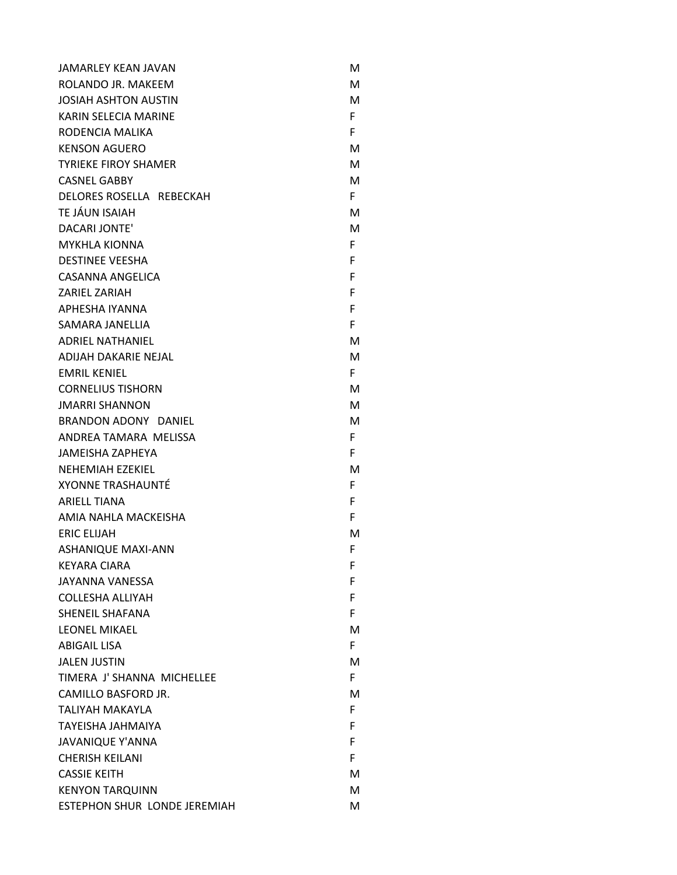| <b>JAMARLEY KEAN JAVAN</b>   | м  |
|------------------------------|----|
| ROLANDO JR. MAKEEM           | м  |
| <b>JOSIAH ASHTON AUSTIN</b>  | М  |
| KARIN SELECIA MARINE         | F. |
| RODENCIA MALIKA              | F. |
| <b>KENSON AGUERO</b>         | м  |
| <b>TYRIEKE FIROY SHAMER</b>  | М  |
| <b>CASNEL GABBY</b>          | м  |
| DELORES ROSELLA REBECKAH     | F. |
| TE JÁUN ISAIAH               | м  |
| <b>DACARI JONTE'</b>         | м  |
| <b>MYKHLA KIONNA</b>         | F. |
| <b>DESTINEE VEESHA</b>       | F  |
| CASANNA ANGELICA             | F  |
| <b>ZARIEL ZARIAH</b>         | F  |
| APHESHA IYANNA               | F  |
| SAMARA JANELLIA              | F  |
| <b>ADRIEL NATHANIEL</b>      | м  |
| <b>ADIIAH DAKARIE NEIAL</b>  | м  |
| <b>FMRIL KENIEL</b>          | F. |
| <b>CORNELIUS TISHORN</b>     | м  |
| <b>JMARRI SHANNON</b>        | М  |
| BRANDON ADONY DANIEL         | м  |
| ANDREA TAMARA MELISSA        | F. |
| <b>JAMEISHA ZAPHEYA</b>      | F. |
| NEHEMIAH EZEKIEL             | м  |
| <b>XYONNE TRASHAUNTÉ</b>     | F. |
| <b>ARIELL TIANA</b>          | F  |
| AMIA NAHLA MACKEISHA         | F  |
| <b>ERIC ELIJAH</b>           | м  |
| <b>ASHANIQUE MAXI-ANN</b>    | F  |
| <b>KEYARA CIARA</b>          | F  |
| JAYANNA VANESSA              | F  |
| COLLESHA ALLIYAH             | F  |
| SHENEIL SHAFANA              | F. |
| LEONEL MIKAEL                | м  |
| <b>ABIGAIL LISA</b>          | F. |
| <b>JALEN JUSTIN</b>          | м  |
| TIMERA J' SHANNA MICHELLEE   | F. |
| CAMILLO BASFORD JR.          | м  |
| TALIYAH MAKAYLA              | F. |
| <b>TAYEISHA JAHMAIYA</b>     | F. |
| <b>JAVANIQUE Y'ANNA</b>      | F. |
| <b>CHERISH KEILANI</b>       | F. |
| <b>CASSIE KEITH</b>          | м  |
| <b>KENYON TARQUINN</b>       | м  |
| ESTEPHON SHUR LONDE JEREMIAH | м  |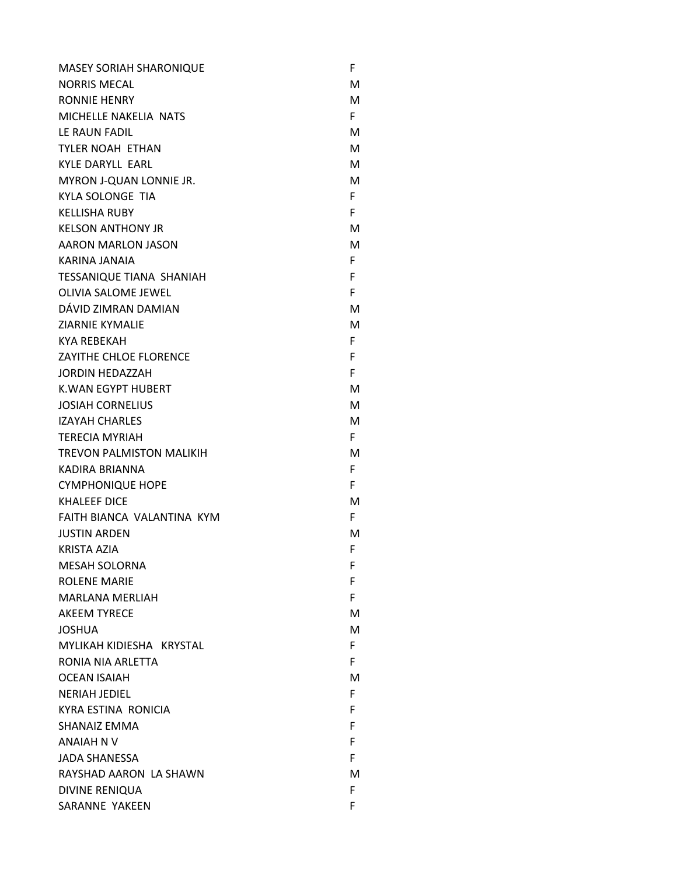| <b>MASEY SORIAH SHARONIQUE</b>  | F  |
|---------------------------------|----|
| <b>NORRIS MECAL</b>             | м  |
| <b>RONNIE HENRY</b>             | М  |
| MICHELLE NAKELIA NATS           | F. |
| LE RAUN FADIL                   | м  |
| <b>TYLER NOAH ETHAN</b>         | М  |
| <b>KYLE DARYLL EARL</b>         | м  |
| MYRON J-QUAN LONNIE JR.         | М  |
| <b>KYLA SOLONGE TIA</b>         | F. |
| <b>KELLISHA RUBY</b>            | F. |
| <b>KELSON ANTHONY JR</b>        | м  |
| AARON MARLON JASON              | М  |
| KARINA JANAIA                   | F. |
| <b>TESSANIQUE TIANA SHANIAH</b> | F. |
| <b>OLIVIA SALOME JEWEL</b>      | F. |
| DÁVID ZIMRAN DAMIAN             | м  |
| <b>ZIARNIE KYMALIE</b>          | м  |
| <b>KYA REBEKAH</b>              | F. |
| ZAYITHE CHLOE FLORENCE          | F  |
| <b>JORDIN HEDAZZAH</b>          | F. |
| <b>K.WAN EGYPT HUBERT</b>       | м  |
| <b>JOSIAH CORNELIUS</b>         | М  |
| <b>IZAYAH CHARLES</b>           | М  |
| <b>TERECIA MYRIAH</b>           | F. |
| <b>TREVON PALMISTON MALIKIH</b> | М  |
| KADIRA BRIANNA                  | F. |
| <b>CYMPHONIQUE HOPE</b>         | F. |
| <b>KHALEEF DICE</b>             | м  |
| FAITH BIANCA VALANTINA KYM      | F. |
| <b>JUSTIN ARDEN</b>             | м  |
| <b>KRISTA AZIA</b>              | F  |
| <b>MESAH SOLORNA</b>            | F  |
| <b>ROLENE MARIE</b>             | F. |
| <b>MARLANA MERLIAH</b>          | F. |
| <b>AKEEM TYRECE</b>             | м  |
| <b>JOSHUA</b>                   | м  |
| MYLIKAH KIDIESHA KRYSTAL        | F. |
| RONIA NIA ARLETTA               | F  |
| <b>OCEAN ISAIAH</b>             | м  |
| <b>NERIAH JEDIEL</b>            | F. |
| KYRA ESTINA RONICIA             | F. |
| <b>SHANAIZ EMMA</b>             | F. |
| <b>ANAIAH N V</b>               | F  |
| <b>JADA SHANESSA</b>            | F. |
| RAYSHAD AARON LA SHAWN          | м  |
| <b>DIVINE RENIQUA</b>           | F. |
| SARANNE YAKEEN                  | F  |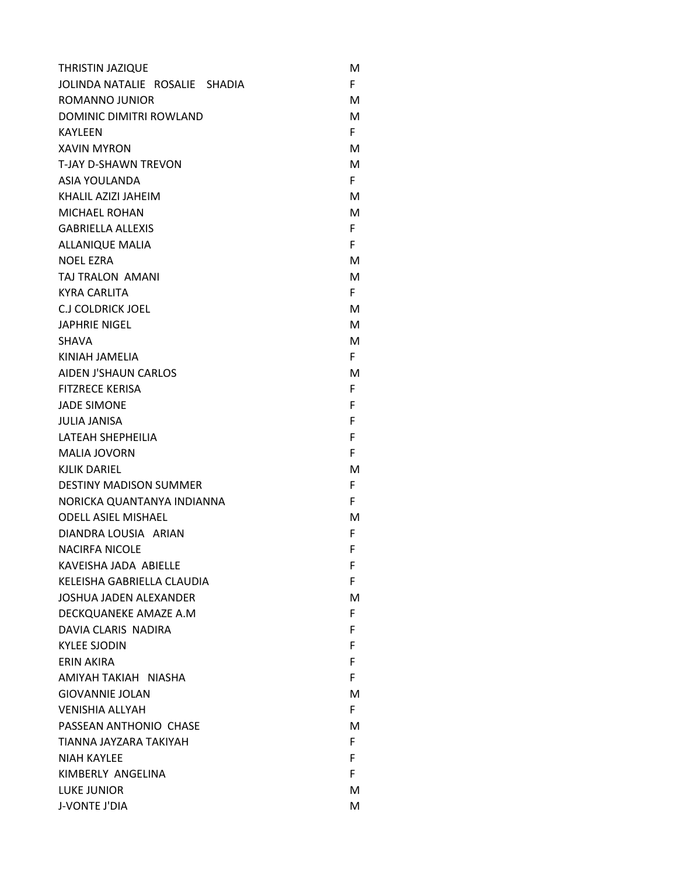| <b>THRISTIN JAZIQUE</b>        | м  |
|--------------------------------|----|
| JOLINDA NATALIE ROSALIE SHADIA | F. |
| ROMANNO JUNIOR                 | М  |
| DOMINIC DIMITRI ROWLAND        | М  |
| <b>KAYLEEN</b>                 | F. |
| <b>XAVIN MYRON</b>             | м  |
| <b>T-JAY D-SHAWN TREVON</b>    | М  |
| ASIA YOULANDA                  | F. |
| KHALIL AZIZI JAHEIM            | м  |
| <b>MICHAEL ROHAN</b>           | М  |
| <b>GABRIELLA ALLEXIS</b>       | F. |
| <b>ALLANIQUE MALIA</b>         | F. |
| <b>NOEL EZRA</b>               | М  |
| TAJ TRALON AMANI               | М  |
| <b>KYRA CARLITA</b>            | F. |
| CJ COLDRICK JOEL               | м  |
| <b>JAPHRIE NIGEL</b>           | М  |
| <b>SHAVA</b>                   | м  |
| KINIAH JAMELIA                 | F. |
| <b>AIDEN J'SHAUN CARLOS</b>    | м  |
| <b>FITZRECE KERISA</b>         | F. |
| <b>JADE SIMONE</b>             | F. |
| <b>JULIA JANISA</b>            | F  |
| LATEAH SHEPHEILIA              | F  |
| <b>MALIA JOVORN</b>            | F  |
| <b>KJLIK DARIEL</b>            | м  |
| <b>DESTINY MADISON SUMMER</b>  | F. |
| NORICKA QUANTANYA INDIANNA     | F. |
| <b>ODELL ASIEL MISHAEL</b>     | м  |
| DIANDRA LOUSIA ARIAN           | F. |
| <b>NACIRFA NICOLE</b>          | F  |
| KAVEISHA JADA ABIELLE          | F  |
| KELEISHA GABRIELLA CLAUDIA     | F. |
| <b>JOSHUA JADEN ALEXANDER</b>  | м  |
| DECKQUANEKE AMAZE A.M          | F. |
| DAVIA CLARIS NADIRA            | F. |
| <b>KYLEE SJODIN</b>            | F  |
| <b>ERIN AKIRA</b>              | F  |
| AMIYAH TAKIAH NIASHA           | F  |
| <b>GIOVANNIE JOLAN</b>         | м  |
| <b>VENISHIA ALLYAH</b>         | F. |
| PASSEAN ANTHONIO CHASE         | м  |
| TIANNA JAYZARA TAKIYAH         | F. |
| <b>NIAH KAYLEE</b>             | F  |
| KIMBERLY ANGELINA              | F. |
| <b>LUKE JUNIOR</b>             | м  |
| J-VONTE J'DIA                  | M  |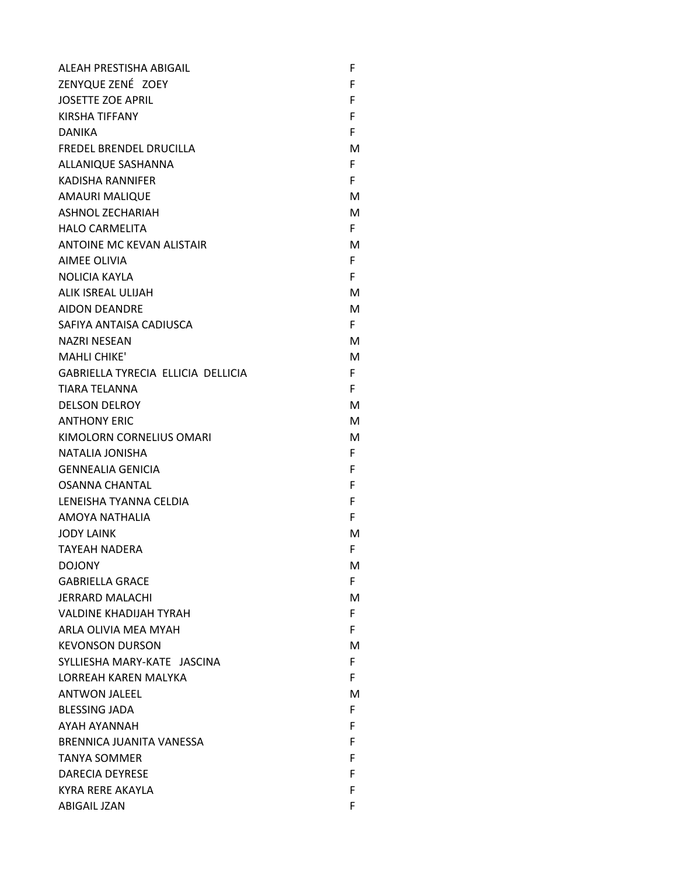| ALEAH PRESTISHA ABIGAIL            | F  |
|------------------------------------|----|
| ZENYQUE ZENÉ ZOEY                  | F  |
| <b>JOSETTE ZOE APRIL</b>           | F  |
| <b>KIRSHA TIFFANY</b>              | F  |
| <b>DANIKA</b>                      | F. |
| FREDEL BRENDEL DRUCILLA            | м  |
| ALLANIQUE SASHANNA                 | F. |
| <b>KADISHA RANNIFER</b>            | F. |
| <b>AMAURI MALIQUE</b>              | м  |
| <b>ASHNOL ZECHARIAH</b>            | м  |
| <b>HALO CARMELITA</b>              | F. |
| ANTOINE MC KEVAN ALISTAIR          | м  |
| AIMEE OLIVIA                       | F. |
| <b>NOLICIA KAYLA</b>               | F. |
| ALIK ISREAL ULIJAH                 | м  |
| <b>AIDON DEANDRE</b>               | м  |
| SAFIYA ANTAISA CADIUSCA            | F. |
| <b>NAZRI NESEAN</b>                | м  |
| <b>MAHLI CHIKE'</b>                | м  |
| GABRIELLA TYRECIA ELLICIA DELLICIA | F. |
| <b>TIARA TELANNA</b>               | F. |
| <b>DELSON DELROY</b>               | м  |
| <b>ANTHONY ERIC</b>                | м  |
| KIMOLORN CORNELIUS OMARI           | м  |
| <b>NATALIA JONISHA</b>             | F. |
| <b>GENNEALIA GENICIA</b>           | F. |
| <b>OSANNA CHANTAL</b>              | F  |
| LENEISHA TYANNA CELDIA             | F  |
| AMOYA NATHALIA                     | F. |
| <b>JODY LAINK</b>                  | м  |
| <b>TAYEAH NADERA</b>               | F  |
| <b>DOJONY</b>                      | M  |
| <b>GABRIELLA GRACE</b>             | F. |
| <b>JERRARD MALACHI</b>             | M  |
| <b>VALDINE KHADIJAH TYRAH</b>      | F. |
| ARLA OLIVIA MEA MYAH               | F. |
| <b>KEVONSON DURSON</b>             | м  |
| SYLLIESHA MARY-KATE JASCINA        | F. |
| <b>LORREAH KAREN MALYKA</b>        | F. |
| <b>ANTWON JALEEL</b>               | м  |
| <b>BLESSING JADA</b>               | F. |
| AYAH AYANNAH                       | F. |
| BRENNICA JUANITA VANESSA           | F  |
| <b>TANYA SOMMER</b>                | F  |
| <b>DARECIA DEYRESE</b>             | F  |
| KYRA RERE AKAYLA                   | F  |
| ABIGAIL JZAN                       | F  |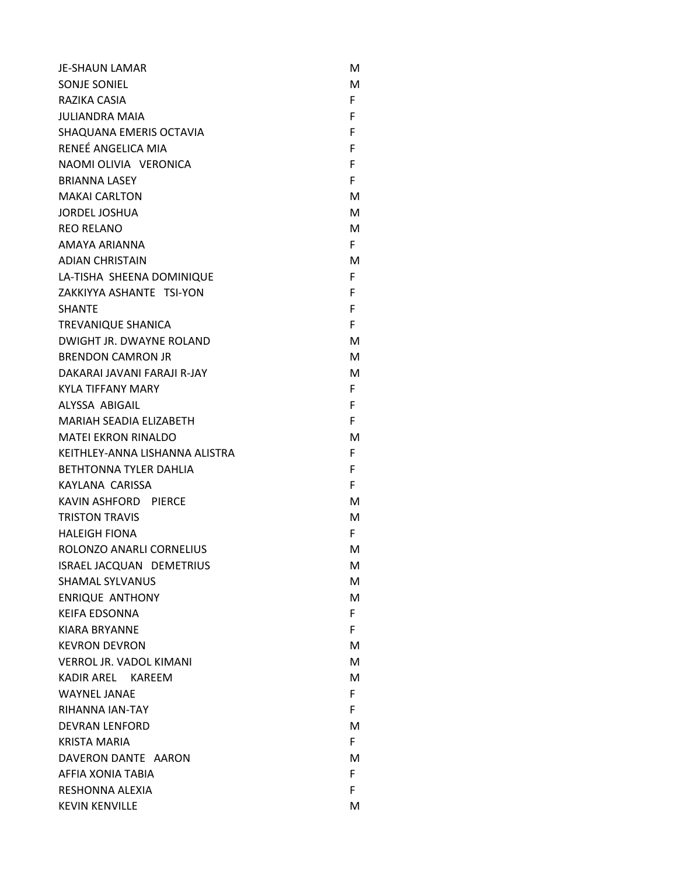| <b>JE-SHAUN LAMAR</b>          | м  |
|--------------------------------|----|
| SONJE SONJEL                   | м  |
| RAZIKA CASIA                   | F. |
| <b>JULIANDRA MAIA</b>          | F. |
| SHAQUANA EMERIS OCTAVIA        | F  |
| RENEÉ ANGELICA MIA             | F. |
| NAOMI OLIVIA VERONICA          | F  |
| <b>BRIANNA LASEY</b>           | F  |
| <b>MAKAI CARLTON</b>           | M  |
| <b>JORDEL JOSHUA</b>           | м  |
| <b>REO RELANO</b>              | м  |
| AMAYA ARIANNA                  | F. |
| <b>ADIAN CHRISTAIN</b>         | м  |
| LA-TISHA SHEENA DOMINIQUE      | F  |
| ZAKKIYYA ASHANTE TSI-YON       | F. |
| <b>SHANTE</b>                  | F. |
| <b>TREVANIQUE SHANICA</b>      | F  |
| DWIGHT JR. DWAYNE ROLAND       | м  |
| <b>BRENDON CAMRON JR</b>       | м  |
| DAKARAI JAVANI FARAJI R-JAY    | м  |
| <b>KYLA TIFFANY MARY</b>       | F. |
| ALYSSA ABIGAIL                 | F. |
| <b>MARIAH SEADIA ELIZABETH</b> | F  |
| <b>MATEI EKRON RINALDO</b>     | м  |
| KEITHLEY-ANNA LISHANNA ALISTRA | F. |
| <b>BETHTONNA TYLER DAHLIA</b>  | F. |
| KAYLANA CARISSA                | F  |
| KAVIN ASHFORD PIERCE           | м  |
| <b>TRISTON TRAVIS</b>          | м  |
| <b>HALEIGH FIONA</b>           | F. |
| ROLONZO ANARLI CORNELIUS       | M  |
| ISRAEL JACQUAN DEMETRIUS       | М  |
| <b>SHAMAL SYLVANUS</b>         | М  |
| <b>ENRIQUE ANTHONY</b>         | M  |
| <b>KEIFA EDSONNA</b>           | F. |
| <b>KIARA BRYANNE</b>           | F  |
| <b>KEVRON DEVRON</b>           | M  |
| <b>VERROL JR. VADOL KIMANI</b> | м  |
| KADIR AREL KAREEM              | м  |
| <b>WAYNEL JANAE</b>            | F. |
| RIHANNA IAN-TAY                | F. |
| <b>DEVRAN LENFORD</b>          | м  |
| <b>KRISTA MARIA</b>            | F. |
| DAVERON DANTE AARON            | M  |
| AFFIA XONIA TABIA              | F. |
| RESHONNA ALEXIA                | F. |
| <b>KEVIN KENVILLE</b>          | M  |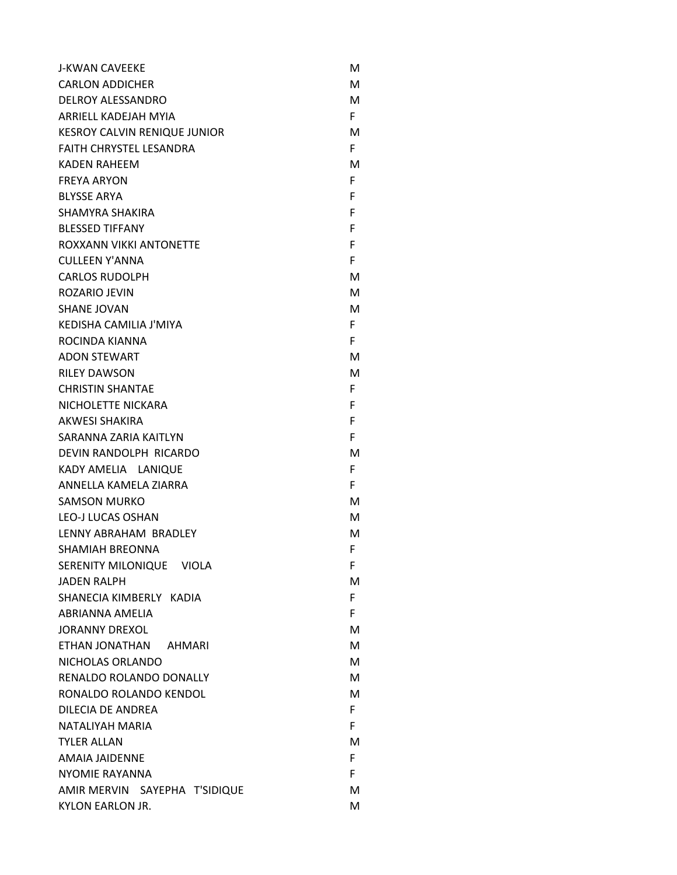| <b>J-KWAN CAVEEKE</b>               | м  |
|-------------------------------------|----|
| <b>CARLON ADDICHER</b>              | м  |
| <b>DELROY ALESSANDRO</b>            | М  |
| <b>ARRIELL KADEJAH MYIA</b>         | F. |
| <b>KESROY CALVIN RENIQUE JUNIOR</b> | м  |
| <b>FAITH CHRYSTEL LESANDRA</b>      | F. |
| <b>KADEN RAHEEM</b>                 | м  |
| <b>FREYA ARYON</b>                  | F. |
| <b>BLYSSE ARYA</b>                  | F  |
| SHAMYRA SHAKIRA                     | F  |
| <b>BLESSED TIFFANY</b>              | F  |
| ROXXANN VIKKI ANTONETTE             | F  |
| <b>CULLEEN Y'ANNA</b>               | F. |
| <b>CARLOS RUDOLPH</b>               | м  |
| ROZARIO JEVIN                       | м  |
| <b>SHANE JOVAN</b>                  | м  |
| KEDISHA CAMILIA J'MIYA              | F. |
| ROCINDA KIANNA                      | F. |
| <b>ADON STEWART</b>                 | м  |
| <b>RILEY DAWSON</b>                 | м  |
| <b>CHRISTIN SHANTAE</b>             | F. |
| NICHOLETTE NICKARA                  | F  |
| <b>AKWESI SHAKIRA</b>               | F  |
| SARANNA ZARIA KAITLYN               | F  |
| DEVIN RANDOLPH RICARDO              | м  |
| KADY AMELIA LANIQUE                 | F. |
| ANNELLA KAMELA ZIARRA               | F. |
| <b>SAMSON MURKO</b>                 | м  |
| LEO-J LUCAS OSHAN                   | м  |
| LENNY ABRAHAM BRADLEY               | м  |
| <b>SHAMIAH BREONNA</b>              | F  |
| SERENITY MILONIQUE VIOLA            | F. |
| <b>JADEN RALPH</b>                  | м  |
| SHANECIA KIMBERLY KADIA             | F. |
| ABRIANNA AMELIA                     | F. |
| <b>JORANNY DREXOL</b>               | м  |
| ETHAN JONATHAN AHMARI               | м  |
| NICHOLAS ORLANDO                    | м  |
| RENALDO ROLANDO DONALLY             | м  |
| RONALDO ROLANDO KENDOL              | м  |
| DILECIA DE ANDREA                   | F. |
| NATALIYAH MARIA                     | F. |
| <b>TYLER ALLAN</b>                  | м  |
| AMAIA JAIDENNE                      | F. |
| <b>NYOMIE RAYANNA</b>               | F. |
| AMIR MERVIN SAYEPHA T'SIDIQUE       | м  |
| KYLON EARLON JR.                    | М  |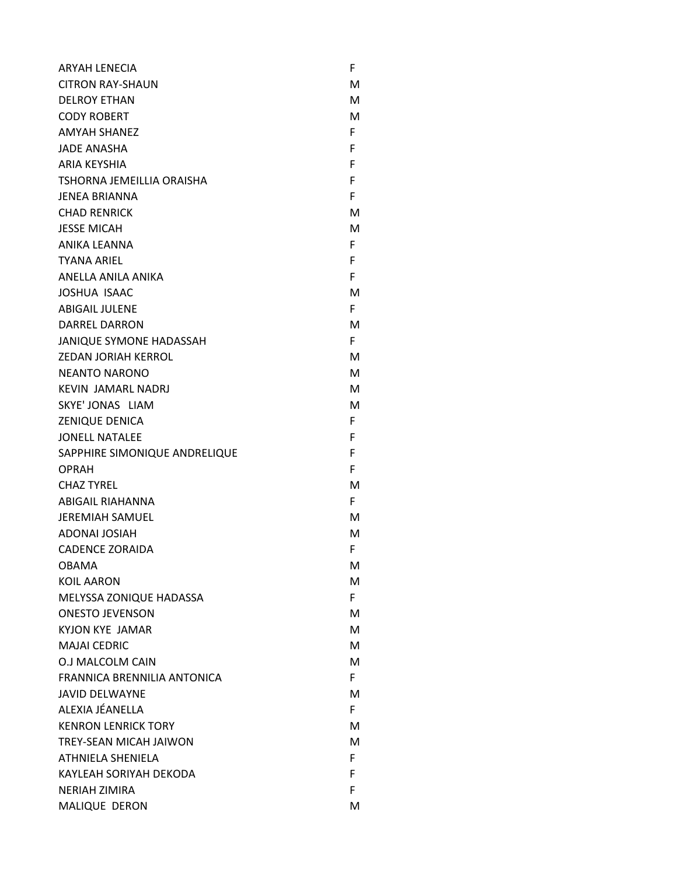| <b>ARYAH LENECIA</b>           | F  |
|--------------------------------|----|
| CITRON RAY-SHAUN               | м  |
| <b>DELROY ETHAN</b>            | м  |
| <b>CODY ROBERT</b>             | M  |
| <b>AMYAH SHANEZ</b>            | F. |
| <b>JADE ANASHA</b>             | F  |
| <b>ARIA KEYSHIA</b>            | F  |
| TSHORNA JEMEILLIA ORAISHA      | F  |
| <b>JENEA BRIANNA</b>           | F  |
| <b>CHAD RENRICK</b>            | м  |
| <b>JESSE MICAH</b>             | м  |
| ANIKA LEANNA                   | F. |
| <b>TYANA ARIEL</b>             | F  |
| ANELLA ANILA ANIKA             | F. |
| <b>JOSHUA ISAAC</b>            | м  |
| <b>ABIGAIL JULENE</b>          | F. |
| <b>DARREL DARRON</b>           | м  |
| <b>JANIQUE SYMONE HADASSAH</b> | F. |
| ZEDAN JORIAH KERROL            | м  |
| <b>NEANTO NARONO</b>           | м  |
| <b>KEVIN JAMARL NADRJ</b>      | м  |
| SKYE' JONAS LIAM               | м  |
| <b>ZENIQUE DENICA</b>          | F. |
| <b>JONELL NATALEE</b>          | F  |
| SAPPHIRE SIMONIQUE ANDRELIQUE  | F  |
| <b>OPRAH</b>                   | F. |
| <b>CHAZ TYREL</b>              | м  |
| <b>ABIGAIL RIAHANNA</b>        | F  |
| <b>JEREMIAH SAMUEL</b>         | м  |
| <b>ADONAL JOSIAH</b>           | м  |
| <b>CADENCE ZORAIDA</b>         | F. |
| <b>OBAMA</b>                   | M  |
| <b>KOIL AARON</b>              | М  |
| MELYSSA ZONIQUE HADASSA        | F. |
| <b>ONESTO JEVENSON</b>         | M  |
| <b>KYJON KYE JAMAR</b>         | М  |
| <b>MAJAI CEDRIC</b>            | м  |
| O.J MALCOLM CAIN               | M  |
| FRANNICA BRENNILIA ANTONICA    | F. |
| <b>JAVID DELWAYNE</b>          | M  |
| ALEXIA JÉANELLA                | F. |
| <b>KENRON LENRICK TORY</b>     | M  |
| TREY-SEAN MICAH JAIWON         | м  |
| ATHNIELA SHENIELA              | F. |
| KAYLEAH SORIYAH DEKODA         | F. |
| <b>NERIAH ZIMIRA</b>           | F  |
| MALIQUE DERON                  | M  |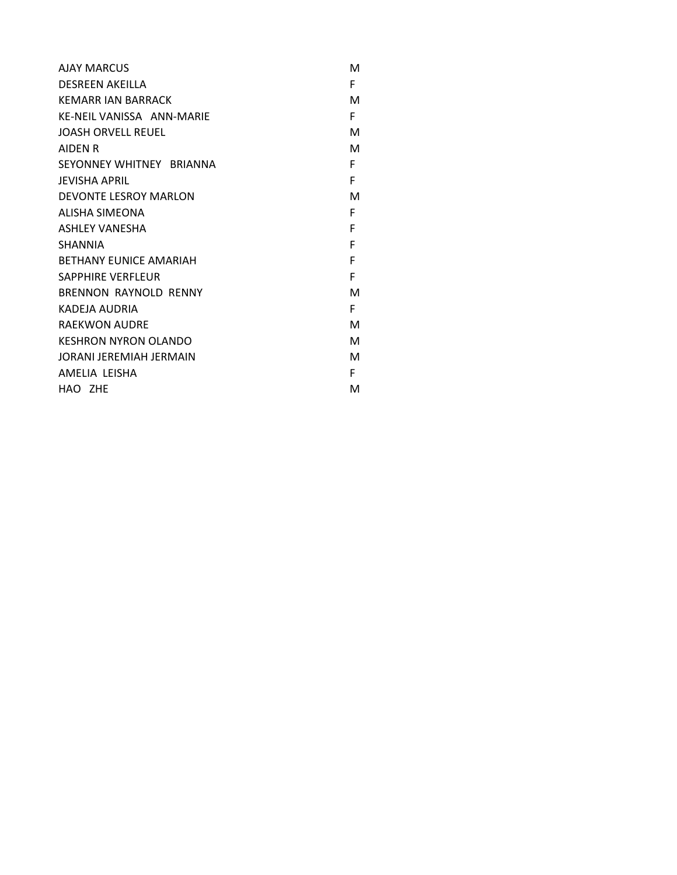| <b>AIAY MARCUS</b>            | м |
|-------------------------------|---|
| <b>DESREEN AKEILLA</b>        | F |
| KEMARR JAN BARRACK            | м |
| KE-NEIL VANISSA ANN-MARIE     | F |
| JOASH ORVELL REUEL            | м |
| <b>AIDEN R</b>                | м |
| SEYONNEY WHITNEY BRIANNA      | F |
| <b>JEVISHA APRIL</b>          | F |
| DEVONTE LESROY MARLON         | м |
| ALISHA SIMEONA                | F |
| <b>ASHLEY VANESHA</b>         | F |
| <b>SHANNIA</b>                | F |
| <b>BETHANY EUNICE AMARIAH</b> | F |
| <b>SAPPHIRE VERFLEUR</b>      | F |
| BRENNON RAYNOLD RENNY         | M |
| KADEJA AUDRIA                 | F |
| <b>RAEKWON AUDRE</b>          | м |
| <b>KESHRON NYRON OLANDO</b>   | м |
| JORANI JEREMIAH JERMAIN       | м |
| AMELIA LEISHA                 | F |
| HAO ZHE                       | M |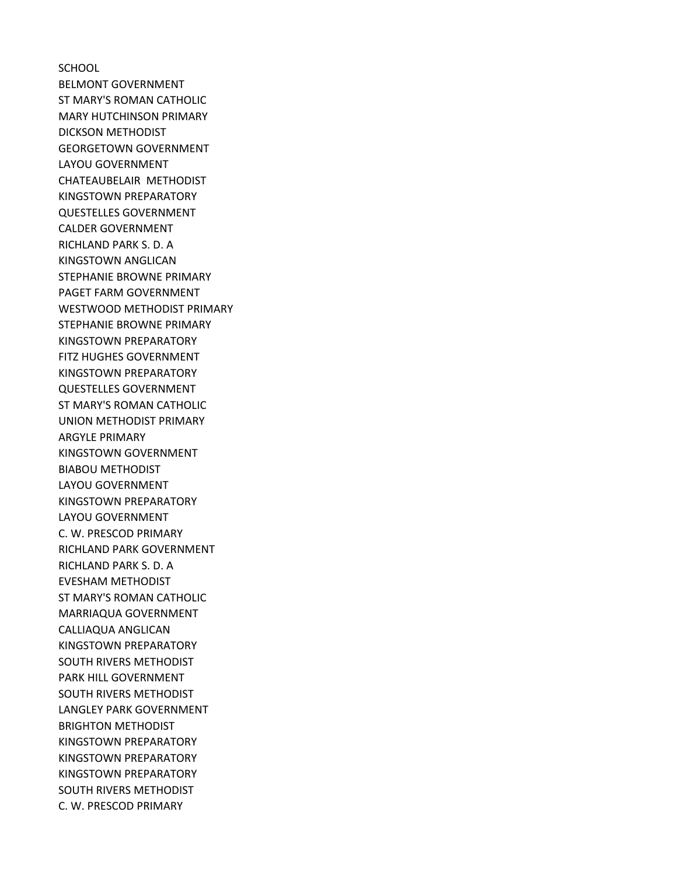**SCHOOL** BELMONT GOVERNMENT ST MARY'S ROMAN CATHOLIC MARY HUTCHINSON PRIMARY DICKSON METHODIST GEORGETOWN GOVERNMENT LAYOU GOVERNMENT CHATEAUBELAIR METHODIST KINGSTOWN PREPARATORY QUESTELLES GOVERNMENT CALDER GOVERNMENT RICHLAND PARK S. D. A KINGSTOWN ANGLICAN STEPHANIE BROWNE PRIMARY PAGET FARM GOVERNMENT WESTWOOD METHODIST PRIMARY STEPHANIE BROWNE PRIMARY KINGSTOWN PREPARATORY FITZ HUGHES GOVERNMENT KINGSTOWN PREPARATORY QUESTELLES GOVERNMENT ST MARY'S ROMAN CATHOLIC UNION METHODIST PRIMARY ARGYLE PRIMARY KINGSTOWN GOVERNMENT BIABOU METHODIST LAYOU GOVERNMENT KINGSTOWN PREPARATORY LAYOU GOVERNMENT C. W. PRESCOD PRIMARY RICHLAND PARK GOVERNMENT RICHLAND PARK S. D. A EVESHAM METHODIST ST MARY'S ROMAN CATHOLIC MARRIAQUA GOVERNMENT CALLIAQUA ANGLICAN KINGSTOWN PREPARATORY SOUTH RIVERS METHODIST PARK HILL GOVERNMENT SOUTH RIVERS METHODIST LANGLEY PARK GOVERNMENT BRIGHTON METHODIST KINGSTOWN PREPARATORY KINGSTOWN PREPARATORY KINGSTOWN PREPARATORY SOUTH RIVERS METHODIST C. W. PRESCOD PRIMARY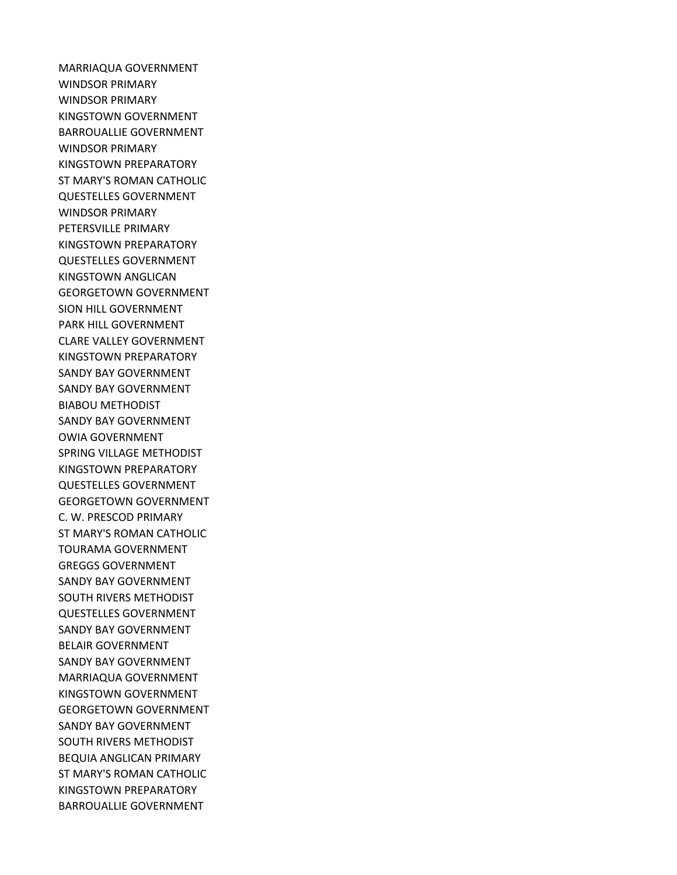MARRIAQUA GOVERNMENT WINDSOR PRIMARY WINDSOR PRIMARY KINGSTOWN GOVERNMENT BARROUALLIE GOVERNMENT WINDSOR PRIMARY KINGSTOWN PREPARATORY ST MARY'S ROMAN CATHOLIC QUESTELLES GOVERNMENT WINDSOR PRIMARY PETERSVILLE PRIMARY KINGSTOWN PREPARATORY QUESTELLES GOVERNMENT KINGSTOWN ANGLICAN GEORGETOWN GOVERNMENT SION HILL GOVERNMENT PARK HILL GOVERNMENT CLARE VALLEY GOVERNMENT KINGSTOWN PREPARATORY SANDY BAY GOVERNMENT SANDY BAY GOVERNMENT BIABOU METHODIST SANDY BAY GOVERNMENT OWIA GOVERNMENT SPRING VILLAGE METHODIST KINGSTOWN PREPARATORY QUESTELLES GOVERNMENT GEORGETOWN GOVERNMENT C. W. PRESCOD PRIMARY ST MARY'S ROMAN CATHOLIC TOURAMA GOVERNMENT GREGGS GOVERNMENT SANDY BAY GOVERNMENT SOUTH RIVERS METHODIST QUESTELLES GOVERNMENT SANDY BAY GOVERNMENT BELAIR GOVERNMENT SANDY BAY GOVERNMENT MARRIAQUA GOVERNMENT KINGSTOWN GOVERNMENT GEORGETOWN GOVERNMENT SANDY BAY GOVERNMENT SOUTH RIVERS METHODIST BEQUIA ANGLICAN PRIMARY ST MARY'S ROMAN CATHOLIC KINGSTOWN PREPARATORY BARROUALLIE GOVERNMENT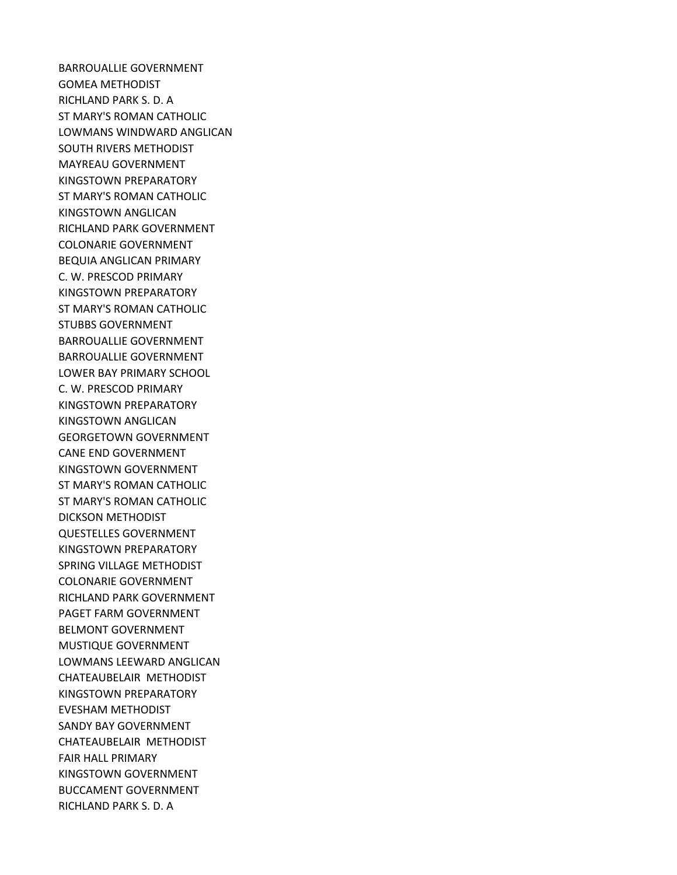BARROUALLIE GOVERNMENT GOMEA METHODIST RICHLAND PARK S. D. A ST MARY'S ROMAN CATHOLIC LOWMANS WINDWARD ANGLICAN SOUTH RIVERS METHODIST MAYREAU GOVERNMENT KINGSTOWN PREPARATORY ST MARY'S ROMAN CATHOLIC KINGSTOWN ANGLICAN RICHLAND PARK GOVERNMENT COLONARIE GOVERNMENT BEQUIA ANGLICAN PRIMARY C. W. PRESCOD PRIMARY KINGSTOWN PREPARATORY ST MARY'S ROMAN CATHOLIC STUBBS GOVERNMENT BARROUALLIE GOVERNMENT BARROUALLIE GOVERNMENT LOWER BAY PRIMARY SCHOOL C. W. PRESCOD PRIMARY KINGSTOWN PREPARATORY KINGSTOWN ANGLICAN GEORGETOWN GOVERNMENT CANE END GOVERNMENT KINGSTOWN GOVERNMENT ST MARY'S ROMAN CATHOLIC ST MARY'S ROMAN CATHOLIC DICKSON METHODIST QUESTELLES GOVERNMENT KINGSTOWN PREPARATORY SPRING VILLAGE METHODIST COLONARIE GOVERNMENT RICHLAND PARK GOVERNMENT PAGET FARM GOVERNMENT BELMONT GOVERNMENT MUSTIQUE GOVERNMENT LOWMANS LEEWARD ANGLICAN CHATEAUBELAIR METHODIST KINGSTOWN PREPARATORY EVESHAM METHODIST SANDY BAY GOVERNMENT CHATEAUBELAIR METHODIST FAIR HALL PRIMARY KINGSTOWN GOVERNMENT BUCCAMENT GOVERNMENT RICHLAND PARK S. D. A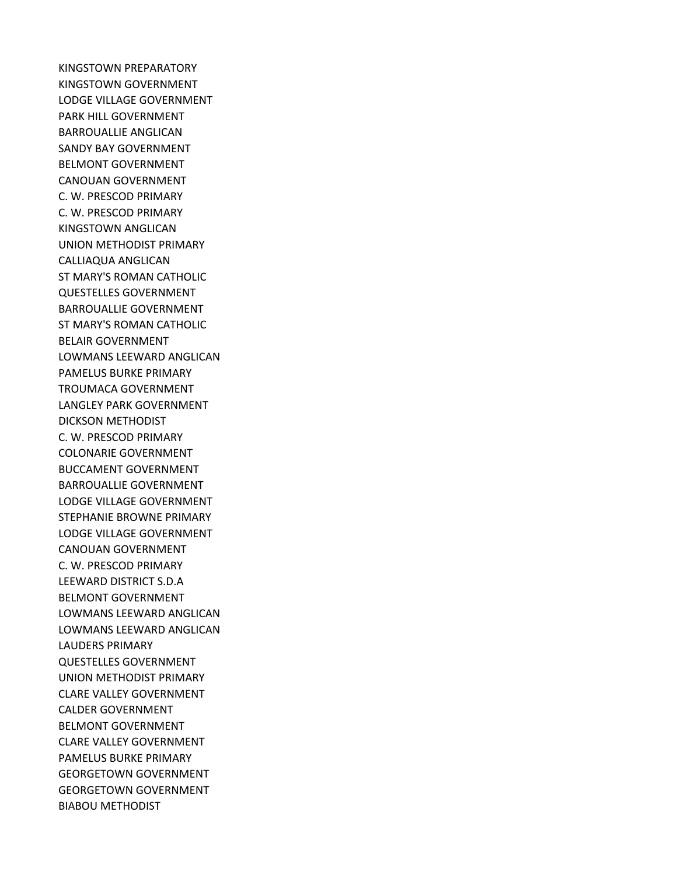KINGSTOWN PREPARATORY KINGSTOWN GOVERNMENT LODGE VILLAGE GOVERNMENT PARK HILL GOVERNMENT BARROUALLIE ANGLICAN SANDY BAY GOVERNMENT BELMONT GOVERNMENT CANOUAN GOVERNMENT C. W. PRESCOD PRIMARY C. W. PRESCOD PRIMARY KINGSTOWN ANGLICAN UNION METHODIST PRIMARY CALLIAQUA ANGLICAN ST MARY'S ROMAN CATHOLIC QUESTELLES GOVERNMENT BARROUALLIE GOVERNMENT ST MARY'S ROMAN CATHOLIC BELAIR GOVERNMENT LOWMANS LEEWARD ANGLICAN PAMELUS BURKE PRIMARY TROUMACA GOVERNMENT LANGLEY PARK GOVERNMENT DICKSON METHODIST C. W. PRESCOD PRIMARY COLONARIE GOVERNMENT BUCCAMENT GOVERNMENT BARROUALLIE GOVERNMENT LODGE VILLAGE GOVERNMENT STEPHANIE BROWNE PRIMARY LODGE VILLAGE GOVERNMENT CANOUAN GOVERNMENT C. W. PRESCOD PRIMARY LEEWARD DISTRICT S.D.A BELMONT GOVERNMENT LOWMANS LEEWARD ANGLICAN LOWMANS LEEWARD ANGLICAN LAUDERS PRIMARY QUESTELLES GOVERNMENT UNION METHODIST PRIMARY CLARE VALLEY GOVERNMENT CALDER GOVERNMENT BELMONT GOVERNMENT CLARE VALLEY GOVERNMENT PAMELUS BURKE PRIMARY GEORGETOWN GOVERNMENT GEORGETOWN GOVERNMENT BIABOU METHODIST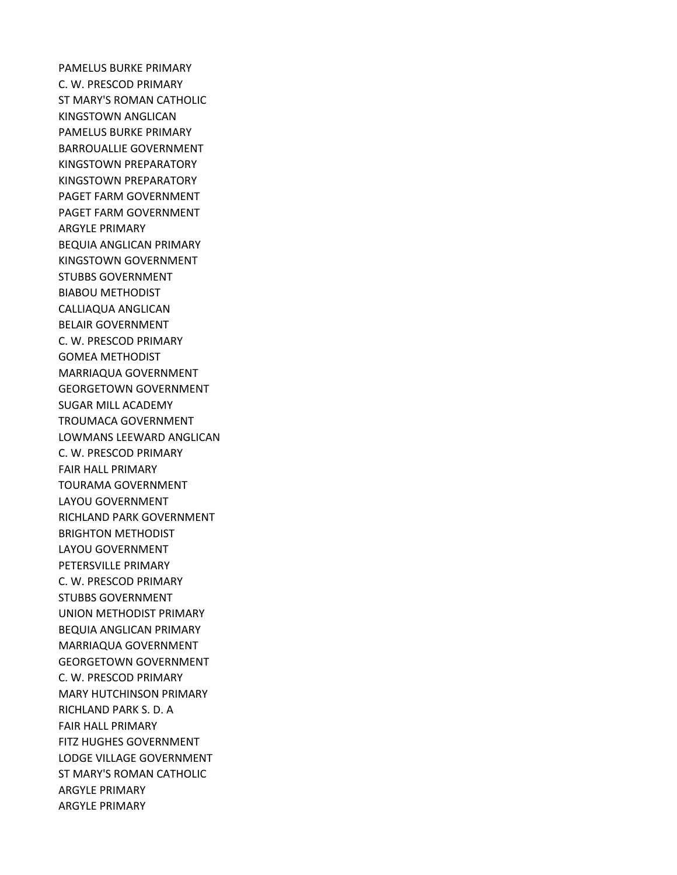PAMELUS BURKE PRIMARY C. W. PRESCOD PRIMARY ST MARY'S ROMAN CATHOLIC KINGSTOWN ANGLICAN PAMELUS BURKE PRIMARY BARROUALLIE GOVERNMENT KINGSTOWN PREPARATORY KINGSTOWN PREPARATORY PAGET FARM GOVERNMENT PAGET FARM GOVERNMENT ARGYLE PRIMARY BEQUIA ANGLICAN PRIMARY KINGSTOWN GOVERNMENT STUBBS GOVERNMENT BIABOU METHODIST CALLIAQUA ANGLICAN BELAIR GOVERNMENT C. W. PRESCOD PRIMARY GOMEA METHODIST MARRIAQUA GOVERNMENT GEORGETOWN GOVERNMENT SUGAR MILL ACADEMY TROUMACA GOVERNMENT LOWMANS LEEWARD ANGLICAN C. W. PRESCOD PRIMARY FAIR HALL PRIMARY TOURAMA GOVERNMENT LAYOU GOVERNMENT RICHLAND PARK GOVERNMENT BRIGHTON METHODIST LAYOU GOVERNMENT PETERSVILLE PRIMARY C. W. PRESCOD PRIMARY STUBBS GOVERNMENT UNION METHODIST PRIMARY BEQUIA ANGLICAN PRIMARY MARRIAQUA GOVERNMENT GEORGETOWN GOVERNMENT C. W. PRESCOD PRIMARY MARY HUTCHINSON PRIMARY RICHLAND PARK S. D. A FAIR HALL PRIMARY FITZ HUGHES GOVERNMENT LODGE VILLAGE GOVERNMENT ST MARY'S ROMAN CATHOLIC ARGYLE PRIMARY ARGYLE PRIMARY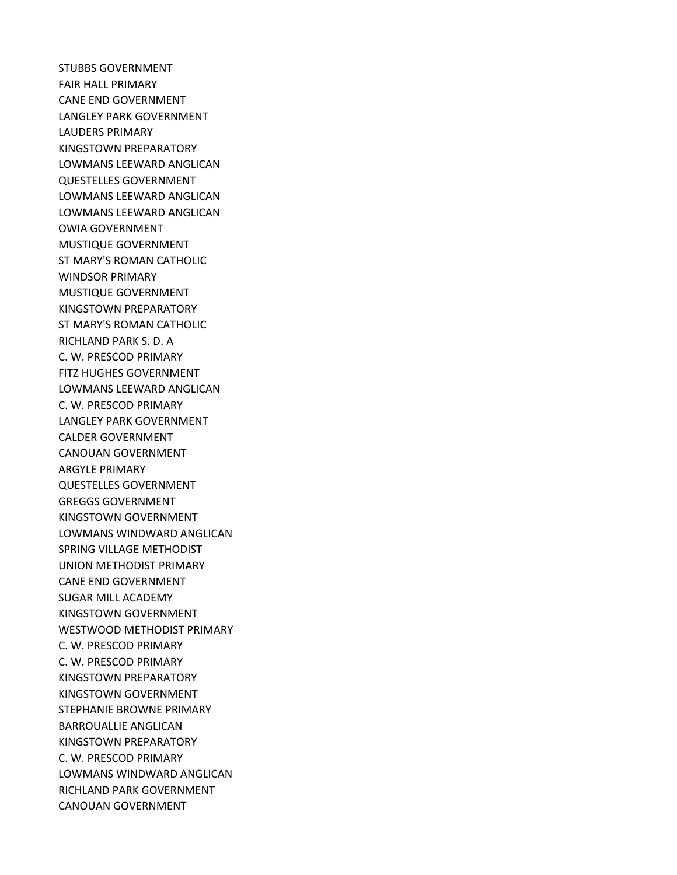STUBBS GOVERNMENT FAIR HALL PRIMARY CANE END GOVERNMENT LANGLEY PARK GOVERNMENT LAUDERS PRIMARY KINGSTOWN PREPARATORY LOWMANS LEEWARD ANGLICAN QUESTELLES GOVERNMENT LOWMANS LEEWARD ANGLICAN LOWMANS LEEWARD ANGLICAN OWIA GOVERNMENT MUSTIQUE GOVERNMENT ST MARY'S ROMAN CATHOLIC WINDSOR PRIMARY MUSTIQUE GOVERNMENT KINGSTOWN PREPARATORY ST MARY'S ROMAN CATHOLIC RICHLAND PARK S. D. A C. W. PRESCOD PRIMARY FITZ HUGHES GOVERNMENT LOWMANS LEEWARD ANGLICAN C. W. PRESCOD PRIMARY LANGLEY PARK GOVERNMENT CALDER GOVERNMENT CANOUAN GOVERNMENT ARGYLE PRIMARY QUESTELLES GOVERNMENT GREGGS GOVERNMENT KINGSTOWN GOVERNMENT LOWMANS WINDWARD ANGLICAN SPRING VILLAGE METHODIST UNION METHODIST PRIMARY CANE END GOVERNMENT SUGAR MILL ACADEMY KINGSTOWN GOVERNMENT WESTWOOD METHODIST PRIMARY C. W. PRESCOD PRIMARY C. W. PRESCOD PRIMARY KINGSTOWN PREPARATORY KINGSTOWN GOVERNMENT STEPHANIE BROWNE PRIMARY BARROUALLIE ANGLICAN KINGSTOWN PREPARATORY C. W. PRESCOD PRIMARY LOWMANS WINDWARD ANGLICAN RICHLAND PARK GOVERNMENT CANOUAN GOVERNMENT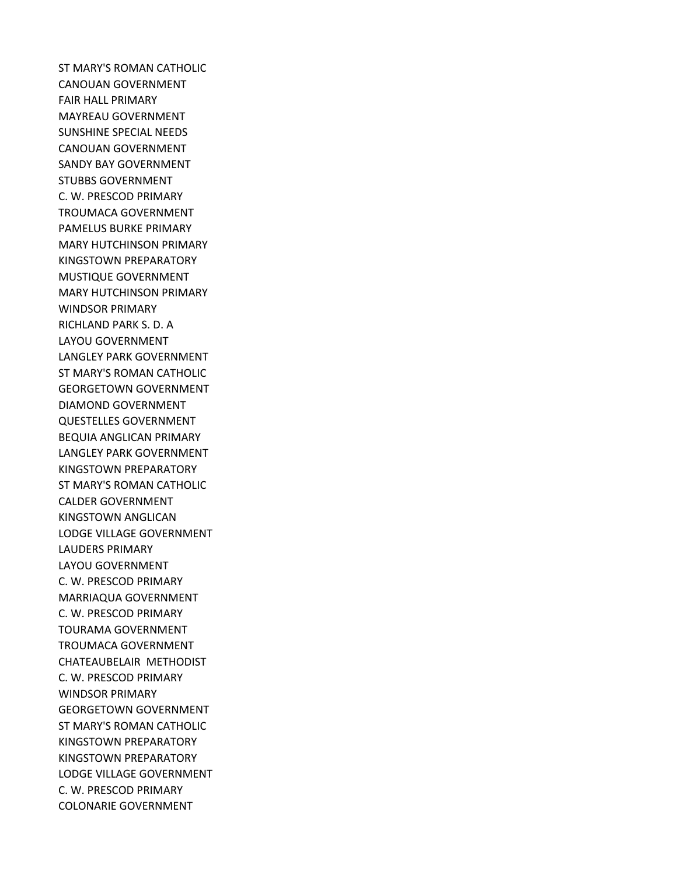ST MARY'S ROMAN CATHOLIC CANOUAN GOVERNMENT FAIR HALL PRIMARY MAYREAU GOVERNMENT SUNSHINE SPECIAL NEEDS CANOUAN GOVERNMENT SANDY BAY GOVERNMENT STUBBS GOVERNMENT C. W. PRESCOD PRIMARY TROUMACA GOVERNMENT PAMELUS BURKE PRIMARY MARY HUTCHINSON PRIMARY KINGSTOWN PREPARATORY MUSTIQUE GOVERNMENT MARY HUTCHINSON PRIMARY WINDSOR PRIMARY RICHLAND PARK S. D. A LAYOU GOVERNMENT LANGLEY PARK GOVERNMENT ST MARY'S ROMAN CATHOLIC GEORGETOWN GOVERNMENT DIAMOND GOVERNMENT QUESTELLES GOVERNMENT BEQUIA ANGLICAN PRIMARY LANGLEY PARK GOVERNMENT KINGSTOWN PREPARATORY ST MARY'S ROMAN CATHOLIC CALDER GOVERNMENT KINGSTOWN ANGLICAN LODGE VILLAGE GOVERNMENT LAUDERS PRIMARY LAYOU GOVERNMENT C. W. PRESCOD PRIMARY MARRIAQUA GOVERNMENT C. W. PRESCOD PRIMARY TOURAMA GOVERNMENT TROUMACA GOVERNMENT CHATEAUBELAIR METHODIST C. W. PRESCOD PRIMARY WINDSOR PRIMARY GEORGETOWN GOVERNMENT ST MARY'S ROMAN CATHOLIC KINGSTOWN PREPARATORY KINGSTOWN PREPARATORY LODGE VILLAGE GOVERNMENT C. W. PRESCOD PRIMARY COLONARIE GOVERNMENT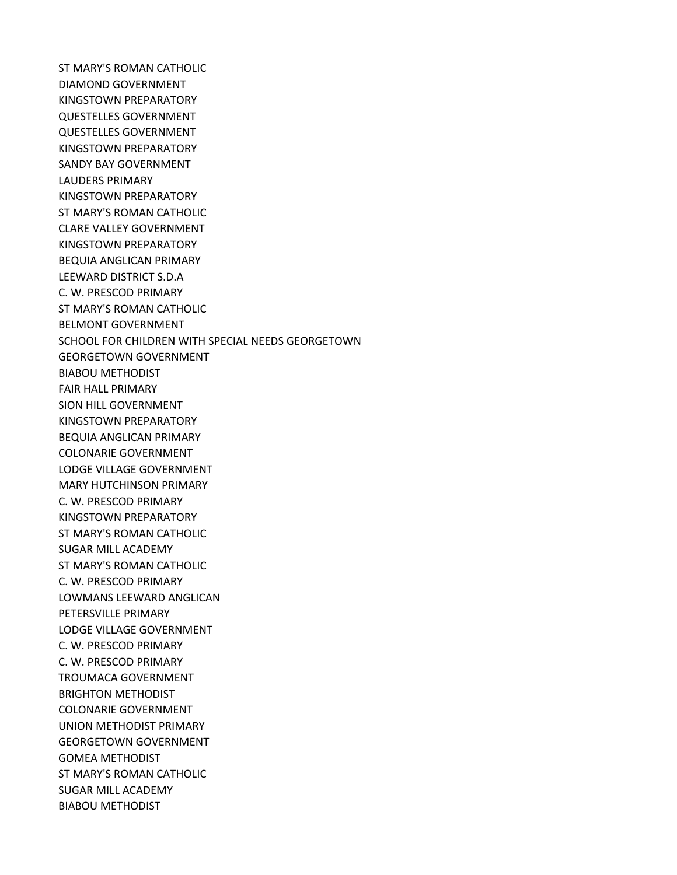ST MARY'S ROMAN CATHOLIC DIAMOND GOVERNMENT KINGSTOWN PREPARATORY QUESTELLES GOVERNMENT QUESTELLES GOVERNMENT KINGSTOWN PREPARATORY SANDY BAY GOVERNMENT LAUDERS PRIMARY KINGSTOWN PREPARATORY ST MARY'S ROMAN CATHOLIC CLARE VALLEY GOVERNMENT KINGSTOWN PREPARATORY BEQUIA ANGLICAN PRIMARY LEEWARD DISTRICT S.D.A C. W. PRESCOD PRIMARY ST MARY'S ROMAN CATHOLIC BELMONT GOVERNMENT SCHOOL FOR CHILDREN WITH SPECIAL NEEDS GEORGETOWN GEORGETOWN GOVERNMENT BIABOU METHODIST FAIR HALL PRIMARY SION HILL GOVERNMENT KINGSTOWN PREPARATORY BEQUIA ANGLICAN PRIMARY COLONARIE GOVERNMENT LODGE VILLAGE GOVERNMENT MARY HUTCHINSON PRIMARY C. W. PRESCOD PRIMARY KINGSTOWN PREPARATORY ST MARY'S ROMAN CATHOLIC SUGAR MILL ACADEMY ST MARY'S ROMAN CATHOLIC C. W. PRESCOD PRIMARY LOWMANS LEEWARD ANGLICAN PETERSVILLE PRIMARY LODGE VILLAGE GOVERNMENT C. W. PRESCOD PRIMARY C. W. PRESCOD PRIMARY TROUMACA GOVERNMENT BRIGHTON METHODIST COLONARIE GOVERNMENT UNION METHODIST PRIMARY GEORGETOWN GOVERNMENT GOMEA METHODIST ST MARY'S ROMAN CATHOLIC SUGAR MILL ACADEMY BIABOU METHODIST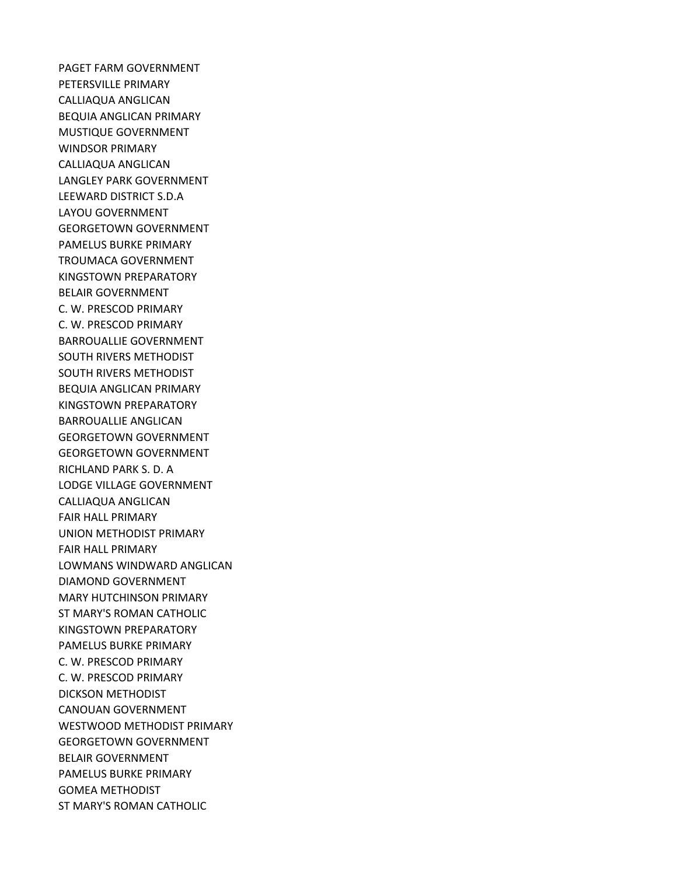PAGET FARM GOVERNMENT PETERSVILLE PRIMARY CALLIAQUA ANGLICAN BEQUIA ANGLICAN PRIMARY MUSTIQUE GOVERNMENT WINDSOR PRIMARY CALLIAQUA ANGLICAN LANGLEY PARK GOVERNMENT LEEWARD DISTRICT S.D.A LAYOU GOVERNMENT GEORGETOWN GOVERNMENT PAMELUS BURKE PRIMARY TROUMACA GOVERNMENT KINGSTOWN PREPARATORY BELAIR GOVERNMENT C. W. PRESCOD PRIMARY C. W. PRESCOD PRIMARY BARROUALLIE GOVERNMENT SOUTH RIVERS METHODIST SOUTH RIVERS METHODIST BEQUIA ANGLICAN PRIMARY KINGSTOWN PREPARATORY BARROUALLIE ANGLICAN GEORGETOWN GOVERNMENT GEORGETOWN GOVERNMENT RICHLAND PARK S. D. A LODGE VILLAGE GOVERNMENT CALLIAQUA ANGLICAN FAIR HALL PRIMARY UNION METHODIST PRIMARY FAIR HALL PRIMARY LOWMANS WINDWARD ANGLICAN DIAMOND GOVERNMENT MARY HUTCHINSON PRIMARY ST MARY'S ROMAN CATHOLIC KINGSTOWN PREPARATORY PAMELUS BURKE PRIMARY C. W. PRESCOD PRIMARY C. W. PRESCOD PRIMARY DICKSON METHODIST CANOUAN GOVERNMENT WESTWOOD METHODIST PRIMARY GEORGETOWN GOVERNMENT BELAIR GOVERNMENT PAMELUS BURKE PRIMARY GOMEA METHODIST ST MARY'S ROMAN CATHOLIC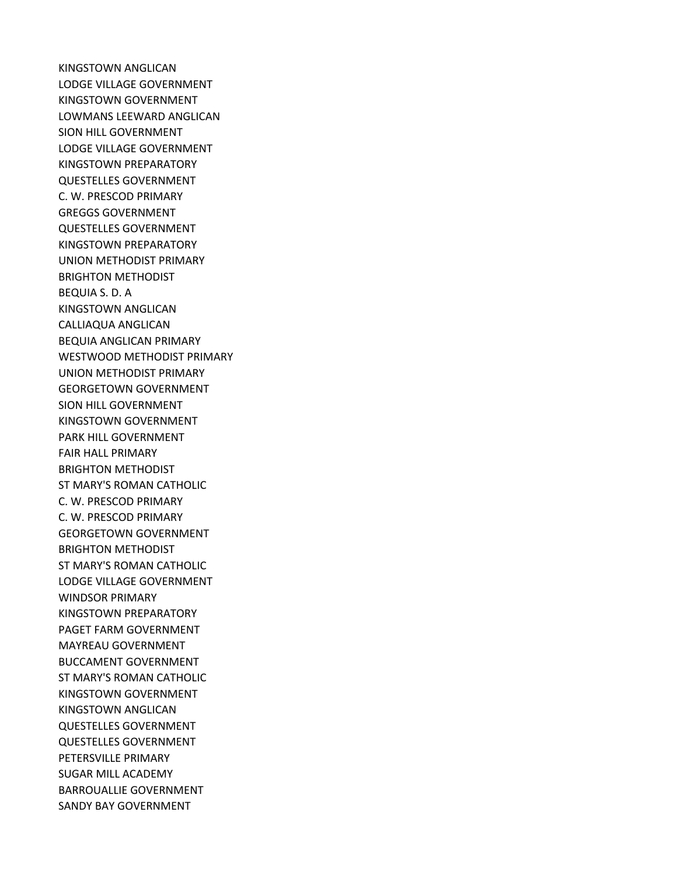KINGSTOWN ANGLICAN LODGE VILLAGE GOVERNMENT KINGSTOWN GOVERNMENT LOWMANS LEEWARD ANGLICAN SION HILL GOVERNMENT LODGE VILLAGE GOVERNMENT KINGSTOWN PREPARATORY QUESTELLES GOVERNMENT C. W. PRESCOD PRIMARY GREGGS GOVERNMENT QUESTELLES GOVERNMENT KINGSTOWN PREPARATORY UNION METHODIST PRIMARY BRIGHTON METHODIST BEQUIA S. D. A KINGSTOWN ANGLICAN CALLIAQUA ANGLICAN BEQUIA ANGLICAN PRIMARY WESTWOOD METHODIST PRIMARY UNION METHODIST PRIMARY GEORGETOWN GOVERNMENT SION HILL GOVERNMENT KINGSTOWN GOVERNMENT PARK HILL GOVERNMENT FAIR HALL PRIMARY BRIGHTON METHODIST ST MARY'S ROMAN CATHOLIC C. W. PRESCOD PRIMARY C. W. PRESCOD PRIMARY GEORGETOWN GOVERNMENT BRIGHTON METHODIST ST MARY'S ROMAN CATHOLIC LODGE VILLAGE GOVERNMENT WINDSOR PRIMARY KINGSTOWN PREPARATORY PAGET FARM GOVERNMENT MAYREAU GOVERNMENT BUCCAMENT GOVERNMENT ST MARY'S ROMAN CATHOLIC KINGSTOWN GOVERNMENT KINGSTOWN ANGLICAN QUESTELLES GOVERNMENT QUESTELLES GOVERNMENT PETERSVILLE PRIMARY SUGAR MILL ACADEMY BARROUALLIE GOVERNMENT SANDY BAY GOVERNMENT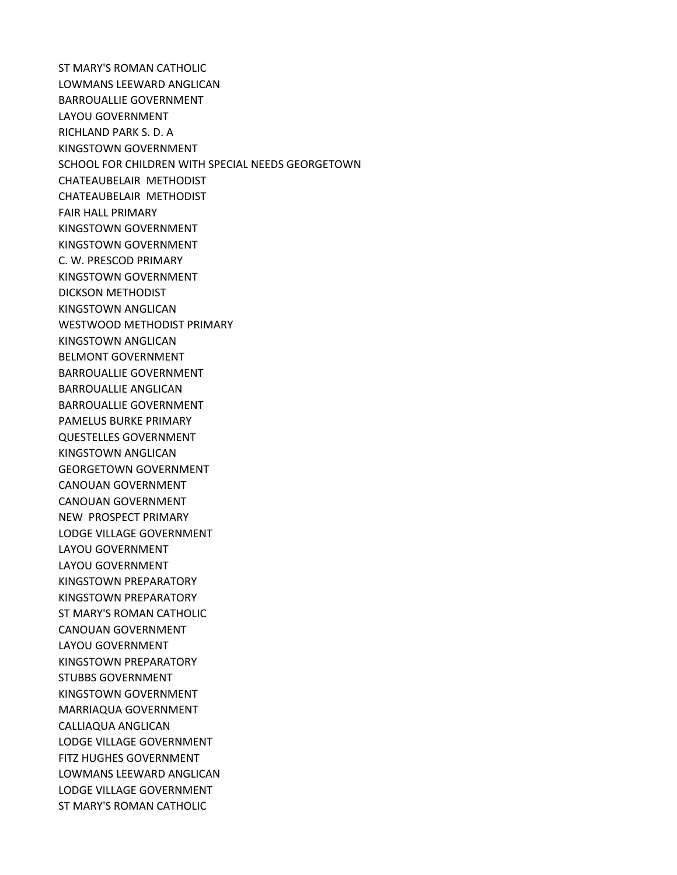ST MARY'S ROMAN CATHOLIC LOWMANS LEEWARD ANGLICAN BARROUALLIE GOVERNMENT LAYOU GOVERNMENT RICHLAND PARK S. D. A KINGSTOWN GOVERNMENT SCHOOL FOR CHILDREN WITH SPECIAL NEEDS GEORGETOWN CHATEAUBELAIR METHODIST CHATEAUBELAIR METHODIST FAIR HALL PRIMARY KINGSTOWN GOVERNMENT KINGSTOWN GOVERNMENT C. W. PRESCOD PRIMARY KINGSTOWN GOVERNMENT DICKSON METHODIST KINGSTOWN ANGLICAN WESTWOOD METHODIST PRIMARY KINGSTOWN ANGLICAN BELMONT GOVERNMENT BARROUALLIE GOVERNMENT BARROUALLIE ANGLICAN BARROUALLIE GOVERNMENT PAMELUS BURKE PRIMARY QUESTELLES GOVERNMENT KINGSTOWN ANGLICAN GEORGETOWN GOVERNMENT CANOUAN GOVERNMENT CANOUAN GOVERNMENT NEW PROSPECT PRIMARY LODGE VILLAGE GOVERNMENT LAYOU GOVERNMENT LAYOU GOVERNMENT KINGSTOWN PREPARATORY KINGSTOWN PREPARATORY ST MARY'S ROMAN CATHOLIC CANOUAN GOVERNMENT LAYOU GOVERNMENT KINGSTOWN PREPARATORY STUBBS GOVERNMENT KINGSTOWN GOVERNMENT MARRIAQUA GOVERNMENT CALLIAQUA ANGLICAN LODGE VILLAGE GOVERNMENT FITZ HUGHES GOVERNMENT LOWMANS LEEWARD ANGLICAN LODGE VILLAGE GOVERNMENT ST MARY'S ROMAN CATHOLIC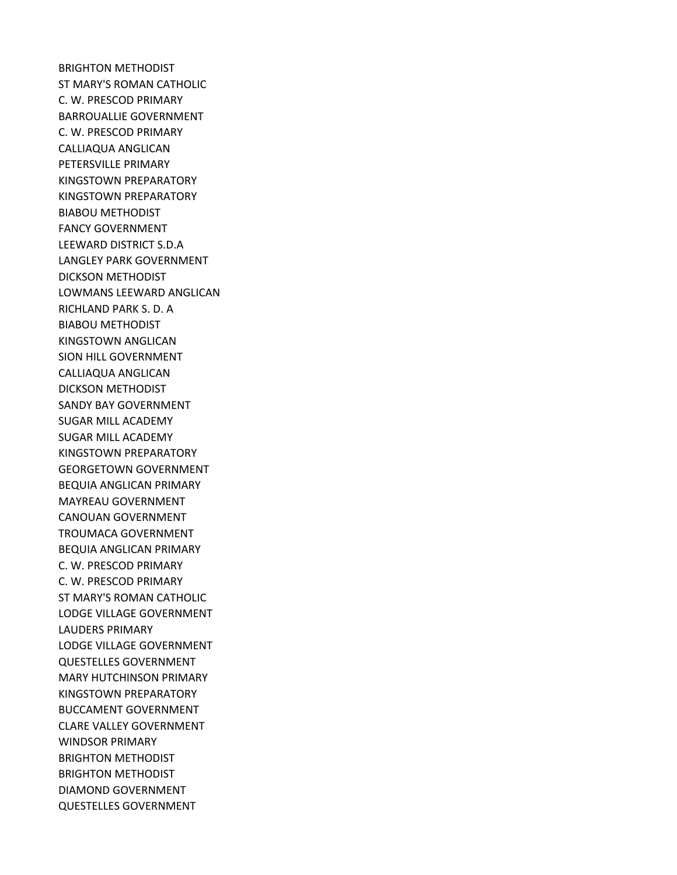BRIGHTON METHODIST ST MARY'S ROMAN CATHOLIC C. W. PRESCOD PRIMARY BARROUALLIE GOVERNMENT C. W. PRESCOD PRIMARY CALLIAQUA ANGLICAN PETERSVILLE PRIMARY KINGSTOWN PREPARATORY KINGSTOWN PREPARATORY BIABOU METHODIST FANCY GOVERNMENT LEEWARD DISTRICT S.D.A LANGLEY PARK GOVERNMENT DICKSON METHODIST LOWMANS LEEWARD ANGLICAN RICHLAND PARK S. D. A BIABOU METHODIST KINGSTOWN ANGLICAN SION HILL GOVERNMENT CALLIAQUA ANGLICAN DICKSON METHODIST SANDY BAY GOVERNMENT SUGAR MILL ACADEMY SUGAR MILL ACADEMY KINGSTOWN PREPARATORY GEORGETOWN GOVERNMENT BEQUIA ANGLICAN PRIMARY MAYREAU GOVERNMENT CANOUAN GOVERNMENT TROUMACA GOVERNMENT BEQUIA ANGLICAN PRIMARY C. W. PRESCOD PRIMARY C. W. PRESCOD PRIMARY ST MARY'S ROMAN CATHOLIC LODGE VILLAGE GOVERNMENT LAUDERS PRIMARY LODGE VILLAGE GOVERNMENT QUESTELLES GOVERNMENT MARY HUTCHINSON PRIMARY KINGSTOWN PREPARATORY BUCCAMENT GOVERNMENT CLARE VALLEY GOVERNMENT WINDSOR PRIMARY BRIGHTON METHODIST BRIGHTON METHODIST DIAMOND GOVERNMENT QUESTELLES GOVERNMENT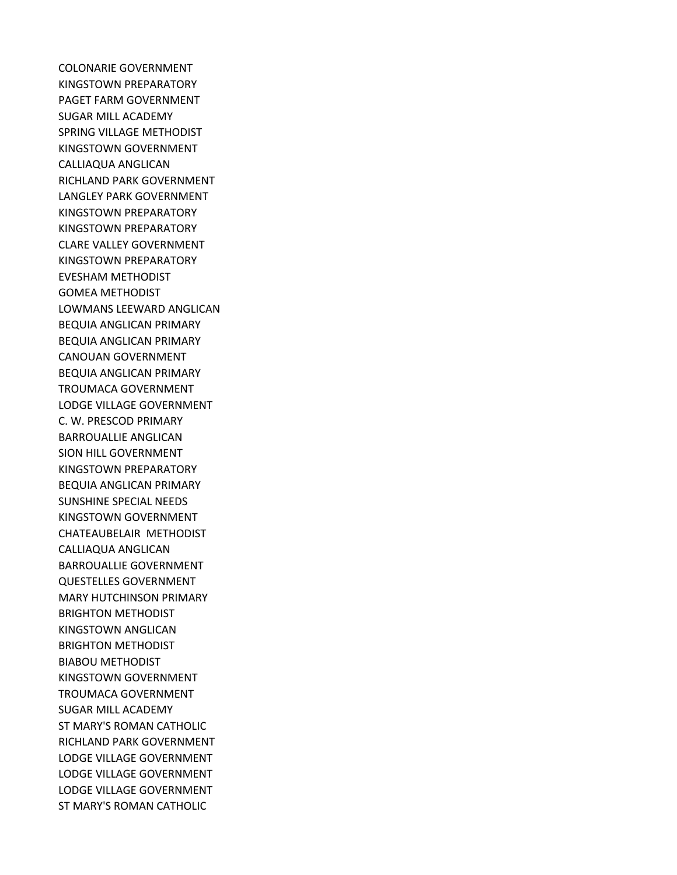COLONARIE GOVERNMENT KINGSTOWN PREPARATORY PAGET FARM GOVERNMENT SUGAR MILL ACADEMY SPRING VILLAGE METHODIST KINGSTOWN GOVERNMENT CALLIAQUA ANGLICAN RICHLAND PARK GOVERNMENT LANGLEY PARK GOVERNMENT KINGSTOWN PREPARATORY KINGSTOWN PREPARATORY CLARE VALLEY GOVERNMENT KINGSTOWN PREPARATORY EVESHAM METHODIST GOMEA METHODIST LOWMANS LEEWARD ANGLICAN BEQUIA ANGLICAN PRIMARY BEQUIA ANGLICAN PRIMARY CANOUAN GOVERNMENT BEQUIA ANGLICAN PRIMARY TROUMACA GOVERNMENT LODGE VILLAGE GOVERNMENT C. W. PRESCOD PRIMARY BARROUALLIE ANGLICAN SION HILL GOVERNMENT KINGSTOWN PREPARATORY BEQUIA ANGLICAN PRIMARY SUNSHINE SPECIAL NEEDS KINGSTOWN GOVERNMENT CHATEAUBELAIR METHODIST CALLIAQUA ANGLICAN BARROUALLIE GOVERNMENT QUESTELLES GOVERNMENT MARY HUTCHINSON PRIMARY BRIGHTON METHODIST KINGSTOWN ANGLICAN BRIGHTON METHODIST BIABOU METHODIST KINGSTOWN GOVERNMENT TROUMACA GOVERNMENT SUGAR MILL ACADEMY ST MARY'S ROMAN CATHOLIC RICHLAND PARK GOVERNMENT LODGE VILLAGE GOVERNMENT LODGE VILLAGE GOVERNMENT LODGE VILLAGE GOVERNMENT ST MARY'S ROMAN CATHOLIC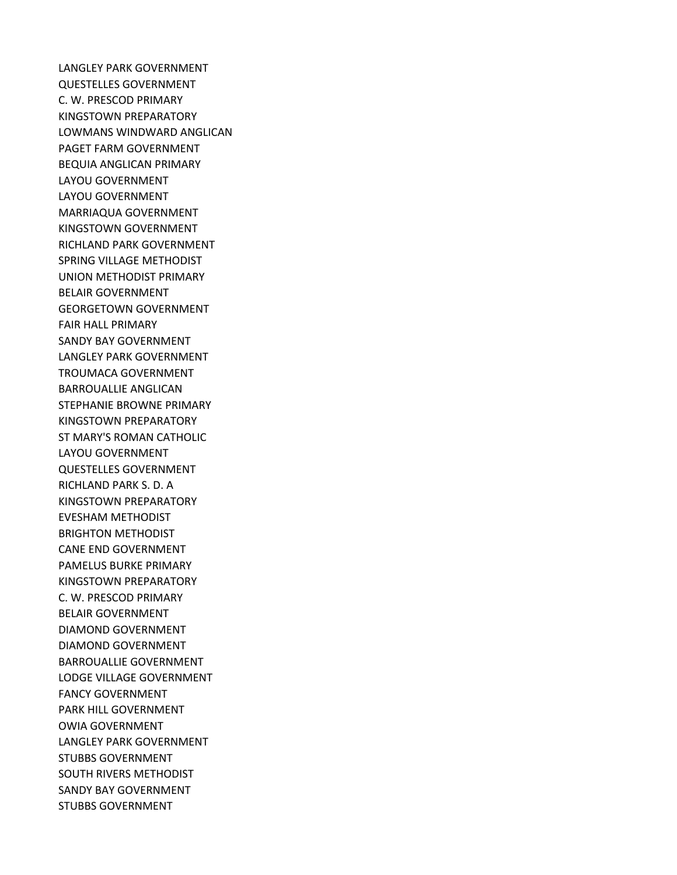LANGLEY PARK GOVERNMENT QUESTELLES GOVERNMENT C. W. PRESCOD PRIMARY KINGSTOWN PREPARATORY LOWMANS WINDWARD ANGLICAN PAGET FARM GOVERNMENT BEQUIA ANGLICAN PRIMARY LAYOU GOVERNMENT LAYOU GOVERNMENT MARRIAQUA GOVERNMENT KINGSTOWN GOVERNMENT RICHLAND PARK GOVERNMENT SPRING VILLAGE METHODIST UNION METHODIST PRIMARY BELAIR GOVERNMENT GEORGETOWN GOVERNMENT FAIR HALL PRIMARY SANDY BAY GOVERNMENT LANGLEY PARK GOVERNMENT TROUMACA GOVERNMENT BARROUALLIE ANGLICAN STEPHANIE BROWNE PRIMARY KINGSTOWN PREPARATORY ST MARY'S ROMAN CATHOLIC LAYOU GOVERNMENT QUESTELLES GOVERNMENT RICHLAND PARK S. D. A KINGSTOWN PREPARATORY EVESHAM METHODIST BRIGHTON METHODIST CANE END GOVERNMENT PAMELUS BURKE PRIMARY KINGSTOWN PREPARATORY C. W. PRESCOD PRIMARY BELAIR GOVERNMENT DIAMOND GOVERNMENT DIAMOND GOVERNMENT BARROUALLIE GOVERNMENT LODGE VILLAGE GOVERNMENT FANCY GOVERNMENT PARK HILL GOVERNMENT OWIA GOVERNMENT LANGLEY PARK GOVERNMENT STUBBS GOVERNMENT SOUTH RIVERS METHODIST SANDY BAY GOVERNMENT STUBBS GOVERNMENT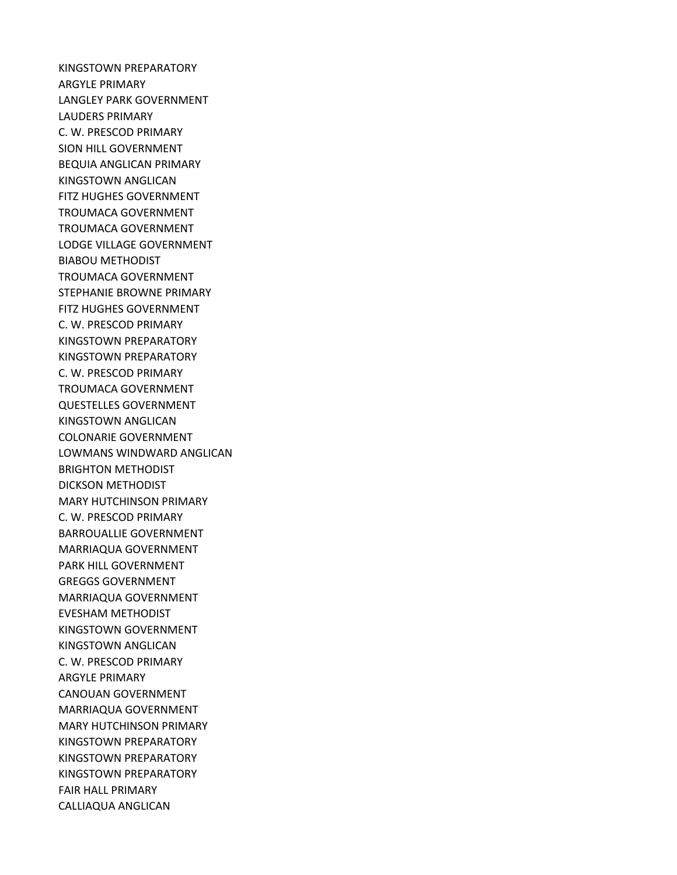KINGSTOWN PREPARATORY ARGYLE PRIMARY LANGLEY PARK GOVERNMENT LAUDERS PRIMARY C. W. PRESCOD PRIMARY SION HILL GOVERNMENT BEQUIA ANGLICAN PRIMARY KINGSTOWN ANGLICAN FITZ HUGHES GOVERNMENT TROUMACA GOVERNMENT TROUMACA GOVERNMENT LODGE VILLAGE GOVERNMENT BIABOU METHODIST TROUMACA GOVERNMENT STEPHANIE BROWNE PRIMARY FITZ HUGHES GOVERNMENT C. W. PRESCOD PRIMARY KINGSTOWN PREPARATORY KINGSTOWN PREPARATORY C. W. PRESCOD PRIMARY TROUMACA GOVERNMENT QUESTELLES GOVERNMENT KINGSTOWN ANGLICAN COLONARIE GOVERNMENT LOWMANS WINDWARD ANGLICAN BRIGHTON METHODIST DICKSON METHODIST MARY HUTCHINSON PRIMARY C. W. PRESCOD PRIMARY BARROUALLIE GOVERNMENT MARRIAQUA GOVERNMENT PARK HILL GOVERNMENT GREGGS GOVERNMENT MARRIAQUA GOVERNMENT EVESHAM METHODIST KINGSTOWN GOVERNMENT KINGSTOWN ANGLICAN C. W. PRESCOD PRIMARY ARGYLE PRIMARY CANOUAN GOVERNMENT MARRIAQUA GOVERNMENT MARY HUTCHINSON PRIMARY KINGSTOWN PREPARATORY KINGSTOWN PREPARATORY KINGSTOWN PREPARATORY FAIR HALL PRIMARY CALLIAQUA ANGLICAN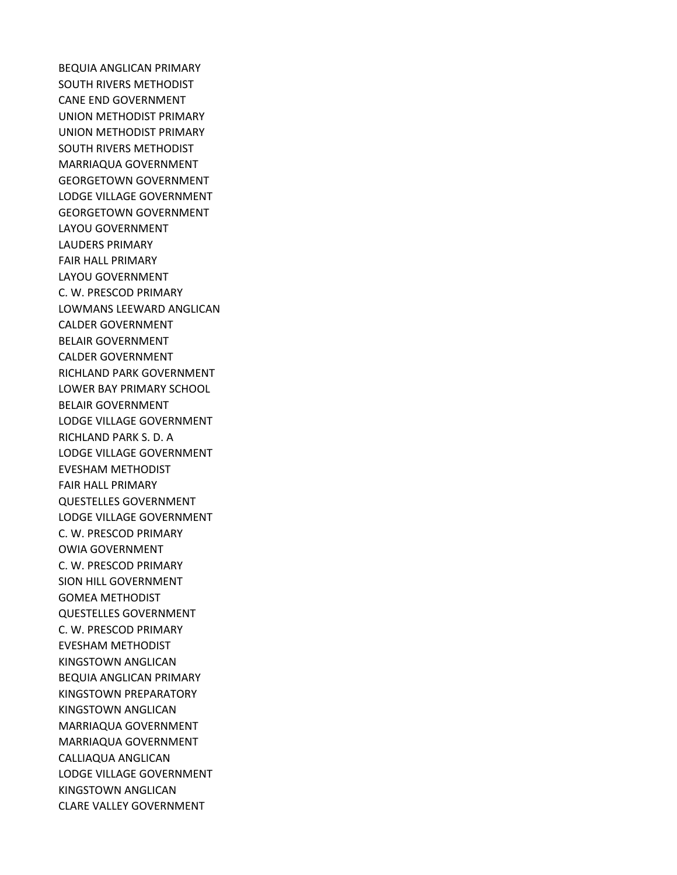BEQUIA ANGLICAN PRIMARY SOUTH RIVERS METHODIST CANE END GOVERNMENT UNION METHODIST PRIMARY UNION METHODIST PRIMARY SOUTH RIVERS METHODIST MARRIAQUA GOVERNMENT GEORGETOWN GOVERNMENT LODGE VILLAGE GOVERNMENT GEORGETOWN GOVERNMENT LAYOU GOVERNMENT LAUDERS PRIMARY FAIR HALL PRIMARY LAYOU GOVERNMENT C. W. PRESCOD PRIMARY LOWMANS LEEWARD ANGLICAN CALDER GOVERNMENT BELAIR GOVERNMENT CALDER GOVERNMENT RICHLAND PARK GOVERNMENT LOWER BAY PRIMARY SCHOOL BELAIR GOVERNMENT LODGE VILLAGE GOVERNMENT RICHLAND PARK S. D. A LODGE VILLAGE GOVERNMENT EVESHAM METHODIST FAIR HALL PRIMARY QUESTELLES GOVERNMENT LODGE VILLAGE GOVERNMENT C. W. PRESCOD PRIMARY OWIA GOVERNMENT C. W. PRESCOD PRIMARY SION HILL GOVERNMENT GOMEA METHODIST QUESTELLES GOVERNMENT C. W. PRESCOD PRIMARY EVESHAM METHODIST KINGSTOWN ANGLICAN BEQUIA ANGLICAN PRIMARY KINGSTOWN PREPARATORY KINGSTOWN ANGLICAN MARRIAQUA GOVERNMENT MARRIAQUA GOVERNMENT CALLIAQUA ANGLICAN LODGE VILLAGE GOVERNMENT KINGSTOWN ANGLICAN CLARE VALLEY GOVERNMENT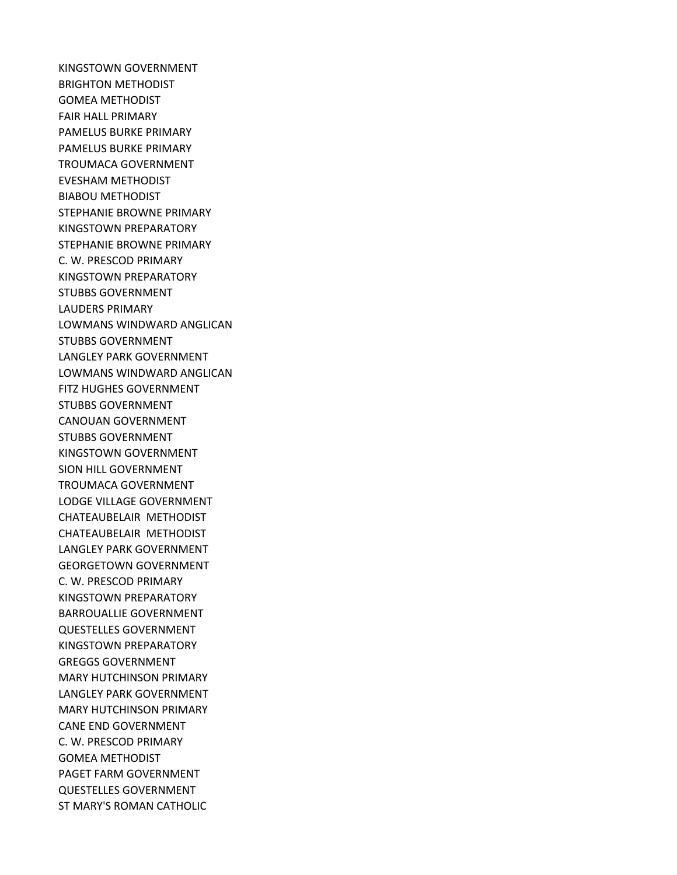KINGSTOWN GOVERNMENT BRIGHTON METHODIST GOMEA METHODIST FAIR HALL PRIMARY PAMELUS BURKE PRIMARY PAMELUS BURKE PRIMARY TROUMACA GOVERNMENT EVESHAM METHODIST BIABOU METHODIST STEPHANIE BROWNE PRIMARY KINGSTOWN PREPARATORY STEPHANIE BROWNE PRIMARY C. W. PRESCOD PRIMARY KINGSTOWN PREPARATORY STUBBS GOVERNMENT LAUDERS PRIMARY LOWMANS WINDWARD ANGLICAN STUBBS GOVERNMENT LANGLEY PARK GOVERNMENT LOWMANS WINDWARD ANGLICAN FITZ HUGHES GOVERNMENT STUBBS GOVERNMENT CANOUAN GOVERNMENT STUBBS GOVERNMENT KINGSTOWN GOVERNMENT SION HILL GOVERNMENT TROUMACA GOVERNMENT LODGE VILLAGE GOVERNMENT CHATEAUBELAIR METHODIST CHATEAUBELAIR METHODIST LANGLEY PARK GOVERNMENT GEORGETOWN GOVERNMENT C. W. PRESCOD PRIMARY KINGSTOWN PREPARATORY BARROUALLIE GOVERNMENT QUESTELLES GOVERNMENT KINGSTOWN PREPARATORY GREGGS GOVERNMENT MARY HUTCHINSON PRIMARY LANGLEY PARK GOVERNMENT MARY HUTCHINSON PRIMARY CANE END GOVERNMENT C. W. PRESCOD PRIMARY GOMEA METHODIST PAGET FARM GOVERNMENT QUESTELLES GOVERNMENT ST MARY'S ROMAN CATHOLIC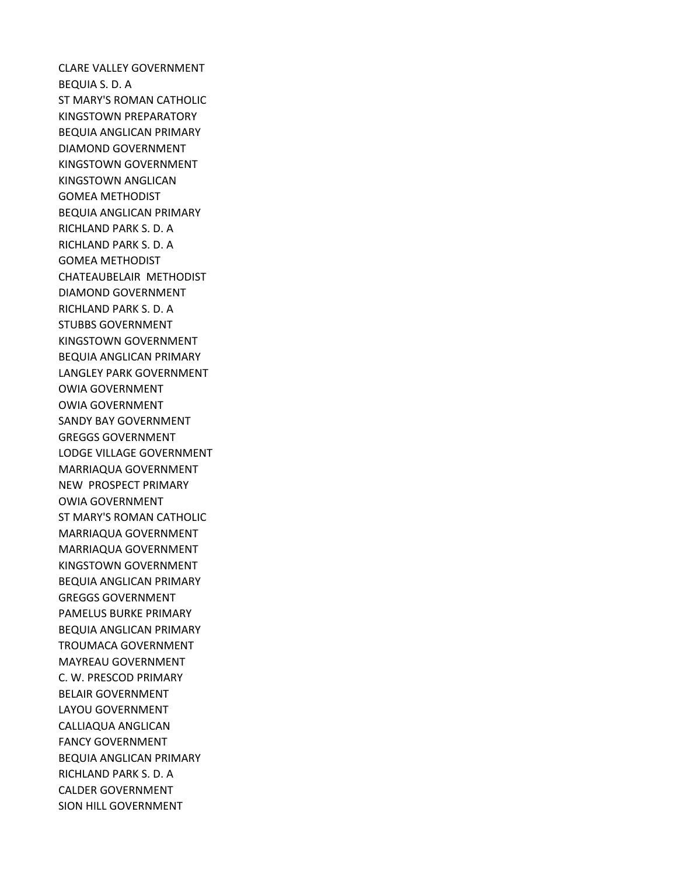CLARE VALLEY GOVERNMENT BEQUIA S. D. A ST MARY'S ROMAN CATHOLIC KINGSTOWN PREPARATORY BEQUIA ANGLICAN PRIMARY DIAMOND GOVERNMENT KINGSTOWN GOVERNMENT KINGSTOWN ANGLICAN GOMEA METHODIST BEQUIA ANGLICAN PRIMARY RICHLAND PARK S. D. A RICHLAND PARK S. D. A GOMEA METHODIST CHATEAUBELAIR METHODIST DIAMOND GOVERNMENT RICHLAND PARK S. D. A STUBBS GOVERNMENT KINGSTOWN GOVERNMENT BEQUIA ANGLICAN PRIMARY LANGLEY PARK GOVERNMENT OWIA GOVERNMENT OWIA GOVERNMENT SANDY BAY GOVERNMENT GREGGS GOVERNMENT LODGE VILLAGE GOVERNMENT MARRIAQUA GOVERNMENT NEW PROSPECT PRIMARY OWIA GOVERNMENT ST MARY'S ROMAN CATHOLIC MARRIAQUA GOVERNMENT MARRIAQUA GOVERNMENT KINGSTOWN GOVERNMENT BEQUIA ANGLICAN PRIMARY GREGGS GOVERNMENT PAMELUS BURKE PRIMARY BEQUIA ANGLICAN PRIMARY TROUMACA GOVERNMENT MAYREAU GOVERNMENT C. W. PRESCOD PRIMARY BELAIR GOVERNMENT LAYOU GOVERNMENT CALLIAQUA ANGLICAN FANCY GOVERNMENT BEQUIA ANGLICAN PRIMARY RICHLAND PARK S. D. A CALDER GOVERNMENT SION HILL GOVERNMENT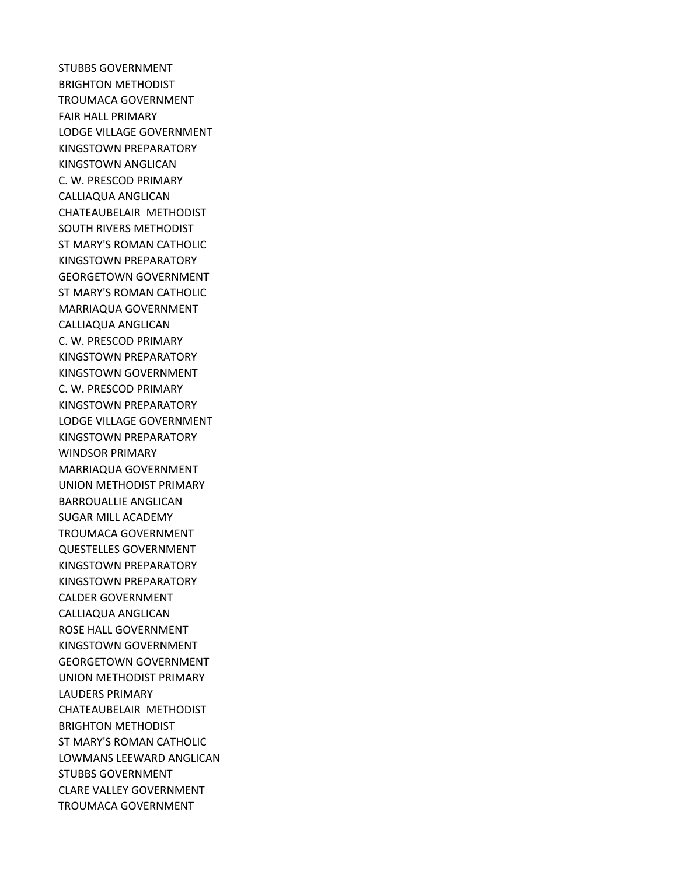STUBBS GOVERNMENT BRIGHTON METHODIST TROUMACA GOVERNMENT FAIR HALL PRIMARY LODGE VILLAGE GOVERNMENT KINGSTOWN PREPARATORY KINGSTOWN ANGLICAN C. W. PRESCOD PRIMARY CALLIAQUA ANGLICAN CHATEAUBELAIR METHODIST SOUTH RIVERS METHODIST ST MARY'S ROMAN CATHOLIC KINGSTOWN PREPARATORY GEORGETOWN GOVERNMENT ST MARY'S ROMAN CATHOLIC MARRIAQUA GOVERNMENT CALLIAQUA ANGLICAN C. W. PRESCOD PRIMARY KINGSTOWN PREPARATORY KINGSTOWN GOVERNMENT C. W. PRESCOD PRIMARY KINGSTOWN PREPARATORY LODGE VILLAGE GOVERNMENT KINGSTOWN PREPARATORY WINDSOR PRIMARY MARRIAQUA GOVERNMENT UNION METHODIST PRIMARY BARROUALLIE ANGLICAN SUGAR MILL ACADEMY TROUMACA GOVERNMENT QUESTELLES GOVERNMENT KINGSTOWN PREPARATORY KINGSTOWN PREPARATORY CALDER GOVERNMENT CALLIAQUA ANGLICAN ROSE HALL GOVERNMENT KINGSTOWN GOVERNMENT GEORGETOWN GOVERNMENT UNION METHODIST PRIMARY LAUDERS PRIMARY CHATEAUBELAIR METHODIST BRIGHTON METHODIST ST MARY'S ROMAN CATHOLIC LOWMANS LEEWARD ANGLICAN STUBBS GOVERNMENT CLARE VALLEY GOVERNMENT TROUMACA GOVERNMENT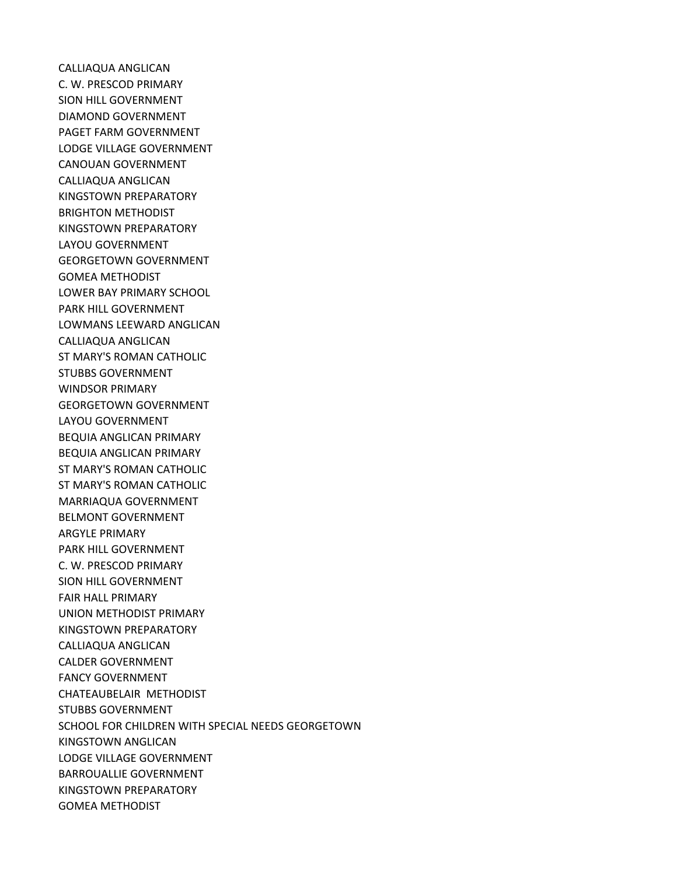CALLIAQUA ANGLICAN C. W. PRESCOD PRIMARY SION HILL GOVERNMENT DIAMOND GOVERNMENT PAGET FARM GOVERNMENT LODGE VILLAGE GOVERNMENT CANOUAN GOVERNMENT CALLIAQUA ANGLICAN KINGSTOWN PREPARATORY BRIGHTON METHODIST KINGSTOWN PREPARATORY LAYOU GOVERNMENT GEORGETOWN GOVERNMENT GOMEA METHODIST LOWER BAY PRIMARY SCHOOL PARK HILL GOVERNMENT LOWMANS LEEWARD ANGLICAN CALLIAQUA ANGLICAN ST MARY'S ROMAN CATHOLIC STUBBS GOVERNMENT WINDSOR PRIMARY GEORGETOWN GOVERNMENT LAYOU GOVERNMENT BEQUIA ANGLICAN PRIMARY BEQUIA ANGLICAN PRIMARY ST MARY'S ROMAN CATHOLIC ST MARY'S ROMAN CATHOLIC MARRIAQUA GOVERNMENT BELMONT GOVERNMENT ARGYLE PRIMARY PARK HILL GOVERNMENT C. W. PRESCOD PRIMARY SION HILL GOVERNMENT FAIR HALL PRIMARY UNION METHODIST PRIMARY KINGSTOWN PREPARATORY CALLIAQUA ANGLICAN CALDER GOVERNMENT FANCY GOVERNMENT CHATEAUBELAIR METHODIST STUBBS GOVERNMENT SCHOOL FOR CHILDREN WITH SPECIAL NEEDS GEORGETOWN KINGSTOWN ANGLICAN LODGE VILLAGE GOVERNMENT BARROUALLIE GOVERNMENT KINGSTOWN PREPARATORY GOMEA METHODIST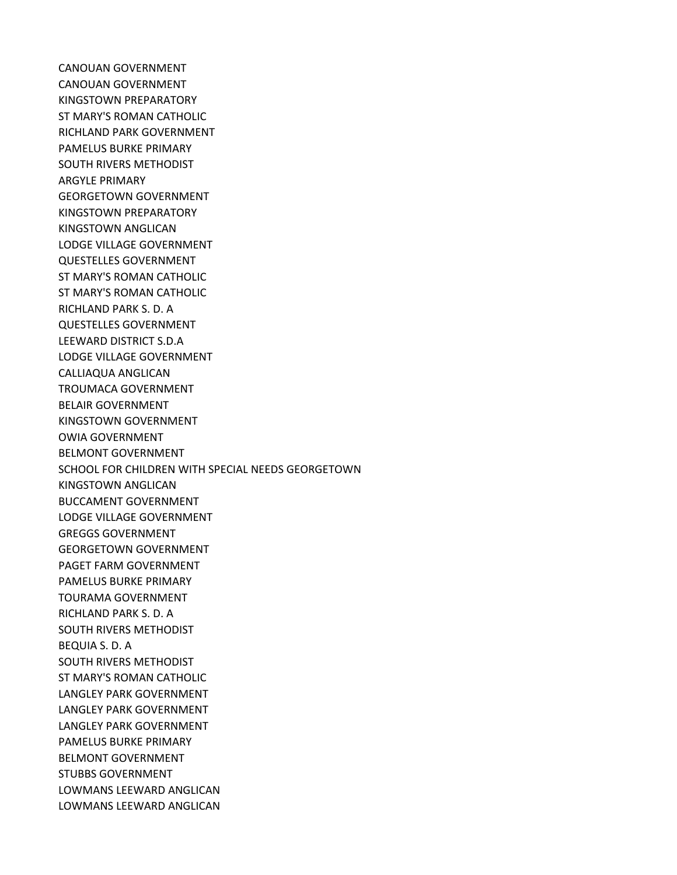CANOUAN GOVERNMENT CANOUAN GOVERNMENT KINGSTOWN PREPARATORY ST MARY'S ROMAN CATHOLIC RICHLAND PARK GOVERNMENT PAMELUS BURKE PRIMARY SOUTH RIVERS METHODIST ARGYLE PRIMARY GEORGETOWN GOVERNMENT KINGSTOWN PREPARATORY KINGSTOWN ANGLICAN LODGE VILLAGE GOVERNMENT QUESTELLES GOVERNMENT ST MARY'S ROMAN CATHOLIC ST MARY'S ROMAN CATHOLIC RICHLAND PARK S. D. A QUESTELLES GOVERNMENT LEEWARD DISTRICT S.D.A LODGE VILLAGE GOVERNMENT CALLIAQUA ANGLICAN TROUMACA GOVERNMENT BELAIR GOVERNMENT KINGSTOWN GOVERNMENT OWIA GOVERNMENT BELMONT GOVERNMENT SCHOOL FOR CHILDREN WITH SPECIAL NEEDS GEORGETOWN KINGSTOWN ANGLICAN BUCCAMENT GOVERNMENT LODGE VILLAGE GOVERNMENT GREGGS GOVERNMENT GEORGETOWN GOVERNMENT PAGET FARM GOVERNMENT PAMELUS BURKE PRIMARY TOURAMA GOVERNMENT RICHLAND PARK S. D. A SOUTH RIVERS METHODIST BEQUIA S. D. A SOUTH RIVERS METHODIST ST MARY'S ROMAN CATHOLIC LANGLEY PARK GOVERNMENT LANGLEY PARK GOVERNMENT LANGLEY PARK GOVERNMENT PAMELUS BURKE PRIMARY BELMONT GOVERNMENT STUBBS GOVERNMENT LOWMANS LEEWARD ANGLICAN LOWMANS LEEWARD ANGLICAN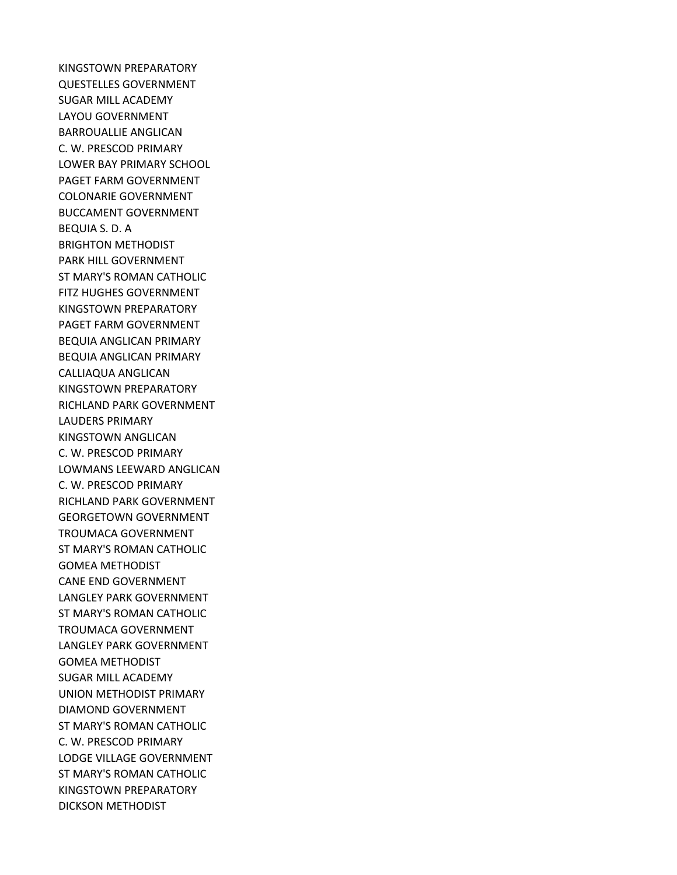KINGSTOWN PREPARATORY QUESTELLES GOVERNMENT SUGAR MILL ACADEMY LAYOU GOVERNMENT BARROUALLIE ANGLICAN C. W. PRESCOD PRIMARY LOWER BAY PRIMARY SCHOOL PAGET FARM GOVERNMENT COLONARIE GOVERNMENT BUCCAMENT GOVERNMENT BEQUIA S. D. A BRIGHTON METHODIST PARK HILL GOVERNMENT ST MARY'S ROMAN CATHOLIC FITZ HUGHES GOVERNMENT KINGSTOWN PREPARATORY PAGET FARM GOVERNMENT BEQUIA ANGLICAN PRIMARY BEQUIA ANGLICAN PRIMARY CALLIAQUA ANGLICAN KINGSTOWN PREPARATORY RICHLAND PARK GOVERNMENT LAUDERS PRIMARY KINGSTOWN ANGLICAN C. W. PRESCOD PRIMARY LOWMANS LEEWARD ANGLICAN C. W. PRESCOD PRIMARY RICHLAND PARK GOVERNMENT GEORGETOWN GOVERNMENT TROUMACA GOVERNMENT ST MARY'S ROMAN CATHOLIC GOMEA METHODIST CANE END GOVERNMENT LANGLEY PARK GOVERNMENT ST MARY'S ROMAN CATHOLIC TROUMACA GOVERNMENT LANGLEY PARK GOVERNMENT GOMEA METHODIST SUGAR MILL ACADEMY UNION METHODIST PRIMARY DIAMOND GOVERNMENT ST MARY'S ROMAN CATHOLIC C. W. PRESCOD PRIMARY LODGE VILLAGE GOVERNMENT ST MARY'S ROMAN CATHOLIC KINGSTOWN PREPARATORY DICKSON METHODIST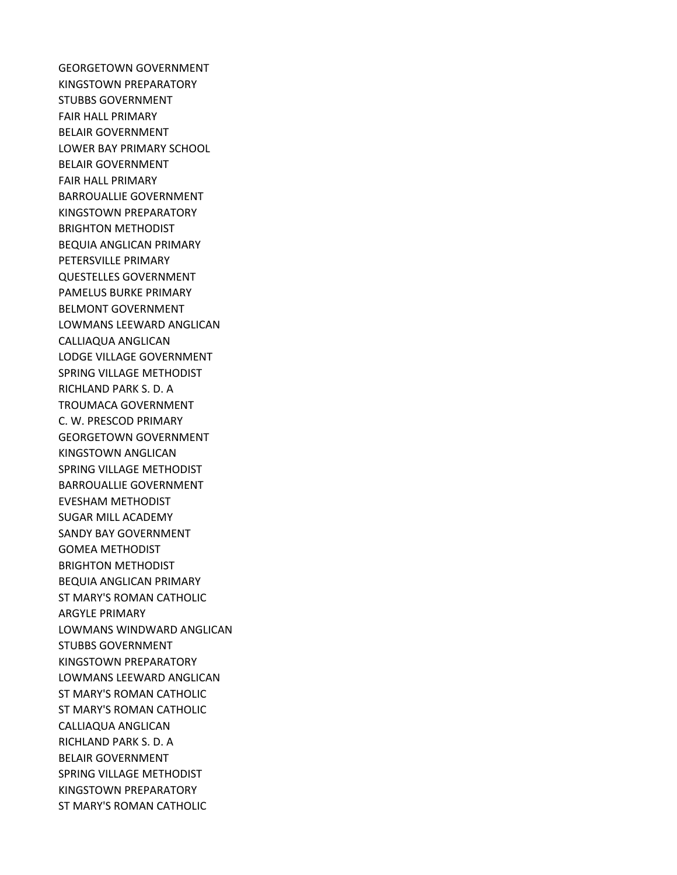GEORGETOWN GOVERNMENT KINGSTOWN PREPARATORY STUBBS GOVERNMENT FAIR HALL PRIMARY BELAIR GOVERNMENT LOWER BAY PRIMARY SCHOOL BELAIR GOVERNMENT FAIR HALL PRIMARY BARROUALLIE GOVERNMENT KINGSTOWN PREPARATORY BRIGHTON METHODIST BEQUIA ANGLICAN PRIMARY PETERSVILLE PRIMARY QUESTELLES GOVERNMENT PAMELUS BURKE PRIMARY BELMONT GOVERNMENT LOWMANS LEEWARD ANGLICAN CALLIAQUA ANGLICAN LODGE VILLAGE GOVERNMENT SPRING VILLAGE METHODIST RICHLAND PARK S. D. A TROUMACA GOVERNMENT C. W. PRESCOD PRIMARY GEORGETOWN GOVERNMENT KINGSTOWN ANGLICAN SPRING VILLAGE METHODIST BARROUALLIE GOVERNMENT EVESHAM METHODIST SUGAR MILL ACADEMY SANDY BAY GOVERNMENT GOMEA METHODIST BRIGHTON METHODIST BEQUIA ANGLICAN PRIMARY ST MARY'S ROMAN CATHOLIC ARGYLE PRIMARY LOWMANS WINDWARD ANGLICAN STUBBS GOVERNMENT KINGSTOWN PREPARATORY LOWMANS LEEWARD ANGLICAN ST MARY'S ROMAN CATHOLIC ST MARY'S ROMAN CATHOLIC CALLIAQUA ANGLICAN RICHLAND PARK S. D. A BELAIR GOVERNMENT SPRING VILLAGE METHODIST KINGSTOWN PREPARATORY ST MARY'S ROMAN CATHOLIC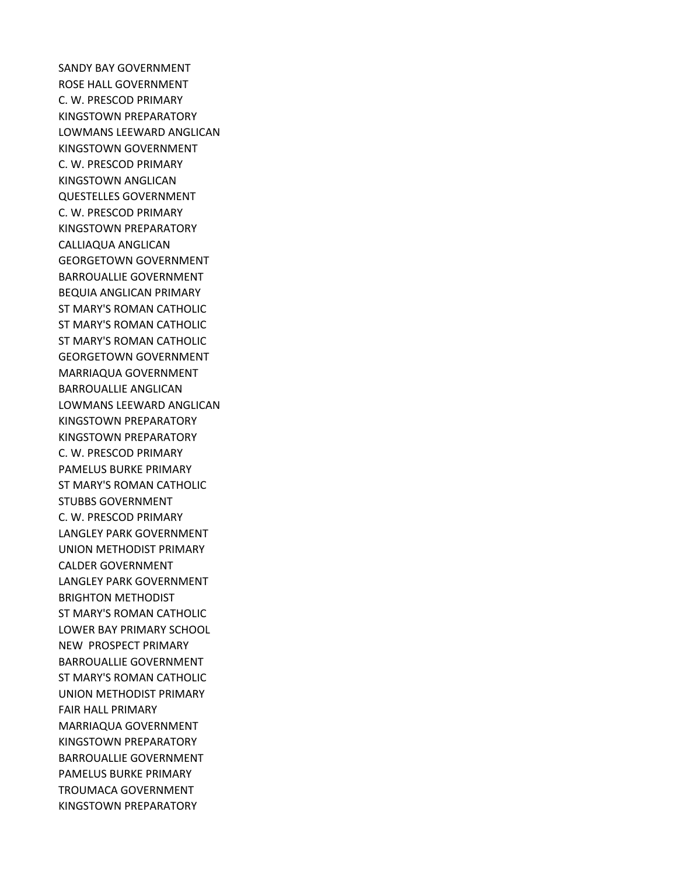SANDY BAY GOVERNMENT ROSE HALL GOVERNMENT C. W. PRESCOD PRIMARY KINGSTOWN PREPARATORY LOWMANS LEEWARD ANGLICAN KINGSTOWN GOVERNMENT C. W. PRESCOD PRIMARY KINGSTOWN ANGLICAN QUESTELLES GOVERNMENT C. W. PRESCOD PRIMARY KINGSTOWN PREPARATORY CALLIAQUA ANGLICAN GEORGETOWN GOVERNMENT BARROUALLIE GOVERNMENT BEQUIA ANGLICAN PRIMARY ST MARY'S ROMAN CATHOLIC ST MARY'S ROMAN CATHOLIC ST MARY'S ROMAN CATHOLIC GEORGETOWN GOVERNMENT MARRIAQUA GOVERNMENT BARROUALLIE ANGLICAN LOWMANS LEEWARD ANGLICAN KINGSTOWN PREPARATORY KINGSTOWN PREPARATORY C. W. PRESCOD PRIMARY PAMELUS BURKE PRIMARY ST MARY'S ROMAN CATHOLIC STUBBS GOVERNMENT C. W. PRESCOD PRIMARY LANGLEY PARK GOVERNMENT UNION METHODIST PRIMARY CALDER GOVERNMENT LANGLEY PARK GOVERNMENT BRIGHTON METHODIST ST MARY'S ROMAN CATHOLIC LOWER BAY PRIMARY SCHOOL NEW PROSPECT PRIMARY BARROUALLIE GOVERNMENT ST MARY'S ROMAN CATHOLIC UNION METHODIST PRIMARY FAIR HALL PRIMARY MARRIAQUA GOVERNMENT KINGSTOWN PREPARATORY BARROUALLIE GOVERNMENT PAMELUS BURKE PRIMARY TROUMACA GOVERNMENT KINGSTOWN PREPARATORY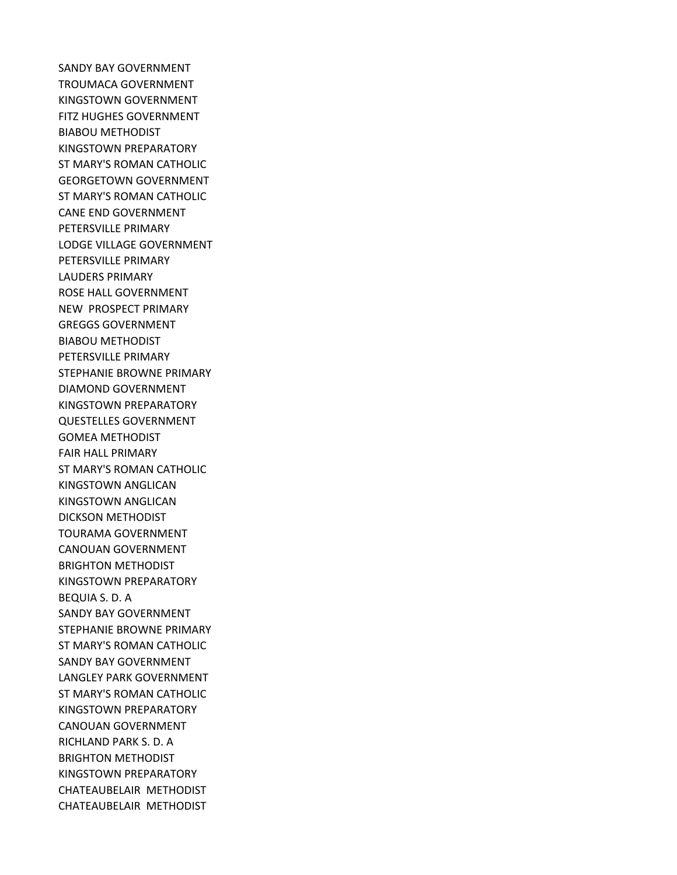SANDY BAY GOVERNMENT TROUMACA GOVERNMENT KINGSTOWN GOVERNMENT FITZ HUGHES GOVERNMENT BIABOU METHODIST KINGSTOWN PREPARATORY ST MARY'S ROMAN CATHOLIC GEORGETOWN GOVERNMENT ST MARY'S ROMAN CATHOLIC CANE END GOVERNMENT PETERSVILLE PRIMARY LODGE VILLAGE GOVERNMENT PETERSVILLE PRIMARY LAUDERS PRIMARY ROSE HALL GOVERNMENT NEW PROSPECT PRIMARY GREGGS GOVERNMENT BIABOU METHODIST PETERSVILLE PRIMARY STEPHANIE BROWNE PRIMARY DIAMOND GOVERNMENT KINGSTOWN PREPARATORY QUESTELLES GOVERNMENT GOMEA METHODIST FAIR HALL PRIMARY ST MARY'S ROMAN CATHOLIC KINGSTOWN ANGLICAN KINGSTOWN ANGLICAN DICKSON METHODIST TOURAMA GOVERNMENT CANOUAN GOVERNMENT BRIGHTON METHODIST KINGSTOWN PREPARATORY BEQUIA S. D. A SANDY BAY GOVERNMENT STEPHANIE BROWNE PRIMARY ST MARY'S ROMAN CATHOLIC SANDY BAY GOVERNMENT LANGLEY PARK GOVERNMENT ST MARY'S ROMAN CATHOLIC KINGSTOWN PREPARATORY CANOUAN GOVERNMENT RICHLAND PARK S. D. A BRIGHTON METHODIST KINGSTOWN PREPARATORY CHATEAUBELAIR METHODIST CHATEAUBELAIR METHODIST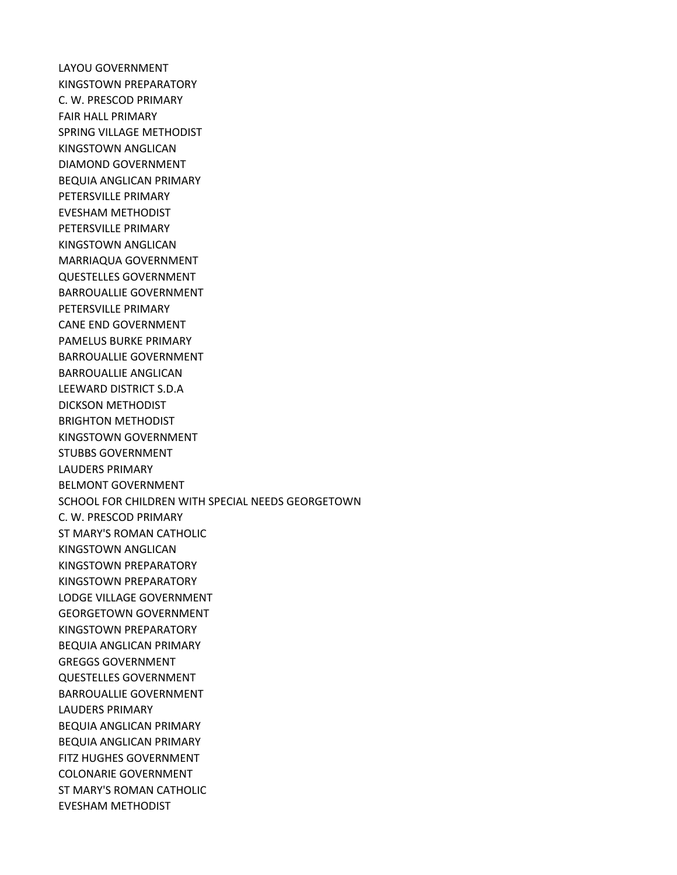LAYOU GOVERNMENT KINGSTOWN PREPARATORY C. W. PRESCOD PRIMARY FAIR HALL PRIMARY SPRING VILLAGE METHODIST KINGSTOWN ANGLICAN DIAMOND GOVERNMENT BEQUIA ANGLICAN PRIMARY PETERSVILLE PRIMARY EVESHAM METHODIST PETERSVILLE PRIMARY KINGSTOWN ANGLICAN MARRIAQUA GOVERNMENT QUESTELLES GOVERNMENT BARROUALLIE GOVERNMENT PETERSVILLE PRIMARY CANE END GOVERNMENT PAMELUS BURKE PRIMARY BARROUALLIE GOVERNMENT BARROUALLIE ANGLICAN LEEWARD DISTRICT S.D.A DICKSON METHODIST BRIGHTON METHODIST KINGSTOWN GOVERNMENT STUBBS GOVERNMENT LAUDERS PRIMARY BELMONT GOVERNMENT SCHOOL FOR CHILDREN WITH SPECIAL NEEDS GEORGETOWN C. W. PRESCOD PRIMARY ST MARY'S ROMAN CATHOLIC KINGSTOWN ANGLICAN KINGSTOWN PREPARATORY KINGSTOWN PREPARATORY LODGE VILLAGE GOVERNMENT GEORGETOWN GOVERNMENT KINGSTOWN PREPARATORY BEQUIA ANGLICAN PRIMARY GREGGS GOVERNMENT QUESTELLES GOVERNMENT BARROUALLIE GOVERNMENT LAUDERS PRIMARY BEQUIA ANGLICAN PRIMARY BEQUIA ANGLICAN PRIMARY FITZ HUGHES GOVERNMENT COLONARIE GOVERNMENT ST MARY'S ROMAN CATHOLIC EVESHAM METHODIST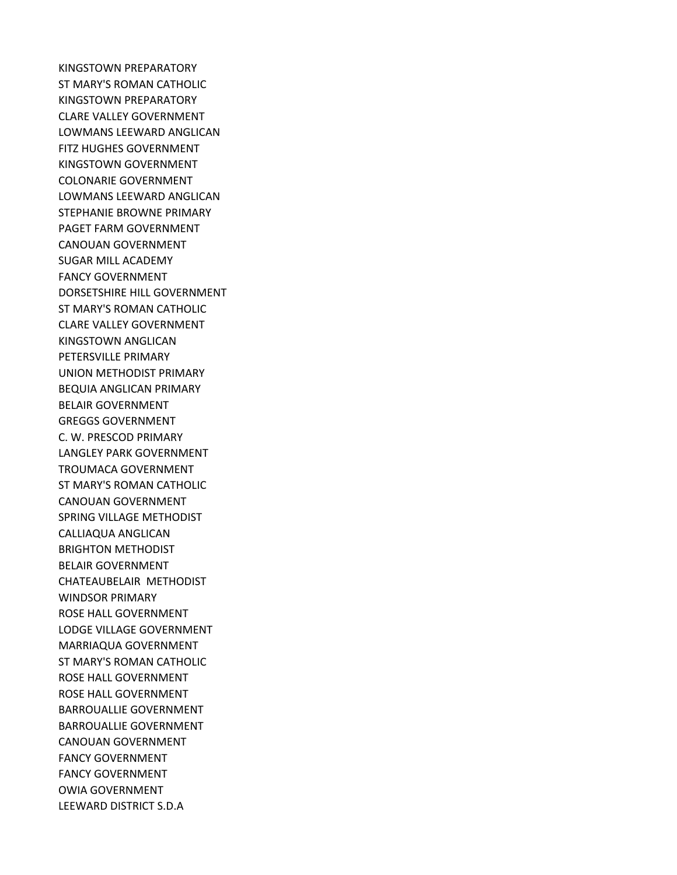KINGSTOWN PREPARATORY ST MARY'S ROMAN CATHOLIC KINGSTOWN PREPARATORY CLARE VALLEY GOVERNMENT LOWMANS LEEWARD ANGLICAN FITZ HUGHES GOVERNMENT KINGSTOWN GOVERNMENT COLONARIE GOVERNMENT LOWMANS LEEWARD ANGLICAN STEPHANIE BROWNE PRIMARY PAGET FARM GOVERNMENT CANOUAN GOVERNMENT SUGAR MILL ACADEMY FANCY GOVERNMENT DORSETSHIRE HILL GOVERNMENT ST MARY'S ROMAN CATHOLIC CLARE VALLEY GOVERNMENT KINGSTOWN ANGLICAN PETERSVILLE PRIMARY UNION METHODIST PRIMARY BEQUIA ANGLICAN PRIMARY BELAIR GOVERNMENT GREGGS GOVERNMENT C. W. PRESCOD PRIMARY LANGLEY PARK GOVERNMENT TROUMACA GOVERNMENT ST MARY'S ROMAN CATHOLIC CANOUAN GOVERNMENT SPRING VILLAGE METHODIST CALLIAQUA ANGLICAN BRIGHTON METHODIST BELAIR GOVERNMENT CHATEAUBELAIR METHODIST WINDSOR PRIMARY ROSE HALL GOVERNMENT LODGE VILLAGE GOVERNMENT MARRIAQUA GOVERNMENT ST MARY'S ROMAN CATHOLIC ROSE HALL GOVERNMENT ROSE HALL GOVERNMENT BARROUALLIE GOVERNMENT BARROUALLIE GOVERNMENT CANOUAN GOVERNMENT FANCY GOVERNMENT FANCY GOVERNMENT OWIA GOVERNMENT LEEWARD DISTRICT S.D.A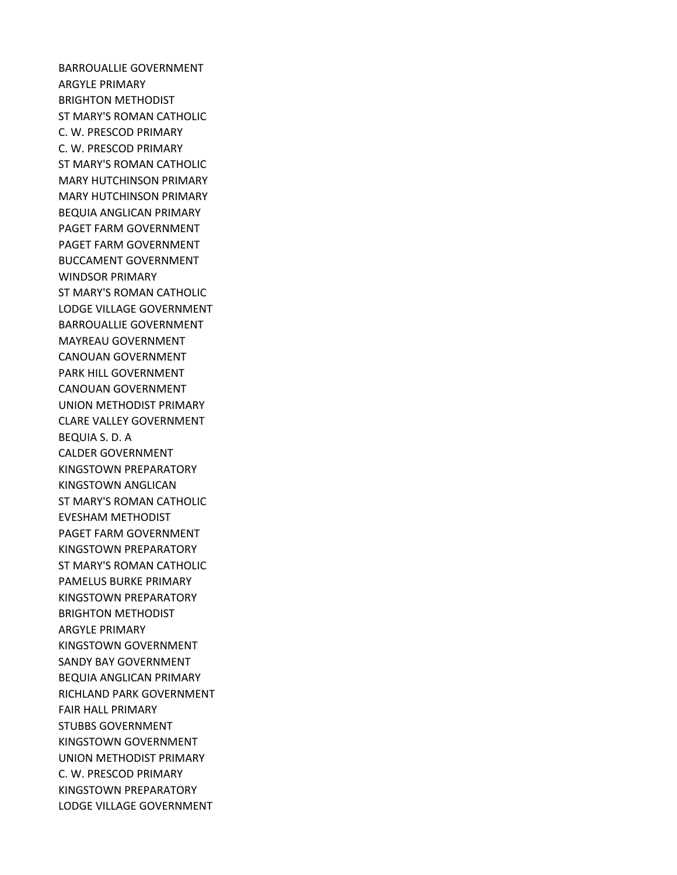BARROUALLIE GOVERNMENT ARGYLE PRIMARY BRIGHTON METHODIST ST MARY'S ROMAN CATHOLIC C. W. PRESCOD PRIMARY C. W. PRESCOD PRIMARY ST MARY'S ROMAN CATHOLIC MARY HUTCHINSON PRIMARY MARY HUTCHINSON PRIMARY BEQUIA ANGLICAN PRIMARY PAGET FARM GOVERNMENT PAGET FARM GOVERNMENT BUCCAMENT GOVERNMENT WINDSOR PRIMARY ST MARY'S ROMAN CATHOLIC LODGE VILLAGE GOVERNMENT BARROUALLIE GOVERNMENT MAYREAU GOVERNMENT CANOUAN GOVERNMENT PARK HILL GOVERNMENT CANOUAN GOVERNMENT UNION METHODIST PRIMARY CLARE VALLEY GOVERNMENT BEQUIA S. D. A CALDER GOVERNMENT KINGSTOWN PREPARATORY KINGSTOWN ANGLICAN ST MARY'S ROMAN CATHOLIC EVESHAM METHODIST PAGET FARM GOVERNMENT KINGSTOWN PREPARATORY ST MARY'S ROMAN CATHOLIC PAMELUS BURKE PRIMARY KINGSTOWN PREPARATORY BRIGHTON METHODIST ARGYLE PRIMARY KINGSTOWN GOVERNMENT SANDY BAY GOVERNMENT BEQUIA ANGLICAN PRIMARY RICHLAND PARK GOVERNMENT FAIR HALL PRIMARY STUBBS GOVERNMENT KINGSTOWN GOVERNMENT UNION METHODIST PRIMARY C. W. PRESCOD PRIMARY KINGSTOWN PREPARATORY LODGE VILLAGE GOVERNMENT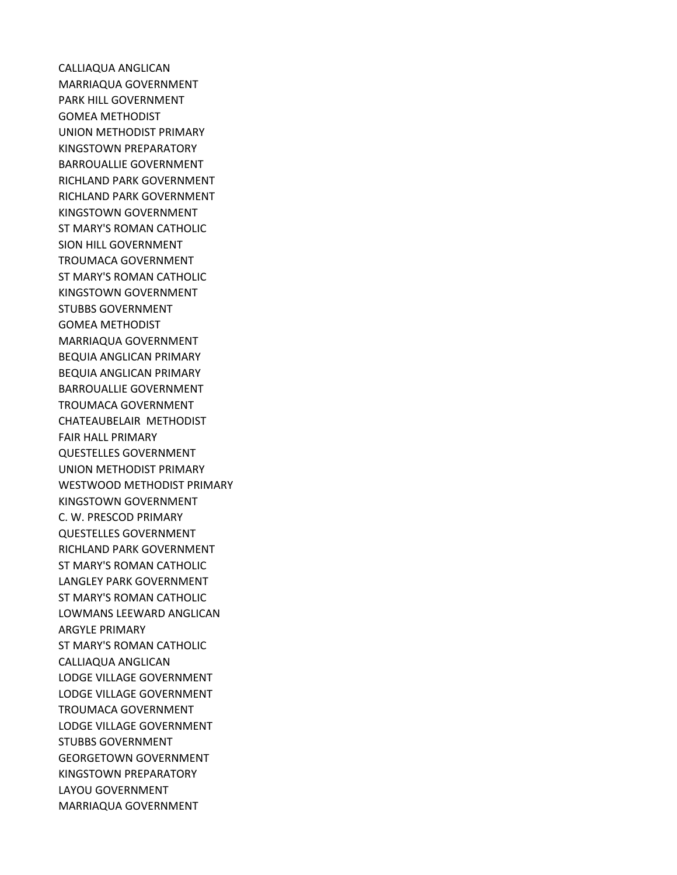CALLIAQUA ANGLICAN MARRIAQUA GOVERNMENT PARK HILL GOVERNMENT GOMEA METHODIST UNION METHODIST PRIMARY KINGSTOWN PREPARATORY BARROUALLIE GOVERNMENT RICHLAND PARK GOVERNMENT RICHLAND PARK GOVERNMENT KINGSTOWN GOVERNMENT ST MARY'S ROMAN CATHOLIC SION HILL GOVERNMENT TROUMACA GOVERNMENT ST MARY'S ROMAN CATHOLIC KINGSTOWN GOVERNMENT STUBBS GOVERNMENT GOMEA METHODIST MARRIAQUA GOVERNMENT BEQUIA ANGLICAN PRIMARY BEQUIA ANGLICAN PRIMARY BARROUALLIE GOVERNMENT TROUMACA GOVERNMENT CHATEAUBELAIR METHODIST FAIR HALL PRIMARY QUESTELLES GOVERNMENT UNION METHODIST PRIMARY WESTWOOD METHODIST PRIMARY KINGSTOWN GOVERNMENT C. W. PRESCOD PRIMARY QUESTELLES GOVERNMENT RICHLAND PARK GOVERNMENT ST MARY'S ROMAN CATHOLIC LANGLEY PARK GOVERNMENT ST MARY'S ROMAN CATHOLIC LOWMANS LEEWARD ANGLICAN ARGYLE PRIMARY ST MARY'S ROMAN CATHOLIC CALLIAQUA ANGLICAN LODGE VILLAGE GOVERNMENT LODGE VILLAGE GOVERNMENT TROUMACA GOVERNMENT LODGE VILLAGE GOVERNMENT STUBBS GOVERNMENT GEORGETOWN GOVERNMENT KINGSTOWN PREPARATORY LAYOU GOVERNMENT MARRIAQUA GOVERNMENT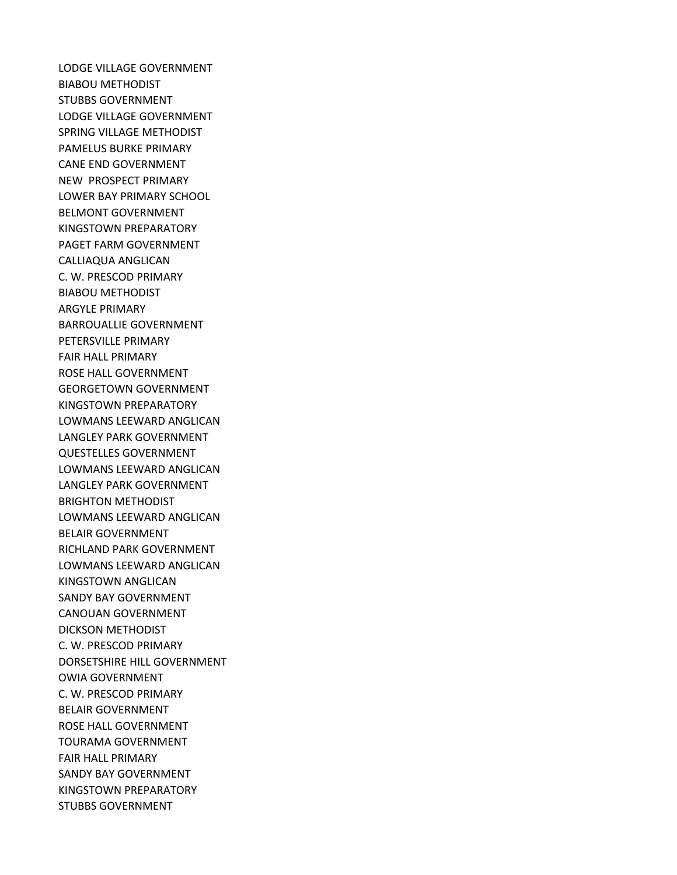LODGE VILLAGE GOVERNMENT BIABOU METHODIST STUBBS GOVERNMENT LODGE VILLAGE GOVERNMENT SPRING VILLAGE METHODIST PAMELUS BURKE PRIMARY CANE END GOVERNMENT NEW PROSPECT PRIMARY LOWER BAY PRIMARY SCHOOL BELMONT GOVERNMENT KINGSTOWN PREPARATORY PAGET FARM GOVERNMENT CALLIAQUA ANGLICAN C. W. PRESCOD PRIMARY BIABOU METHODIST ARGYLE PRIMARY BARROUALLIE GOVERNMENT PETERSVILLE PRIMARY FAIR HALL PRIMARY ROSE HALL GOVERNMENT GEORGETOWN GOVERNMENT KINGSTOWN PREPARATORY LOWMANS LEEWARD ANGLICAN LANGLEY PARK GOVERNMENT QUESTELLES GOVERNMENT LOWMANS LEEWARD ANGLICAN LANGLEY PARK GOVERNMENT BRIGHTON METHODIST LOWMANS LEEWARD ANGLICAN BELAIR GOVERNMENT RICHLAND PARK GOVERNMENT LOWMANS LEEWARD ANGLICAN KINGSTOWN ANGLICAN SANDY BAY GOVERNMENT CANOUAN GOVERNMENT DICKSON METHODIST C. W. PRESCOD PRIMARY DORSETSHIRE HILL GOVERNMENT OWIA GOVERNMENT C. W. PRESCOD PRIMARY BELAIR GOVERNMENT ROSE HALL GOVERNMENT TOURAMA GOVERNMENT FAIR HALL PRIMARY SANDY BAY GOVERNMENT KINGSTOWN PREPARATORY STUBBS GOVERNMENT